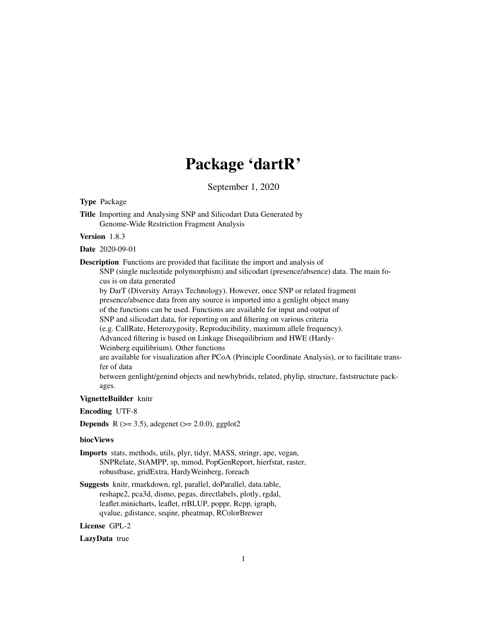# Package 'dartR'

September 1, 2020

<span id="page-0-0"></span>Type Package Title Importing and Analysing SNP and Silicodart Data Generated by Genome-Wide Restriction Fragment Analysis Version 1.8.3 Date 2020-09-01 Description Functions are provided that facilitate the import and analysis of SNP (single nucleotide polymorphism) and silicodart (presence/absence) data. The main focus is on data generated by DarT (Diversity Arrays Technology). However, once SNP or related fragment presence/absence data from any source is imported into a genlight object many of the functions can be used. Functions are available for input and output of SNP and silicodart data, for reporting on and filtering on various criteria (e.g. CallRate, Heterozygosity, Reproducibility, maximum allele frequency). Advanced filtering is based on Linkage Disequilibrium and HWE (Hardy-Weinberg equilibrium). Other functions are available for visualization after PCoA (Principle Coordinate Analysis), or to facilitate transfer of data between genlight/genind objects and newhybrids, related, phylip, structure, faststructure packages. VignetteBuilder knitr Encoding UTF-8 **Depends** R  $(>= 3.5)$ , adegenet  $(>= 2.0.0)$ , ggplot2 biocViews Imports stats, methods, utils, plyr, tidyr, MASS, stringr, ape, vegan, SNPRelate, StAMPP, sp, mmod, PopGenReport, hierfstat, raster, robustbase, gridExtra, HardyWeinberg, foreach Suggests knitr, rmarkdown, rgl, parallel, doParallel, data.table, reshape2, pca3d, dismo, pegas, directlabels, plotly, rgdal, leaflet.minicharts, leaflet, rrBLUP, poppr, Rcpp, igraph,

qvalue, gdistance, seqinr, pheatmap, RColorBrewer

License GPL-2

LazyData true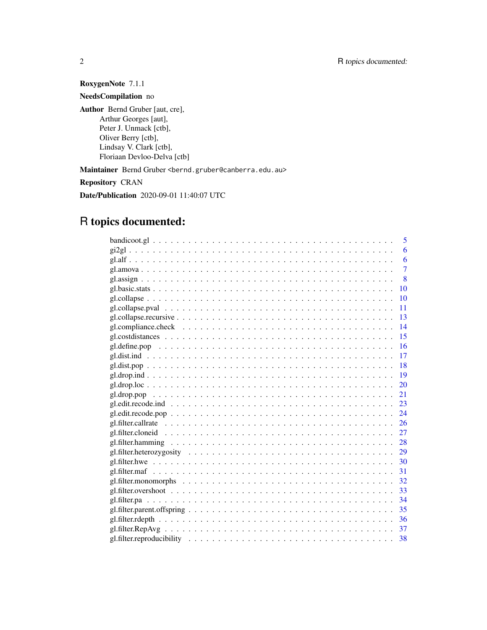RoxygenNote 7.1.1

NeedsCompilation no

Author Bernd Gruber [aut, cre], Arthur Georges [aut], Peter J. Unmack [ctb], Oliver Berry [ctb], Lindsay V. Clark [ctb], Floriaan Devloo-Delva [ctb]

Maintainer Bernd Gruber <bernd.gruber@canberra.edu.au>

Repository CRAN

Date/Publication 2020-09-01 11:40:07 UTC

# R topics documented:

| 5               |
|-----------------|
| 6               |
| 6               |
| $\overline{7}$  |
| $\mathbf{8}$    |
| 10              |
| 10              |
| 11              |
|                 |
| $\overline{14}$ |
| -15             |
|                 |
| $\overline{17}$ |
|                 |
|                 |
|                 |
| 21              |
|                 |
|                 |
|                 |
|                 |
|                 |
|                 |
|                 |
|                 |
|                 |
|                 |
|                 |
|                 |
|                 |
|                 |
|                 |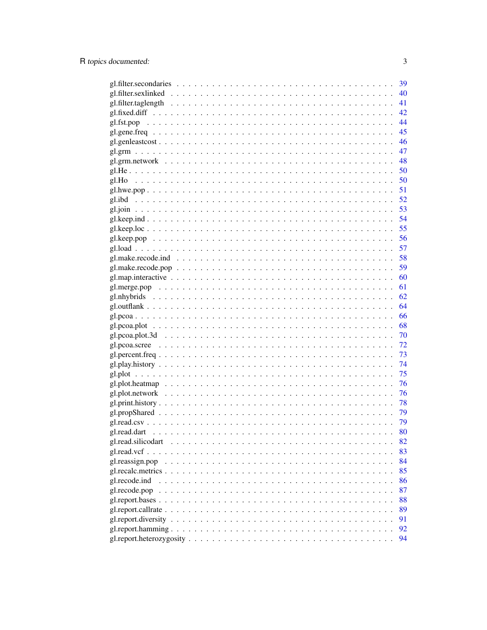|                 |  |  |  |  |  |  |  |  |  |  |  | 39 |
|-----------------|--|--|--|--|--|--|--|--|--|--|--|----|
|                 |  |  |  |  |  |  |  |  |  |  |  | 40 |
|                 |  |  |  |  |  |  |  |  |  |  |  | 41 |
|                 |  |  |  |  |  |  |  |  |  |  |  | 42 |
|                 |  |  |  |  |  |  |  |  |  |  |  | 44 |
|                 |  |  |  |  |  |  |  |  |  |  |  | 45 |
|                 |  |  |  |  |  |  |  |  |  |  |  | 46 |
|                 |  |  |  |  |  |  |  |  |  |  |  | 47 |
|                 |  |  |  |  |  |  |  |  |  |  |  | 48 |
|                 |  |  |  |  |  |  |  |  |  |  |  | 50 |
|                 |  |  |  |  |  |  |  |  |  |  |  |    |
|                 |  |  |  |  |  |  |  |  |  |  |  |    |
|                 |  |  |  |  |  |  |  |  |  |  |  |    |
|                 |  |  |  |  |  |  |  |  |  |  |  |    |
|                 |  |  |  |  |  |  |  |  |  |  |  |    |
|                 |  |  |  |  |  |  |  |  |  |  |  | 55 |
|                 |  |  |  |  |  |  |  |  |  |  |  | 56 |
|                 |  |  |  |  |  |  |  |  |  |  |  | 57 |
|                 |  |  |  |  |  |  |  |  |  |  |  | 58 |
|                 |  |  |  |  |  |  |  |  |  |  |  | 59 |
|                 |  |  |  |  |  |  |  |  |  |  |  | 60 |
|                 |  |  |  |  |  |  |  |  |  |  |  | 61 |
|                 |  |  |  |  |  |  |  |  |  |  |  | 62 |
|                 |  |  |  |  |  |  |  |  |  |  |  | 64 |
|                 |  |  |  |  |  |  |  |  |  |  |  | 66 |
|                 |  |  |  |  |  |  |  |  |  |  |  | 68 |
|                 |  |  |  |  |  |  |  |  |  |  |  | 70 |
|                 |  |  |  |  |  |  |  |  |  |  |  | 72 |
|                 |  |  |  |  |  |  |  |  |  |  |  | 73 |
|                 |  |  |  |  |  |  |  |  |  |  |  | 74 |
|                 |  |  |  |  |  |  |  |  |  |  |  | 75 |
|                 |  |  |  |  |  |  |  |  |  |  |  | 76 |
|                 |  |  |  |  |  |  |  |  |  |  |  | 76 |
|                 |  |  |  |  |  |  |  |  |  |  |  | 78 |
|                 |  |  |  |  |  |  |  |  |  |  |  | 79 |
|                 |  |  |  |  |  |  |  |  |  |  |  | 79 |
|                 |  |  |  |  |  |  |  |  |  |  |  | 80 |
|                 |  |  |  |  |  |  |  |  |  |  |  | 82 |
|                 |  |  |  |  |  |  |  |  |  |  |  | 83 |
| gl.reassign.pop |  |  |  |  |  |  |  |  |  |  |  | 84 |
|                 |  |  |  |  |  |  |  |  |  |  |  | 85 |
| gl.recode.ind   |  |  |  |  |  |  |  |  |  |  |  | 86 |
| gl.recode.pop   |  |  |  |  |  |  |  |  |  |  |  | 87 |
|                 |  |  |  |  |  |  |  |  |  |  |  | 88 |
|                 |  |  |  |  |  |  |  |  |  |  |  | 89 |
|                 |  |  |  |  |  |  |  |  |  |  |  | 91 |
|                 |  |  |  |  |  |  |  |  |  |  |  | 92 |
|                 |  |  |  |  |  |  |  |  |  |  |  | 94 |
|                 |  |  |  |  |  |  |  |  |  |  |  |    |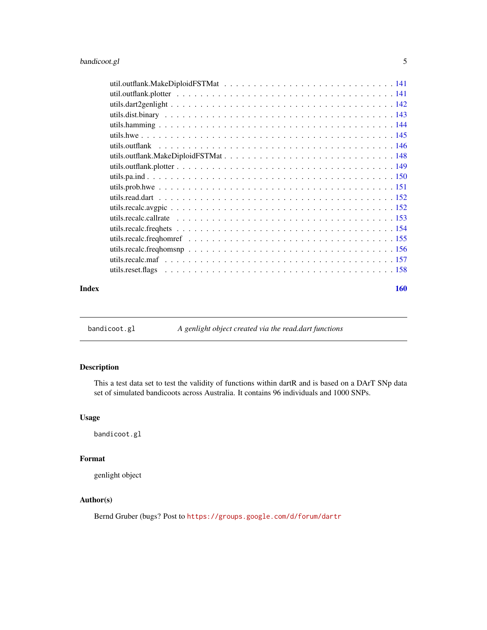<span id="page-4-0"></span>

| Index | 160 |
|-------|-----|

bandicoot.gl *A genlight object created via the read.dart functions*

# Description

This a test data set to test the validity of functions within dartR and is based on a DArT SNp data set of simulated bandicoots across Australia. It contains 96 individuals and 1000 SNPs.

# Usage

bandicoot.gl

# Format

genlight object

# Author(s)

Bernd Gruber (bugs? Post to <https://groups.google.com/d/forum/dartr>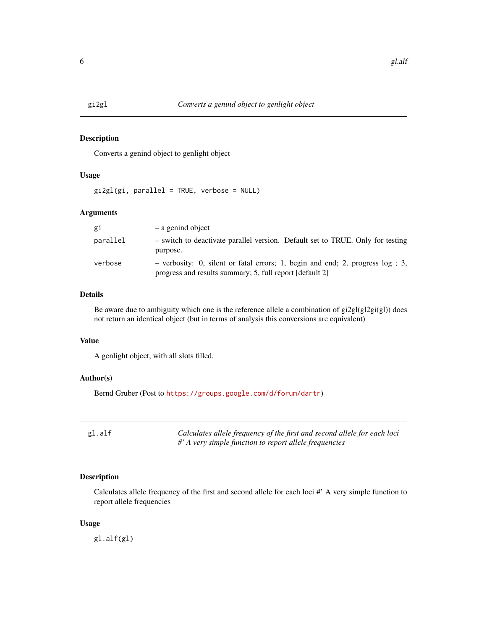<span id="page-5-0"></span>

# Description

Converts a genind object to genlight object

# Usage

gi2gl(gi, parallel = TRUE, verbose = NULL)

# Arguments

| gi       | $-$ a genind object                                                                                                                          |
|----------|----------------------------------------------------------------------------------------------------------------------------------------------|
| parallel | - switch to deactivate parallel version. Default set to TRUE. Only for testing<br>purpose.                                                   |
| verbose  | - verbosity: 0, silent or fatal errors; 1, begin and end; 2, progress $log$ ; 3,<br>progress and results summary; 5, full report [default 2] |

# Details

Be aware due to ambiguity which one is the reference allele a combination of gi2gl(gl2gi(gl)) does not return an identical object (but in terms of analysis this conversions are equivalent)

# Value

A genlight object, with all slots filled.

# Author(s)

Bernd Gruber (Post to <https://groups.google.com/d/forum/dartr>)

| gl.alf | Calculates allele frequency of the first and second allele for each loci |
|--------|--------------------------------------------------------------------------|
|        | $\#$ ' A very simple function to report allele frequencies               |

# Description

Calculates allele frequency of the first and second allele for each loci #' A very simple function to report allele frequencies

#### Usage

gl.alf(gl)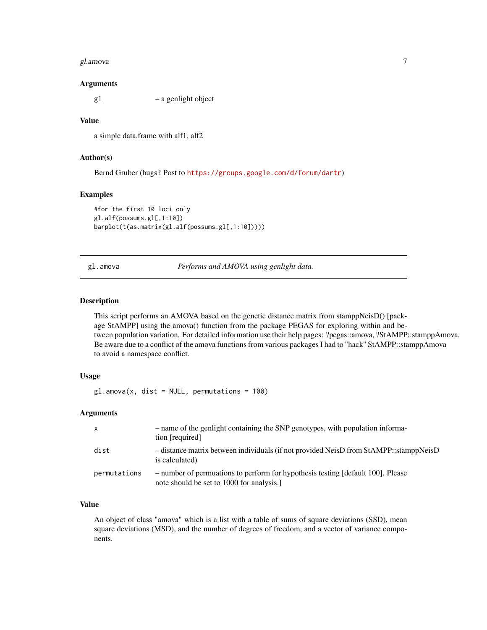#### <span id="page-6-0"></span>gl.amova 7

#### Arguments

gl – a genlight object

# Value

a simple data.frame with alf1, alf2

# Author(s)

Bernd Gruber (bugs? Post to <https://groups.google.com/d/forum/dartr>)

#### Examples

```
#for the first 10 loci only
gl.alf(possums.gl[,1:10])
barplot(t(as.matrix(gl.alf(possums.gl[,1:10]))))
```
gl.amova *Performs and AMOVA using genlight data.*

# Description

This script performs an AMOVA based on the genetic distance matrix from stamppNeisD() [package StAMPP] using the amova() function from the package PEGAS for exploring within and between population variation. For detailed information use their help pages: ?pegas::amova, ?StAMPP::stamppAmova. Be aware due to a conflict of the amova functions from various packages I had to "hack" StAMPP::stamppAmova to avoid a namespace conflict.

# Usage

 $gl.$ amova $(x, dist = NULL, permutations = 100)$ 

# Arguments

| $\mathsf{X}$ | - name of the genlight containing the SNP genotypes, with population informa-<br>tion [required]                            |
|--------------|-----------------------------------------------------------------------------------------------------------------------------|
| dist         | - distance matrix between individuals (if not provided NeisD from StAMPP::stamppNeisD<br>is calculated)                     |
| permutations | - number of permuations to perform for hypothesis testing [default 100]. Please<br>note should be set to 1000 for analysis. |

# Value

An object of class "amova" which is a list with a table of sums of square deviations (SSD), mean square deviations (MSD), and the number of degrees of freedom, and a vector of variance components.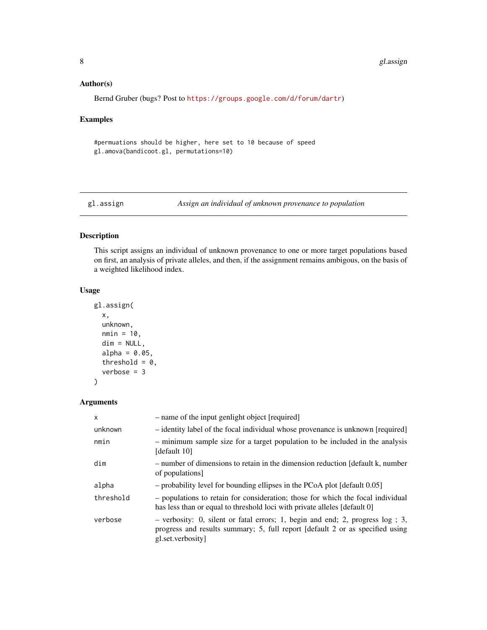# <span id="page-7-0"></span>Author(s)

```
Bernd Gruber (bugs? Post to https://groups.google.com/d/forum/dartr)
```
# Examples

#permuations should be higher, here set to 10 because of speed gl.amova(bandicoot.gl, permutations=10)

gl.assign *Assign an individual of unknown provenance to population*

# Description

This script assigns an individual of unknown provenance to one or more target populations based on first, an analysis of private alleles, and then, if the assignment remains ambigous, on the basis of a weighted likelihood index.

# Usage

```
gl.assign(
  x,
  unknown,
 nmin = 10,
  dim = NULL,
  alpha = 0.05,
  threshold = 0,
  verbose = 3
)
```
# Arguments

| $\mathsf{x}$ | - name of the input genlight object [required]                                                                                                                                          |
|--------------|-----------------------------------------------------------------------------------------------------------------------------------------------------------------------------------------|
| unknown      | - identity label of the focal individual whose provenance is unknown [required]                                                                                                         |
| nmin         | - minimum sample size for a target population to be included in the analysis<br>[default 10]                                                                                            |
| dim          | - number of dimensions to retain in the dimension reduction [default k, number<br>of populations]                                                                                       |
| alpha        | $-$ probability level for bounding ellipses in the PCoA plot [default $0.05$ ]                                                                                                          |
| threshold    | - populations to retain for consideration; those for which the focal individual<br>has less than or equal to threshold loci with private alleles [default 0]                            |
| verbose      | $-$ verbosity: 0, silent or fatal errors; 1, begin and end; 2, progress $log$ ; 3,<br>progress and results summary; 5, full report [default 2 or as specified using<br>gl.set.verbosity |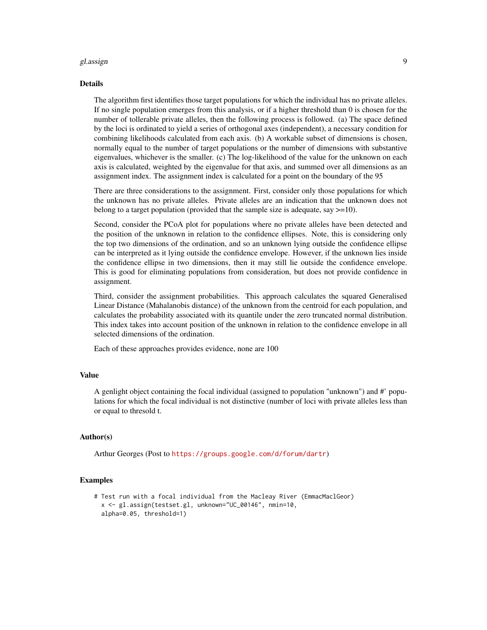#### gl.assign 9

#### Details

The algorithm first identifies those target populations for which the individual has no private alleles. If no single population emerges from this analysis, or if a higher threshold than 0 is chosen for the number of tollerable private alleles, then the following process is followed. (a) The space defined by the loci is ordinated to yield a series of orthogonal axes (independent), a necessary condition for combining likelihoods calculated from each axis. (b) A workable subset of dimensions is chosen, normally equal to the number of target populations or the number of dimensions with substantive eigenvalues, whichever is the smaller. (c) The log-likelihood of the value for the unknown on each axis is calculated, weighted by the eigenvalue for that axis, and summed over all dimensions as an assignment index. The assignment index is calculated for a point on the boundary of the 95

There are three considerations to the assignment. First, consider only those populations for which the unknown has no private alleles. Private alleles are an indication that the unknown does not belong to a target population (provided that the sample size is adequate, say  $>=10$ ).

Second, consider the PCoA plot for populations where no private alleles have been detected and the position of the unknown in relation to the confidence ellipses. Note, this is considering only the top two dimensions of the ordination, and so an unknown lying outside the confidence ellipse can be interpreted as it lying outside the confidence envelope. However, if the unknown lies inside the confidence ellipse in two dimensions, then it may still lie outside the confidence envelope. This is good for eliminating populations from consideration, but does not provide confidence in assignment.

Third, consider the assignment probabilities. This approach calculates the squared Generalised Linear Distance (Mahalanobis distance) of the unknown from the centroid for each population, and calculates the probability associated with its quantile under the zero truncated normal distribution. This index takes into account position of the unknown in relation to the confidence envelope in all selected dimensions of the ordination.

Each of these approaches provides evidence, none are 100

#### Value

A genlight object containing the focal individual (assigned to population "unknown") and #' populations for which the focal individual is not distinctive (number of loci with private alleles less than or equal to thresold t.

#### Author(s)

Arthur Georges (Post to <https://groups.google.com/d/forum/dartr>)

```
# Test run with a focal individual from the Macleay River (EmmacMaclGeor)
 x <- gl.assign(testset.gl, unknown="UC_00146", nmin=10,
 alpha=0.05, threshold=1)
```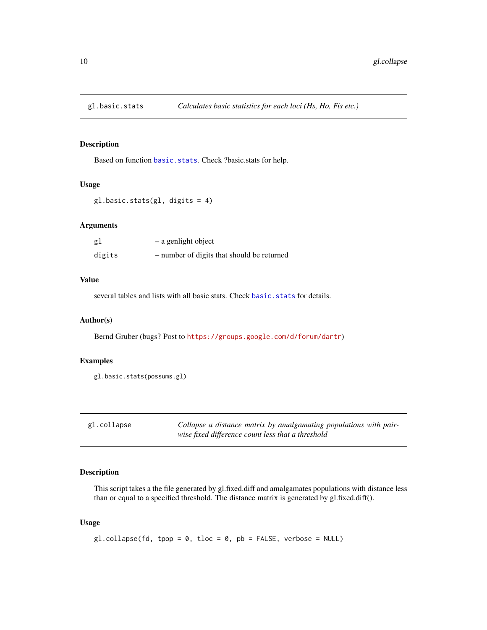<span id="page-9-0"></span>

# Description

Based on function [basic.stats](#page-0-0). Check ?basic.stats for help.

#### Usage

gl.basic.stats(gl, digits = 4)

# Arguments

| gl     | - a genlight object                        |
|--------|--------------------------------------------|
| digits | - number of digits that should be returned |

# Value

several tables and lists with all basic stats. Check [basic.stats](#page-0-0) for details.

# Author(s)

Bernd Gruber (bugs? Post to <https://groups.google.com/d/forum/dartr>)

### Examples

```
gl.basic.stats(possums.gl)
```

| gl.collapse | Collapse a distance matrix by amalgamating populations with pair- |
|-------------|-------------------------------------------------------------------|
|             | wise fixed difference count less that a threshold                 |

# Description

This script takes a the file generated by gl.fixed.diff and amalgamates populations with distance less than or equal to a specified threshold. The distance matrix is generated by gl.fixed.diff().

#### Usage

 $gl.collapse(fd, top = 0, tloc = 0, pb = FALSE, verbose = NULL)$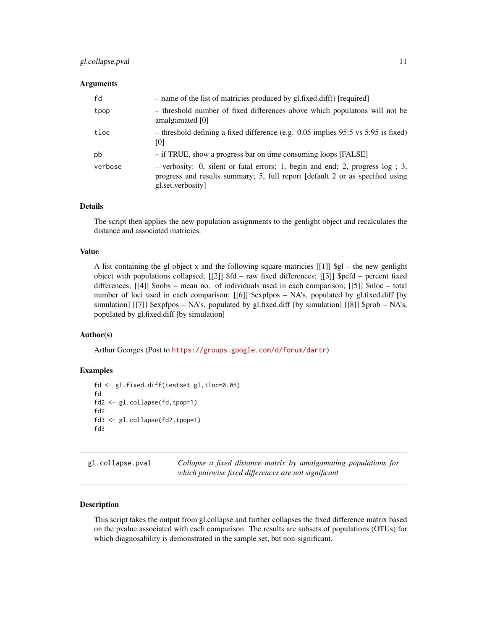#### <span id="page-10-0"></span>gl.collapse.pval 11

#### **Arguments**

| fd      | - name of the list of matricies produced by gl.fixed.diff() [required]                                                                                                                  |
|---------|-----------------------------------------------------------------------------------------------------------------------------------------------------------------------------------------|
| tpop    | - threshold number of fixed differences above which populatons will not be<br>amalgamated [0]                                                                                           |
| tloc    | $-$ threshold defining a fixed difference (e.g. 0.05 implies 95:5 vs 5:95 is fixed)<br>101                                                                                              |
| pb      | - if TRUE, show a progress bar on time consuming loops [FALSE]                                                                                                                          |
| verbose | $-$ verbosity: 0, silent or fatal errors; 1, begin and end; 2, progress $log$ ; 3,<br>progress and results summary; 5, full report [default 2 or as specified using<br>gl.set.verbosity |

# Details

The script then applies the new population assignments to the genlight object and recalculates the distance and associated matricies.

#### Value

A list containing the gl object x and the following square matricies  $[[1]]$   $[9g]$  – the new genlight object with populations collapsed; [[2]] \$fd – raw fixed differences; [[3]] \$pcfd – percent fixed differences; [[4]] \$nobs – mean no. of individuals used in each comparison; [[5]] \$nloc – total number of loci used in each comparison; [[6]] \$expfpos – NA's, populated by gl.fixed.diff [by simulation] [[7]] \$expfpos – NA's, populated by gl.fixed.diff [by simulation] [[8]] \$prob – NA's, populated by gl.fixed.diff [by simulation]

# Author(s)

Arthur Georges (Post to <https://groups.google.com/d/forum/dartr>)

### Examples

```
fd <- gl.fixed.diff(testset.gl,tloc=0.05)
fd
fd2 <- gl.collapse(fd,tpop=1)
fd2
fd3 <- gl.collapse(fd2,tpop=1)
fd3
```
gl.collapse.pval *Collapse a fixed distance matrix by amalgamating populations for which pairwise fixed differences are not significant*

# Description

This script takes the output from gl.collapse and further collapses the fixed difference matrix based on the pvalue associated with each comparison. The results are subsets of populations (OTUs) for which diagnosability is demonstrated in the sample set, but non-significant.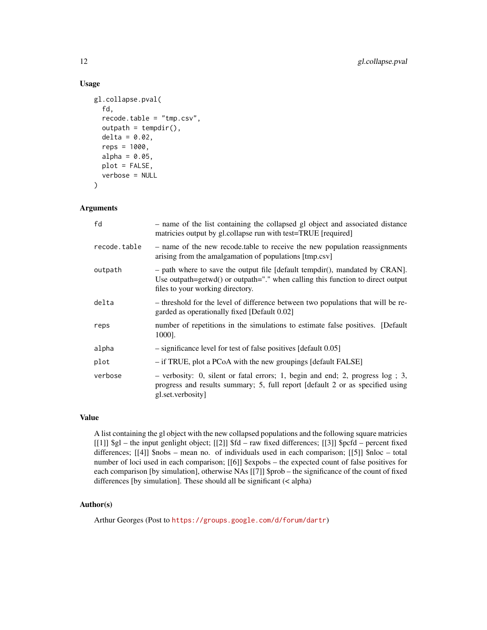# Usage

```
gl.collapse.pval(
  fd,
  recode.table = "tmp.csv",
  outpath = tempdir(),
  delta = 0.02,
  reps = 1000,alpha = 0.05,
 plot = FALSE,
  verbose = NULL
\lambda
```
### Arguments

| - name of the list containing the collapsed gl object and associated distance<br>matricies output by gl.collapse run with test=TRUE [required]                                                      |
|-----------------------------------------------------------------------------------------------------------------------------------------------------------------------------------------------------|
| - name of the new recode table to receive the new population reassignments<br>arising from the amalgamation of populations [tmp.csv]                                                                |
| $-$ path where to save the output file [default tempdir(), mandated by CRAN].<br>Use outpath=getwd() or outpath="." when calling this function to direct output<br>files to your working directory. |
| - threshold for the level of difference between two populations that will be re-<br>garded as operationally fixed [Default 0.02]                                                                    |
| number of repetitions in the simulations to estimate false positives. [Default]<br>1000].                                                                                                           |
| - significance level for test of false positives [default 0.05]                                                                                                                                     |
| - if TRUE, plot a PCoA with the new groupings [default FALSE]                                                                                                                                       |
| $-$ verbosity: 0, silent or fatal errors; 1, begin and end; 2, progress $log$ ; 3,<br>progress and results summary; 5, full report [default 2 or as specified using<br>gl.set.verbosity             |
|                                                                                                                                                                                                     |

#### Value

A list containing the gl object with the new collapsed populations and the following square matricies [[1]] \$gl – the input genlight object; [[2]] \$fd – raw fixed differences; [[3]] \$pcfd – percent fixed differences; [[4]] \$nobs – mean no. of individuals used in each comparison; [[5]] \$nloc – total number of loci used in each comparison; [[6]] \$expobs – the expected count of false positives for each comparison [by simulation], otherwise NAs [[7]] \$prob – the significance of the count of fixed differences [by simulation]. These should all be significant (< alpha)

# Author(s)

Arthur Georges (Post to <https://groups.google.com/d/forum/dartr>)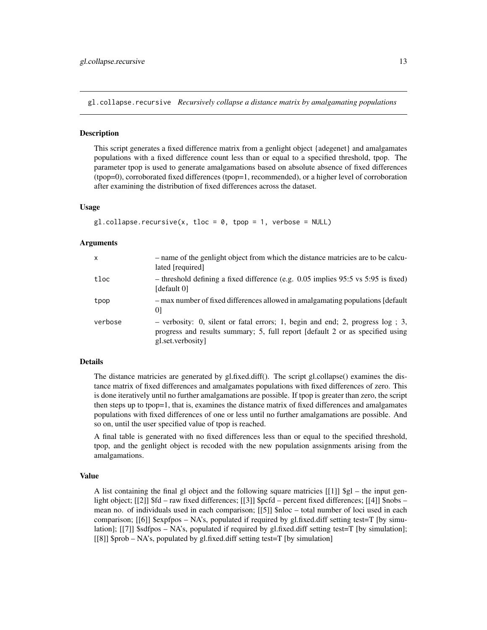<span id="page-12-0"></span>gl.collapse.recursive *Recursively collapse a distance matrix by amalgamating populations*

#### **Description**

This script generates a fixed difference matrix from a genlight object {adegenet} and amalgamates populations with a fixed difference count less than or equal to a specified threshold, tpop. The parameter tpop is used to generate amalgamations based on absolute absence of fixed differences (tpop=0), corroborated fixed differences (tpop=1, recommended), or a higher level of corroboration after examining the distribution of fixed differences across the dataset.

#### Usage

```
gl. collapse. recursive(x, tloc = 0, tpop = 1, verbose = NULL)
```
#### Arguments

| $\mathsf{x}$ | - name of the genlight object from which the distance matricies are to be calcu-<br>lated [required]                                                                                    |
|--------------|-----------------------------------------------------------------------------------------------------------------------------------------------------------------------------------------|
| tloc         | - threshold defining a fixed difference (e.g. 0.05 implies 95:5 vs 5:95 is fixed)<br>[default 0]                                                                                        |
| tpop         | - max number of fixed differences allowed in amalgamating populations [default]<br>01                                                                                                   |
| verbose      | $-$ verbosity: 0, silent or fatal errors; 1, begin and end; 2, progress $log$ ; 3,<br>progress and results summary; 5, full report [default 2 or as specified using<br>gl.set.verbosity |

#### Details

The distance matricies are generated by gl.fixed.diff(). The script gl.collapse() examines the distance matrix of fixed differences and amalgamates populations with fixed differences of zero. This is done iteratively until no further amalgamations are possible. If tpop is greater than zero, the script then steps up to tpop=1, that is, examines the distance matrix of fixed differences and amalgamates populations with fixed differences of one or less until no further amalgamations are possible. And so on, until the user specified value of tpop is reached.

A final table is generated with no fixed differences less than or equal to the specified threshold, tpop, and the genlight object is recoded with the new population assignments arising from the amalgamations.

#### Value

A list containing the final gl object and the following square matricies  $[[1]]$  \$gl – the input genlight object; [[2]] \$fd – raw fixed differences; [[3]] \$pcfd – percent fixed differences; [[4]] \$nobs – mean no. of individuals used in each comparison; [[5]] \$nloc – total number of loci used in each comparison;  $[[6]]$  \$expfpos – NA's, populated if required by gl.fixed.diff setting test=T [by simulation]; [[7]] \$sdfpos – NA's, populated if required by gl.fixed.diff setting test=T [by simulation]; [[8]] \$prob – NA's, populated by gl.fixed.diff setting test=T [by simulation]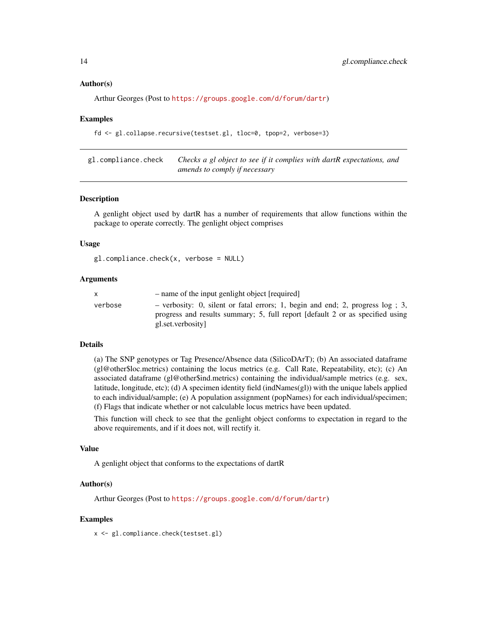#### <span id="page-13-0"></span>Author(s)

```
Arthur Georges (Post to https://groups.google.com/d/forum/dartr)
```
#### Examples

fd <- gl.collapse.recursive(testset.gl, tloc=0, tpop=2, verbose=3)

gl.compliance.check *Checks a gl object to see if it complies with dartR expectations, and amends to comply if necessary*

#### **Description**

A genlight object used by dartR has a number of requirements that allow functions within the package to operate correctly. The genlight object comprises

#### Usage

```
gl.compliance.check(x, verbose = NULL)
```
#### Arguments

| X       | - name of the input genlight object [required]                                                                                                                                        |
|---------|---------------------------------------------------------------------------------------------------------------------------------------------------------------------------------------|
| verbose | - verbosity: 0, silent or fatal errors; 1, begin and end; 2, progress $log$ ; 3,<br>progress and results summary; 5, full report [default 2 or as specified using<br>gl.set.verbosity |
|         |                                                                                                                                                                                       |

#### Details

(a) The SNP genotypes or Tag Presence/Absence data (SilicoDArT); (b) An associated dataframe (gl@other\$loc.metrics) containing the locus metrics (e.g. Call Rate, Repeatability, etc); (c) An associated dataframe (gl@other\$ind.metrics) containing the individual/sample metrics (e.g. sex, latitude, longitude, etc); (d) A specimen identity field (indNames(gl)) with the unique labels applied to each individual/sample; (e) A population assignment (popNames) for each individual/specimen; (f) Flags that indicate whether or not calculable locus metrics have been updated.

This function will check to see that the genlight object conforms to expectation in regard to the above requirements, and if it does not, will rectify it.

#### Value

A genlight object that conforms to the expectations of dartR

#### Author(s)

Arthur Georges (Post to <https://groups.google.com/d/forum/dartr>)

#### Examples

x <- gl.compliance.check(testset.gl)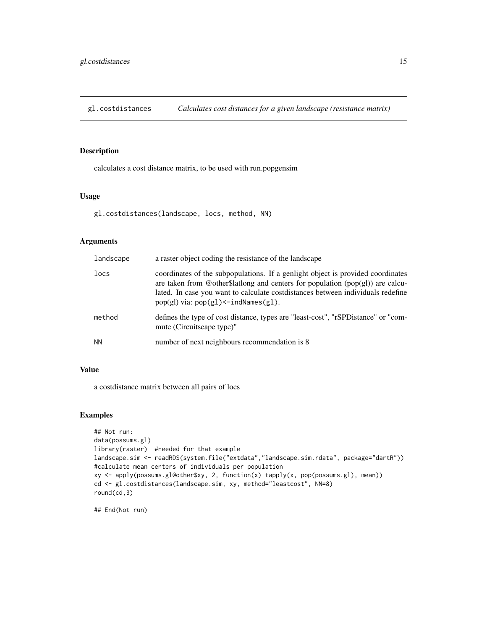<span id="page-14-0"></span>gl.costdistances *Calculates cost distances for a given landscape (resistance matrix)*

#### Description

calculates a cost distance matrix, to be used with run.popgensim

# Usage

gl.costdistances(landscape, locs, method, NN)

# Arguments

| landscape | a raster object coding the resistance of the landscape                                                                                                                                                                                                                                               |
|-----------|------------------------------------------------------------------------------------------------------------------------------------------------------------------------------------------------------------------------------------------------------------------------------------------------------|
| locs      | coordinates of the subpopulations. If a genlight object is provided coordinates<br>are taken from @other\$latlong and centers for population $(pop(gl))$ are calcu-<br>lated. In case you want to calculate costdistances between individuals redefine<br>$pop(gl)$ via: $pop(gl)$ < - indNames(g1). |
| method    | defines the type of cost distance, types are "least-cost", "rSPDistance" or "com-<br>mute (Circuitscape type)"                                                                                                                                                                                       |
| <b>NN</b> | number of next neighbours recommendation is 8                                                                                                                                                                                                                                                        |

#### Value

a costdistance matrix between all pairs of locs

# Examples

```
## Not run:
data(possums.gl)
library(raster) #needed for that example
landscape.sim <- readRDS(system.file("extdata","landscape.sim.rdata", package="dartR"))
#calculate mean centers of individuals per population
xy <- apply(possums.gl@other$xy, 2, function(x) tapply(x, pop(possums.gl), mean))
cd <- gl.costdistances(landscape.sim, xy, method="leastcost", NN=8)
round(cd,3)
```
## End(Not run)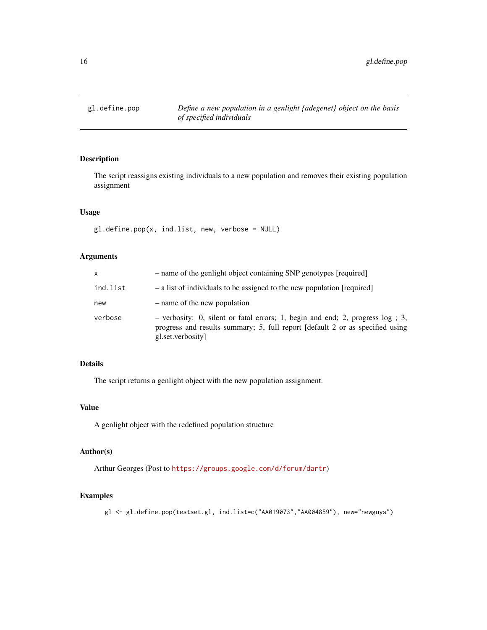<span id="page-15-0"></span>

# Description

The script reassigns existing individuals to a new population and removes their existing population assignment

#### Usage

gl.define.pop(x, ind.list, new, verbose = NULL)

# Arguments

| x        | - name of the genlight object containing SNP genotypes [required]                                                                                                                       |
|----------|-----------------------------------------------------------------------------------------------------------------------------------------------------------------------------------------|
| ind.list | - a list of individuals to be assigned to the new population [required]                                                                                                                 |
| new      | - name of the new population                                                                                                                                                            |
| verbose  | $-$ verbosity: 0, silent or fatal errors; 1, begin and end; 2, progress $log$ ; 3,<br>progress and results summary; 5, full report [default 2 or as specified using<br>gl.set.verbosity |

# Details

The script returns a genlight object with the new population assignment.

# Value

A genlight object with the redefined population structure

# Author(s)

Arthur Georges (Post to <https://groups.google.com/d/forum/dartr>)

# Examples

gl <- gl.define.pop(testset.gl, ind.list=c("AA019073","AA004859"), new="newguys")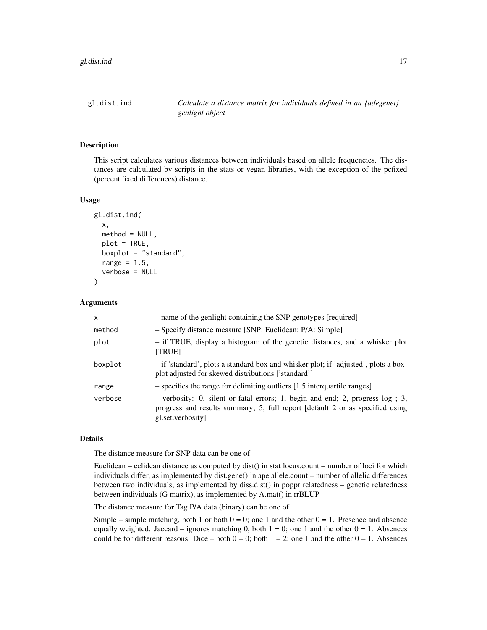<span id="page-16-0"></span>gl.dist.ind *Calculate a distance matrix for individuals defined in an {adegenet} genlight object*

# Description

This script calculates various distances between individuals based on allele frequencies. The distances are calculated by scripts in the stats or vegan libraries, with the exception of the pcfixed (percent fixed differences) distance.

#### Usage

```
gl.dist.ind(
 x,
 method = NULL,
 plot = TRUE,
 boxplot = "standard",
  range = 1.5,
  verbose = NULL
)
```
# **Arguments**

| $\mathsf{x}$ | - name of the genlight containing the SNP genotypes [required]                                                                                                                          |
|--------------|-----------------------------------------------------------------------------------------------------------------------------------------------------------------------------------------|
| method       | - Specify distance measure [SNP: Euclidean; P/A: Simple]                                                                                                                                |
| plot         | - if TRUE, display a histogram of the genetic distances, and a whisker plot<br><b>ITRUE1</b>                                                                                            |
| boxplot      | - if 'standard', plots a standard box and whisker plot; if 'adjusted', plots a box-<br>plot adjusted for skewed distributions ['standard']                                              |
| range        | - specifies the range for delimiting outliers [1.5 interquartile ranges]                                                                                                                |
| verbose      | $-$ verbosity: 0, silent or fatal errors; 1, begin and end; 2, progress $log$ ; 3,<br>progress and results summary; 5, full report [default 2 or as specified using<br>gl.set.verbosity |

#### Details

The distance measure for SNP data can be one of

Euclidean – eclidean distance as computed by dist() in stat locus.count – number of loci for which individuals differ, as implemented by dist.gene() in ape allele.count – number of allelic differences between two individuals, as implemented by diss.dist() in poppr relatedness – genetic relatedness between individuals (G matrix), as implemented by A.mat() in rrBLUP

The distance measure for Tag P/A data (binary) can be one of

Simple – simple matching, both 1 or both  $0 = 0$ ; one 1 and the other  $0 = 1$ . Presence and absence equally weighted. Jaccard – ignores matching 0, both  $1 = 0$ ; one 1 and the other  $0 = 1$ . Absences could be for different reasons. Dice – both  $0 = 0$ ; both  $1 = 2$ ; one 1 and the other  $0 = 1$ . Absences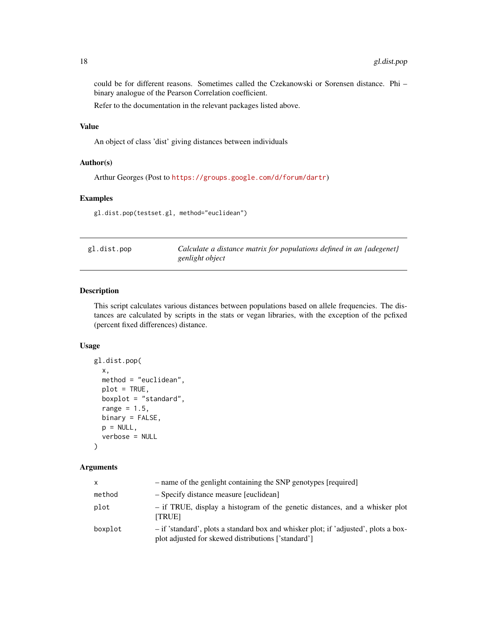could be for different reasons. Sometimes called the Czekanowski or Sorensen distance. Phi – binary analogue of the Pearson Correlation coefficient.

Refer to the documentation in the relevant packages listed above.

# Value

An object of class 'dist' giving distances between individuals

# Author(s)

Arthur Georges (Post to <https://groups.google.com/d/forum/dartr>)

#### Examples

gl.dist.pop(testset.gl, method="euclidean")

| gl.dist.pop |  |  |
|-------------|--|--|
|-------------|--|--|

gl.dist.pop *Calculate a distance matrix for populations defined in an {adegenet} genlight object*

# Description

This script calculates various distances between populations based on allele frequencies. The distances are calculated by scripts in the stats or vegan libraries, with the exception of the pcfixed (percent fixed differences) distance.

#### Usage

```
gl.dist.pop(
  x,
  method = "euclidean",
  plot = TRUE,
  boxplot = "standard",
  range = 1.5,
  binary = FALSE,
  p = NULL,verbose = NULL
)
```
# Arguments

| X       | - name of the genlight containing the SNP genotypes [required]                                                                             |
|---------|--------------------------------------------------------------------------------------------------------------------------------------------|
| method  | - Specify distance measure [euclidean]                                                                                                     |
| plot    | - if TRUE, display a histogram of the genetic distances, and a whisker plot<br><b>TRUE1</b>                                                |
| boxplot | - if 'standard', plots a standard box and whisker plot; if 'adjusted', plots a box-<br>plot adjusted for skewed distributions ['standard'] |

<span id="page-17-0"></span>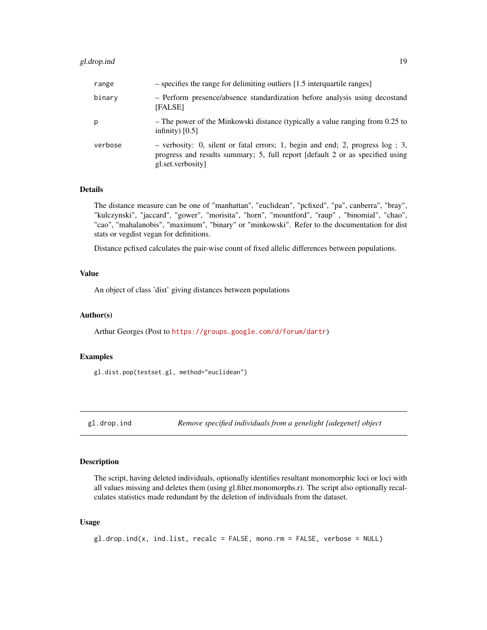# <span id="page-18-0"></span>gl.drop.ind 19

| range   | - specifies the range for delimiting outliers [1.5 interquartile ranges]                                                                                                              |
|---------|---------------------------------------------------------------------------------------------------------------------------------------------------------------------------------------|
| binary  | - Perform presence/absence standardization before analysis using decostand<br>[FALSE]                                                                                                 |
| p       | - The power of the Minkowski distance (typically a value ranging from 0.25 to<br>infinity) $[0.5]$                                                                                    |
| verbose | - verbosity: 0, silent or fatal errors; 1, begin and end; 2, progress $log$ ; 3,<br>progress and results summary; 5, full report [default 2 or as specified using<br>gl.set.verbosity |

# Details

The distance measure can be one of "manhattan", "euclidean", "pcfixed", "pa", canberra", "bray", "kulczynski", "jaccard", "gower", "morisita", "horn", "mountford", "raup" , "binomial", "chao", "cao", "mahalanobis", "maximum", "binary" or "minkowski". Refer to the documentation for dist stats or vegdist vegan for definitions.

Distance pcfixed calculates the pair-wise count of fixed allelic differences between populations.

# Value

An object of class 'dist' giving distances between populations

# Author(s)

Arthur Georges (Post to <https://groups.google.com/d/forum/dartr>)

#### Examples

gl.dist.pop(testset.gl, method="euclidean")

gl.drop.ind *Remove specified individuals from a genelight {adegenet} object*

# Description

The script, having deleted individuals, optionally identifies resultant monomorphic loci or loci with all values missing and deletes them (using gl.filter.monomorphs.r). The script also optionally recalculates statistics made redundant by the deletion of individuals from the dataset.

#### Usage

```
gl.drop.ind(x, ind.list, recalc = FALSE, mono.rm = FALSE, verbose = NULL)
```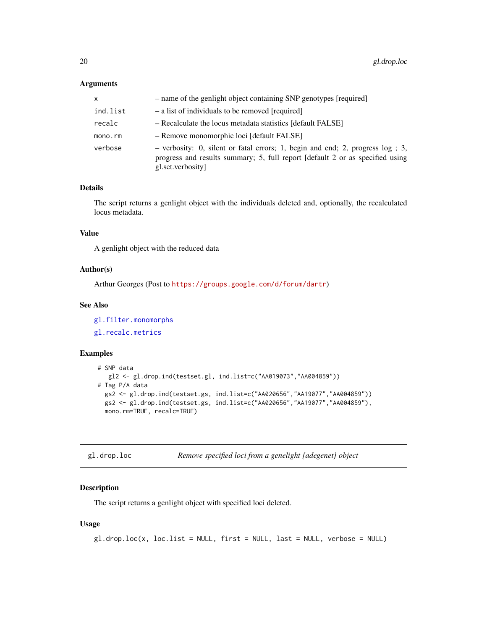# <span id="page-19-0"></span>Arguments

| x        | - name of the genlight object containing SNP genotypes [required]                                                                                                                   |
|----------|-------------------------------------------------------------------------------------------------------------------------------------------------------------------------------------|
| ind.list | - a list of individuals to be removed [required]                                                                                                                                    |
| recalc   | - Recalculate the locus metadata statistics [default FALSE]                                                                                                                         |
| mono.rm  | - Remove monomorphic loci [default FALSE]                                                                                                                                           |
| verbose  | - verbosity: 0, silent or fatal errors; 1, begin and end; 2, progress log ; 3,<br>progress and results summary; 5, full report [default 2 or as specified using<br>gl.set.verbosity |

# Details

The script returns a genlight object with the individuals deleted and, optionally, the recalculated locus metadata.

# Value

A genlight object with the reduced data

#### Author(s)

Arthur Georges (Post to <https://groups.google.com/d/forum/dartr>)

# See Also

[gl.filter.monomorphs](#page-31-1) [gl.recalc.metrics](#page-84-1)

# Examples

```
# SNP data
  gl2 <- gl.drop.ind(testset.gl, ind.list=c("AA019073","AA004859"))
# Tag P/A data
 gs2 <- gl.drop.ind(testset.gs, ind.list=c("AA020656","AA19077","AA004859"))
  gs2 <- gl.drop.ind(testset.gs, ind.list=c("AA020656","AA19077","AA004859"),
  mono.rm=TRUE, recalc=TRUE)
```
gl.drop.loc *Remove specified loci from a genelight {adegenet} object*

# Description

The script returns a genlight object with specified loci deleted.

#### Usage

gl.drop.loc(x, loc.list = NULL, first = NULL, last = NULL, verbose = NULL)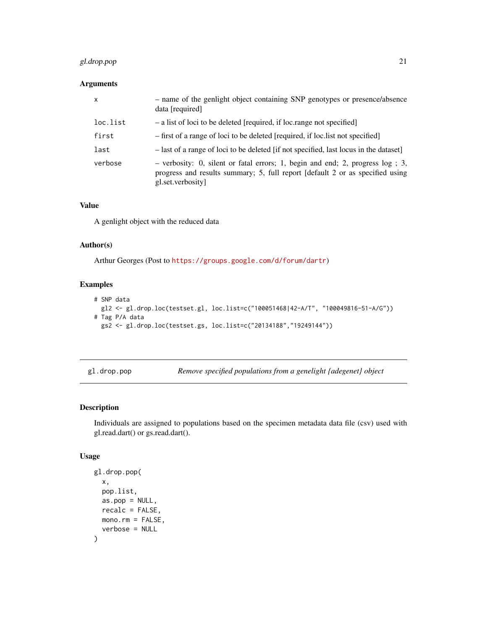# <span id="page-20-0"></span>gl.drop.pop 21

# Arguments

| $\mathsf{x}$ | - name of the genlight object containing SNP genotypes or presence/absence<br>data [required]                                                                                        |
|--------------|--------------------------------------------------------------------------------------------------------------------------------------------------------------------------------------|
| loc.list     | - a list of loci to be deleted [required, if loc.range not specified]                                                                                                                |
| first        | - first of a range of loci to be deleted [required, if loc.list not specified]                                                                                                       |
| last         | - last of a range of loci to be deleted [if not specified, last locus in the dataset]                                                                                                |
| verbose      | $-$ verbosity: 0, silent or fatal errors; 1, begin and end; 2, progress log; 3,<br>progress and results summary; 5, full report [default 2 or as specified using<br>gl.set.verbosity |

# Value

A genlight object with the reduced data

# Author(s)

Arthur Georges (Post to <https://groups.google.com/d/forum/dartr>)

# Examples

```
# SNP data
 gl2 <- gl.drop.loc(testset.gl, loc.list=c("100051468|42-A/T", "100049816-51-A/G"))
# Tag P/A data
  gs2 <- gl.drop.loc(testset.gs, loc.list=c("20134188","19249144"))
```
gl.drop.pop *Remove specified populations from a genelight {adegenet} object*

# Description

Individuals are assigned to populations based on the specimen metadata data file (csv) used with gl.read.dart() or gs.read.dart().

# Usage

```
gl.drop.pop(
  x,
  pop.list,
  as.pop = NULL,recalc = FALSE,
  mono.rm = FALSE,
  verbose = NULL
\mathcal{E}
```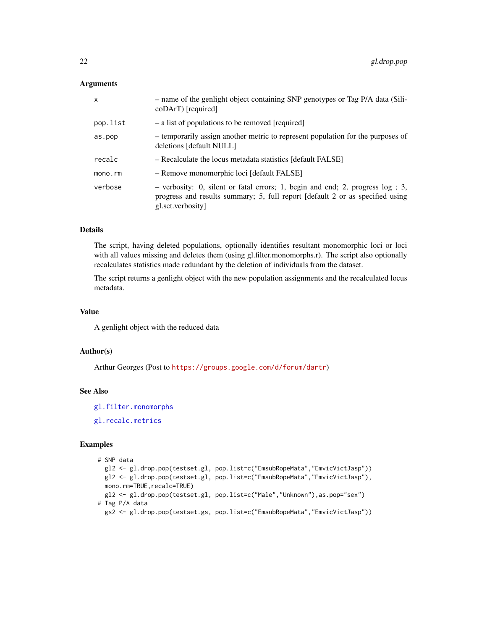# **Arguments**

| $\mathsf{x}$ | - name of the genlight object containing SNP genotypes or Tag P/A data (Sili-<br>coDArT) [required]                                                                                     |
|--------------|-----------------------------------------------------------------------------------------------------------------------------------------------------------------------------------------|
| pop.list     | - a list of populations to be removed [required]                                                                                                                                        |
| as.pop       | - temporarily assign another metric to represent population for the purposes of<br>deletions [default NULL]                                                                             |
| recalc       | - Recalculate the locus metadata statistics [default FALSE]                                                                                                                             |
| mono.rm      | - Remove monomorphic loci [default FALSE]                                                                                                                                               |
| verbose      | $-$ verbosity: 0, silent or fatal errors; 1, begin and end; 2, progress $log$ ; 3,<br>progress and results summary; 5, full report [default 2 or as specified using<br>gl.set.verbosity |

# Details

The script, having deleted populations, optionally identifies resultant monomorphic loci or loci with all values missing and deletes them (using gl.filter.monomorphs.r). The script also optionally recalculates statistics made redundant by the deletion of individuals from the dataset.

The script returns a genlight object with the new population assignments and the recalculated locus metadata.

# Value

A genlight object with the reduced data

# Author(s)

Arthur Georges (Post to <https://groups.google.com/d/forum/dartr>)

# See Also

[gl.filter.monomorphs](#page-31-1)

[gl.recalc.metrics](#page-84-1)

```
# SNP data
  gl2 <- gl.drop.pop(testset.gl, pop.list=c("EmsubRopeMata","EmvicVictJasp"))
  gl2 <- gl.drop.pop(testset.gl, pop.list=c("EmsubRopeMata","EmvicVictJasp"),
 mono.rm=TRUE, recalc=TRUE)
  gl2 <- gl.drop.pop(testset.gl, pop.list=c("Male","Unknown"),as.pop="sex")
# Tag P/A data
  gs2 <- gl.drop.pop(testset.gs, pop.list=c("EmsubRopeMata","EmvicVictJasp"))
```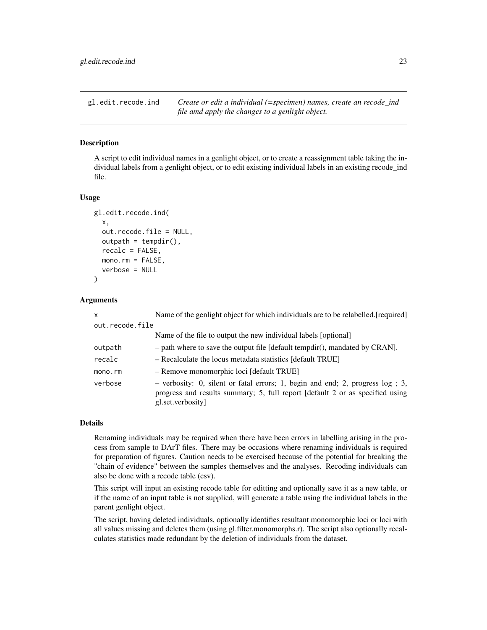<span id="page-22-0"></span>gl.edit.recode.ind *Create or edit a individual (=specimen) names, create an recode\_ind file amd apply the changes to a genlight object.*

# Description

A script to edit individual names in a genlight object, or to create a reassignment table taking the individual labels from a genlight object, or to edit existing individual labels in an existing recode\_ind file.

#### Usage

```
gl.edit.recode.ind(
  x,
  out.recode.file = NULL,
  outpath = tempdir(),
  recalc = FALSE,
 mono.rm = FALSE,
  verbose = NULL
)
```
#### Arguments

| $\mathsf{x}$    | Name of the genlight object for which individuals are to be relabelled. [required]                                                                                                      |
|-----------------|-----------------------------------------------------------------------------------------------------------------------------------------------------------------------------------------|
| out.recode.file |                                                                                                                                                                                         |
|                 | Name of the file to output the new individual labels [optional]                                                                                                                         |
| outpath         | $-$ path where to save the output file [default tempdir(), mandated by CRAN].                                                                                                           |
| recalc          | - Recalculate the locus metadata statistics [default TRUE]                                                                                                                              |
| mono.rm         | - Remove monomorphic loci [default TRUE]                                                                                                                                                |
| verbose         | $-$ verbosity: 0, silent or fatal errors; 1, begin and end; 2, progress $log$ ; 3,<br>progress and results summary; 5, full report [default 2 or as specified using<br>gl.set.verbosity |

#### Details

Renaming individuals may be required when there have been errors in labelling arising in the process from sample to DArT files. There may be occasions where renaming individuals is required for preparation of figures. Caution needs to be exercised because of the potential for breaking the "chain of evidence" between the samples themselves and the analyses. Recoding individuals can also be done with a recode table (csv).

This script will input an existing recode table for editting and optionally save it as a new table, or if the name of an input table is not supplied, will generate a table using the individual labels in the parent genlight object.

The script, having deleted individuals, optionally identifies resultant monomorphic loci or loci with all values missing and deletes them (using gl.filter.monomorphs.r). The script also optionally recalculates statistics made redundant by the deletion of individuals from the dataset.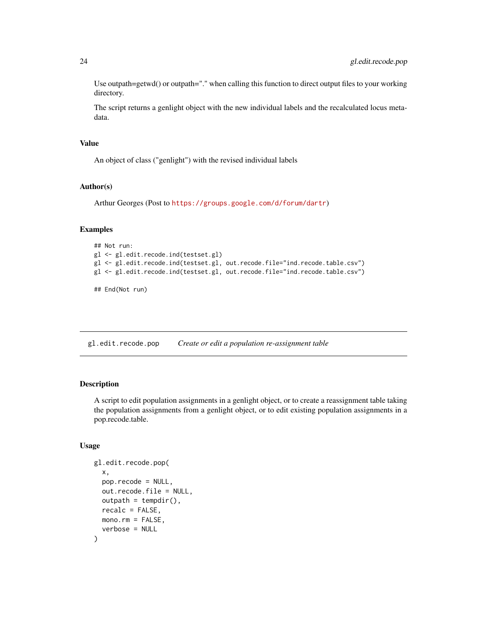Use outpath=getwd() or outpath="." when calling this function to direct output files to your working directory.

The script returns a genlight object with the new individual labels and the recalculated locus metadata.

# Value

An object of class ("genlight") with the revised individual labels

#### Author(s)

Arthur Georges (Post to <https://groups.google.com/d/forum/dartr>)

#### Examples

```
## Not run:
gl <- gl.edit.recode.ind(testset.gl)
gl <- gl.edit.recode.ind(testset.gl, out.recode.file="ind.recode.table.csv")
gl <- gl.edit.recode.ind(testset.gl, out.recode.file="ind.recode.table.csv")
```
## End(Not run)

gl.edit.recode.pop *Create or edit a population re-assignment table*

#### Description

A script to edit population assignments in a genlight object, or to create a reassignment table taking the population assignments from a genlight object, or to edit existing population assignments in a pop.recode.table.

#### Usage

```
gl.edit.recode.pop(
  x,
 pop.recode = NULL,
 out.recode.file = NULL,
 outpath = tempdir(),recalc = FALSE,mono.rm = FALSE,verbose = NULL
)
```
<span id="page-23-0"></span>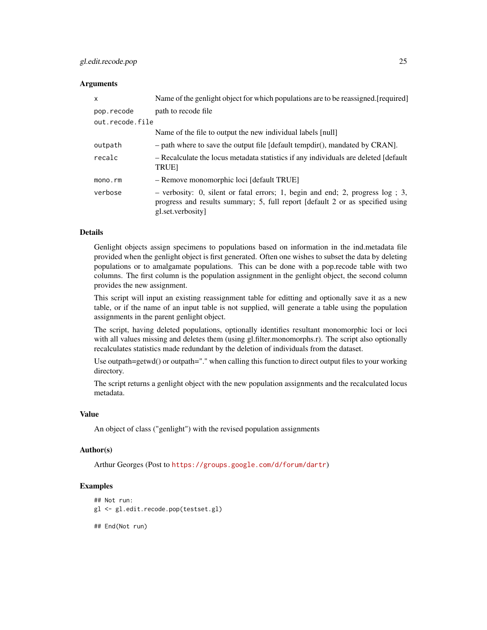# gl.edit.recode.pop 25

#### **Arguments**

| X               | Name of the genlight object for which populations are to be reassigned. [required]                                                                                                    |
|-----------------|---------------------------------------------------------------------------------------------------------------------------------------------------------------------------------------|
| pop.recode      | path to recode file.                                                                                                                                                                  |
| out.recode.file |                                                                                                                                                                                       |
|                 | Name of the file to output the new individual labels [null]                                                                                                                           |
| outpath         | $-$ path where to save the output file [default tempdir(), mandated by CRAN].                                                                                                         |
| recalc          | - Recalculate the locus metadata statistics if any individuals are deleted [default]<br><b>TRUE</b>                                                                                   |
| mono.rm         | - Remove monomorphic loci [default TRUE]                                                                                                                                              |
| verbose         | - verbosity: 0, silent or fatal errors; 1, begin and end; 2, progress $log$ ; 3,<br>progress and results summary; 5, full report [default 2 or as specified using<br>gl.set.verbosity |

# Details

Genlight objects assign specimens to populations based on information in the ind.metadata file provided when the genlight object is first generated. Often one wishes to subset the data by deleting populations or to amalgamate populations. This can be done with a pop.recode table with two columns. The first column is the population assignment in the genlight object, the second column provides the new assignment.

This script will input an existing reassignment table for editting and optionally save it as a new table, or if the name of an input table is not supplied, will generate a table using the population assignments in the parent genlight object.

The script, having deleted populations, optionally identifies resultant monomorphic loci or loci with all values missing and deletes them (using gl.filter.monomorphs.r). The script also optionally recalculates statistics made redundant by the deletion of individuals from the dataset.

Use outpath=getwd() or outpath="." when calling this function to direct output files to your working directory.

The script returns a genlight object with the new population assignments and the recalculated locus metadata.

#### Value

An object of class ("genlight") with the revised population assignments

#### Author(s)

Arthur Georges (Post to <https://groups.google.com/d/forum/dartr>)

# Examples

```
## Not run:
gl <- gl.edit.recode.pop(testset.gl)
```
## End(Not run)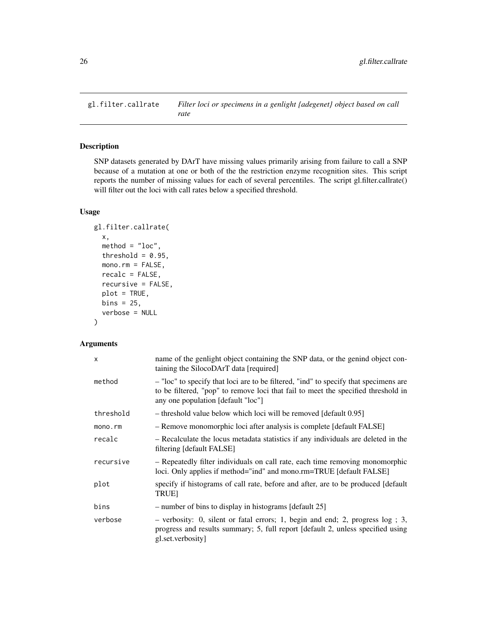<span id="page-25-0"></span>gl.filter.callrate *Filter loci or specimens in a genlight {adegenet} object based on call rate*

# Description

SNP datasets generated by DArT have missing values primarily arising from failure to call a SNP because of a mutation at one or both of the the restriction enzyme recognition sites. This script reports the number of missing values for each of several percentiles. The script gl.filter.callrate() will filter out the loci with call rates below a specified threshold.

# Usage

```
gl.filter.callrate(
  x,
 method = "loc",threshold = 0.95,
 mono.rm = FALSE,
  recalc = FALSE,
  recursive = FALSE,
  plot = TRUE,
 bins = 25,
  verbose = NULL
)
```
# Arguments

| X         | name of the genlight object containing the SNP data, or the genind object con-<br>taining the SilocoDArT data [required]                                                                                        |
|-----------|-----------------------------------------------------------------------------------------------------------------------------------------------------------------------------------------------------------------|
| method    | - "loc" to specify that loci are to be filtered, "ind" to specify that specimens are<br>to be filtered, "pop" to remove loci that fail to meet the specified threshold in<br>any one population [default "loc"] |
| threshold | - threshold value below which loci will be removed [default 0.95]                                                                                                                                               |
| mono.rm   | - Remove monomorphic loci after analysis is complete [default FALSE]                                                                                                                                            |
| recalc    | - Recalculate the locus metadata statistics if any individuals are deleted in the<br>filtering [default FALSE]                                                                                                  |
| recursive | - Repeatedly filter individuals on call rate, each time removing monomorphic<br>loci. Only applies if method="ind" and mono.rm=TRUE [default FALSE]                                                             |
| plot      | specify if histograms of call rate, before and after, are to be produced [default]<br><b>TRUE1</b>                                                                                                              |
| bins      | - number of bins to display in histograms [default 25]                                                                                                                                                          |
| verbose   | $-$ verbosity: 0, silent or fatal errors; 1, begin and end; 2, progress $log$ ; 3,<br>progress and results summary; 5, full report [default 2, unless specified using<br>gl.set.verbosity]                      |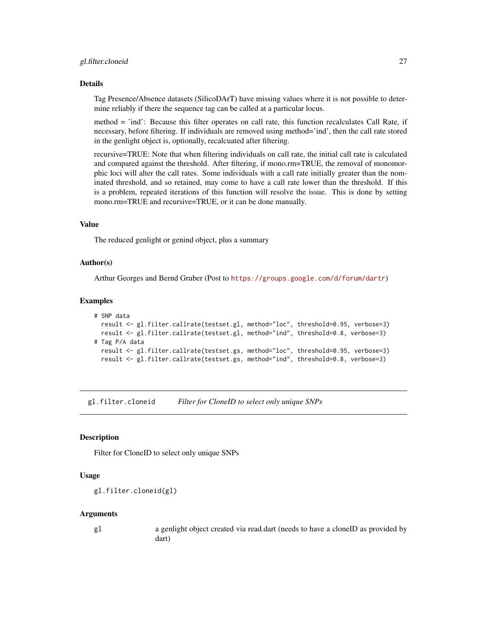#### <span id="page-26-0"></span>gl.filter.cloneid 27

#### Details

Tag Presence/Absence datasets (SilicoDArT) have missing values where it is not possible to determine reliably if there the sequence tag can be called at a particular locus.

method = 'ind': Because this filter operates on call rate, this function recalculates Call Rate, if necessary, before filtering. If individuals are removed using method='ind', then the call rate stored in the genlight object is, optionally, recalcuated after filtering.

recursive=TRUE: Note that when filtering individuals on call rate, the initial call rate is calculated and compared against the threshold. After filtering, if mono.rm=TRUE, the removal of monomorphic loci will alter the call rates. Some individuals with a call rate initially greater than the nominated threshold, and so retained, may come to have a call rate lower than the threshold. If this is a problem, repeated iterations of this function will resolve the issue. This is done by setting mono.rm=TRUE and recursive=TRUE, or it can be done manually.

#### Value

The reduced genlight or genind object, plus a summary

#### Author(s)

Arthur Georges and Bernd Gruber (Post to <https://groups.google.com/d/forum/dartr>)

#### Examples

```
# SNP data
 result <- gl.filter.callrate(testset.gl, method="loc", threshold=0.95, verbose=3)
 result <- gl.filter.callrate(testset.gl, method="ind", threshold=0.8, verbose=3)
# Tag P/A data
 result <- gl.filter.callrate(testset.gs, method="loc", threshold=0.95, verbose=3)
 result <- gl.filter.callrate(testset.gs, method="ind", threshold=0.8, verbose=3)
```
gl.filter.cloneid *Filter for CloneID to select only unique SNPs*

# Description

Filter for CloneID to select only unique SNPs

#### Usage

```
gl.filter.cloneid(gl)
```
#### Arguments

gl a genlight object created via read.dart (needs to have a cloneID as provided by dart)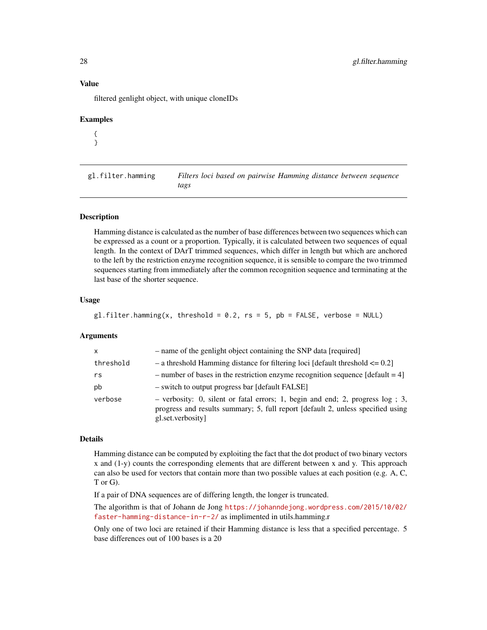#### <span id="page-27-0"></span>Value

filtered genlight object, with unique cloneIDs

#### Examples

{ }

gl.filter.hamming *Filters loci based on pairwise Hamming distance between sequence tags*

# Description

Hamming distance is calculated as the number of base differences between two sequences which can be expressed as a count or a proportion. Typically, it is calculated between two sequences of equal length. In the context of DArT trimmed sequences, which differ in length but which are anchored to the left by the restriction enzyme recognition sequence, it is sensible to compare the two trimmed sequences starting from immediately after the common recognition sequence and terminating at the last base of the shorter sequence.

#### Usage

```
gl.filter.hamming(x, threshold = 0.2, rs = 5, pb = FALSE, verbose = NULL)
```
# Arguments

| $\mathsf{x}$ | - name of the genlight object containing the SNP data [required]                                                                                                                          |
|--------------|-------------------------------------------------------------------------------------------------------------------------------------------------------------------------------------------|
| threshold    | $-$ a threshold Hamming distance for filtering loci [default threshold $\leq 0.2$ ]                                                                                                       |
| rs           | - number of bases in the restriction enzyme recognition sequence [default $= 4$ ]                                                                                                         |
| pb           | - switch to output progress bar [default FALSE]                                                                                                                                           |
| verbose      | $-$ verbosity: 0, silent or fatal errors; 1, begin and end; 2, progress $log$ ; 3,<br>progress and results summary; 5, full report [default 2, unless specified using<br>gl.set.verbosity |

#### Details

Hamming distance can be computed by exploiting the fact that the dot product of two binary vectors x and (1-y) counts the corresponding elements that are different between x and y. This approach can also be used for vectors that contain more than two possible values at each position (e.g. A, C, T or G).

If a pair of DNA sequences are of differing length, the longer is truncated.

The algorithm is that of Johann de Jong [https://johanndejong.wordpress.com/2015/10/02/](https://johanndejong.wordpress.com/2015/10/02/faster-hamming-distance-in-r-2/) [faster-hamming-distance-in-r-2/](https://johanndejong.wordpress.com/2015/10/02/faster-hamming-distance-in-r-2/) as implimented in utils.hamming.r

Only one of two loci are retained if their Hamming distance is less that a specified percentage. 5 base differences out of 100 bases is a 20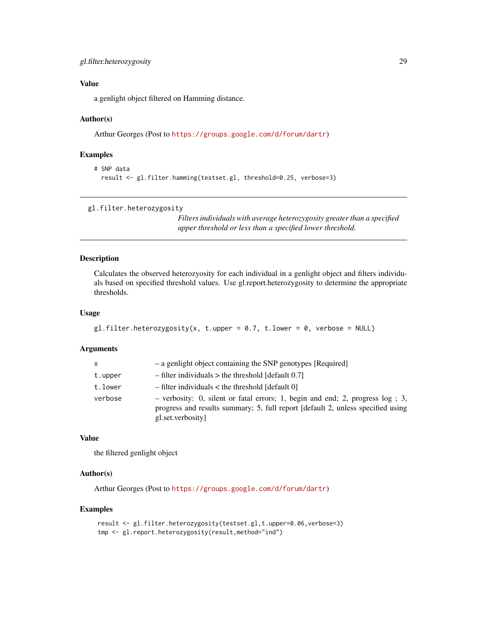# <span id="page-28-0"></span>Value

a genlight object filtered on Hamming distance.

#### Author(s)

Arthur Georges (Post to <https://groups.google.com/d/forum/dartr>)

# Examples

```
# SNP data
 result <- gl.filter.hamming(testset.gl, threshold=0.25, verbose=3)
```

```
gl.filter.heterozygosity
```
*Filters individuals with average heterozygosity greater than a specified upper threshold or less than a specified lower threshold.*

# Description

Calculates the observed heterozyosity for each individual in a genlight object and filters individuals based on specified threshold values. Use gl.report.heterozygosity to determine the appropriate thresholds.

#### Usage

```
gl.filter.heterozygosity(x, t.upper = 0.7, t.lower = 0, verbose = NULL)
```
#### Arguments

| X       | - a genlight object containing the SNP genotypes [Required]                                                                                                                             |
|---------|-----------------------------------------------------------------------------------------------------------------------------------------------------------------------------------------|
| t.upper | $-$ filter individuals $>$ the threshold [default 0.7]                                                                                                                                  |
| t.lower | $-$ filter individuals $<$ the threshold [default 0]                                                                                                                                    |
| verbose | - verbosity: 0, silent or fatal errors; 1, begin and end; 2, progress $log$ ; 3,<br>progress and results summary; 5, full report [default 2, unless specified using<br>gl.set.verbosity |

# Value

the filtered genlight object

# Author(s)

Arthur Georges (Post to <https://groups.google.com/d/forum/dartr>)

```
result <- gl.filter.heterozygosity(testset.gl,t.upper=0.06,verbose=3)
tmp <- gl.report.heterozygosity(result,method="ind")
```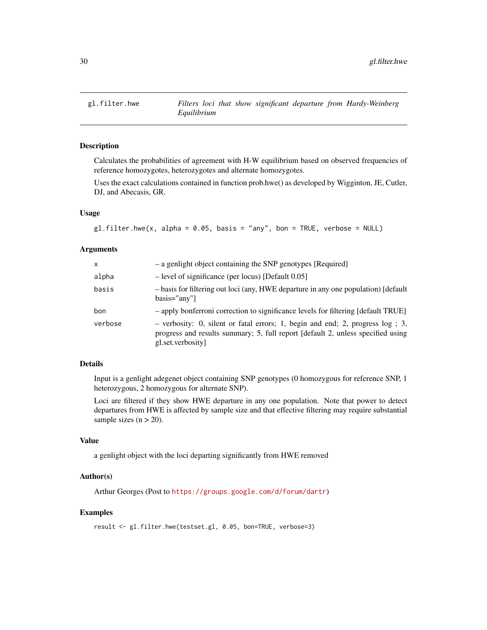<span id="page-29-0"></span>

#### Description

Calculates the probabilities of agreement with H-W equilibrium based on observed frequencies of reference homozygotes, heterozygotes and alternate homozygotes.

Uses the exact calculations contained in function prob.hwe() as developed by Wigginton, JE, Cutler, DJ, and Abecasis, GR.

# Usage

```
gl.filter.hwe(x, alpha = 0.05, basis = "any", bon = TRUE, verbose = NULL)
```
#### Arguments

| $\mathsf{x}$ | - a genlight object containing the SNP genotypes [Required]                                                                                                                            |
|--------------|----------------------------------------------------------------------------------------------------------------------------------------------------------------------------------------|
| alpha        | $-$ level of significance (per locus) [Default 0.05]                                                                                                                                   |
| basis        | - basis for filtering out loci (any, HWE departure in any one population) [default]<br>$basis="anv"$                                                                                   |
| bon          | - apply bonferroni correction to significance levels for filtering [default TRUE]                                                                                                      |
| verbose      | $-$ verbosity: 0, silent or fatal errors; 1, begin and end; 2, progress log; 3,<br>progress and results summary; 5, full report [default 2, unless specified using<br>gl.set.verbosity |

# Details

Input is a genlight adegenet object containing SNP genotypes (0 homozygous for reference SNP, 1 heterozygous, 2 homozygous for alternate SNP).

Loci are filtered if they show HWE departure in any one population. Note that power to detect departures from HWE is affected by sample size and that effective filtering may require substantial sample sizes  $(n > 20)$ .

#### Value

a genlight object with the loci departing significantly from HWE removed

#### Author(s)

Arthur Georges (Post to <https://groups.google.com/d/forum/dartr>)

```
result <- gl.filter.hwe(testset.gl, 0.05, bon=TRUE, verbose=3)
```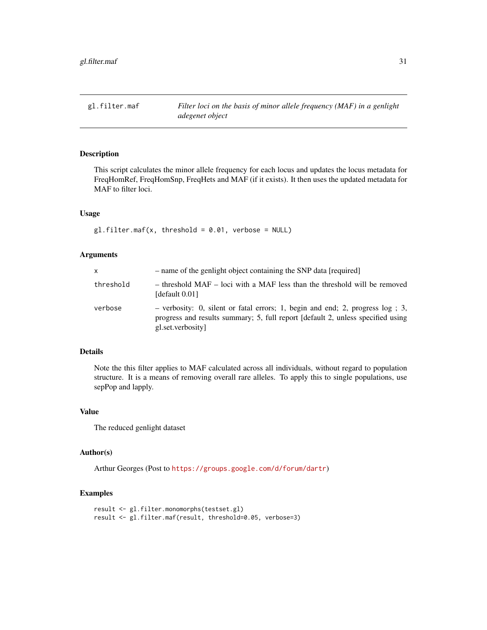<span id="page-30-0"></span>gl.filter.maf *Filter loci on the basis of minor allele frequency (MAF) in a genlight adegenet object*

# Description

This script calculates the minor allele frequency for each locus and updates the locus metadata for FreqHomRef, FreqHomSnp, FreqHets and MAF (if it exists). It then uses the updated metadata for MAF to filter loci.

# Usage

 $gl.filter.maf(x, threshold = 0.01, verbose = NULL)$ 

# Arguments

| X         | - name of the genlight object containing the SNP data [required]                                                                                                                        |
|-----------|-----------------------------------------------------------------------------------------------------------------------------------------------------------------------------------------|
| threshold | - threshold MAF - loci with a MAF less than the threshold will be removed<br>[default 0.01]                                                                                             |
| verbose   | - verbosity: 0, silent or fatal errors; 1, begin and end; 2, progress $log$ ; 3,<br>progress and results summary; 5, full report [default 2, unless specified using<br>gl.set.verbosity |

# Details

Note the this filter applies to MAF calculated across all individuals, without regard to population structure. It is a means of removing overall rare alleles. To apply this to single populations, use sepPop and lapply.

## Value

The reduced genlight dataset

#### Author(s)

Arthur Georges (Post to <https://groups.google.com/d/forum/dartr>)

```
result <- gl.filter.monomorphs(testset.gl)
result <- gl.filter.maf(result, threshold=0.05, verbose=3)
```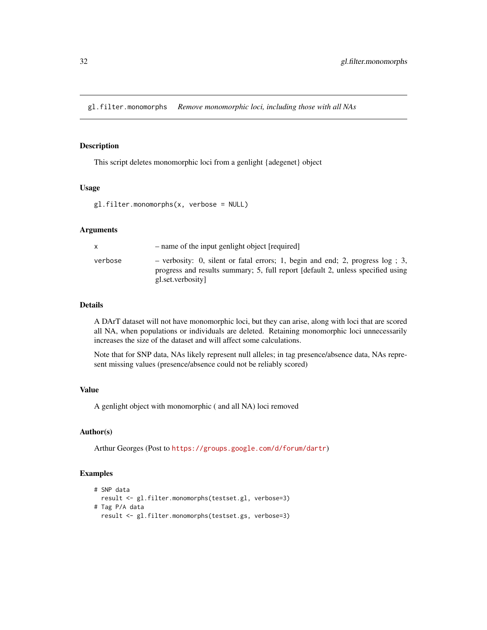<span id="page-31-1"></span><span id="page-31-0"></span>gl.filter.monomorphs *Remove monomorphic loci, including those with all NAs*

# Description

This script deletes monomorphic loci from a genlight {adegenet} object

# Usage

```
gl.filter.monomorphs(x, verbose = NULL)
```
#### Arguments

|         | - name of the input genlight object [required]                                                                                                                                          |
|---------|-----------------------------------------------------------------------------------------------------------------------------------------------------------------------------------------|
| verbose | - verbosity: 0, silent or fatal errors; 1, begin and end; 2, progress $log$ ; 3,<br>progress and results summary; 5, full report [default 2, unless specified using<br>gl.set.verbosity |

# Details

A DArT dataset will not have monomorphic loci, but they can arise, along with loci that are scored all NA, when populations or individuals are deleted. Retaining monomorphic loci unnecessarily increases the size of the dataset and will affect some calculations.

Note that for SNP data, NAs likely represent null alleles; in tag presence/absence data, NAs represent missing values (presence/absence could not be reliably scored)

# Value

A genlight object with monomorphic ( and all NA) loci removed

#### Author(s)

Arthur Georges (Post to <https://groups.google.com/d/forum/dartr>)

```
# SNP data
 result <- gl.filter.monomorphs(testset.gl, verbose=3)
# Tag P/A data
 result <- gl.filter.monomorphs(testset.gs, verbose=3)
```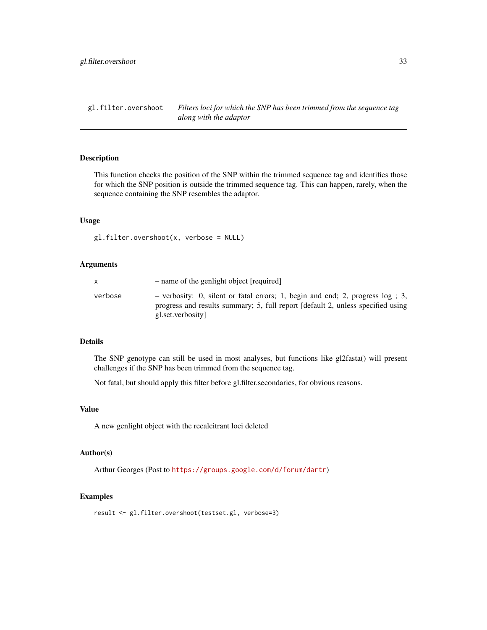<span id="page-32-0"></span>gl.filter.overshoot *Filters loci for which the SNP has been trimmed from the sequence tag along with the adaptor*

# Description

This function checks the position of the SNP within the trimmed sequence tag and identifies those for which the SNP position is outside the trimmed sequence tag. This can happen, rarely, when the sequence containing the SNP resembles the adaptor.

#### Usage

gl.filter.overshoot(x, verbose = NULL)

#### Arguments

|         | - name of the genlight object [required]                                                                                                                                                |
|---------|-----------------------------------------------------------------------------------------------------------------------------------------------------------------------------------------|
| verbose | - verbosity: 0, silent or fatal errors; 1, begin and end; 2, progress $log$ ; 3,<br>progress and results summary; 5, full report [default 2, unless specified using<br>gl.set.verbosity |

# Details

The SNP genotype can still be used in most analyses, but functions like gl2fasta() will present challenges if the SNP has been trimmed from the sequence tag.

Not fatal, but should apply this filter before gl.filter.secondaries, for obvious reasons.

### Value

A new genlight object with the recalcitrant loci deleted

#### Author(s)

Arthur Georges (Post to <https://groups.google.com/d/forum/dartr>)

#### Examples

result <- gl.filter.overshoot(testset.gl, verbose=3)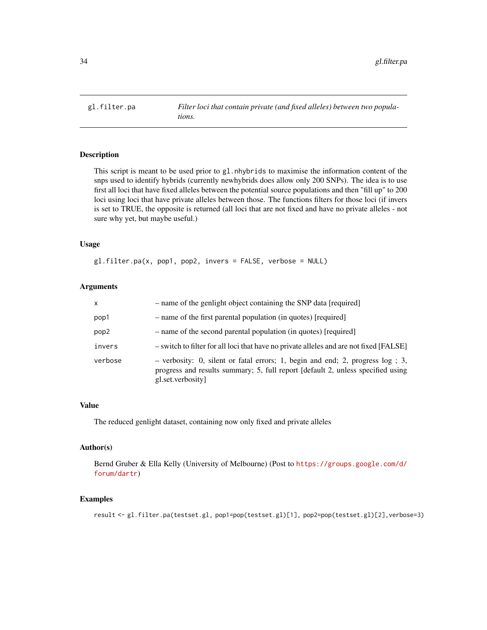<span id="page-33-0"></span>

# Description

This script is meant to be used prior to gl.nhybrids to maximise the information content of the snps used to identify hybrids (currently newhybrids does allow only 200 SNPs). The idea is to use first all loci that have fixed alleles between the potential source populations and then "fill up" to 200 loci using loci that have private alleles between those. The functions filters for those loci (if invers is set to TRUE, the opposite is returned (all loci that are not fixed and have no private alleles - not sure why yet, but maybe useful.)

# Usage

gl.filter.pa(x, pop1, pop2, invers = FALSE, verbose = NULL)

# Arguments

| x       | - name of the genlight object containing the SNP data [required]                                                                                                                        |
|---------|-----------------------------------------------------------------------------------------------------------------------------------------------------------------------------------------|
| pop1    | - name of the first parental population (in quotes) [required]                                                                                                                          |
| pop2    | - name of the second parental population (in quotes) [required]                                                                                                                         |
| invers  | - switch to filter for all loci that have no private alleles and are not fixed [FALSE]                                                                                                  |
| verbose | - verbosity: 0, silent or fatal errors; 1, begin and end; 2, progress $log$ ; 3,<br>progress and results summary; 5, full report [default 2, unless specified using<br>gl.set.verbosity |

#### Value

The reduced genlight dataset, containing now only fixed and private alleles

#### Author(s)

Bernd Gruber & Ella Kelly (University of Melbourne) (Post to [https://groups.google.com/d/](https://groups.google.com/d/forum/dartr) [forum/dartr](https://groups.google.com/d/forum/dartr))

#### Examples

result <- gl.filter.pa(testset.gl, pop1=pop(testset.gl)[1], pop2=pop(testset.gl)[2],verbose=3)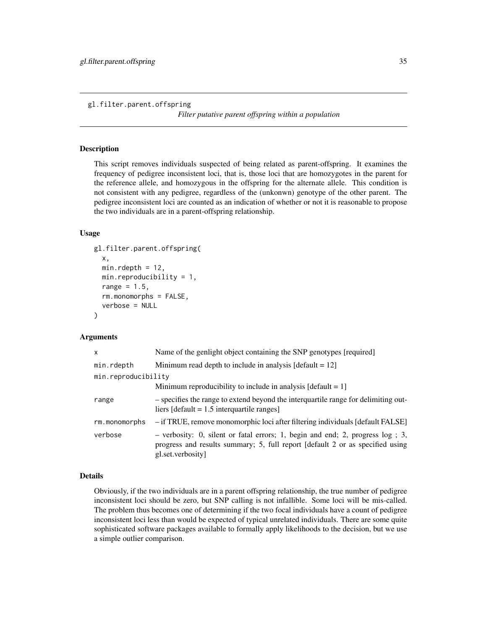<span id="page-34-0"></span>gl.filter.parent.offspring

*Filter putative parent offspring within a population*

#### Description

This script removes individuals suspected of being related as parent-offspring. It examines the frequency of pedigree inconsistent loci, that is, those loci that are homozygotes in the parent for the reference allele, and homozygous in the offspring for the alternate allele. This condition is not consistent with any pedigree, regardless of the (unkonwn) genotype of the other parent. The pedigree inconsistent loci are counted as an indication of whether or not it is reasonable to propose the two individuals are in a parent-offspring relationship.

## Usage

```
gl.filter.parent.offspring(
  x,
  min.rdepth = 12,
  min.reproducibility = 1,
  range = 1.5,
  rm.monomorphs = FALSE,
  verbose = NULL
\mathcal{L}
```
#### Arguments

| $\mathsf{x}$        | Name of the genlight object containing the SNP genotypes [required]                                                                                                                     |
|---------------------|-----------------------------------------------------------------------------------------------------------------------------------------------------------------------------------------|
| min.rdepth          | Minimum read depth to include in analysis $\text{[default = 12]}$                                                                                                                       |
| min.reproducibility |                                                                                                                                                                                         |
|                     | Minimum reproducibility to include in analysis $\lceil detault = 1 \rceil$                                                                                                              |
| range               | - specifies the range to extend beyond the interguartile range for delimiting out-<br>liers [default = $1.5$ interquartile ranges]                                                      |
| rm.monomorphs       | - if TRUE, remove monomorphic loci after filtering individuals [default FALSE]                                                                                                          |
| verbose             | $-$ verbosity: 0, silent or fatal errors; 1, begin and end; 2, progress $log$ ; 3,<br>progress and results summary; 5, full report [default 2 or as specified using<br>gl.set.verbosity |

#### Details

Obviously, if the two individuals are in a parent offspring relationship, the true number of pedigree inconsistent loci should be zero, but SNP calling is not infallible. Some loci will be mis-called. The problem thus becomes one of determining if the two focal individuals have a count of pedigree inconsistent loci less than would be expected of typical unrelated individuals. There are some quite sophisticated software packages available to formally apply likelihoods to the decision, but we use a simple outlier comparison.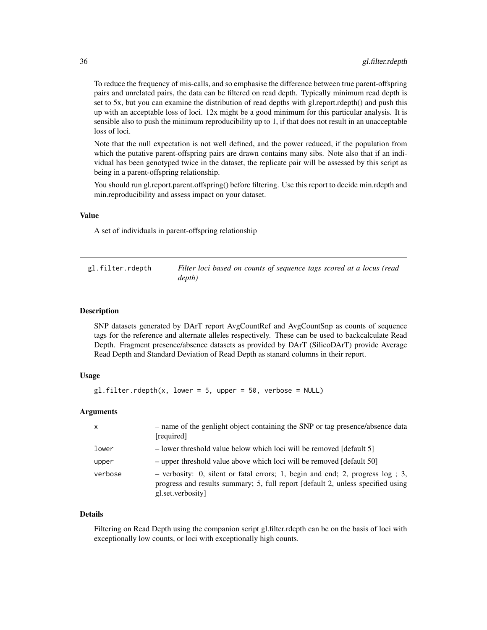<span id="page-35-0"></span>To reduce the frequency of mis-calls, and so emphasise the difference between true parent-offspring pairs and unrelated pairs, the data can be filtered on read depth. Typically minimum read depth is set to 5x, but you can examine the distribution of read depths with gl.report.rdepth() and push this up with an acceptable loss of loci. 12x might be a good minimum for this particular analysis. It is sensible also to push the minimum reproducibility up to 1, if that does not result in an unacceptable loss of loci.

Note that the null expectation is not well defined, and the power reduced, if the population from which the putative parent-offspring pairs are drawn contains many sibs. Note also that if an individual has been genotyped twice in the dataset, the replicate pair will be assessed by this script as being in a parent-offspring relationship.

You should run gl.report.parent.offspring() before filtering. Use this report to decide min.rdepth and min.reproducibility and assess impact on your dataset.

#### Value

A set of individuals in parent-offspring relationship

gl.filter.rdepth *Filter loci based on counts of sequence tags scored at a locus (read depth)*

# Description

SNP datasets generated by DArT report AvgCountRef and AvgCountSnp as counts of sequence tags for the reference and alternate alleles respectively. These can be used to backcalculate Read Depth. Fragment presence/absence datasets as provided by DArT (SilicoDArT) provide Average Read Depth and Standard Deviation of Read Depth as stanard columns in their report.

#### Usage

```
gl.filter.rdepth(x, lower = 5, upper = 50, verbose = NULL)
```
# Arguments

| $\mathsf{x}$ | - name of the genlight object containing the SNP or tag presence/absence data<br>[required]                                                                                               |
|--------------|-------------------------------------------------------------------------------------------------------------------------------------------------------------------------------------------|
| lower        | - lower threshold value below which loci will be removed [default 5]                                                                                                                      |
| upper        | - upper threshold value above which loci will be removed [default 50]                                                                                                                     |
| verbose      | $-$ verbosity: 0, silent or fatal errors; 1, begin and end; 2, progress $log$ ; 3,<br>progress and results summary; 5, full report [default 2, unless specified using<br>gl.set.verbosity |

#### Details

Filtering on Read Depth using the companion script gl.filter.rdepth can be on the basis of loci with exceptionally low counts, or loci with exceptionally high counts.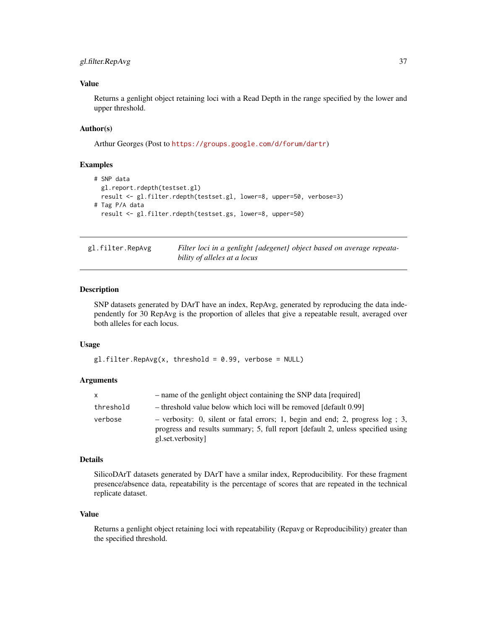## gl.filter.RepAvg 37

## Value

Returns a genlight object retaining loci with a Read Depth in the range specified by the lower and upper threshold.

## Author(s)

Arthur Georges (Post to <https://groups.google.com/d/forum/dartr>)

#### Examples

```
# SNP data
 gl.report.rdepth(testset.gl)
 result <- gl.filter.rdepth(testset.gl, lower=8, upper=50, verbose=3)
# Tag P/A data
 result <- gl.filter.rdepth(testset.gs, lower=8, upper=50)
```

| gl.filter.RepAvg | Filter loci in a genlight {adegenet} object based on average repeata- |
|------------------|-----------------------------------------------------------------------|
|                  | bility of alleles at a locus                                          |

## Description

SNP datasets generated by DArT have an index, RepAvg, generated by reproducing the data independently for 30 RepAvg is the proportion of alleles that give a repeatable result, averaged over both alleles for each locus.

#### Usage

```
gl.filter.PepAvg(x, threshold = 0.99, verbose = NULL)
```
## Arguments

| x.        | - name of the genlight object containing the SNP data [required]                                                                                                                         |
|-----------|------------------------------------------------------------------------------------------------------------------------------------------------------------------------------------------|
| threshold | - threshold value below which loci will be removed [default 0.99]                                                                                                                        |
| verbose   | - verbosity: 0, silent or fatal errors; 1, begin and end; 2, progress $log$ ; 3,<br>progress and results summary; 5, full report [default 2, unless specified using<br>gl.set.verbosity] |

## Details

SilicoDArT datasets generated by DArT have a smilar index, Reproducibility. For these fragment presence/absence data, repeatability is the percentage of scores that are repeated in the technical replicate dataset.

#### Value

Returns a genlight object retaining loci with repeatability (Repavg or Reproducibility) greater than the specified threshold.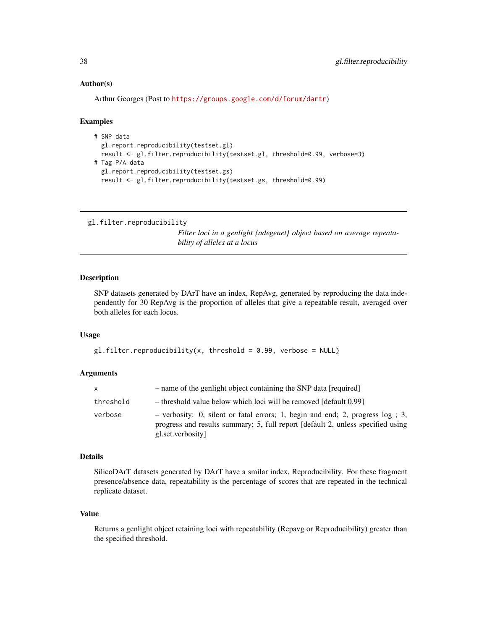#### Author(s)

```
Arthur Georges (Post to https://groups.google.com/d/forum/dartr)
```
#### Examples

```
# SNP data
 gl.report.reproducibility(testset.gl)
 result <- gl.filter.reproducibility(testset.gl, threshold=0.99, verbose=3)
# Tag P/A data
 gl.report.reproducibility(testset.gs)
 result <- gl.filter.reproducibility(testset.gs, threshold=0.99)
```

```
gl.filter.reproducibility
```
*Filter loci in a genlight {adegenet} object based on average repeatability of alleles at a locus*

## Description

SNP datasets generated by DArT have an index, RepAvg, generated by reproducing the data independently for 30 RepAvg is the proportion of alleles that give a repeatable result, averaged over both alleles for each locus.

#### Usage

```
gl.filter.reproductibility(x, threshold = 0.99, verbose = NULL)
```
#### **Arguments**

| X.        | - name of the genlight object containing the SNP data [required]                                                                                                                        |
|-----------|-----------------------------------------------------------------------------------------------------------------------------------------------------------------------------------------|
| threshold | - threshold value below which loci will be removed [default 0.99]                                                                                                                       |
| verbose   | - verbosity: 0, silent or fatal errors; 1, begin and end; 2, progress $log$ ; 3,<br>progress and results summary; 5, full report [default 2, unless specified using<br>gl.set.verbosity |

## Details

SilicoDArT datasets generated by DArT have a smilar index, Reproducibility. For these fragment presence/absence data, repeatability is the percentage of scores that are repeated in the technical replicate dataset.

## Value

Returns a genlight object retaining loci with repeatability (Repavg or Reproducibility) greater than the specified threshold.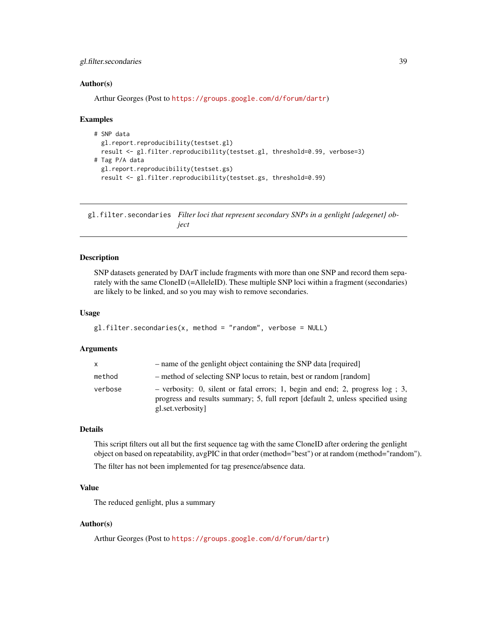## gl.filter.secondaries 39

#### Author(s)

Arthur Georges (Post to <https://groups.google.com/d/forum/dartr>)

#### Examples

```
# SNP data
 gl.report.reproducibility(testset.gl)
 result <- gl.filter.reproducibility(testset.gl, threshold=0.99, verbose=3)
# Tag P/A data
 gl.report.reproducibility(testset.gs)
 result <- gl.filter.reproducibility(testset.gs, threshold=0.99)
```
gl.filter.secondaries *Filter loci that represent secondary SNPs in a genlight {adegenet} object*

## Description

SNP datasets generated by DArT include fragments with more than one SNP and record them separately with the same CloneID (=AlleleID). These multiple SNP loci within a fragment (secondaries) are likely to be linked, and so you may wish to remove secondaries.

#### Usage

```
gl.filter.secondaries(x, method = "random", verbose = NULL)
```
#### Arguments

| X       | - name of the genlight object containing the SNP data [required]                                                                                                                        |
|---------|-----------------------------------------------------------------------------------------------------------------------------------------------------------------------------------------|
| method  | - method of selecting SNP locus to retain, best or random [random]                                                                                                                      |
| verbose | - verbosity: 0, silent or fatal errors; 1, begin and end; 2, progress $log$ ; 3,<br>progress and results summary; 5, full report [default 2, unless specified using<br>gl.set.verbosity |

## Details

This script filters out all but the first sequence tag with the same CloneID after ordering the genlight object on based on repeatability, avgPIC in that order (method="best") or at random (method="random").

The filter has not been implemented for tag presence/absence data.

## Value

The reduced genlight, plus a summary

#### Author(s)

Arthur Georges (Post to <https://groups.google.com/d/forum/dartr>)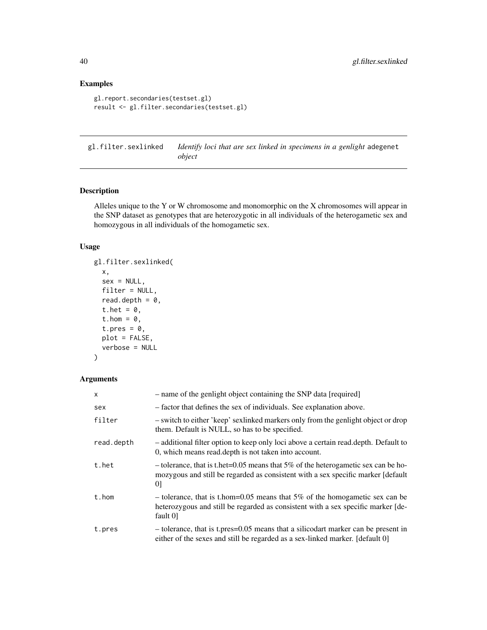## Examples

```
gl.report.secondaries(testset.gl)
result <- gl.filter.secondaries(testset.gl)
```
gl.filter.sexlinked *Identify loci that are sex linked in specimens in a genlight* adegenet *object*

## Description

Alleles unique to the Y or W chromosome and monomorphic on the X chromosomes will appear in the SNP dataset as genotypes that are heterozygotic in all individuals of the heterogametic sex and homozygous in all individuals of the homogametic sex.

## Usage

```
gl.filter.sexlinked(
  x,
  sex = NULL,filter = NULL,
  read.depth = 0,
  t.het = 0,
  t.hom = \theta,
  t.pres = \theta,
  plot = FALSE,
  verbose = NULL
)
```

| $\mathsf{x}$ | - name of the genlight object containing the SNP data [required]                                                                                                                |
|--------------|---------------------------------------------------------------------------------------------------------------------------------------------------------------------------------|
| sex          | - factor that defines the sex of individuals. See explanation above.                                                                                                            |
| filter       | - switch to either 'keep' sexlinked markers only from the genlight object or drop<br>them. Default is NULL, so has to be specified.                                             |
| read.depth   | - additional filter option to keep only loci above a certain read.depth. Default to<br>0, which means read.depth is not taken into account.                                     |
| t.het        | - tolerance, that is t.het=0.05 means that $5\%$ of the heterogametic sex can be ho-<br>mozygous and still be regarded as consistent with a sex specific marker [default]<br>01 |
| t.hom        | - tolerance, that is t.hom=0.05 means that 5% of the homogametic sex can be<br>heterozygous and still be regarded as consistent with a sex specific marker [de-<br>fault 0      |
| t.pres       | - tolerance, that is t.pres=0.05 means that a silicodart marker can be present in<br>either of the sexes and still be regarded as a sex-linked marker. [default 0]              |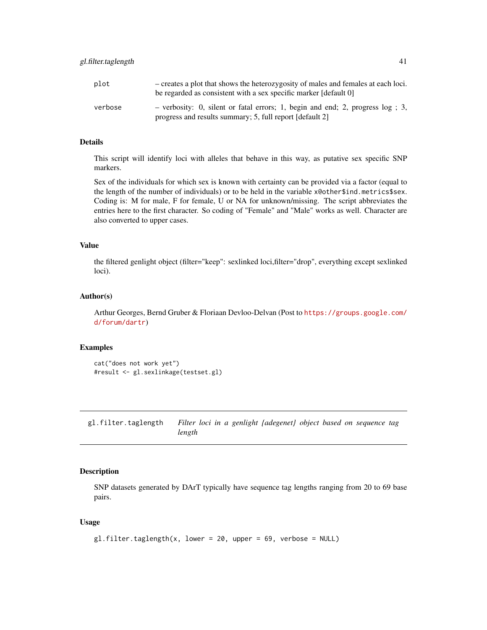| plot    | - creates a plot that shows the heterozygosity of males and females at each loci.<br>be regarded as consistent with a sex specific marker [default 0] |
|---------|-------------------------------------------------------------------------------------------------------------------------------------------------------|
| verbose | - verbosity: 0, silent or fatal errors; 1, begin and end; 2, progress $log$ ; 3,<br>progress and results summary; 5, full report [default 2]          |

This script will identify loci with alleles that behave in this way, as putative sex specific SNP markers.

Sex of the individuals for which sex is known with certainty can be provided via a factor (equal to the length of the number of individuals) or to be held in the variable x@other\$ind.metrics\$sex. Coding is: M for male, F for female, U or NA for unknown/missing. The script abbreviates the entries here to the first character. So coding of "Female" and "Male" works as well. Character are also converted to upper cases.

#### Value

the filtered genlight object (filter="keep": sexlinked loci,filter="drop", everything except sexlinked loci).

## Author(s)

Arthur Georges, Bernd Gruber & Floriaan Devloo-Delvan (Post to [https://groups.google.com/](https://groups.google.com/d/forum/dartr) [d/forum/dartr](https://groups.google.com/d/forum/dartr))

#### Examples

```
cat("does not work yet")
#result <- gl.sexlinkage(testset.gl)
```
gl.filter.taglength *Filter loci in a genlight {adegenet} object based on sequence tag length*

#### Description

SNP datasets generated by DArT typically have sequence tag lengths ranging from 20 to 69 base pairs.

```
gl.filter.taglength(x, lower = 20, upper = 69, verbose = NULL)
```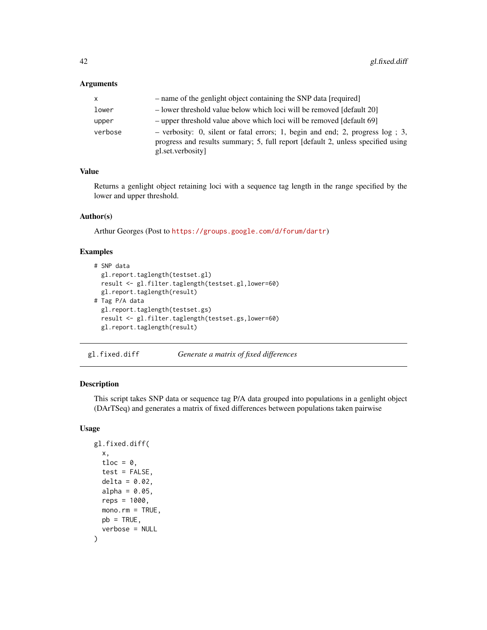## Arguments

| x       | - name of the genlight object containing the SNP data [required]                                                                                                                        |
|---------|-----------------------------------------------------------------------------------------------------------------------------------------------------------------------------------------|
| lower   | - lower threshold value below which loci will be removed [default 20]                                                                                                                   |
| upper   | - upper threshold value above which loci will be removed [default 69]                                                                                                                   |
| verbose | - verbosity: 0, silent or fatal errors; 1, begin and end; 2, progress $log$ ; 3,<br>progress and results summary; 5, full report [default 2, unless specified using<br>gl.set.verbosity |

## Value

Returns a genlight object retaining loci with a sequence tag length in the range specified by the lower and upper threshold.

#### Author(s)

Arthur Georges (Post to <https://groups.google.com/d/forum/dartr>)

## Examples

```
# SNP data
 gl.report.taglength(testset.gl)
 result <- gl.filter.taglength(testset.gl,lower=60)
 gl.report.taglength(result)
# Tag P/A data
 gl.report.taglength(testset.gs)
 result <- gl.filter.taglength(testset.gs,lower=60)
 gl.report.taglength(result)
```
gl.fixed.diff *Generate a matrix of fixed differences*

#### Description

This script takes SNP data or sequence tag P/A data grouped into populations in a genlight object (DArTSeq) and generates a matrix of fixed differences between populations taken pairwise

```
gl.fixed.diff(
  x,
  tloc = \theta,
  test = FALSE,
  delta = 0.02,
  alpha = 0.05,
  reps = 1000,mono.rm = TRUE,
 pb = TRUE,verbose = NULL
)
```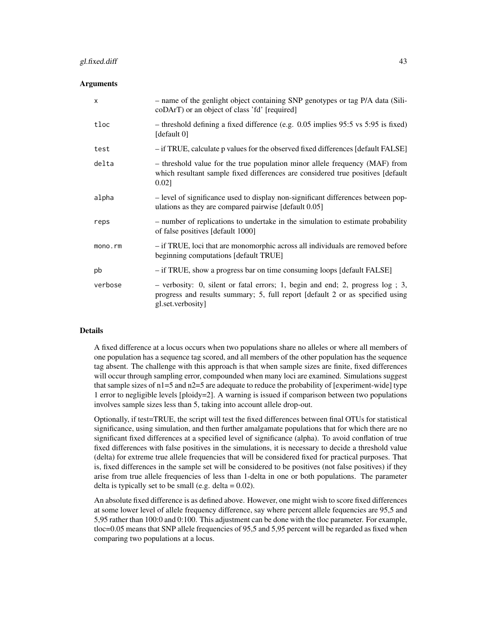#### gl.fixed.diff 43

## Arguments

| $\boldsymbol{\mathsf{x}}$ | - name of the genlight object containing SNP genotypes or tag P/A data (Sili-<br>coDArT) or an object of class 'fd' [required]                                                           |
|---------------------------|------------------------------------------------------------------------------------------------------------------------------------------------------------------------------------------|
| tloc                      | $-$ threshold defining a fixed difference (e.g. 0.05 implies 95:5 vs 5:95 is fixed)<br>[default $0$ ]                                                                                    |
| test                      | - if TRUE, calculate p values for the observed fixed differences [default FALSE]                                                                                                         |
| delta                     | - threshold value for the true population minor allele frequency (MAF) from<br>which resultant sample fixed differences are considered true positives [default<br>$0.02$ ]               |
| alpha                     | - level of significance used to display non-significant differences between pop-<br>ulations as they are compared pairwise [default 0.05]                                                |
| reps                      | - number of replications to undertake in the simulation to estimate probability<br>of false positives [default 1000]                                                                     |
| mono.rm                   | - if TRUE, loci that are monomorphic across all individuals are removed before<br>beginning computations [default TRUE]                                                                  |
| pb                        | - if TRUE, show a progress bar on time consuming loops [default FALSE]                                                                                                                   |
| verbose                   | $-$ verbosity: 0, silent or fatal errors; 1, begin and end; 2, progress $log$ ; 3,<br>progress and results summary; 5, full report [default 2 or as specified using<br>gl.set.verbosity] |

#### Details

A fixed difference at a locus occurs when two populations share no alleles or where all members of one population has a sequence tag scored, and all members of the other population has the sequence tag absent. The challenge with this approach is that when sample sizes are finite, fixed differences will occur through sampling error, compounded when many loci are examined. Simulations suggest that sample sizes of  $n1=5$  and  $n2=5$  are adequate to reduce the probability of [experiment-wide] type 1 error to negligible levels [ploidy=2]. A warning is issued if comparison between two populations involves sample sizes less than 5, taking into account allele drop-out.

Optionally, if test=TRUE, the script will test the fixed differences between final OTUs for statistical significance, using simulation, and then further amalgamate populations that for which there are no significant fixed differences at a specified level of significance (alpha). To avoid conflation of true fixed differences with false positives in the simulations, it is necessary to decide a threshold value (delta) for extreme true allele frequencies that will be considered fixed for practical purposes. That is, fixed differences in the sample set will be considered to be positives (not false positives) if they arise from true allele frequencies of less than 1-delta in one or both populations. The parameter delta is typically set to be small (e.g. delta  $= 0.02$ ).

An absolute fixed difference is as defined above. However, one might wish to score fixed differences at some lower level of allele frequency difference, say where percent allele fequencies are 95,5 and 5,95 rather than 100:0 and 0:100. This adjustment can be done with the tloc parameter. For example, tloc=0.05 means that SNP allele frequencies of 95,5 and 5,95 percent will be regarded as fixed when comparing two populations at a locus.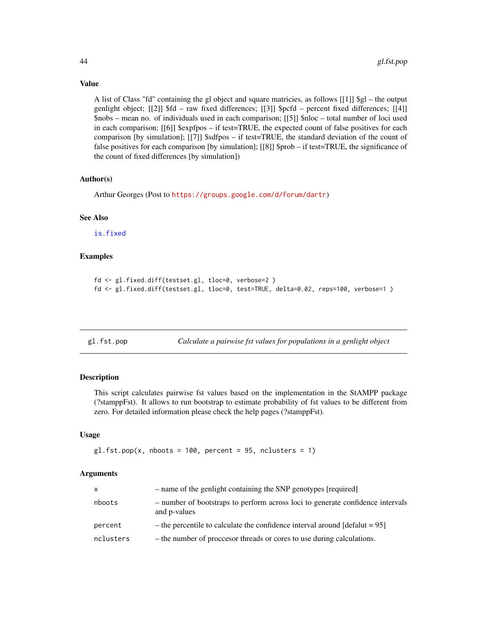Value

A list of Class "fd" containing the gl object and square matricies, as follows  $[[1]]$  \$gl – the output genlight object; [[2]] \$fd – raw fixed differences; [[3]] \$pcfd – percent fixed differences; [[4]] \$nobs – mean no. of individuals used in each comparison; [[5]] \$nloc – total number of loci used in each comparison; [[6]] \$expfpos – if test=TRUE, the expected count of false positives for each comparison [by simulation]; [[7]] \$sdfpos – if test=TRUE, the standard deviation of the count of false positives for each comparison [by simulation]; [[8]] \$prob – if test=TRUE, the significance of the count of fixed differences [by simulation])

## Author(s)

Arthur Georges (Post to <https://groups.google.com/d/forum/dartr>)

#### See Also

[is.fixed](#page-134-0)

## Examples

```
fd <- gl.fixed.diff(testset.gl, tloc=0, verbose=2 )
fd <- gl.fixed.diff(testset.gl, tloc=0, test=TRUE, delta=0.02, reps=100, verbose=1 )
```
gl.fst.pop *Calculate a pairwise fst values for populations in a genlight object*

#### **Description**

This script calculates pairwise fst values based on the implementation in the StAMPP package (?stamppFst). It allows to run bootstrap to estimate probability of fst values to be different from zero. For detailed information please check the help pages (?stamppFst).

#### Usage

```
gl.fst.pop(x, nboots = 100, percent = 95, nclusters = 1)
```

| x         | - name of the genlight containing the SNP genotypes [required]                                 |
|-----------|------------------------------------------------------------------------------------------------|
| nboots    | - number of bootstraps to perform across loci to generate confidence intervals<br>and p-values |
| percent   | - the percentile to calculate the confidence interval around $[default = 95]$                  |
| nclusters | - the number of proccesor threads or cores to use during calculations.                         |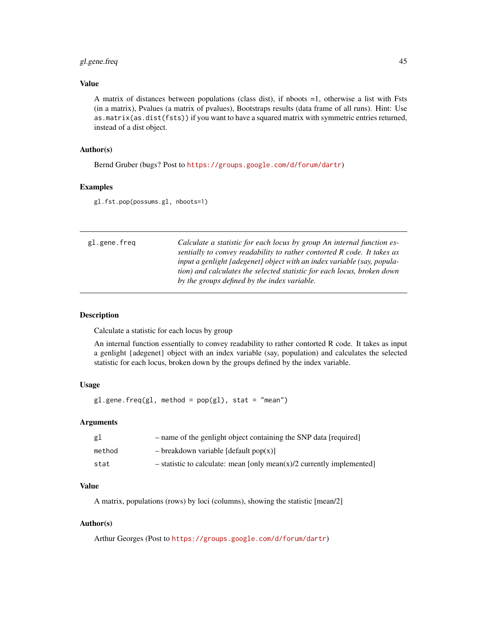## gl.gene.freq 45

## Value

A matrix of distances between populations (class dist), if nboots =1, otherwise a list with Fsts (in a matrix), Pvalues (a matrix of pvalues), Bootstraps results (data frame of all runs). Hint: Use as.matrix(as.dist(fsts)) if you want to have a squared matrix with symmetric entries returned, instead of a dist object.

## Author(s)

Bernd Gruber (bugs? Post to <https://groups.google.com/d/forum/dartr>)

## Examples

gl.fst.pop(possums.gl, nboots=1)

| gl.gene.freq | Calculate a statistic for each locus by group An internal function es-<br>sentially to convey readability to rather contorted R code. It takes as<br>input a genlight (adegenet) object with an index variable (say, popula-<br>tion) and calculates the selected statistic for each locus, broken down<br>by the groups defined by the index variable. |
|--------------|---------------------------------------------------------------------------------------------------------------------------------------------------------------------------------------------------------------------------------------------------------------------------------------------------------------------------------------------------------|
|              |                                                                                                                                                                                                                                                                                                                                                         |

## Description

Calculate a statistic for each locus by group

An internal function essentially to convey readability to rather contorted R code. It takes as input a genlight {adegenet} object with an index variable (say, population) and calculates the selected statistic for each locus, broken down by the groups defined by the index variable.

## Usage

 $gl.$ gene.freq(gl, method =  $pop(gl)$ , stat = "mean")

#### Arguments

| gl     | - name of the genlight object containing the SNP data [required]        |
|--------|-------------------------------------------------------------------------|
| method | $-\text{breakdown variable [default pop(x)]}$                           |
| stat   | $-$ statistic to calculate: mean [only mean(x)/2 currently implemented] |

## Value

A matrix, populations (rows) by loci (columns), showing the statistic [mean/2]

## Author(s)

Arthur Georges (Post to <https://groups.google.com/d/forum/dartr>)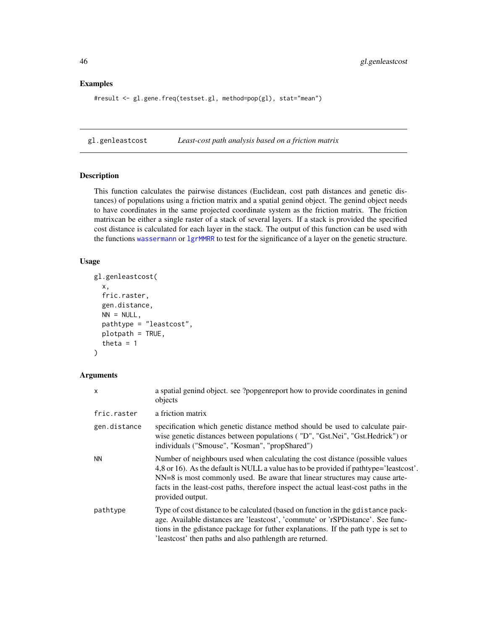#### Examples

```
#result <- gl.gene.freq(testset.gl, method=pop(gl), stat="mean")
```
gl.genleastcost *Least-cost path analysis based on a friction matrix*

## Description

This function calculates the pairwise distances (Euclidean, cost path distances and genetic distances) of populations using a friction matrix and a spatial genind object. The genind object needs to have coordinates in the same projected coordinate system as the friction matrix. The friction matrixcan be either a single raster of a stack of several layers. If a stack is provided the specified cost distance is calculated for each layer in the stack. The output of this function can be used with the functions [wassermann](#page-0-0) or [lgrMMRR](#page-0-0) to test for the significance of a layer on the genetic structure.

#### Usage

```
gl.genleastcost(
 x,
  fric.raster,
  gen.distance,
 NN = NULL,pathtype = "leastcost",
 plotpath = TRUE,
  theta = 1)
```

| $\mathsf{x}$ | a spatial genind object. see ?popgenreport how to provide coordinates in genind<br>objects                                                                                                                                                                                                                                                                        |
|--------------|-------------------------------------------------------------------------------------------------------------------------------------------------------------------------------------------------------------------------------------------------------------------------------------------------------------------------------------------------------------------|
| fric.raster  | a friction matrix                                                                                                                                                                                                                                                                                                                                                 |
| gen.distance | specification which genetic distance method should be used to calculate pair-<br>wise genetic distances between populations ("D", "Gst.Nei", "Gst.Hedrick") or<br>individuals ("Smouse", "Kosman", "propShared")                                                                                                                                                  |
| <b>NN</b>    | Number of neighbours used when calculating the cost distance (possible values<br>4,8 or 16). As the default is NULL a value has to be provided if pathtype='leastcost'.<br>NN=8 is most commonly used. Be aware that linear structures may cause arte-<br>facts in the least-cost paths, therefore inspect the actual least-cost paths in the<br>provided output. |
| pathtype     | Type of cost distance to be calculated (based on function in the gdistance pack-<br>age. Available distances are 'leastcost', 'commute' or 'rSPD istance'. See func-<br>tions in the gdistance package for futher explanations. If the path type is set to<br>'leastcost' then paths and also pathlength are returned.                                            |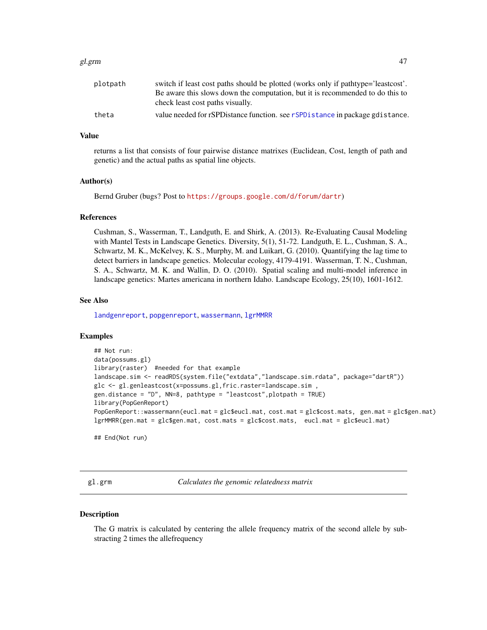#### gl.grm 47

| plotpath | switch if least cost paths should be plotted (works only if pathtype='leastcost'. |
|----------|-----------------------------------------------------------------------------------|
|          | Be aware this slows down the computation, but it is recommended to do this to     |
|          | check least cost paths visually.                                                  |
| theta    | value needed for rSPD istance function, see rSPD istance in package gd istance.   |

## Value

returns a list that consists of four pairwise distance matrixes (Euclidean, Cost, length of path and genetic) and the actual paths as spatial line objects.

#### Author(s)

Bernd Gruber (bugs? Post to <https://groups.google.com/d/forum/dartr>)

#### References

Cushman, S., Wasserman, T., Landguth, E. and Shirk, A. (2013). Re-Evaluating Causal Modeling with Mantel Tests in Landscape Genetics. Diversity, 5(1), 51-72. Landguth, E. L., Cushman, S. A., Schwartz, M. K., McKelvey, K. S., Murphy, M. and Luikart, G. (2010). Quantifying the lag time to detect barriers in landscape genetics. Molecular ecology, 4179-4191. Wasserman, T. N., Cushman, S. A., Schwartz, M. K. and Wallin, D. O. (2010). Spatial scaling and multi-model inference in landscape genetics: Martes americana in northern Idaho. Landscape Ecology, 25(10), 1601-1612.

## See Also

[landgenreport](#page-0-0), [popgenreport](#page-0-0), [wassermann](#page-0-0), [lgrMMRR](#page-0-0)

#### Examples

```
## Not run:
data(possums.gl)
library(raster) #needed for that example
landscape.sim <- readRDS(system.file("extdata","landscape.sim.rdata", package="dartR"))
glc <- gl.genleastcost(x=possums.gl,fric.raster=landscape.sim ,
gen.distance = "D", NN=8, pathtype = "leastcost",plotpath = TRUE)
library(PopGenReport)
PopGenReport::wassermann(eucl.mat = glc$eucl.mat, cost.mat = glc$cost.mats, gen.mat = glc$gen.mat)
lgrMMRR(gen.mat = glc$gen.mat, cost.mats = glc$cost.mats, eucl.mat = glc$eucl.mat)
```
## End(Not run)

gl.grm *Calculates the genomic relatedness matrix*

#### **Description**

The G matrix is calculated by centering the allele frequency matrix of the second allele by substracting 2 times the allefrequency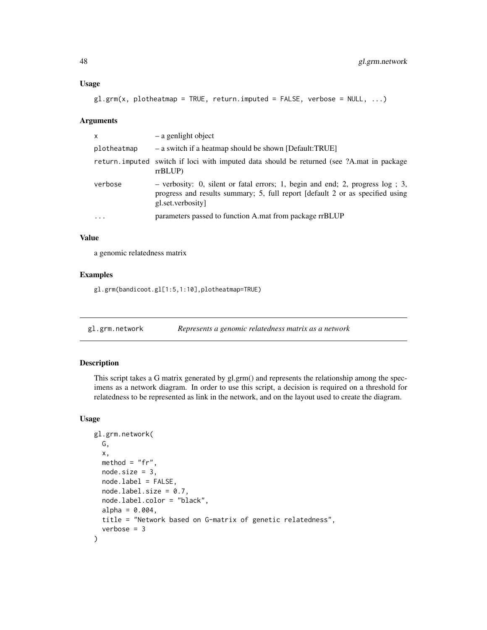#### Usage

```
gl.grm(x, plotheatmap = TRUE, return.imputed = FALSE, verbose = NULL, ...)
```
#### Arguments

| x           | - a genlight object                                                                                                                                                                  |
|-------------|--------------------------------------------------------------------------------------------------------------------------------------------------------------------------------------|
| plotheatmap | - a switch if a heatmap should be shown [Default:TRUE]                                                                                                                               |
|             | return imputed switch if loci with imputed data should be returned (see ?A mat in package<br>rrBLUP                                                                                  |
| verbose     | $-$ verbosity: 0, silent or fatal errors; 1, begin and end; 2, progress log; 3,<br>progress and results summary; 5, full report [default 2 or as specified using<br>gl.set.verbosity |
| $\ddotsc$   | parameters passed to function A.mat from package rrBLUP                                                                                                                              |
|             |                                                                                                                                                                                      |

#### Value

a genomic relatedness matrix

## Examples

gl.grm(bandicoot.gl[1:5,1:10],plotheatmap=TRUE)

gl.grm.network *Represents a genomic relatedness matrix as a network*

## Description

This script takes a G matrix generated by gl.grm() and represents the relationship among the specimens as a network diagram. In order to use this script, a decision is required on a threshold for relatedness to be represented as link in the network, and on the layout used to create the diagram.

```
gl.grm.network(
 G,
  x,
 method = "fr",node.size = 3,
 node.label = FALSE,
 nodeu = 0.7,
 node.label.color = "black",
  alpha = 0.004,
 title = "Network based on G-matrix of genetic relatedness",
  verbose = 3)
```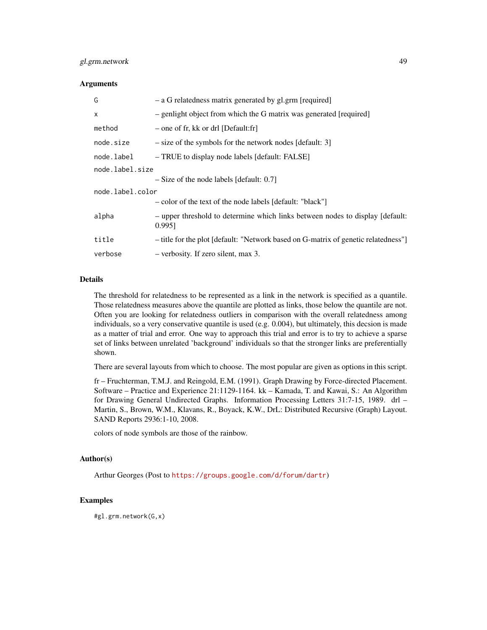## gl.grm.network 49

#### **Arguments**

| G                | - a G relatedness matrix generated by gl.grm [required]                                 |  |  |  |  |  |
|------------------|-----------------------------------------------------------------------------------------|--|--|--|--|--|
| $\mathsf{x}$     | - genlight object from which the G matrix was generated [required]                      |  |  |  |  |  |
| method           | $-$ one of fr, kk or drl [Default:fr]                                                   |  |  |  |  |  |
| node.size        | $-$ size of the symbols for the network nodes [default: 3]                              |  |  |  |  |  |
| node.label       | - TRUE to display node labels [default: FALSE]                                          |  |  |  |  |  |
| node.label.size  |                                                                                         |  |  |  |  |  |
|                  | $-$ Size of the node labels [default: 0.7]                                              |  |  |  |  |  |
| node.label.color |                                                                                         |  |  |  |  |  |
|                  | - color of the text of the node labels [default: "black"]                               |  |  |  |  |  |
| alpha            | - upper threshold to determine which links between nodes to display [default:<br>0.995] |  |  |  |  |  |
| title            | - title for the plot [default: "Network based on G-matrix of genetic relatedness"]      |  |  |  |  |  |
| verbose          | $-$ verbosity. If zero silent, max 3.                                                   |  |  |  |  |  |

#### Details

The threshold for relatedness to be represented as a link in the network is specified as a quantile. Those relatedness measures above the quantile are plotted as links, those below the quantile are not. Often you are looking for relatedness outliers in comparison with the overall relatedness among individuals, so a very conservative quantile is used (e.g. 0.004), but ultimately, this decsion is made as a matter of trial and error. One way to approach this trial and error is to try to achieve a sparse set of links between unrelated 'background' individuals so that the stronger links are preferentially shown.

There are several layouts from which to choose. The most popular are given as options in this script.

fr – Fruchterman, T.M.J. and Reingold, E.M. (1991). Graph Drawing by Force-directed Placement. Software – Practice and Experience 21:1129-1164. kk – Kamada, T. and Kawai, S.: An Algorithm for Drawing General Undirected Graphs. Information Processing Letters 31:7-15, 1989. drl – Martin, S., Brown, W.M., Klavans, R., Boyack, K.W., DrL: Distributed Recursive (Graph) Layout. SAND Reports 2936:1-10, 2008.

colors of node symbols are those of the rainbow.

## Author(s)

Arthur Georges (Post to <https://groups.google.com/d/forum/dartr>)

#### Examples

#gl.grm.network(G,x)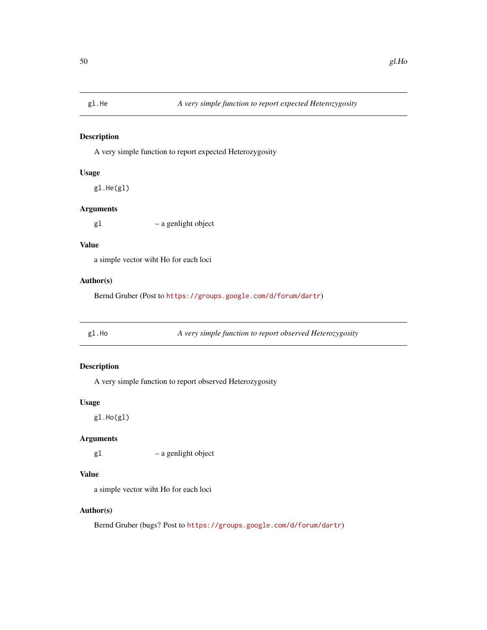## Description

A very simple function to report expected Heterozygosity

## Usage

gl.He(gl)

## Arguments

gl – a genlight object

## Value

a simple vector wiht Ho for each loci

## Author(s)

Bernd Gruber (Post to <https://groups.google.com/d/forum/dartr>)

gl.Ho *A very simple function to report observed Heterozygosity*

## Description

A very simple function to report observed Heterozygosity

## Usage

gl.Ho(gl)

## Arguments

gl – a genlight object

## Value

a simple vector wiht Ho for each loci

## Author(s)

Bernd Gruber (bugs? Post to <https://groups.google.com/d/forum/dartr>)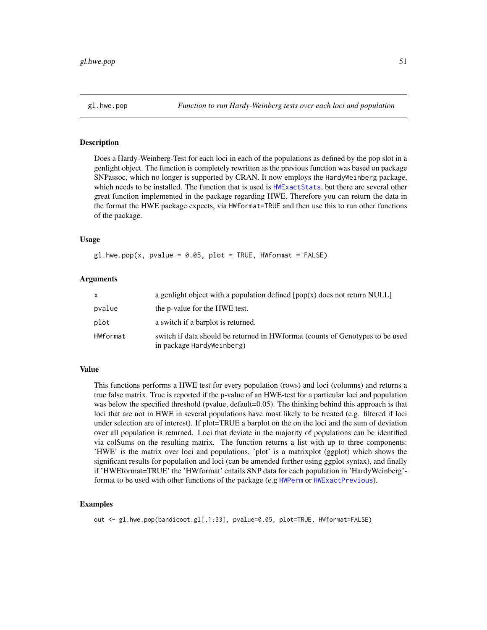## **Description**

Does a Hardy-Weinberg-Test for each loci in each of the populations as defined by the pop slot in a genlight object. The function is completely rewritten as the previous function was based on package SNPassoc, which no longer is supported by CRAN. It now employs the HardyWeinberg package, which needs to be installed. The function that is used is [HWExactStats](#page-0-0), but there are several other great function implemented in the package regarding HWE. Therefore you can return the data in the format the HWE package expects, via HWformat=TRUE and then use this to run other functions of the package.

#### Usage

 $gl.hwe.pop(x, pvalue = 0.05, plot = TRUE, HWformat = FALSE)$ 

#### **Arguments**

| X        | a genlight object with a population defined $[pop(x)]$ does not return NULL                                 |
|----------|-------------------------------------------------------------------------------------------------------------|
| pvalue   | the p-value for the HWE test.                                                                               |
| plot     | a switch if a barplot is returned.                                                                          |
| HWformat | switch if data should be returned in HW format (counts of Genotypes to be used<br>in package HardyWeinberg) |

### Value

This functions performs a HWE test for every population (rows) and loci (columns) and returns a true false matrix. True is reported if the p-value of an HWE-test for a particular loci and population was below the specified threshold (pvalue, default=0.05). The thinking behind this approach is that loci that are not in HWE in several populations have most likely to be treated (e.g. filtered if loci under selection are of interest). If plot=TRUE a barplot on the on the loci and the sum of deviation over all population is returned. Loci that deviate in the majority of populations can be identified via colSums on the resulting matrix. The function returns a list with up to three components: 'HWE' is the matrix over loci and populations, 'plot' is a matrixplot (ggplot) which shows the significant results for population and loci (can be amended further using ggplot syntax), and finally if 'HWEformat=TRUE' the 'HWformat' entails SNP data for each population in 'HardyWeinberg'- format to be used with other functions of the package (e.g [HWPerm](#page-0-0) or [HWExactPrevious](#page-0-0)).

#### Examples

out <- gl.hwe.pop(bandicoot.gl[,1:33], pvalue=0.05, plot=TRUE, HWformat=FALSE)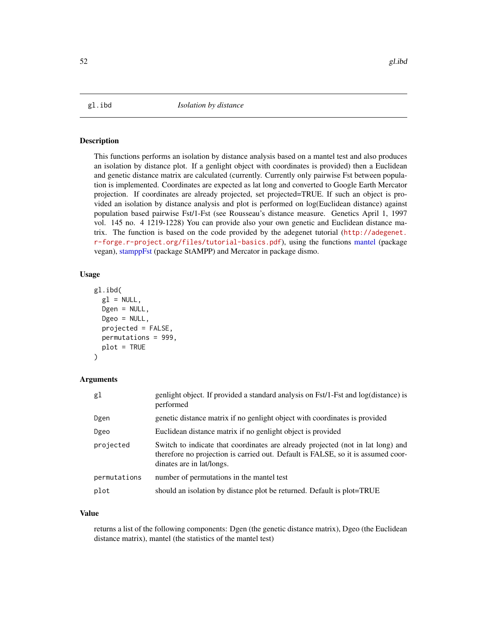#### **Description**

This functions performs an isolation by distance analysis based on a mantel test and also produces an isolation by distance plot. If a genlight object with coordinates is provided) then a Euclidean and genetic distance matrix are calculated (currently. Currently only pairwise Fst between population is implemented. Coordinates are expected as lat long and converted to Google Earth Mercator projection. If coordinates are already projected, set projected=TRUE. If such an object is provided an isolation by distance analysis and plot is performed on log(Euclidean distance) against population based pairwise Fst/1-Fst (see Rousseau's distance measure. Genetics April 1, 1997 vol. 145 no. 4 1219-1228) You can provide also your own genetic and Euclidean distance matrix. The function is based on the code provided by the adegenet tutorial ([http://adegenet.](http://adegenet.r-forge.r-project.org/files/tutorial-basics.pdf) [r-forge.r-project.org/files/tutorial-basics.pdf](http://adegenet.r-forge.r-project.org/files/tutorial-basics.pdf)), using the functions [mantel](#page-0-0) (package vegan), [stamppFst](#page-0-0) (package StAMPP) and Mercator in package dismo.

## Usage

```
gl.ibd(
  g1 = NULL,Dgen = NULL,
  Dgeo = NULL,
  projected = FALSE,
 permutations = 999,
 plot = TRUE
)
```
## Arguments

| g1           | genlight object. If provided a standard analysis on Fst/1-Fst and log(distance) is<br>performed                                                                                                  |
|--------------|--------------------------------------------------------------------------------------------------------------------------------------------------------------------------------------------------|
| Dgen         | genetic distance matrix if no genlight object with coordinates is provided                                                                                                                       |
| Dgeo         | Euclidean distance matrix if no genlight object is provided                                                                                                                                      |
| projected    | Switch to indicate that coordinates are already projected (not in lat long) and<br>therefore no projection is carried out. Default is FALSE, so it is assumed coor-<br>dinates are in lat/longs. |
| permutations | number of permutations in the mantel test                                                                                                                                                        |
| plot         | should an isolation by distance plot be returned. Default is plot=TRUE                                                                                                                           |
|              |                                                                                                                                                                                                  |

#### Value

returns a list of the following components: Dgen (the genetic distance matrix), Dgeo (the Euclidean distance matrix), mantel (the statistics of the mantel test)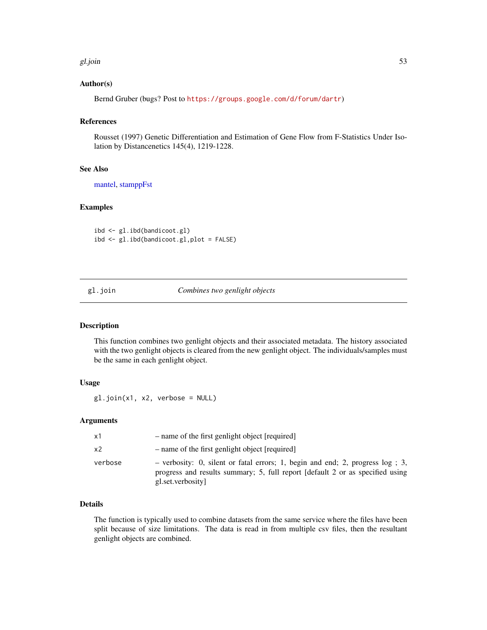#### gl.join 53

## Author(s)

Bernd Gruber (bugs? Post to <https://groups.google.com/d/forum/dartr>)

## References

Rousset (1997) Genetic Differentiation and Estimation of Gene Flow from F-Statistics Under Isolation by Distancenetics 145(4), 1219-1228.

## See Also

[mantel,](#page-0-0) [stamppFst](#page-0-0)

## Examples

ibd <- gl.ibd(bandicoot.gl) ibd <- gl.ibd(bandicoot.gl,plot = FALSE)

## gl.join *Combines two genlight objects*

#### Description

This function combines two genlight objects and their associated metadata. The history associated with the two genlight objects is cleared from the new genlight object. The individuals/samples must be the same in each genlight object.

## Usage

gl.join(x1, x2, verbose = NULL)

## Arguments

| x1             | - name of the first genlight object [required]                                                                                                                                        |
|----------------|---------------------------------------------------------------------------------------------------------------------------------------------------------------------------------------|
| x <sub>2</sub> | - name of the first genlight object [required]                                                                                                                                        |
| verbose        | - verbosity: 0, silent or fatal errors; 1, begin and end; 2, progress $log$ ; 3,<br>progress and results summary; 5, full report [default 2 or as specified using<br>gl.set.verbosity |

## Details

The function is typically used to combine datasets from the same service where the files have been split because of size limitations. The data is read in from multiple csv files, then the resultant genlight objects are combined.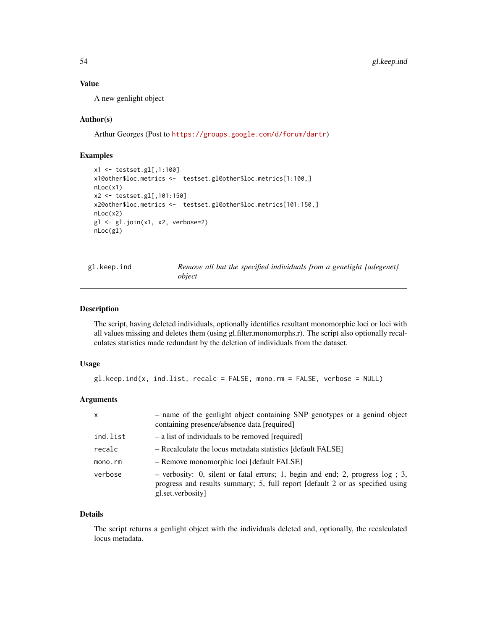## Value

A new genlight object

## Author(s)

Arthur Georges (Post to <https://groups.google.com/d/forum/dartr>)

## Examples

```
x1 <- testset.gl[,1:100]
x1@other$loc.metrics <- testset.gl@other$loc.metrics[1:100,]
nLoc(x1)
x2 <- testset.gl[,101:150]
x2@other$loc.metrics <- testset.gl@other$loc.metrics[101:150,]
nLoc(x2)
gl <- gl.join(x1, x2, verbose=2)
nLoc(gl)
```
gl.keep.ind *Remove all but the specified individuals from a genelight {adegenet} object*

#### Description

The script, having deleted individuals, optionally identifies resultant monomorphic loci or loci with all values missing and deletes them (using gl.filter.monomorphs.r). The script also optionally recalculates statistics made redundant by the deletion of individuals from the dataset.

#### Usage

```
gl.keep.ind(x, ind.list, recalc = FALSE, mono.rm = FALSE, verbose = NULL)
```
## Arguments

| X        | - name of the genlight object containing SNP genotypes or a genind object<br>containing presence/absence data [required]                                                              |
|----------|---------------------------------------------------------------------------------------------------------------------------------------------------------------------------------------|
| ind.list | - a list of individuals to be removed [required]                                                                                                                                      |
| recalc   | - Recalculate the locus metadata statistics [default FALSE]                                                                                                                           |
| mono.rm  | - Remove monomorphic loci [default FALSE]                                                                                                                                             |
| verbose  | - verbosity: 0, silent or fatal errors; 1, begin and end; 2, progress $log$ ; 3,<br>progress and results summary; 5, full report [default 2 or as specified using<br>gl.set.verbosity |

#### Details

The script returns a genlight object with the individuals deleted and, optionally, the recalculated locus metadata.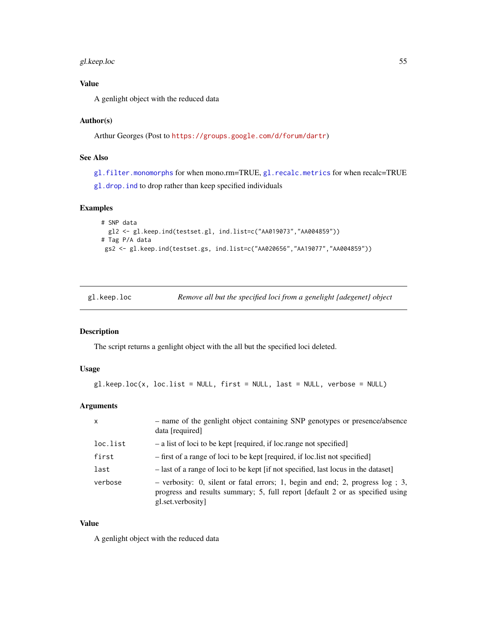## gl.keep.loc 55

## Value

A genlight object with the reduced data

## Author(s)

Arthur Georges (Post to <https://groups.google.com/d/forum/dartr>)

## See Also

[gl.filter.monomorphs](#page-31-0) for when mono.rm=TRUE, [gl.recalc.metrics](#page-84-0) for when recalc=TRUE [gl.drop.ind](#page-18-0) to drop rather than keep specified individuals

## Examples

```
# SNP data
 gl2 <- gl.keep.ind(testset.gl, ind.list=c("AA019073","AA004859"))
# Tag P/A data
gs2 <- gl.keep.ind(testset.gs, ind.list=c("AA020656","AA19077","AA004859"))
```

| gl.keep.loc |  |  | Remove all but the specified loci from a genelight {adegenet} object |
|-------------|--|--|----------------------------------------------------------------------|
|-------------|--|--|----------------------------------------------------------------------|

## Description

The script returns a genlight object with the all but the specified loci deleted.

## Usage

```
g1.keep.loc(x, loc.list = NULL, first = NULL, last = NULL, verbose = NULL)
```
## Arguments

| $\mathsf{x}$ | - name of the genlight object containing SNP genotypes or presence/absence<br>data [required]                                                                                         |
|--------------|---------------------------------------------------------------------------------------------------------------------------------------------------------------------------------------|
| loc.list     | - a list of loci to be kept [required, if loc.range not specified]                                                                                                                    |
| first        | - first of a range of loci to be kept [required, if loc. list not specified]                                                                                                          |
| last         | - last of a range of loci to be kept [if not specified, last locus in the dataset]                                                                                                    |
| verbose      | - verbosity: 0, silent or fatal errors; 1, begin and end; 2, progress $log$ ; 3,<br>progress and results summary; 5, full report [default 2 or as specified using<br>gl.set.verbosity |

## Value

A genlight object with the reduced data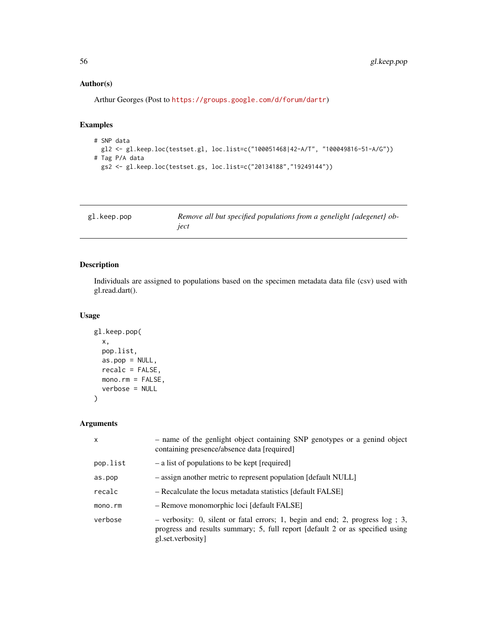## Author(s)

Arthur Georges (Post to <https://groups.google.com/d/forum/dartr>)

## Examples

```
# SNP data
 gl2 <- gl.keep.loc(testset.gl, loc.list=c("100051468|42-A/T", "100049816-51-A/G"))
# Tag P/A data
  gs2 <- gl.keep.loc(testset.gs, loc.list=c("20134188","19249144"))
```

| gl.keep.pop | Remove all but specified populations from a genelight {adegenet} ob- |
|-------------|----------------------------------------------------------------------|
|             | ject                                                                 |

## Description

Individuals are assigned to populations based on the specimen metadata data file (csv) used with gl.read.dart().

## Usage

```
gl.keep.pop(
  x,
  pop.list,
  as.pop = NULL,recalc = FALSE,
  mono.rm = FALSE,verbose = NULL
\mathcal{L}
```

| $\mathsf{x}$ | - name of the genlight object containing SNP genotypes or a genind object<br>containing presence/absence data [required]                                                            |  |  |  |  |  |
|--------------|-------------------------------------------------------------------------------------------------------------------------------------------------------------------------------------|--|--|--|--|--|
| pop.list     | - a list of populations to be kept [required]                                                                                                                                       |  |  |  |  |  |
| as.pop       | - assign another metric to represent population [default NULL]                                                                                                                      |  |  |  |  |  |
| recalc       | - Recalculate the locus metadata statistics [default FALSE]                                                                                                                         |  |  |  |  |  |
| mono.rm      | - Remove monomorphic loci [default FALSE]                                                                                                                                           |  |  |  |  |  |
| verbose      | - verbosity: 0, silent or fatal errors; 1, begin and end; 2, progress log ; 3,<br>progress and results summary; 5, full report [default 2 or as specified using<br>gl.set.verbosity |  |  |  |  |  |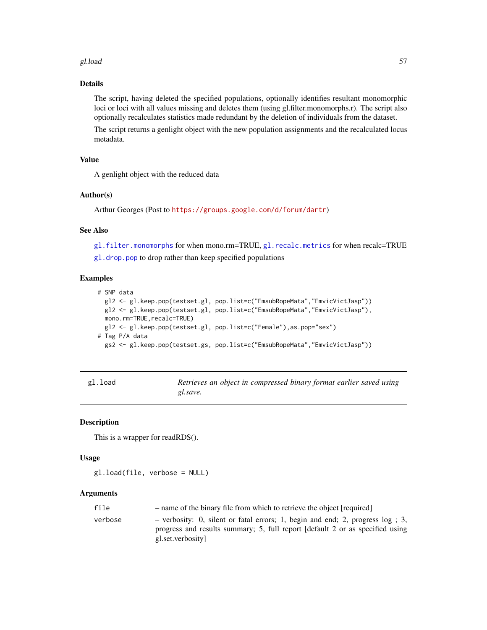#### gl.load 57

## Details

The script, having deleted the specified populations, optionally identifies resultant monomorphic loci or loci with all values missing and deletes them (using gl.filter.monomorphs.r). The script also optionally recalculates statistics made redundant by the deletion of individuals from the dataset.

The script returns a genlight object with the new population assignments and the recalculated locus metadata.

## Value

A genlight object with the reduced data

## Author(s)

Arthur Georges (Post to <https://groups.google.com/d/forum/dartr>)

## See Also

[gl.filter.monomorphs](#page-31-0) for when mono.rm=TRUE, [gl.recalc.metrics](#page-84-0) for when recalc=TRUE [gl.drop.pop](#page-20-0) to drop rather than keep specified populations

## Examples

```
# SNP data
 gl2 <- gl.keep.pop(testset.gl, pop.list=c("EmsubRopeMata","EmvicVictJasp"))
  gl2 <- gl.keep.pop(testset.gl, pop.list=c("EmsubRopeMata","EmvicVictJasp"),
  mono.rm=TRUE, recalc=TRUE)
  gl2 <- gl.keep.pop(testset.gl, pop.list=c("Female"),as.pop="sex")
# Tag P/A data
  gs2 <- gl.keep.pop(testset.gs, pop.list=c("EmsubRopeMata","EmvicVictJasp"))
```

| gl.load |          | Retrieves an object in compressed binary format earlier saved using |  |  |  |
|---------|----------|---------------------------------------------------------------------|--|--|--|
|         | gl.save. |                                                                     |  |  |  |

#### Description

This is a wrapper for readRDS().

#### Usage

```
gl.load(file, verbose = NULL)
```

| file    | - name of the binary file from which to retrieve the object [required]                                                                                                                  |
|---------|-----------------------------------------------------------------------------------------------------------------------------------------------------------------------------------------|
| verbose | $-$ verbosity: 0, silent or fatal errors; 1, begin and end; 2, progress $log$ ; 3,<br>progress and results summary; 5, full report [default 2 or as specified using<br>gl.set.verbosity |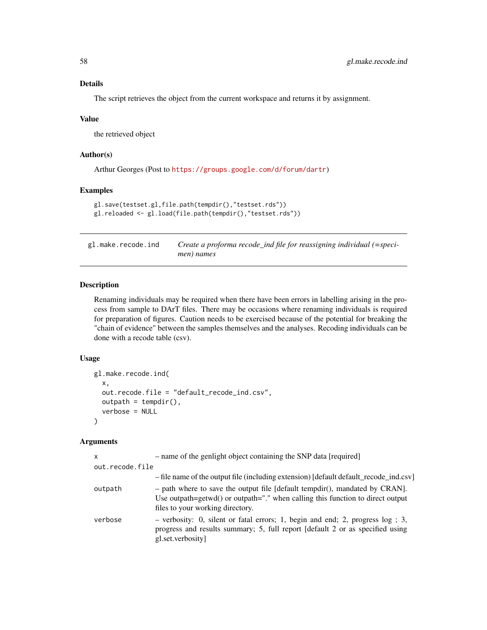The script retrieves the object from the current workspace and returns it by assignment.

#### Value

the retrieved object

## Author(s)

Arthur Georges (Post to <https://groups.google.com/d/forum/dartr>)

#### Examples

```
gl.save(testset.gl,file.path(tempdir(),"testset.rds"))
gl.reloaded <- gl.load(file.path(tempdir(),"testset.rds"))
```
gl.make.recode.ind *Create a proforma recode\_ind file for reassigning individual (=specimen) names*

#### Description

Renaming individuals may be required when there have been errors in labelling arising in the process from sample to DArT files. There may be occasions where renaming individuals is required for preparation of figures. Caution needs to be exercised because of the potential for breaking the "chain of evidence" between the samples themselves and the analyses. Recoding individuals can be done with a recode table (csv).

## Usage

```
gl.make.recode.ind(
 x,
 out.recode.file = "default_recode_ind.csv",
 output = tempdir(),verbose = NULL
)
```

| x               | - name of the genlight object containing the SNP data [required]                                                                                                                                    |
|-----------------|-----------------------------------------------------------------------------------------------------------------------------------------------------------------------------------------------------|
| out.recode.file |                                                                                                                                                                                                     |
|                 | - file name of the output file (including extension) [default default_recode_ind.csv]                                                                                                               |
| outpath         | $-$ path where to save the output file [default tempdir(), mandated by CRAN].<br>Use outpath=getwd() or outpath="." when calling this function to direct output<br>files to your working directory. |
| verbose         | $-$ verbosity: 0, silent or fatal errors; 1, begin and end; 2, progress $log$ ; 3,<br>progress and results summary; 5, full report [default 2 or as specified using<br>gl.set.verbosity             |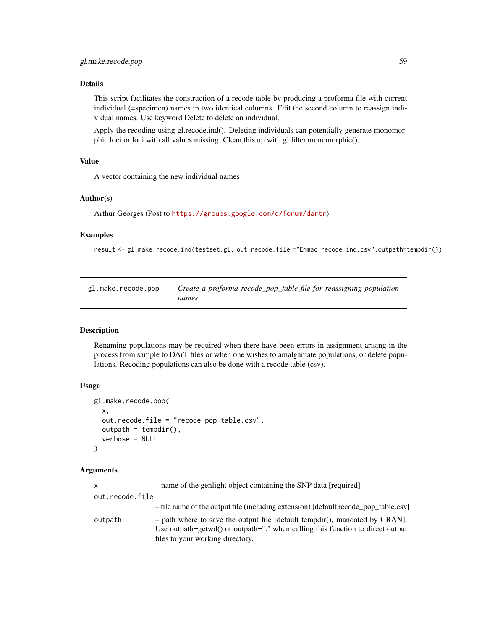This script facilitates the construction of a recode table by producing a proforma file with current individual (=specimen) names in two identical columns. Edit the second column to reassign individual names. Use keyword Delete to delete an individual.

Apply the recoding using gl.recode.ind(). Deleting individuals can potentially generate monomorphic loci or loci with all values missing. Clean this up with gl.filter.monomorphic().

#### Value

A vector containing the new individual names

#### Author(s)

Arthur Georges (Post to <https://groups.google.com/d/forum/dartr>)

#### Examples

result <- gl.make.recode.ind(testset.gl, out.recode.file ="Emmac\_recode\_ind.csv",outpath=tempdir())

gl.make.recode.pop *Create a proforma recode\_pop\_table file for reassigning population names*

#### Description

Renaming populations may be required when there have been errors in assignment arising in the process from sample to DArT files or when one wishes to amalgamate populations, or delete populations. Recoding populations can also be done with a recode table (csv).

#### Usage

```
gl.make.recode.pop(
  x,
  out.recode.file = "recode_pop_table.csv",
  outpath = tempdir(),verbose = NULL
\lambda
```

| $\mathsf{x}$    | - name of the genlight object containing the SNP data [required]                                                                                                                                    |
|-----------------|-----------------------------------------------------------------------------------------------------------------------------------------------------------------------------------------------------|
| out.recode.file |                                                                                                                                                                                                     |
|                 | - file name of the output file (including extension) [default recode_pop_table.csv]                                                                                                                 |
| outpath         | $-$ path where to save the output file [default tempdir(), mandated by CRAN].<br>Use outpath=getwd() or outpath="." when calling this function to direct output<br>files to your working directory. |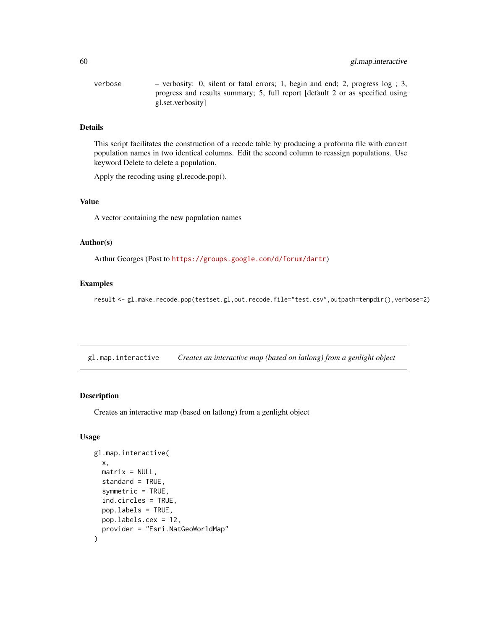| verbose | - verbosity: 0, silent or fatal errors; 1, begin and end; 2, progress log; 3, |
|---------|-------------------------------------------------------------------------------|
|         | progress and results summary; 5, full report [default 2 or as specified using |
|         | gl.set.verbosity                                                              |

This script facilitates the construction of a recode table by producing a proforma file with current population names in two identical columns. Edit the second column to reassign populations. Use keyword Delete to delete a population.

Apply the recoding using gl.recode.pop().

## Value

A vector containing the new population names

## Author(s)

Arthur Georges (Post to <https://groups.google.com/d/forum/dartr>)

## Examples

result <- gl.make.recode.pop(testset.gl,out.recode.file="test.csv",outpath=tempdir(),verbose=2)

gl.map.interactive *Creates an interactive map (based on latlong) from a genlight object*

## Description

Creates an interactive map (based on latlong) from a genlight object

```
gl.map.interactive(
 x,
 matrix = NULL,standard = TRUE,
  symmetric = TRUE,
  ind.circles = TRUE,
 pop.labels = TRUE,
 pop.labels.cex = 12,
 provider = "Esri.NatGeoWorldMap"
)
```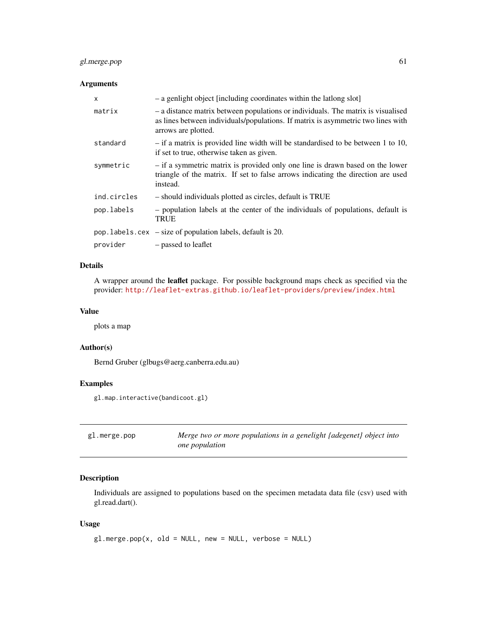## gl.merge.pop 61

## Arguments

| x           | - a genlight object [including coordinates within the lationg slot]                                                                                                                         |
|-------------|---------------------------------------------------------------------------------------------------------------------------------------------------------------------------------------------|
| matrix      | - a distance matrix between populations or individuals. The matrix is visualised<br>as lines between individuals/populations. If matrix is asymmetric two lines with<br>arrows are plotted. |
| standard    | $-$ if a matrix is provided line width will be standardised to be between 1 to 10,<br>if set to true, otherwise taken as given.                                                             |
| symmetric   | - if a symmetric matrix is provided only one line is drawn based on the lower<br>triangle of the matrix. If set to false arrows indicating the direction are used<br>instead.               |
| ind.circles | - should individuals plotted as circles, default is TRUE                                                                                                                                    |
| pop.labels  | - population labels at the center of the individuals of populations, default is<br><b>TRUE</b>                                                                                              |
|             | $pop.$ labels. $cex - size$ of population labels, default is 20.                                                                                                                            |
| provider    | - passed to leaflet                                                                                                                                                                         |

## Details

A wrapper around the leaflet package. For possible background maps check as specified via the provider: <http://leaflet-extras.github.io/leaflet-providers/preview/index.html>

## Value

plots a map

## Author(s)

Bernd Gruber (glbugs@aerg.canberra.edu.au)

## Examples

```
gl.map.interactive(bandicoot.gl)
```

| gl.merge.pop | Merge two or more populations in a genelight {adegenet} object into |
|--------------|---------------------------------------------------------------------|
|              | <i>one</i> population                                               |

## Description

Individuals are assigned to populations based on the specimen metadata data file (csv) used with gl.read.dart().

```
gl.merge.pop(x, old = NULL, new = NULL, verbose = NULL)
```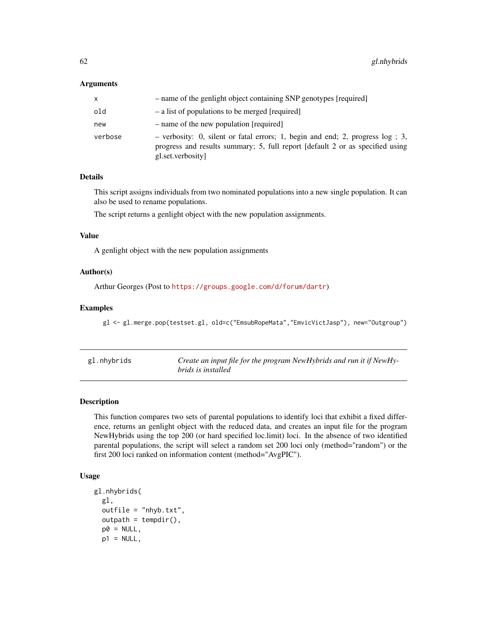#### Arguments

| x       | - name of the genlight object containing SNP genotypes [required]                                                                                                                     |
|---------|---------------------------------------------------------------------------------------------------------------------------------------------------------------------------------------|
| old     | - a list of populations to be merged [required]                                                                                                                                       |
| new     | - name of the new population [required]                                                                                                                                               |
| verbose | - verbosity: 0, silent or fatal errors; 1, begin and end; 2, progress $log$ ; 3,<br>progress and results summary; 5, full report [default 2 or as specified using<br>gl.set.verbosity |

## Details

This script assigns individuals from two nominated populations into a new single population. It can also be used to rename populations.

The script returns a genlight object with the new population assignments.

#### Value

A genlight object with the new population assignments

## Author(s)

Arthur Georges (Post to <https://groups.google.com/d/forum/dartr>)

#### Examples

gl <- gl.merge.pop(testset.gl, old=c("EmsubRopeMata","EmvicVictJasp"), new="Outgroup")

| gl.nhybrids | Create an input file for the program NewHybrids and run it if NewHy-<br><i>brids is installed</i> |
|-------------|---------------------------------------------------------------------------------------------------|
|             |                                                                                                   |

## Description

This function compares two sets of parental populations to identify loci that exhibit a fixed difference, returns an genlight object with the reduced data, and creates an input file for the program NewHybrids using the top 200 (or hard specified loc.limit) loci. In the absence of two identified parental populations, the script will select a random set 200 loci only (method="random") or the first 200 loci ranked on information content (method="AvgPIC").

```
gl.nhybrids(
 gl,
 outfile = "nhyb.txt",
 output = tempdir(),p0 = NULL,p1 = NULL,
```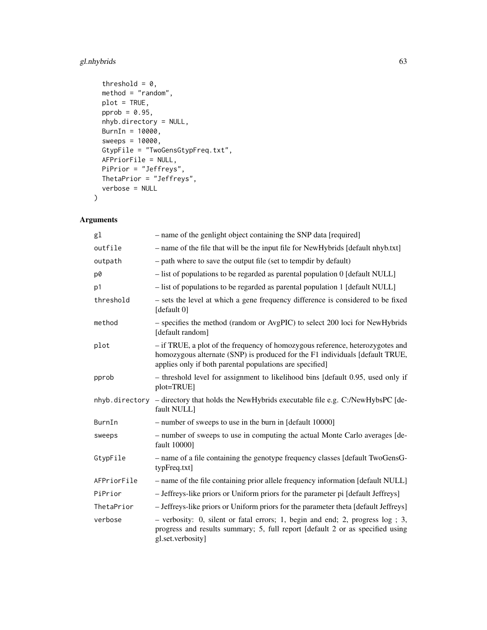## gl.nhybrids 63

```
threshold = 0,
 method = "random",
 plot = TRUE,
 pprob = 0.95,
 nhyb.directory = NULL,
 BurnIn = 10000,
 sweeps = 10000,
 GtypFile = "TwoGensGtypFreq.txt",
 AFPriorFile = NULL,
 PiPrior = "Jeffreys",
 ThetaPrior = "Jeffreys",
 verbose = NULL
)
```

| g1          | - name of the genlight object containing the SNP data [required]                                                                                                                                                          |
|-------------|---------------------------------------------------------------------------------------------------------------------------------------------------------------------------------------------------------------------------|
| outfile     | - name of the file that will be the input file for NewHybrids [default nhyb.txt]                                                                                                                                          |
| outpath     | - path where to save the output file (set to tempdir by default)                                                                                                                                                          |
| p0          | $-$ list of populations to be regarded as parental population 0 [default NULL]                                                                                                                                            |
| p1          | - list of populations to be regarded as parental population 1 [default NULL]                                                                                                                                              |
| threshold   | - sets the level at which a gene frequency difference is considered to be fixed<br>[default 0]                                                                                                                            |
| method      | - specifies the method (random or AvgPIC) to select 200 loci for NewHybrids<br>[default random]                                                                                                                           |
| plot        | - if TRUE, a plot of the frequency of homozygous reference, heterozygotes and<br>homozygous alternate (SNP) is produced for the F1 individuals [default TRUE,<br>applies only if both parental populations are specified] |
| pprob       | - threshold level for assignment to likelihood bins [default 0.95, used only if<br>plot=TRUE]                                                                                                                             |
|             | nhyb.directory - directory that holds the NewHybrids executable file e.g. C:/NewHybsPC [de-<br>fault NULL]                                                                                                                |
| BurnIn      | - number of sweeps to use in the burn in [default 10000]                                                                                                                                                                  |
| sweeps      | - number of sweeps to use in computing the actual Monte Carlo averages [de-<br>fault 10000]                                                                                                                               |
| GtypFile    | - name of a file containing the genotype frequency classes [default TwoGensG-<br>typFreq.txt]                                                                                                                             |
| AFPriorFile | - name of the file containing prior allele frequency information [default NULL]                                                                                                                                           |
| PiPrior     | - Jeffreys-like priors or Uniform priors for the parameter pi [default Jeffreys]                                                                                                                                          |
| ThetaPrior  | - Jeffreys-like priors or Uniform priors for the parameter theta [default Jeffreys]                                                                                                                                       |
| verbose     | $-$ verbosity: 0, silent or fatal errors; 1, begin and end; 2, progress $log$ ; 3,<br>progress and results summary; 5, full report [default 2 or as specified using<br>gl.set.verbosity]                                  |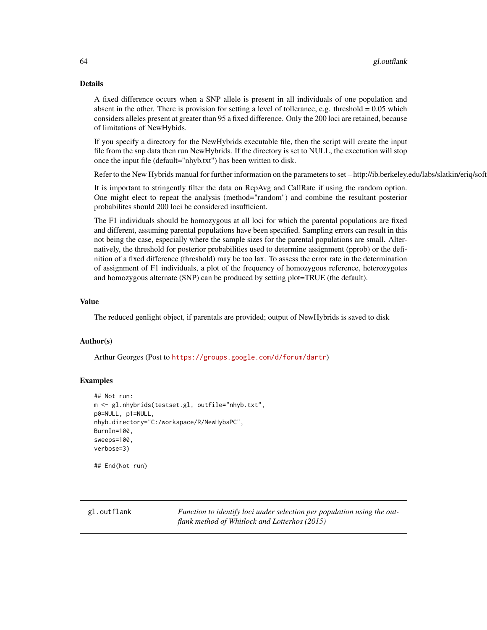A fixed difference occurs when a SNP allele is present in all individuals of one population and absent in the other. There is provision for setting a level of tollerance, e.g. threshold  $= 0.05$  which considers alleles present at greater than 95 a fixed difference. Only the 200 loci are retained, because of limitations of NewHybids.

If you specify a directory for the NewHybrids executable file, then the script will create the input file from the snp data then run NewHybrids. If the directory is set to NULL, the exectution will stop once the input file (default="nhyb.txt") has been written to disk.

Refer to the New Hybrids manual for further information on the parameters to set – http://ib.berkeley.edu/labs/slatkin/eriq/soft

It is important to stringently filter the data on RepAvg and CallRate if using the random option. One might elect to repeat the analysis (method="random") and combine the resultant posterior probabilites should 200 loci be considered insufficient.

The F1 individuals should be homozygous at all loci for which the parental populations are fixed and different, assuming parental populations have been specified. Sampling errors can result in this not being the case, especially where the sample sizes for the parental populations are small. Alternatively, the threshold for posterior probabilities used to determine assignment (pprob) or the definition of a fixed difference (threshold) may be too lax. To assess the error rate in the determination of assignment of F1 individuals, a plot of the frequency of homozygous reference, heterozygotes and homozygous alternate (SNP) can be produced by setting plot=TRUE (the default).

#### Value

The reduced genlight object, if parentals are provided; output of NewHybrids is saved to disk

## Author(s)

Arthur Georges (Post to <https://groups.google.com/d/forum/dartr>)

## Examples

```
## Not run:
m <- gl.nhybrids(testset.gl, outfile="nhyb.txt",
p0=NULL, p1=NULL,
nhyb.directory="C:/workspace/R/NewHybsPC",
BurnIn=100,
sweeps=100,
verbose=3)
```
## End(Not run)

gl.outflank *Function to identify loci under selection per population using the outflank method of Whitlock and Lotterhos (2015)*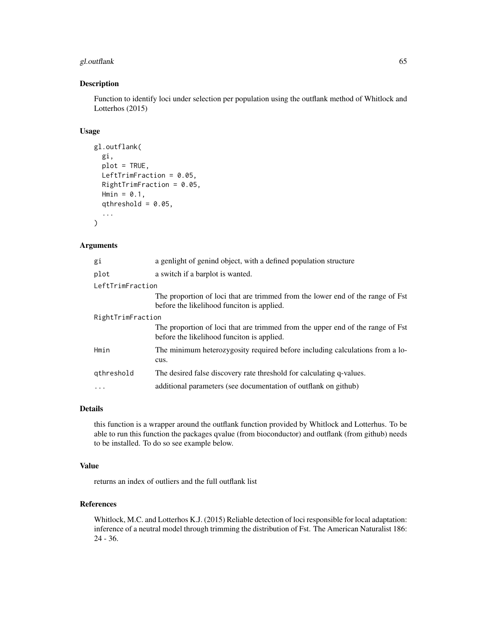## gl.outflank 65

#### Description

Function to identify loci under selection per population using the outflank method of Whitlock and Lotterhos (2015)

## Usage

```
gl.outflank(
 gi,
 plot = TRUE,
 LeftTrimFraction = 0.05,
 RightTrimFraction = 0.05,
 Hmin = 0.1,
  qthreshold = 0.05,
  ...
)
```
## Arguments

| gi                | a genlight of genind object, with a defined population structure                                                             |
|-------------------|------------------------------------------------------------------------------------------------------------------------------|
| plot              | a switch if a barplot is wanted.                                                                                             |
| LeftTrimFraction  |                                                                                                                              |
|                   | The proportion of loci that are trimmed from the lower end of the range of Fst<br>before the likelihood funciton is applied. |
| RightTrimFraction |                                                                                                                              |
|                   | The proportion of loci that are trimmed from the upper end of the range of Fst<br>before the likelihood funciton is applied. |
| Hmin              | The minimum heterozygosity required before including calculations from a lo-<br>cus.                                         |
| gthreshold        | The desired false discovery rate threshold for calculating q-values.                                                         |
| .                 | additional parameters (see documentation of outflank on github)                                                              |
|                   |                                                                                                                              |

## Details

this function is a wrapper around the outflank function provided by Whitlock and Lotterhus. To be able to run this function the packages qvalue (from bioconductor) and outflank (from github) needs to be installed. To do so see example below.

#### Value

returns an index of outliers and the full outflank list

## References

Whitlock, M.C. and Lotterhos K.J. (2015) Reliable detection of loci responsible for local adaptation: inference of a neutral model through trimming the distribution of Fst. The American Naturalist 186: 24 - 36.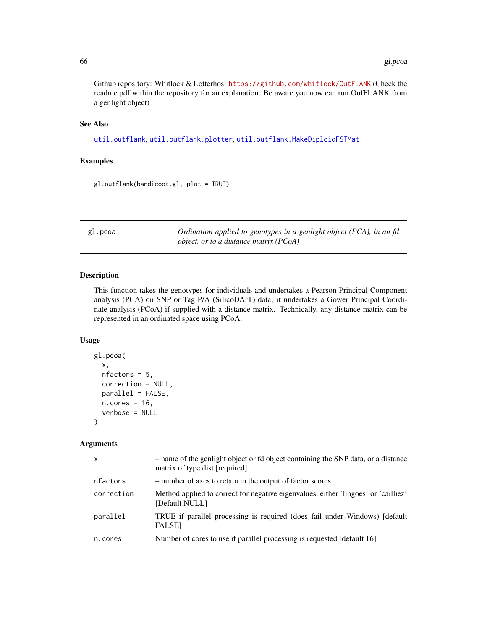Github repository: Whitlock & Lotterhos: <https://github.com/whitlock/OutFLANK> (Check the readme.pdf within the repository for an explanation. Be aware you now can run OufFLANK from a genlight object)

## See Also

[util.outflank](#page-138-0), [util.outflank.plotter](#page-140-0), [util.outflank.MakeDiploidFSTMat](#page-140-1)

#### Examples

gl.outflank(bandicoot.gl, plot = TRUE)

gl.pcoa *Ordination applied to genotypes in a genlight object (PCA), in an fd object, or to a distance matrix (PCoA)*

## Description

This function takes the genotypes for individuals and undertakes a Pearson Principal Component analysis (PCA) on SNP or Tag P/A (SilicoDArT) data; it undertakes a Gower Principal Coordinate analysis (PCoA) if supplied with a distance matrix. Technically, any distance matrix can be represented in an ordinated space using PCoA.

## Usage

```
gl.pcoa(
  x,
  nfactors = 5,
  correction = NULL,
  parallel = FALSE,
  n.core<sub>s</sub> = 16,
  verbose = NULL
)
```

| X          | - name of the genlight object or fd object containing the SNP data, or a distance<br>matrix of type dist [required] |
|------------|---------------------------------------------------------------------------------------------------------------------|
| nfactors   | - number of axes to retain in the output of factor scores.                                                          |
| correction | Method applied to correct for negative eigenvalues, either 'lingoes' or 'cailliez'<br>[Default NULL]                |
| parallel   | TRUE if parallel processing is required (does fail under Windows) [default<br><b>FALSE</b>                          |
| n.cores    | Number of cores to use if parallel processing is requested [default 16]                                             |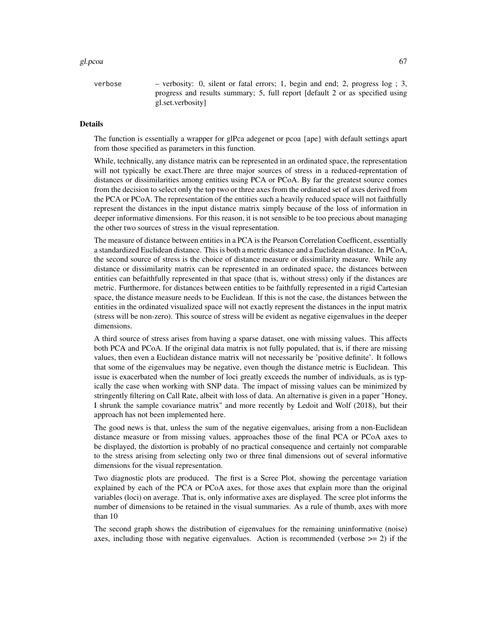#### gl.pcoa 67 anisotro e 1992, a constructivo de la constructivo de la constructivo de la constructivo de la cons

verbose – verbosity: 0, silent or fatal errors; 1, begin and end; 2, progress log ; 3, progress and results summary; 5, full report [default 2 or as specified using gl.set.verbosity]

#### Details

The function is essentially a wrapper for glPca adegenet or pcoa {ape} with default settings apart from those specified as parameters in this function.

While, technically, any distance matrix can be represented in an ordinated space, the representation will not typically be exact.There are three major sources of stress in a reduced-reprentation of distances or dissimilarities among entities using PCA or PCoA. By far the greatest source comes from the decision to select only the top two or three axes from the ordinated set of axes derived from the PCA or PCoA. The representation of the entities such a heavily reduced space will not faithfully represent the distances in the input distance matrix simply because of the loss of information in deeper informative dimensions. For this reason, it is not sensible to be too precious about managing the other two sources of stress in the visual representation.

The measure of distance between entities in a PCA is the Pearson Correlation Coefficent, essentially a standardized Euclidean distance. This is both a metric distance and a Euclidean distance. In PCoA, the second source of stress is the choice of distance measure or dissimilarity measure. While any distance or dissimilarity matrix can be represented in an ordinated space, the distances between entities can befaithfully represented in that space (that is, without stress) only if the distances are metric. Furthermore, for distances between entities to be faithfully represented in a rigid Cartesian space, the distance measure needs to be Euclidean. If this is not the case, the distances between the entities in the ordinated visualized space will not exactly represent the distances in the input matrix (stress will be non-zero). This source of stress will be evident as negative eigenvalues in the deeper dimensions.

A third source of stress arises from having a sparse dataset, one with missing values. This affects both PCA and PCoA. If the original data matrix is not fully populated, that is, if there are missing values, then even a Euclidean distance matrix will not necessarily be 'positive definite'. It follows that some of the eigenvalues may be negative, even though the distance metric is Euclidean. This issue is exacerbated when the number of loci greatly exceeds the number of individuals, as is typically the case when working with SNP data. The impact of missing values can be minimized by stringently filtering on Call Rate, albeit with loss of data. An alternative is given in a paper "Honey, I shrunk the sample covariance matrix" and more recently by Ledoit and Wolf (2018), but their approach has not been implemented here.

The good news is that, unless the sum of the negative eigenvalues, arising from a non-Euclidean distance measure or from missing values, approaches those of the final PCA or PCoA axes to be displayed, the distortion is probably of no practical consequence and certainly not comparable to the stress arising from selecting only two or three final dimensions out of several informative dimensions for the visual representation.

Two diagnostic plots are produced. The first is a Scree Plot, showing the percentage variation explained by each of the PCA or PCoA axes, for those axes that explain more than the original variables (loci) on average. That is, only informative axes are displayed. The scree plot informs the number of dimensions to be retained in the visual summaries. As a rule of thumb, axes with more than 10

The second graph shows the distribution of eigenvalues for the remaining uninformative (noise) axes, including those with negative eigenvalues. Action is recommended (verbose  $\geq$  2) if the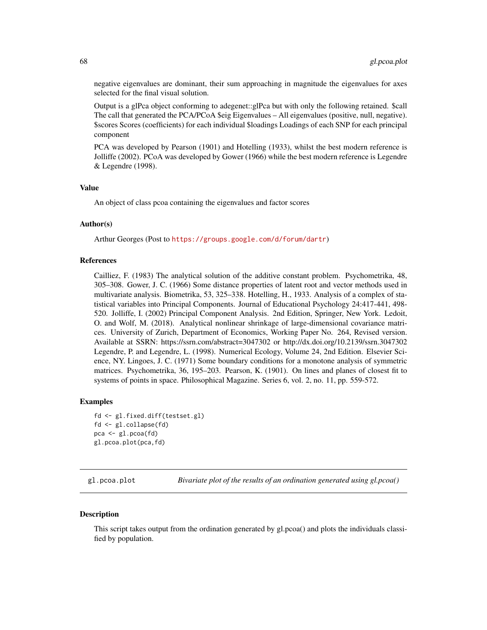negative eigenvalues are dominant, their sum approaching in magnitude the eigenvalues for axes selected for the final visual solution.

Output is a glPca object conforming to adegenet::glPca but with only the following retained. \$call The call that generated the PCA/PCoA \$eig Eigenvalues – All eigenvalues (positive, null, negative). \$scores Scores (coefficients) for each individual \$loadings Loadings of each SNP for each principal component

PCA was developed by Pearson (1901) and Hotelling (1933), whilst the best modern reference is Jolliffe (2002). PCoA was developed by Gower (1966) while the best modern reference is Legendre & Legendre (1998).

## Value

An object of class pcoa containing the eigenvalues and factor scores

#### Author(s)

Arthur Georges (Post to <https://groups.google.com/d/forum/dartr>)

#### References

Cailliez, F. (1983) The analytical solution of the additive constant problem. Psychometrika, 48, 305–308. Gower, J. C. (1966) Some distance properties of latent root and vector methods used in multivariate analysis. Biometrika, 53, 325–338. Hotelling, H., 1933. Analysis of a complex of statistical variables into Principal Components. Journal of Educational Psychology 24:417-441, 498- 520. Jolliffe, I. (2002) Principal Component Analysis. 2nd Edition, Springer, New York. Ledoit, O. and Wolf, M. (2018). Analytical nonlinear shrinkage of large-dimensional covariance matrices. University of Zurich, Department of Economics, Working Paper No. 264, Revised version. Available at SSRN: https://ssrn.com/abstract=3047302 or http://dx.doi.org/10.2139/ssrn.3047302 Legendre, P. and Legendre, L. (1998). Numerical Ecology, Volume 24, 2nd Edition. Elsevier Science, NY. Lingoes, J. C. (1971) Some boundary conditions for a monotone analysis of symmetric matrices. Psychometrika, 36, 195–203. Pearson, K. (1901). On lines and planes of closest fit to systems of points in space. Philosophical Magazine. Series 6, vol. 2, no. 11, pp. 559-572.

#### Examples

```
fd <- gl.fixed.diff(testset.gl)
fd <- gl.collapse(fd)
pca <- gl.pcoa(fd)
gl.pcoa.plot(pca,fd)
```
gl.pcoa.plot *Bivariate plot of the results of an ordination generated using gl.pcoa()*

#### **Description**

This script takes output from the ordination generated by gl.pcoa() and plots the individuals classified by population.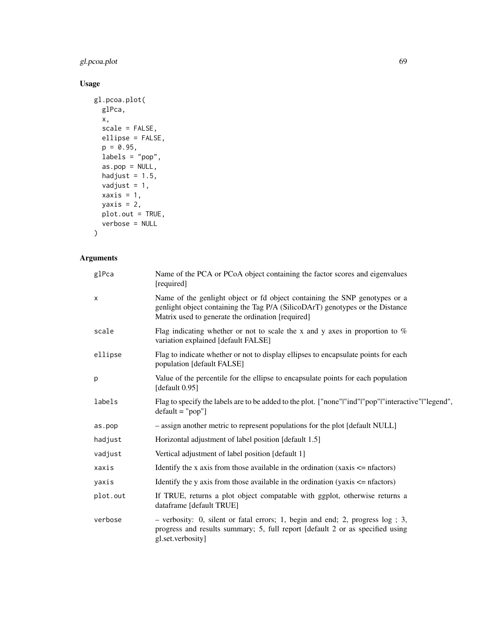## gl.pcoa.plot 69

## Usage

```
gl.pcoa.plot(
 glPca,
 x,
 scale = FALSE,
 ellipse = FALSE,
 p = 0.95,
 labels = "pop",
 as.pop = NULL,
 hadjust = 1.5,
 vadjust = 1,
 xaxis = 1,
 yaxis = 2,
 plot.out = TRUE,
 verbose = NULL
\mathcal{L}
```

| glPca    | Name of the PCA or PCoA object containing the factor scores and eigenvalues<br>[required]                                                                                                                        |
|----------|------------------------------------------------------------------------------------------------------------------------------------------------------------------------------------------------------------------|
| X        | Name of the genlight object or fd object containing the SNP genotypes or a<br>genlight object containing the Tag P/A (SilicoDArT) genotypes or the Distance<br>Matrix used to generate the ordination [required] |
| scale    | Flag indicating whether or not to scale the x and y axes in proportion to $\%$<br>variation explained [default FALSE]                                                                                            |
| ellipse  | Flag to indicate whether or not to display ellipses to encapsulate points for each<br>population [default FALSE]                                                                                                 |
| p        | Value of the percentile for the ellipse to encapsulate points for each population<br>[default 0.95]                                                                                                              |
| labels   | Flag to specify the labels are to be added to the plot. ["none" "ind" "pop" "interactive" "legend",<br>$default = "pop"]$                                                                                        |
| as.pop   | - assign another metric to represent populations for the plot [default NULL]                                                                                                                                     |
| hadjust  | Horizontal adjustment of label position [default 1.5]                                                                                                                                                            |
| vadjust  | Vertical adjustment of label position [default 1]                                                                                                                                                                |
| xaxis    | Identify the x axis from those available in the ordination (xaxis $\leq$ nfactors)                                                                                                                               |
| yaxis    | Identify the y axis from those available in the ordination (yaxis $\leq$ nfactors)                                                                                                                               |
| plot.out | If TRUE, returns a plot object compatable with ggplot, otherwise returns a<br>dataframe [default TRUE]                                                                                                           |
| verbose  | $-$ verbosity: 0, silent or fatal errors; 1, begin and end; 2, progress $log$ ; 3,<br>progress and results summary; 5, full report [default 2 or as specified using<br>gl.set.verbosity]                         |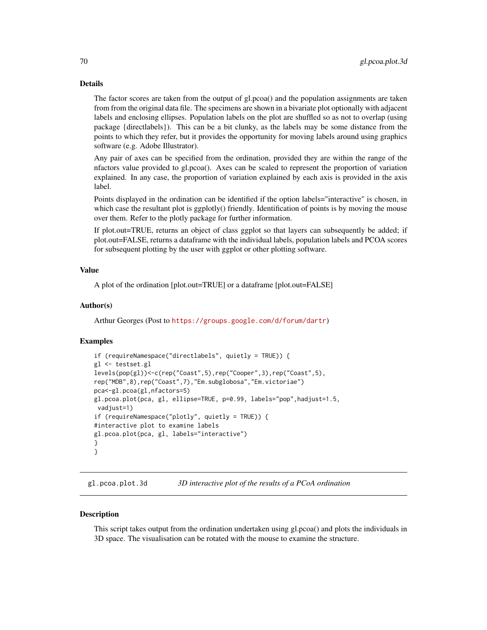The factor scores are taken from the output of gl.pcoa() and the population assignments are taken from from the original data file. The specimens are shown in a bivariate plot optionally with adjacent labels and enclosing ellipses. Population labels on the plot are shuffled so as not to overlap (using package {directlabels}). This can be a bit clunky, as the labels may be some distance from the points to which they refer, but it provides the opportunity for moving labels around using graphics software (e.g. Adobe Illustrator).

Any pair of axes can be specified from the ordination, provided they are within the range of the nfactors value provided to gl.pcoa(). Axes can be scaled to represent the proportion of variation explained. In any case, the proportion of variation explained by each axis is provided in the axis label.

Points displayed in the ordination can be identified if the option labels="interactive" is chosen, in which case the resultant plot is ggplotly() friendly. Identification of points is by moving the mouse over them. Refer to the plotly package for further information.

If plot.out=TRUE, returns an object of class ggplot so that layers can subsequently be added; if plot.out=FALSE, returns a dataframe with the individual labels, population labels and PCOA scores for subsequent plotting by the user with ggplot or other plotting software.

#### Value

A plot of the ordination [plot.out=TRUE] or a dataframe [plot.out=FALSE]

### Author(s)

Arthur Georges (Post to <https://groups.google.com/d/forum/dartr>)

## Examples

```
if (requireNamespace("directlabels", quietly = TRUE)) {
gl <- testset.gl
levels(pop(gl))<-c(rep("Coast",5),rep("Cooper",3),rep("Coast",5),
rep("MDB",8),rep("Coast",7),"Em.subglobosa","Em.victoriae")
pca<-gl.pcoa(gl,nfactors=5)
gl.pcoa.plot(pca, gl, ellipse=TRUE, p=0.99, labels="pop",hadjust=1.5,
vadjust=1)
if (requireNamespace("plotly", quietly = TRUE)) {
#interactive plot to examine labels
gl.pcoa.plot(pca, gl, labels="interactive")
}
}
```
gl.pcoa.plot.3d *3D interactive plot of the results of a PCoA ordination*

#### **Description**

This script takes output from the ordination undertaken using gl.pcoa() and plots the individuals in 3D space. The visualisation can be rotated with the mouse to examine the structure.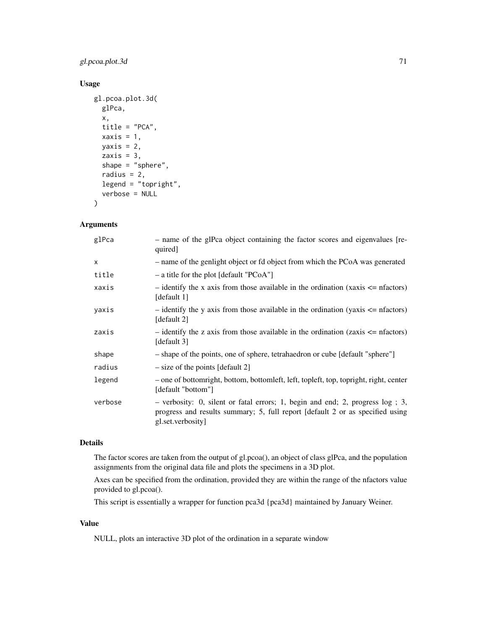## gl.pcoa.plot.3d 71

## Usage

```
gl.pcoa.plot.3d(
 glPca,
  x,
  title = "PCA",
  xaxis = 1,
 yaxis = 2,
  zaxis = 3,
  shape = "sphere",
  radius = 2,
 legend = "topright",
  verbose = NULL
\lambda
```
## Arguments

| - name of the glPca object containing the factor scores and eigenvalues [re-<br>quired]                                                                                             |
|-------------------------------------------------------------------------------------------------------------------------------------------------------------------------------------|
| - name of the genlight object or fd object from which the PCoA was generated                                                                                                        |
| $-$ a title for the plot [default "PCoA"]                                                                                                                                           |
| - identify the x axis from those available in the ordination (xaxis $\leq$ nfactors)<br>[default 1]                                                                                 |
| $-$ identify the y axis from those available in the ordination (yaxis $\leq$ nfactors)<br>[default 2]                                                                               |
| - identify the z axis from those available in the ordination (zaxis $\leq$ nfactors)<br>[default 3]                                                                                 |
| - shape of the points, one of sphere, tetrahaedron or cube [default "sphere"]                                                                                                       |
| $-$ size of the points [default 2]                                                                                                                                                  |
| - one of bottomright, bottom, bottomleft, left, topleft, top, topright, right, center<br>[default "bottom"]                                                                         |
| - verbosity: 0, silent or fatal errors; 1, begin and end; 2, progress log ; 3,<br>progress and results summary; 5, full report [default 2 or as specified using<br>gl.set.verbosity |
|                                                                                                                                                                                     |

## Details

The factor scores are taken from the output of gl.pcoa(), an object of class glPca, and the population assignments from the original data file and plots the specimens in a 3D plot.

Axes can be specified from the ordination, provided they are within the range of the nfactors value provided to gl.pcoa().

This script is essentially a wrapper for function pca3d {pca3d} maintained by January Weiner.

## Value

NULL, plots an interactive 3D plot of the ordination in a separate window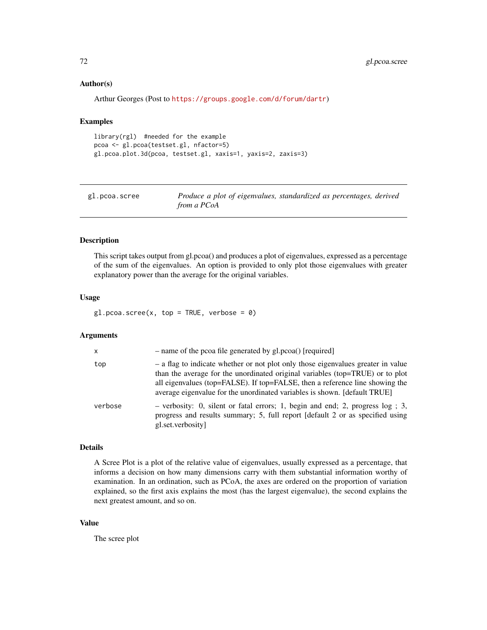#### Author(s)

Arthur Georges (Post to <https://groups.google.com/d/forum/dartr>)

#### Examples

```
library(rgl) #needed for the example
pcoa <- gl.pcoa(testset.gl, nfactor=5)
gl.pcoa.plot.3d(pcoa, testset.gl, xaxis=1, yaxis=2, zaxis=3)
```

| gl.pcoa.scree | Produce a plot of eigenvalues, standardized as percentages, derived |
|---------------|---------------------------------------------------------------------|
|               | from a PCoA                                                         |

## Description

This script takes output from gl.pcoa() and produces a plot of eigenvalues, expressed as a percentage of the sum of the eigenvalues. An option is provided to only plot those eigenvalues with greater explanatory power than the average for the original variables.

#### Usage

 $gl.pcoa.scree(x, top = TRUE, verbose = 0)$ 

#### **Arguments**

| $\mathsf{x}$ | - name of the pcoa file generated by gl.pcoa() [required]                                                                                                                                                                                                                                                                      |
|--------------|--------------------------------------------------------------------------------------------------------------------------------------------------------------------------------------------------------------------------------------------------------------------------------------------------------------------------------|
| top          | - a flag to indicate whether or not plot only those eigenvalues greater in value<br>than the average for the unordinated original variables (top=TRUE) or to plot<br>all eigenvalues (top=FALSE). If top=FALSE, then a reference line showing the<br>average eigenvalue for the unordinated variables is shown. [default TRUE] |
| verbose      | - verbosity: 0, silent or fatal errors; 1, begin and end; 2, progress $log$ ; 3,<br>progress and results summary; 5, full report [default 2 or as specified using<br>gl.set.verbosity                                                                                                                                          |

#### Details

A Scree Plot is a plot of the relative value of eigenvalues, usually expressed as a percentage, that informs a decision on how many dimensions carry with them substantial information worthy of examination. In an ordination, such as PCoA, the axes are ordered on the proportion of variation explained, so the first axis explains the most (has the largest eigenvalue), the second explains the next greatest amount, and so on.

#### Value

The scree plot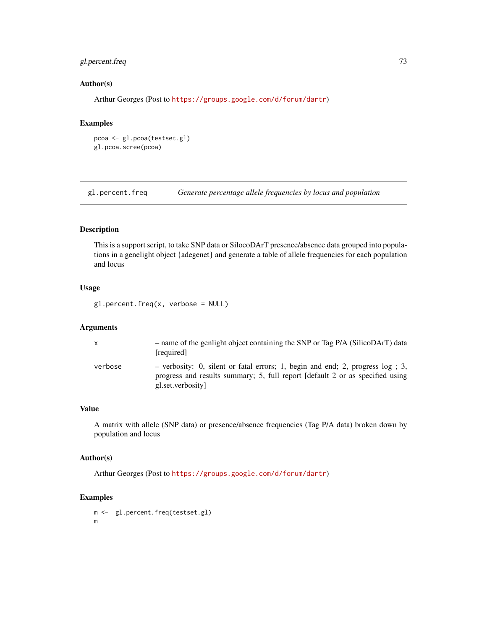# gl.percent.freq 73

# Author(s)

Arthur Georges (Post to <https://groups.google.com/d/forum/dartr>)

## Examples

```
pcoa <- gl.pcoa(testset.gl)
gl.pcoa.scree(pcoa)
```
gl.percent.freq *Generate percentage allele frequencies by locus and population*

# Description

This is a support script, to take SNP data or SilocoDArT presence/absence data grouped into populations in a genelight object {adegenet} and generate a table of allele frequencies for each population and locus

# Usage

gl.percent.freq(x, verbose = NULL)

## Arguments

| X       | - name of the genlight object containing the SNP or Tag P/A (SilicoDArT) data<br>[required]                                                                                           |
|---------|---------------------------------------------------------------------------------------------------------------------------------------------------------------------------------------|
| verbose | - verbosity: 0, silent or fatal errors; 1, begin and end; 2, progress $log$ ; 3,<br>progress and results summary; 5, full report [default 2 or as specified using<br>gl.set.verbosity |

## Value

A matrix with allele (SNP data) or presence/absence frequencies (Tag P/A data) broken down by population and locus

#### Author(s)

Arthur Georges (Post to <https://groups.google.com/d/forum/dartr>)

```
m <- gl.percent.freq(testset.gl)
m
```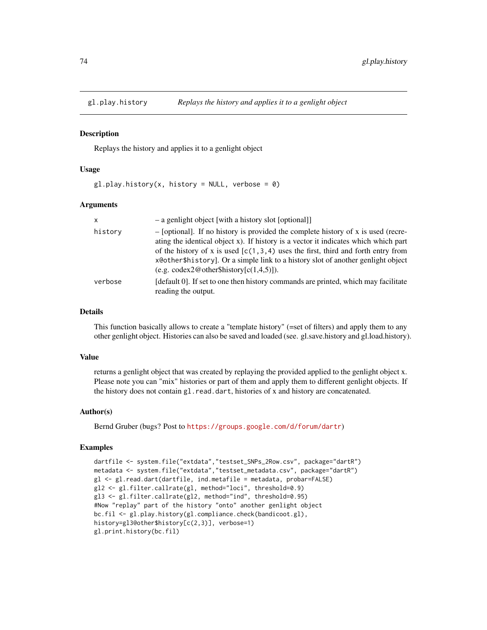#### Description

Replays the history and applies it to a genlight object

#### Usage

 $gl.$ play.history(x, history = NULL, verbose = 0)

#### Arguments

| $\mathsf{x}$ | - a genlight object [with a history slot [optional]]                                                                                                                                                                                                                                                                                                                                                      |
|--------------|-----------------------------------------------------------------------------------------------------------------------------------------------------------------------------------------------------------------------------------------------------------------------------------------------------------------------------------------------------------------------------------------------------------|
| history      | $-$ [optional]. If no history is provided the complete history of x is used (recre-<br>ating the identical object x). If history is a vector it indicates which which part<br>of the history of x is used $[c(1,3,4)$ uses the first, third and forth entry from<br>x@other\$history]. Or a simple link to a history slot of another genlight object<br>(e.g. $\text{codex2@other\$history}[c(1,4,5)]$ ). |
| verbose      | [default 0]. If set to one then history commands are printed, which may facilitate<br>reading the output.                                                                                                                                                                                                                                                                                                 |

## Details

This function basically allows to create a "template history" (=set of filters) and apply them to any other genlight object. Histories can also be saved and loaded (see. gl.save.history and gl.load.history).

#### Value

returns a genlight object that was created by replaying the provided applied to the genlight object x. Please note you can "mix" histories or part of them and apply them to different genlight objects. If the history does not contain gl.read.dart, histories of x and history are concatenated.

## Author(s)

Bernd Gruber (bugs? Post to <https://groups.google.com/d/forum/dartr>)

```
dartfile <- system.file("extdata","testset_SNPs_2Row.csv", package="dartR")
metadata <- system.file("extdata","testset_metadata.csv", package="dartR")
gl <- gl.read.dart(dartfile, ind.metafile = metadata, probar=FALSE)
gl2 <- gl.filter.callrate(gl, method="loci", threshold=0.9)
gl3 <- gl.filter.callrate(gl2, method="ind", threshold=0.95)
#Now "replay" part of the history "onto" another genlight object
bc.fil <- gl.play.history(gl.compliance.check(bandicoot.gl),
history=gl3@other$history[c(2,3)], verbose=1)
gl.print.history(bc.fil)
```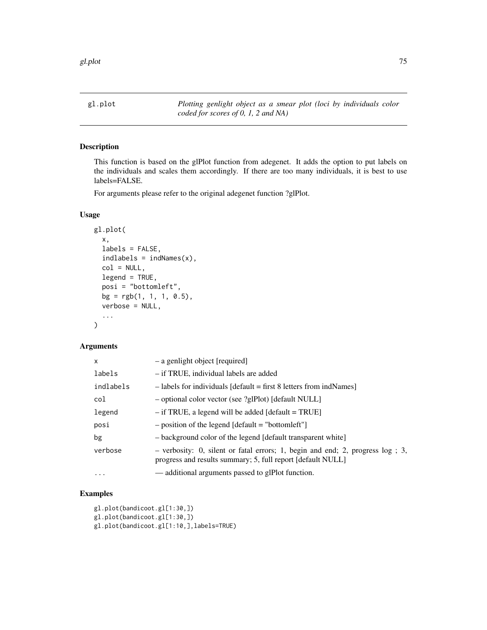gl.plot *Plotting genlight object as a smear plot (loci by individuals color coded for scores of 0, 1, 2 and NA)*

# Description

This function is based on the glPlot function from adegenet. It adds the option to put labels on the individuals and scales them accordingly. If there are too many individuals, it is best to use labels=FALSE.

For arguments please refer to the original adegenet function ?glPlot.

## Usage

```
gl.plot(
  x,
  labels = FALSE,
  indlabels = indNames(x),
  col = NULL,legend = TRUE,
  posi = "bottomleft",
  bg = rgb(1, 1, 1, 0.5),
  verbose = NULL,
  ...
)
```
# Arguments

| x         | - a genlight object [required]                                                                                                                    |
|-----------|---------------------------------------------------------------------------------------------------------------------------------------------------|
| labels    | - if TRUE, individual labels are added                                                                                                            |
| indlabels | $-$ labels for individuals [default = first 8 letters from indNames]                                                                              |
| col       | - optional color vector (see ?glPlot) [default NULL]                                                                                              |
| legend    | $-$ if TRUE, a legend will be added [default = TRUE]                                                                                              |
| posi      | $-$ position of the legend [default = "bottomleft"]                                                                                               |
| bg        | - background color of the legend [default transparent white]                                                                                      |
| verbose   | $-$ verbosity: 0, silent or fatal errors; 1, begin and end; 2, progress $log$ ; 3,<br>progress and results summary; 5, full report [default NULL] |
| $\cdots$  | — additional arguments passed to glPlot function.                                                                                                 |

```
gl.plot(bandicoot.gl[1:30,])
gl.plot(bandicoot.gl[1:30,])
gl.plot(bandicoot.gl[1:10,],labels=TRUE)
```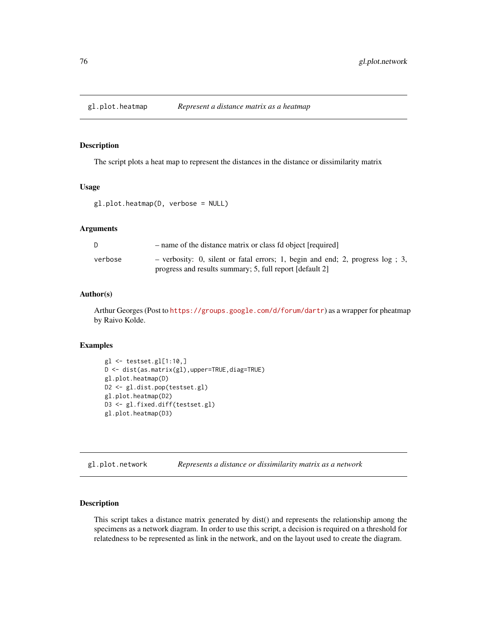## Description

The script plots a heat map to represent the distances in the distance or dissimilarity matrix

## Usage

```
gl.plot.heatmap(D, verbose = NULL)
```
## Arguments

| D.      | - name of the distance matrix or class fd object [required]                                                                                  |
|---------|----------------------------------------------------------------------------------------------------------------------------------------------|
| verbose | - verbosity: 0, silent or fatal errors; 1, begin and end; 2, progress $log$ ; 3,<br>progress and results summary; 5, full report [default 2] |

# Author(s)

Arthur Georges (Post to <https://groups.google.com/d/forum/dartr>) as a wrapper for pheatmap by Raivo Kolde.

# Examples

```
gl \leftarrow testset.g1[1:10,]D <- dist(as.matrix(gl),upper=TRUE,diag=TRUE)
gl.plot.heatmap(D)
D2 <- gl.dist.pop(testset.gl)
gl.plot.heatmap(D2)
D3 <- gl.fixed.diff(testset.gl)
gl.plot.heatmap(D3)
```
gl.plot.network *Represents a distance or dissimilarity matrix as a network*

## Description

This script takes a distance matrix generated by dist() and represents the relationship among the specimens as a network diagram. In order to use this script, a decision is required on a threshold for relatedness to be represented as link in the network, and on the layout used to create the diagram.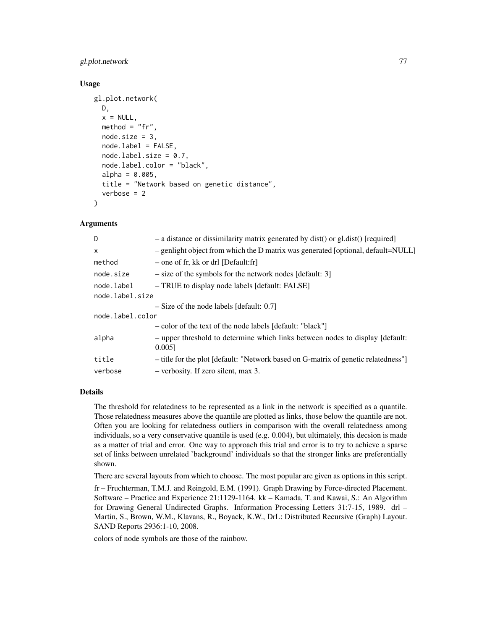# gl.plot.network 77

## Usage

```
gl.plot.network(
 D,
  x = NULL,method = "fr",node.size = 3,
  node.label = FALSE,
  nodeu = 0.7,
  node.label.color = "black",
  alpha = 0.005,
  title = "Network based on genetic distance",
  verbose = 2)
```
## Arguments

| D                | - a distance or dissimilarity matrix generated by dist() or gl.dist() [required]           |  |
|------------------|--------------------------------------------------------------------------------------------|--|
| $\times$         | $-$ genlight object from which the D matrix was generated [optional, default=NULL]         |  |
| method           | - one of fr, kk or drl [Default:fr]                                                        |  |
| node.size        | $-$ size of the symbols for the network nodes [default: 3]                                 |  |
| node.label       | - TRUE to display node labels [default: FALSE]                                             |  |
| node.label.size  |                                                                                            |  |
|                  | $-$ Size of the node labels [default: 0.7]                                                 |  |
| node.label.color |                                                                                            |  |
|                  | - color of the text of the node labels [default: "black"]                                  |  |
| alpha            | - upper threshold to determine which links between nodes to display [default:<br>$0.005$ ] |  |
| title            | - title for the plot [default: "Network based on G-matrix of genetic relatedness"]         |  |
| verbose          | $-$ verbosity. If zero silent, max 3.                                                      |  |

## Details

The threshold for relatedness to be represented as a link in the network is specified as a quantile. Those relatedness measures above the quantile are plotted as links, those below the quantile are not. Often you are looking for relatedness outliers in comparison with the overall relatedness among individuals, so a very conservative quantile is used (e.g. 0.004), but ultimately, this decsion is made as a matter of trial and error. One way to approach this trial and error is to try to achieve a sparse set of links between unrelated 'background' individuals so that the stronger links are preferentially shown.

There are several layouts from which to choose. The most popular are given as options in this script.

fr – Fruchterman, T.M.J. and Reingold, E.M. (1991). Graph Drawing by Force-directed Placement. Software – Practice and Experience 21:1129-1164. kk – Kamada, T. and Kawai, S.: An Algorithm for Drawing General Undirected Graphs. Information Processing Letters 31:7-15, 1989. drl – Martin, S., Brown, W.M., Klavans, R., Boyack, K.W., DrL: Distributed Recursive (Graph) Layout. SAND Reports 2936:1-10, 2008.

colors of node symbols are those of the rainbow.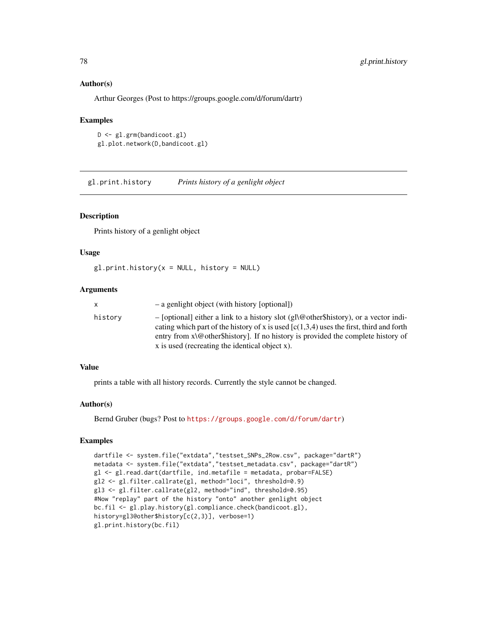## Author(s)

Arthur Georges (Post to https://groups.google.com/d/forum/dartr)

#### Examples

```
D <- gl.grm(bandicoot.gl)
gl.plot.network(D,bandicoot.gl)
```
gl.print.history *Prints history of a genlight object*

## Description

Prints history of a genlight object

## Usage

 $gl.print.history(x = NULL, history = NULL)$ 

## Arguments

| X       | - a genlight object (with history [optional])                                                                                                                                                                                                                                                                                  |
|---------|--------------------------------------------------------------------------------------------------------------------------------------------------------------------------------------------------------------------------------------------------------------------------------------------------------------------------------|
| history | - [optional] either a link to a history slot (gl\@other\$history), or a vector indi-<br>cating which part of the history of x is used $(c(1,3,4))$ uses the first, third and forth<br>entry from $x \ge 0$ other shistory. If no history is provided the complete history of<br>x is used (recreating the identical object x). |

## Value

prints a table with all history records. Currently the style cannot be changed.

## Author(s)

Bernd Gruber (bugs? Post to <https://groups.google.com/d/forum/dartr>)

```
dartfile <- system.file("extdata","testset_SNPs_2Row.csv", package="dartR")
metadata <- system.file("extdata","testset_metadata.csv", package="dartR")
gl <- gl.read.dart(dartfile, ind.metafile = metadata, probar=FALSE)
gl2 <- gl.filter.callrate(gl, method="loci", threshold=0.9)
gl3 <- gl.filter.callrate(gl2, method="ind", threshold=0.95)
#Now "replay" part of the history "onto" another genlight object
bc.fil <- gl.play.history(gl.compliance.check(bandicoot.gl),
history=gl3@other$history[c(2,3)], verbose=1)
gl.print.history(bc.fil)
```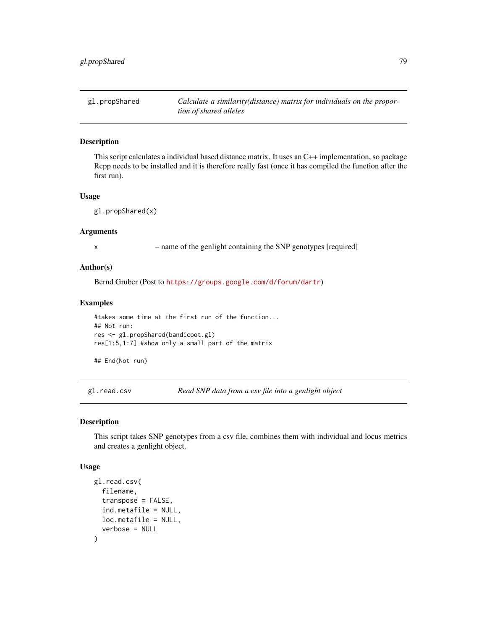gl.propShared *Calculate a similarity(distance) matrix for individuals on the proportion of shared alleles*

## Description

This script calculates a individual based distance matrix. It uses an C++ implementation, so package Rcpp needs to be installed and it is therefore really fast (once it has compiled the function after the first run).

## Usage

gl.propShared(x)

## Arguments

x – name of the genlight containing the SNP genotypes [required]

# Author(s)

Bernd Gruber (Post to <https://groups.google.com/d/forum/dartr>)

#### Examples

#takes some time at the first run of the function... ## Not run: res <- gl.propShared(bandicoot.gl) res[1:5,1:7] #show only a small part of the matrix

## End(Not run)

gl.read.csv *Read SNP data from a csv file into a genlight object*

#### Description

This script takes SNP genotypes from a csv file, combines them with individual and locus metrics and creates a genlight object.

#### Usage

```
gl.read.csv(
  filename,
  transpose = FALSE,
  ind.metafile = NULL,
 loc.metafile = NULL,
  verbose = NULL
)
```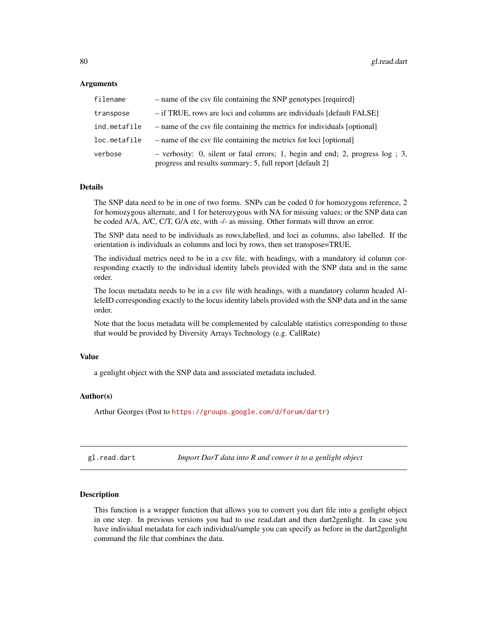## Arguments

| filename     | - name of the csy file containing the SNP genotypes [required]                                                                               |
|--------------|----------------------------------------------------------------------------------------------------------------------------------------------|
| transpose    | - if TRUE, rows are loci and columns are individuals [default FALSE]                                                                         |
| ind.metafile | - name of the csv file containing the metrics for individuals [optional]                                                                     |
| loc.metafile | - name of the csv file containing the metrics for loci [optional]                                                                            |
| verbose      | - verbosity: 0, silent or fatal errors; 1, begin and end; 2, progress $log$ ; 3,<br>progress and results summary; 5, full report [default 2] |

## Details

The SNP data need to be in one of two forms. SNPs can be coded 0 for homozygous reference, 2 for homozygous alternate, and 1 for heterozygous with NA for missing values; or the SNP data can be coded A/A, A/C, C/T, G/A etc, with -/- as missing. Other formats will throw an error.

The SNP data need to be individuals as rows,labelled, and loci as columns, also labelled. If the orientation is individuals as columns and loci by rows, then set transpose=TRUE.

The individual metrics need to be in a csv file, with headings, with a mandatory id column corresponding exactly to the individual identity labels provided with the SNP data and in the same order.

The locus metadata needs to be in a csv file with headings, with a mandatory column headed AlleleID corresponding exactly to the locus identity labels provided with the SNP data and in the same order.

Note that the locus metadata will be complemented by calculable statistics corresponding to those that would be provided by Diversity Arrays Technology (e.g. CallRate)

## Value

a genlight object with the SNP data and associated metadata included.

#### Author(s)

Arthur Georges (Post to <https://groups.google.com/d/forum/dartr>)

gl.read.dart *Import DarT data into R and conver it to a genlight object*

## **Description**

This function is a wrapper function that allows you to convert you dart file into a genlight object in one step. In previous versions you had to use read.dart and then dart2genlight. In case you have individual metadata for each individual/sample you can specify as before in the dart2genlight command the file that combines the data.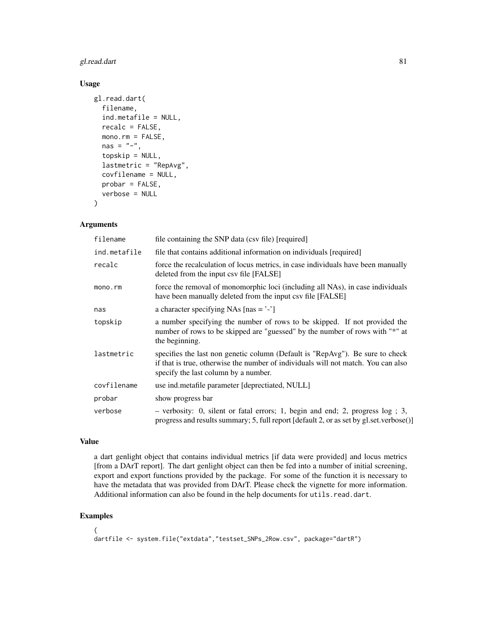# gl.read.dart 81

# Usage

```
gl.read.dart(
  filename,
  ind.metafile = NULL,
  recalc = FALSE,
  mono.rm = FALSE,nas = "-",
  topskip = NULL,
  lastmetric = "RepAvg",
  covfilename = NULL,
  probar = FALSE,
  verbose = NULL
\lambda
```
## Arguments

| filename     | file containing the SNP data (csv file) [required]                                                                                                                                                         |
|--------------|------------------------------------------------------------------------------------------------------------------------------------------------------------------------------------------------------------|
| ind.metafile | file that contains additional information on individuals [required]                                                                                                                                        |
| recalc       | force the recalculation of locus metrics, in case individuals have been manually<br>deleted from the input csv file [FALSE]                                                                                |
| mono.rm      | force the removal of monomorphic loci (including all NAs), in case individuals<br>have been manually deleted from the input csv file [FALSE]                                                               |
| nas          | a character specifying NAs $[nas = '$ -']                                                                                                                                                                  |
| topskip      | a number specifying the number of rows to be skipped. If not provided the<br>number of rows to be skipped are "guessed" by the number of rows with "*" at<br>the beginning.                                |
| lastmetric   | specifies the last non genetic column (Default is "RepAvg"). Be sure to check<br>if that is true, otherwise the number of individuals will not match. You can also<br>specify the last column by a number. |
| covfilename  | use ind.metafile parameter [deprectiated, NULL]                                                                                                                                                            |
| probar       | show progress bar                                                                                                                                                                                          |
| verbose      | $-$ verbosity: 0, silent or fatal errors; 1, begin and end; 2, progress $log$ ; 3,<br>progress and results summary; 5, full report [default 2, or as set by gl.set.verbose()]                              |

## Value

a dart genlight object that contains individual metrics [if data were provided] and locus metrics [from a DArT report]. The dart genlight object can then be fed into a number of initial screening, export and export functions provided by the package. For some of the function it is necessary to have the metadata that was provided from DArT. Please check the vignette for more information. Additional information can also be found in the help documents for utils.read.dart.

```
{
dartfile <- system.file("extdata","testset_SNPs_2Row.csv", package="dartR")
```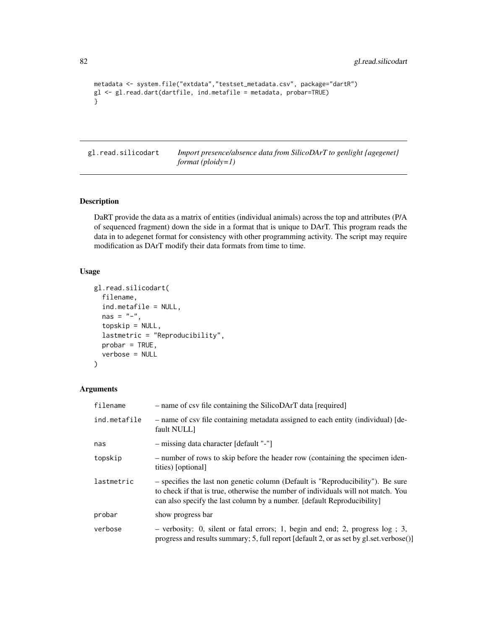```
metadata <- system.file("extdata","testset_metadata.csv", package="dartR")
gl <- gl.read.dart(dartfile, ind.metafile = metadata, probar=TRUE)
}
```
gl.read.silicodart *Import presence/absence data from SilicoDArT to genlight {agegenet} format (ploidy=1)*

# Description

DaRT provide the data as a matrix of entities (individual animals) across the top and attributes (P/A of sequenced fragment) down the side in a format that is unique to DArT. This program reads the data in to adegenet format for consistency with other programming activity. The script may require modification as DArT modify their data formats from time to time.

# Usage

```
gl.read.silicodart(
  filename,
  ind.metafile = NULL,
  nas = "-",
  topskip = NULL,
  lastmetric = "Reproducibility",
  probar = TRUE,
  verbose = NULL
\mathcal{E}
```

| filename     | - name of csv file containing the SilicoDArT data [required]                                                                                                                                                                                    |
|--------------|-------------------------------------------------------------------------------------------------------------------------------------------------------------------------------------------------------------------------------------------------|
| ind.metafile | - name of csv file containing metadata assigned to each entity (individual) [de-<br>fault NULL]                                                                                                                                                 |
| nas          | - missing data character [default "-"]                                                                                                                                                                                                          |
| topskip      | - number of rows to skip before the header row (containing the specimen iden-<br>tities) [optional]                                                                                                                                             |
| lastmetric   | - specifies the last non genetic column (Default is "Reproducibility"). Be sure<br>to check if that is true, otherwise the number of individuals will not match. You<br>can also specify the last column by a number. [default Reproducibility] |
| probar       | show progress bar                                                                                                                                                                                                                               |
| verbose      | $-$ verbosity: 0, silent or fatal errors; 1, begin and end; 2, progress $log$ ; 3,<br>progress and results summary; 5, full report $\lceil \text{default 2}, \text{or as set by gl.set.} \text{verbose}() \rceil$                               |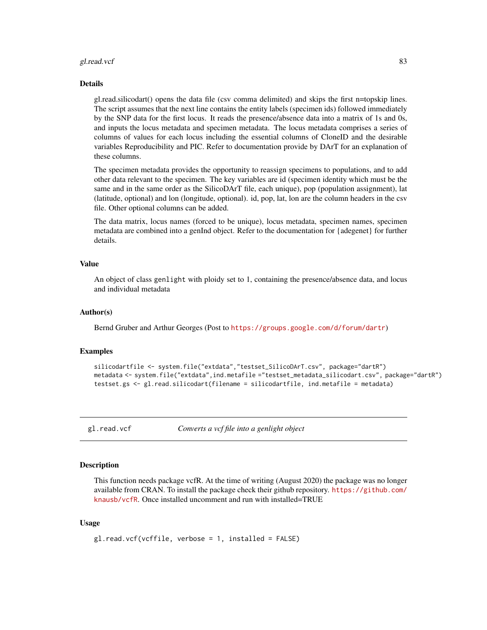#### gl.read.vcf 83

#### Details

gl.read.silicodart() opens the data file (csv comma delimited) and skips the first n=topskip lines. The script assumes that the next line contains the entity labels (specimen ids) followed immediately by the SNP data for the first locus. It reads the presence/absence data into a matrix of 1s and 0s, and inputs the locus metadata and specimen metadata. The locus metadata comprises a series of columns of values for each locus including the essential columns of CloneID and the desirable variables Reproducibility and PIC. Refer to documentation provide by DArT for an explanation of these columns.

The specimen metadata provides the opportunity to reassign specimens to populations, and to add other data relevant to the specimen. The key variables are id (specimen identity which must be the same and in the same order as the SilicoDArT file, each unique), pop (population assignment), lat (latitude, optional) and lon (longitude, optional). id, pop, lat, lon are the column headers in the csv file. Other optional columns can be added.

The data matrix, locus names (forced to be unique), locus metadata, specimen names, specimen metadata are combined into a genInd object. Refer to the documentation for {adegenet} for further details.

## Value

An object of class genlight with ploidy set to 1, containing the presence/absence data, and locus and individual metadata

#### Author(s)

Bernd Gruber and Arthur Georges (Post to <https://groups.google.com/d/forum/dartr>)

#### Examples

```
silicodartfile <- system.file("extdata","testset_SilicoDArT.csv", package="dartR")
metadata <- system.file("extdata",ind.metafile ="testset_metadata_silicodart.csv", package="dartR")
testset.gs <- gl.read.silicodart(filename = silicodartfile, ind.metafile = metadata)
```
gl.read.vcf *Converts a vcf file into a genlight object*

## Description

This function needs package vcfR. At the time of writing (August 2020) the package was no longer available from CRAN. To install the package check their github repository. [https://github.com/](https://github.com/knausb/vcfR) [knausb/vcfR](https://github.com/knausb/vcfR). Once installed uncomment and run with installed=TRUE

## Usage

```
gl.read.vcf(vcffile, verbose = 1, installed = FALSE)
```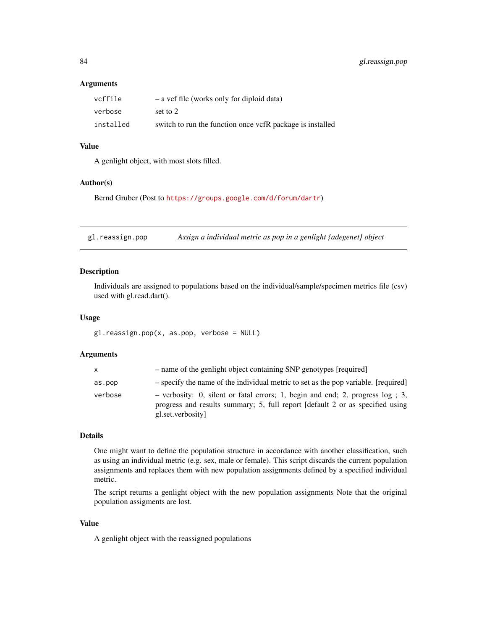## **Arguments**

| vcffile   | $-$ a vcf file (works only for diploid data)              |
|-----------|-----------------------------------------------------------|
| verbose   | set to 2                                                  |
| installed | switch to run the function once vcfR package is installed |

# Value

A genlight object, with most slots filled.

## Author(s)

Bernd Gruber (Post to <https://groups.google.com/d/forum/dartr>)

gl.reassign.pop *Assign a individual metric as pop in a genlight {adegenet} object*

# Description

Individuals are assigned to populations based on the individual/sample/specimen metrics file (csv) used with gl.read.dart().

## Usage

gl.reassign.pop(x, as.pop, verbose = NULL)

# Arguments

| X       | - name of the genlight object containing SNP genotypes [required]                                                                                                                     |
|---------|---------------------------------------------------------------------------------------------------------------------------------------------------------------------------------------|
| as.pop  | - specify the name of the individual metric to set as the pop variable. [required]                                                                                                    |
| verbose | - verbosity: 0, silent or fatal errors; 1, begin and end; 2, progress $log$ ; 3,<br>progress and results summary; 5, full report [default 2 or as specified using<br>gl.set.verbosity |

# Details

One might want to define the population structure in accordance with another classification, such as using an individual metric (e.g. sex, male or female). This script discards the current population assignments and replaces them with new population assignments defined by a specified individual metric.

The script returns a genlight object with the new population assignments Note that the original population assigments are lost.

# Value

A genlight object with the reassigned populations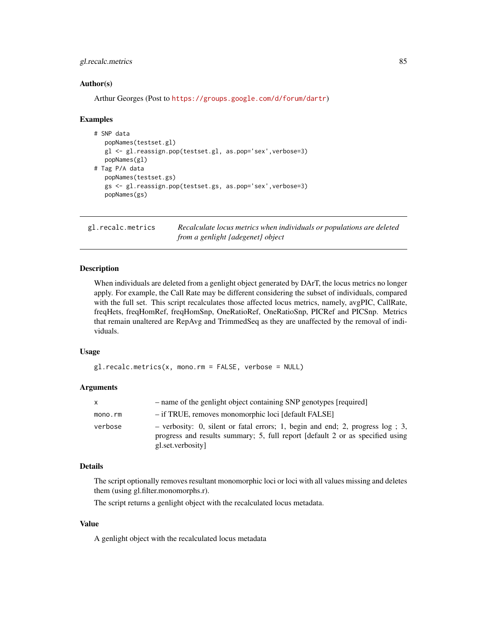# gl.recalc.metrics 85

## Author(s)

Arthur Georges (Post to <https://groups.google.com/d/forum/dartr>)

#### Examples

```
# SNP data
  popNames(testset.gl)
  gl <- gl.reassign.pop(testset.gl, as.pop='sex',verbose=3)
  popNames(gl)
# Tag P/A data
  popNames(testset.gs)
  gs <- gl.reassign.pop(testset.gs, as.pop='sex',verbose=3)
  popNames(gs)
```
<span id="page-84-0"></span>gl.recalc.metrics *Recalculate locus metrics when individuals or populations are deleted from a genlight {adegenet} object*

## Description

When individuals are deleted from a genlight object generated by DArT, the locus metrics no longer apply. For example, the Call Rate may be different considering the subset of individuals, compared with the full set. This script recalculates those affected locus metrics, namely, avgPIC, CallRate, freqHets, freqHomRef, freqHomSnp, OneRatioRef, OneRatioSnp, PICRef and PICSnp. Metrics that remain unaltered are RepAvg and TrimmedSeq as they are unaffected by the removal of individuals.

## Usage

gl.recalc.metrics(x, mono.rm = FALSE, verbose = NULL)

#### Arguments

| X       | - name of the genlight object containing SNP genotypes [required]                                                                                                                     |
|---------|---------------------------------------------------------------------------------------------------------------------------------------------------------------------------------------|
| mono.rm | - if TRUE, removes monomorphic loci [default FALSE]                                                                                                                                   |
| verbose | - verbosity: 0, silent or fatal errors; 1, begin and end; 2, progress $log$ ; 3,<br>progress and results summary; 5, full report [default 2 or as specified using<br>gl.set.verbosity |

#### Details

The script optionally removes resultant monomorphic loci or loci with all values missing and deletes them (using gl.filter.monomorphs.r).

The script returns a genlight object with the recalculated locus metadata.

## Value

A genlight object with the recalculated locus metadata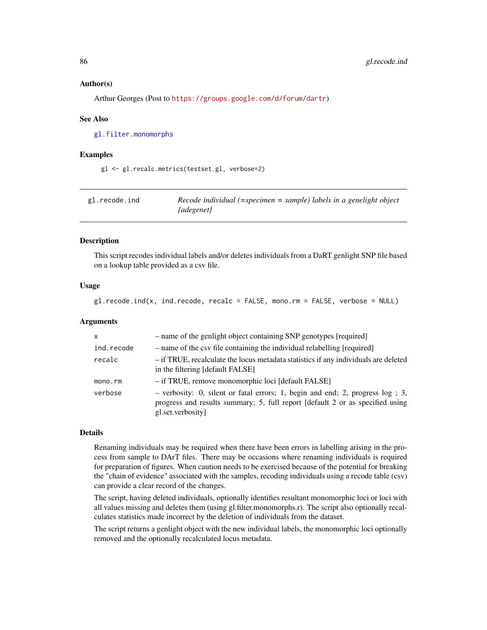## Author(s)

Arthur Georges (Post to <https://groups.google.com/d/forum/dartr>)

#### See Also

[gl.filter.monomorphs](#page-31-0)

#### Examples

gl <- gl.recalc.metrics(testset.gl, verbose=2)

| gl.recode.ind | Recode individual (=specimen = sample) labels in a genelight object |
|---------------|---------------------------------------------------------------------|
|               | {adegenet}                                                          |

## Description

This script recodes individual labels and/or deletes individuals from a DaRT genlight SNP file based on a lookup table provided as a csv file.

## Usage

gl.recode.ind(x, ind.recode, recalc = FALSE, mono.rm = FALSE, verbose = NULL)

## Arguments

| $\mathsf{x}$ | - name of the genlight object containing SNP genotypes [required]                                                                                                                       |
|--------------|-----------------------------------------------------------------------------------------------------------------------------------------------------------------------------------------|
| ind.recode   | - name of the csv file containing the individual relabelling [required]                                                                                                                 |
| recalc       | - if TRUE, recalculate the locus metadata statistics if any individuals are deleted<br>in the filtering [default FALSE]                                                                 |
| mono.rm      | - if TRUE, remove monomorphic loci [default FALSE]                                                                                                                                      |
| verbose      | $-$ verbosity: 0, silent or fatal errors; 1, begin and end; 2, progress $log$ ; 3,<br>progress and results summary; 5, full report [default 2 or as specified using<br>gl.set.verbosity |

## Details

Renaming individuals may be required when there have been errors in labelling arising in the process from sample to DArT files. There may be occasions where renaming individuals is required for preparation of figures. When caution needs to be exercised because of the potential for breaking the "chain of evidence" associated with the samples, recoding individuals using a recode table (csv) can provide a clear record of the changes.

The script, having deleted individuals, optionally identifies resultant monomorphic loci or loci with all values missing and deletes them (using gl.filter.monomorphs.r). The script also optionally recalculates statistics made incorrect by the deletion of individuals from the dataset.

The script returns a genlight object with the new individual labels, the monomorphic loci optionally removed and the optionally recalculated locus metadata.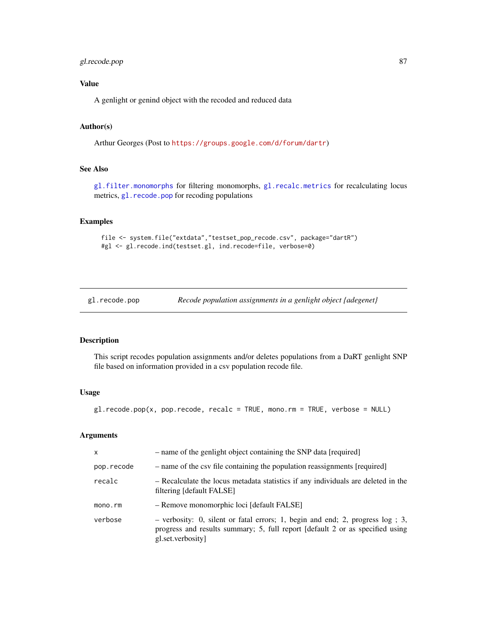# gl.recode.pop 87

# Value

A genlight or genind object with the recoded and reduced data

# Author(s)

Arthur Georges (Post to <https://groups.google.com/d/forum/dartr>)

# See Also

[gl.filter.monomorphs](#page-31-0) for filtering monomorphs, [gl.recalc.metrics](#page-84-0) for recalculating locus metrics, g1. recode.pop for recoding populations

## Examples

```
file <- system.file("extdata","testset_pop_recode.csv", package="dartR")
#gl <- gl.recode.ind(testset.gl, ind.recode=file, verbose=0)
```
<span id="page-86-0"></span>gl.recode.pop *Recode population assignments in a genlight object {adegenet}*

## Description

This script recodes population assignments and/or deletes populations from a DaRT genlight SNP file based on information provided in a csv population recode file.

#### Usage

gl.recode.pop(x, pop.recode, recalc = TRUE, mono.rm = TRUE, verbose = NULL)

| $\mathsf{x}$ | - name of the genlight object containing the SNP data [required]                                                                                                                        |
|--------------|-----------------------------------------------------------------------------------------------------------------------------------------------------------------------------------------|
| pop.recode   | - name of the csv file containing the population reassignments [required]                                                                                                               |
| recalc       | - Recalculate the locus metadata statistics if any individuals are deleted in the<br>filtering [default FALSE]                                                                          |
| mono.rm      | - Remove monomorphic loci [default FALSE]                                                                                                                                               |
| verbose      | $-$ verbosity: 0, silent or fatal errors; 1, begin and end; 2, progress $log$ ; 3,<br>progress and results summary; 5, full report [default 2 or as specified using<br>gl.set.verbosity |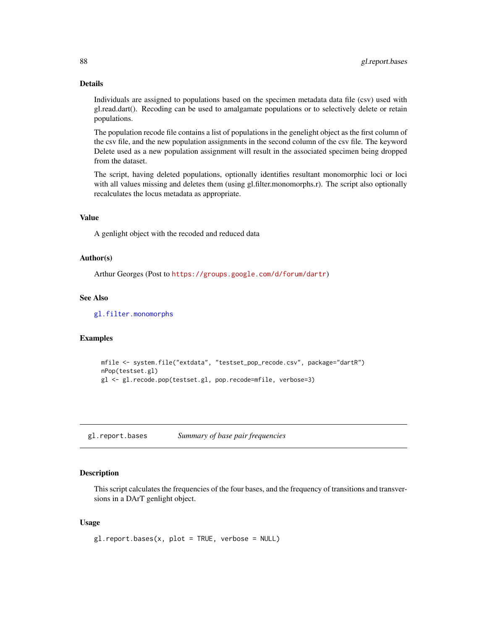Individuals are assigned to populations based on the specimen metadata data file (csv) used with gl.read.dart(). Recoding can be used to amalgamate populations or to selectively delete or retain populations.

The population recode file contains a list of populations in the genelight object as the first column of the csv file, and the new population assignments in the second column of the csv file. The keyword Delete used as a new population assignment will result in the associated specimen being dropped from the dataset.

The script, having deleted populations, optionally identifies resultant monomorphic loci or loci with all values missing and deletes them (using gl.filter.monomorphs.r). The script also optionally recalculates the locus metadata as appropriate.

## Value

A genlight object with the recoded and reduced data

## Author(s)

Arthur Georges (Post to <https://groups.google.com/d/forum/dartr>)

## See Also

[gl.filter.monomorphs](#page-31-0)

## Examples

```
mfile <- system.file("extdata", "testset_pop_recode.csv", package="dartR")
nPop(testset.gl)
gl <- gl.recode.pop(testset.gl, pop.recode=mfile, verbose=3)
```
gl.report.bases *Summary of base pair frequencies*

# Description

This script calculates the frequencies of the four bases, and the frequency of transitions and transversions in a DArT genlight object.

## Usage

gl.report.bases(x, plot = TRUE, verbose = NULL)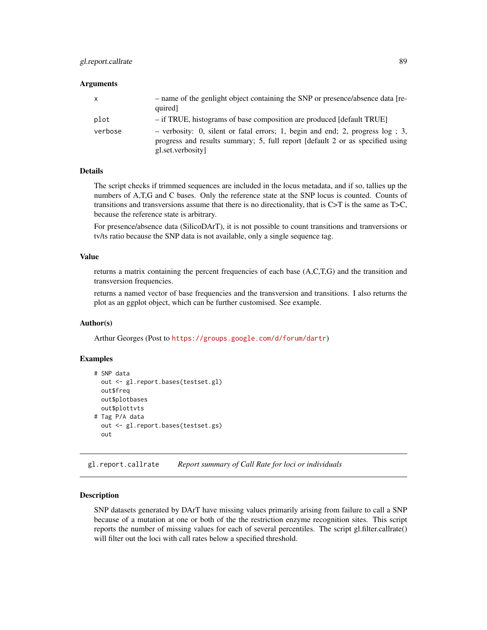# gl.report.callrate 89

#### **Arguments**

| X       | - name of the genlight object containing the SNP or presence/absence data [re-<br>quired]                                                                                             |
|---------|---------------------------------------------------------------------------------------------------------------------------------------------------------------------------------------|
| plot    | - if TRUE, histograms of base composition are produced [default TRUE]                                                                                                                 |
| verbose | - verbosity: 0, silent or fatal errors; 1, begin and end; 2, progress $log$ ; 3,<br>progress and results summary; 5, full report [default 2 or as specified using<br>gl.set.verbosity |

## Details

The script checks if trimmed sequences are included in the locus metadata, and if so, tallies up the numbers of A,T,G and C bases. Only the reference state at the SNP locus is counted. Counts of transitions and transversions assume that there is no directionality, that is C>T is the same as T>C, because the reference state is arbitrary.

For presence/absence data (SilicoDArT), it is not possible to count transitions and tranversions or tv/ts ratio because the SNP data is not available, only a single sequence tag.

#### Value

returns a matrix containing the percent frequencies of each base (A,C,T,G) and the transition and transversion frequencies.

returns a named vector of base frequencies and the transversion and transitions. I also returns the plot as an ggplot object, which can be further customised. See example.

#### Author(s)

Arthur Georges (Post to <https://groups.google.com/d/forum/dartr>)

## Examples

```
# SNP data
 out <- gl.report.bases(testset.gl)
 out$freq
 out$plotbases
 out$plottvts
# Tag P/A data
 out <- gl.report.bases(testset.gs)
 out
```
gl.report.callrate *Report summary of Call Rate for loci or individuals*

#### Description

SNP datasets generated by DArT have missing values primarily arising from failure to call a SNP because of a mutation at one or both of the the restriction enzyme recognition sites. This script reports the number of missing values for each of several percentiles. The script gl.filter.callrate() will filter out the loci with call rates below a specified threshold.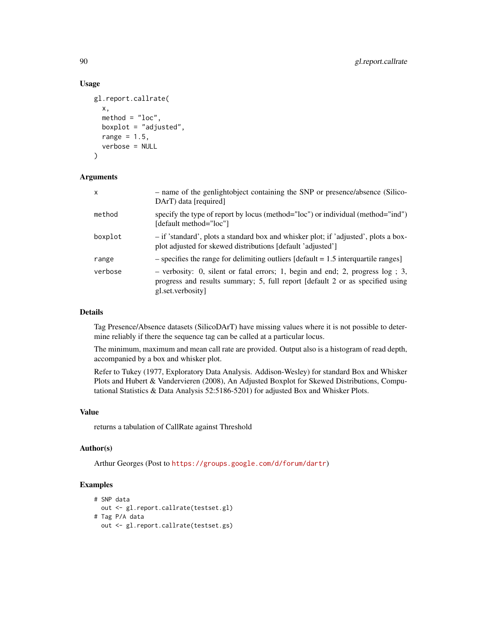## Usage

```
gl.report.callrate(
  x,
  method = "loc",boxplot = "adjusted",
  range = 1.5,
  verbose = NULL
)
```
# Arguments

| $\mathsf{x}$ | - name of the genlightobject containing the SNP or presence/absence (Silico-<br>DArT) data [required]                                                                                |
|--------------|--------------------------------------------------------------------------------------------------------------------------------------------------------------------------------------|
| method       | specify the type of report by locus (method="loc") or individual (method="ind")<br>[default method="loc"]                                                                            |
| boxplot      | - if 'standard', plots a standard box and whisker plot; if 'adjusted', plots a box-<br>plot adjusted for skewed distributions [default 'adjusted']                                   |
| range        | $-$ specifies the range for delimiting outliers [default = 1.5 interquartile ranges]                                                                                                 |
| verbose      | $-$ verbosity: 0, silent or fatal errors; 1, begin and end; 2, progress log; 3,<br>progress and results summary; 5, full report [default 2 or as specified using<br>gl.set.verbosity |

## Details

Tag Presence/Absence datasets (SilicoDArT) have missing values where it is not possible to determine reliably if there the sequence tag can be called at a particular locus.

The minimum, maximum and mean call rate are provided. Output also is a histogram of read depth, accompanied by a box and whisker plot.

Refer to Tukey (1977, Exploratory Data Analysis. Addison-Wesley) for standard Box and Whisker Plots and Hubert & Vandervieren (2008), An Adjusted Boxplot for Skewed Distributions, Computational Statistics & Data Analysis 52:5186-5201) for adjusted Box and Whisker Plots.

## Value

returns a tabulation of CallRate against Threshold

## Author(s)

Arthur Georges (Post to <https://groups.google.com/d/forum/dartr>)

```
# SNP data
 out <- gl.report.callrate(testset.gl)
# Tag P/A data
 out <- gl.report.callrate(testset.gs)
```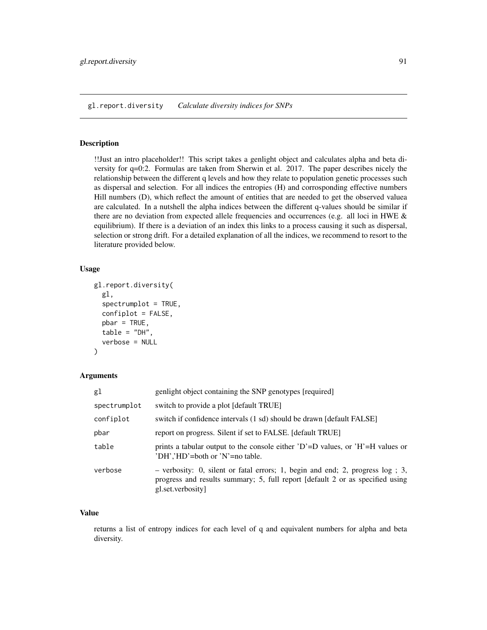gl.report.diversity *Calculate diversity indices for SNPs*

## Description

!!Just an intro placeholder!! This script takes a genlight object and calculates alpha and beta diversity for q=0:2. Formulas are taken from Sherwin et al. 2017. The paper describes nicely the relationship between the different q levels and how they relate to population genetic processes such as dispersal and selection. For all indices the entropies (H) and corrosponding effective numbers Hill numbers (D), which reflect the amount of entities that are needed to get the observed valuea are calculated. In a nutshell the alpha indices between the different q-values should be similar if there are no deviation from expected allele frequencies and occurrences (e.g. all loci in HWE  $\&$ equilibrium). If there is a deviation of an index this links to a process causing it such as dispersal, selection or strong drift. For a detailed explanation of all the indices, we recommend to resort to the literature provided below.

## Usage

```
gl.report.diversity(
 gl,
  spectrumplot = TRUE,confiplot = FALSE,
 pbar = TRUE,
  table = "DH",verbose = NULL
)
```
## Arguments

| gl           | genlight object containing the SNP genotypes [required]                                                                                                                                 |
|--------------|-----------------------------------------------------------------------------------------------------------------------------------------------------------------------------------------|
| spectrumplot | switch to provide a plot [default TRUE]                                                                                                                                                 |
| confiplot    | switch if confidence intervals (1 sd) should be drawn [default FALSE]                                                                                                                   |
| pbar         | report on progress. Silent if set to FALSE. [default TRUE]                                                                                                                              |
| table        | prints a tabular output to the console either $D^{\dagger} = D$ values, or $H^{\dagger} = H$ values or<br>'DH','HD'=both or 'N'=no table.                                               |
| verbose      | $-$ verbosity: 0, silent or fatal errors; 1, begin and end; 2, progress $log$ ; 3,<br>progress and results summary; 5, full report [default 2 or as specified using<br>gl.set.verbosity |

# Value

returns a list of entropy indices for each level of q and equivalent numbers for alpha and beta diversity.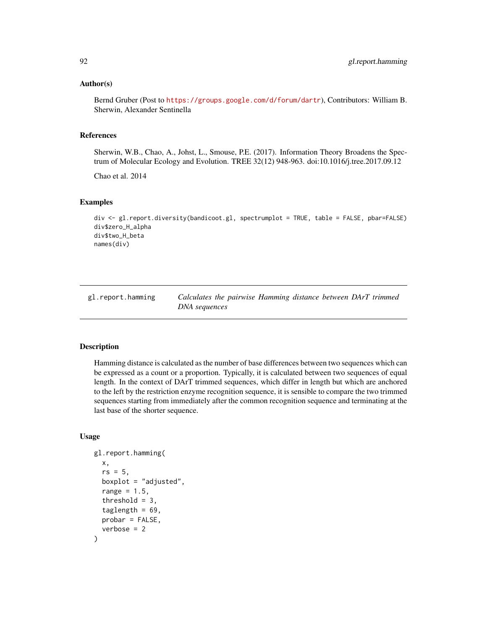## Author(s)

Bernd Gruber (Post to <https://groups.google.com/d/forum/dartr>), Contributors: William B. Sherwin, Alexander Sentinella

## References

Sherwin, W.B., Chao, A., Johst, L., Smouse, P.E. (2017). Information Theory Broadens the Spectrum of Molecular Ecology and Evolution. TREE 32(12) 948-963. doi:10.1016/j.tree.2017.09.12

Chao et al. 2014

# Examples

```
div <- gl.report.diversity(bandicoot.gl, spectrumplot = TRUE, table = FALSE, pbar=FALSE)
div$zero_H_alpha
div$two_H_beta
names(div)
```

| gl.report.hamming | Calculates the pairwise Hamming distance between DArT trimmed |  |  |  |
|-------------------|---------------------------------------------------------------|--|--|--|
|                   | DNA sequences                                                 |  |  |  |

## **Description**

Hamming distance is calculated as the number of base differences between two sequences which can be expressed as a count or a proportion. Typically, it is calculated between two sequences of equal length. In the context of DArT trimmed sequences, which differ in length but which are anchored to the left by the restriction enzyme recognition sequence, it is sensible to compare the two trimmed sequences starting from immediately after the common recognition sequence and terminating at the last base of the shorter sequence.

## Usage

```
gl.report.hamming(
 x,
  rs = 5,
 boxplot = "adjusted",
  range = 1.5,
  threshold = 3,
  taglength = 69,
 probar = FALSE,
  verbose = 2)
```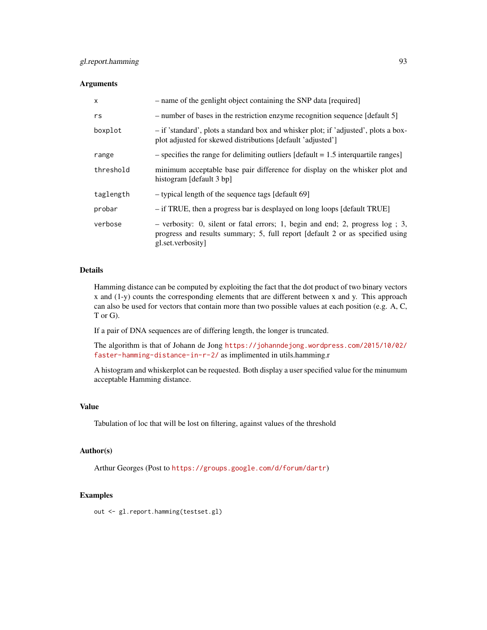# Arguments

| X         | - name of the genlight object containing the SNP data [required]                                                                                                                        |
|-----------|-----------------------------------------------------------------------------------------------------------------------------------------------------------------------------------------|
| rs        | - number of bases in the restriction enzyme recognition sequence [default 5]                                                                                                            |
| boxplot   | - if 'standard', plots a standard box and whisker plot; if 'adjusted', plots a box-<br>plot adjusted for skewed distributions [default 'adjusted']                                      |
| range     | $-$ specifies the range for delimiting outliers [default = 1.5 interquartile ranges]                                                                                                    |
| threshold | minimum acceptable base pair difference for display on the whisker plot and<br>histogram [default 3 bp]                                                                                 |
| taglength | - typical length of the sequence tags [default 69]                                                                                                                                      |
| probar    | - if TRUE, then a progress bar is desplayed on long loops [default TRUE]                                                                                                                |
| verbose   | $-$ verbosity: 0, silent or fatal errors; 1, begin and end; 2, progress $log$ ; 3,<br>progress and results summary; 5, full report [default 2 or as specified using<br>gl.set.verbosity |

## Details

Hamming distance can be computed by exploiting the fact that the dot product of two binary vectors x and (1-y) counts the corresponding elements that are different between x and y. This approach can also be used for vectors that contain more than two possible values at each position (e.g. A, C, T or G).

If a pair of DNA sequences are of differing length, the longer is truncated.

The algorithm is that of Johann de Jong [https://johanndejong.wordpress.com/2015/10/02/](https://johanndejong.wordpress.com/2015/10/02/faster-hamming-distance-in-r-2/) [faster-hamming-distance-in-r-2/](https://johanndejong.wordpress.com/2015/10/02/faster-hamming-distance-in-r-2/) as implimented in utils.hamming.r

A histogram and whiskerplot can be requested. Both display a user specified value for the minumum acceptable Hamming distance.

## Value

Tabulation of loc that will be lost on filtering, against values of the threshold

# Author(s)

Arthur Georges (Post to <https://groups.google.com/d/forum/dartr>)

#### Examples

out <- gl.report.hamming(testset.gl)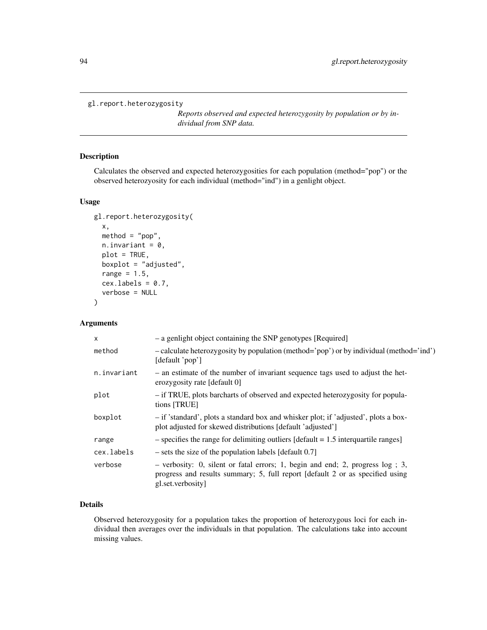```
gl.report.heterozygosity
```
*Reports observed and expected heterozygosity by population or by individual from SNP data.*

# Description

Calculates the observed and expected heterozygosities for each population (method="pop") or the observed heterozyosity for each individual (method="ind") in a genlight object.

# Usage

```
gl.report.heterozygosity(
  x,
 method = "pop",n.invariant = 0,
 plot = TRUE,
 boxplot = "adjusted",
  range = 1.5,
  cex.labels = 0.7,
  verbose = NULL
)
```
# Arguments

| $\mathsf{x}$ | - a genlight object containing the SNP genotypes [Required]                                                                                                                              |
|--------------|------------------------------------------------------------------------------------------------------------------------------------------------------------------------------------------|
| method       | - calculate heterozygosity by population (method='pop') or by individual (method='ind')<br>[default 'pop']                                                                               |
| n.invariant  | - an estimate of the number of invariant sequence tags used to adjust the het-<br>erozygosity rate [default 0]                                                                           |
| plot         | - if TRUE, plots barcharts of observed and expected heterozygosity for popula-<br>tions [TRUE]                                                                                           |
| boxplot      | - if 'standard', plots a standard box and whisker plot; if 'adjusted', plots a box-<br>plot adjusted for skewed distributions [default 'adjusted']                                       |
| range        | $-$ specifies the range for delimiting outliers [default = 1.5 interquartile ranges]                                                                                                     |
| cex.labels   | $-$ sets the size of the population labels [default 0.7]                                                                                                                                 |
| verbose      | $-$ verbosity: 0, silent or fatal errors; 1, begin and end; 2, progress $log$ ; 3,<br>progress and results summary; 5, full report [default 2 or as specified using<br>gl.set.verbosity] |

# Details

Observed heterozygosity for a population takes the proportion of heterozygous loci for each individual then averages over the individuals in that population. The calculations take into account missing values.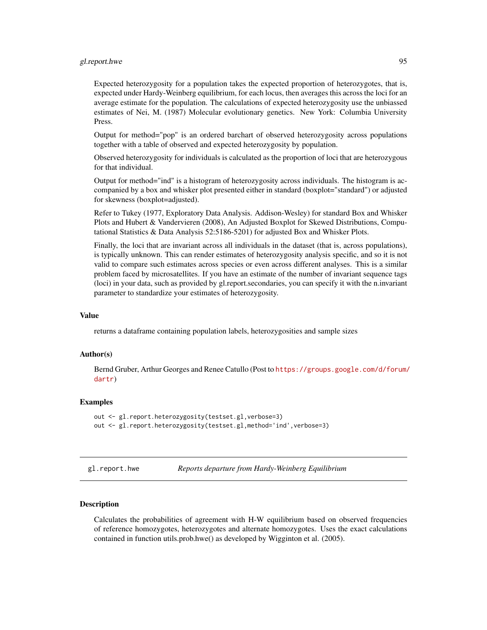# gl.report.hwe 95

Expected heterozygosity for a population takes the expected proportion of heterozygotes, that is, expected under Hardy-Weinberg equilibrium, for each locus, then averages this across the loci for an average estimate for the population. The calculations of expected heterozygosity use the unbiassed estimates of Nei, M. (1987) Molecular evolutionary genetics. New York: Columbia University Press.

Output for method="pop" is an ordered barchart of observed heterozygosity across populations together with a table of observed and expected heterozygosity by population.

Observed heterozygosity for individuals is calculated as the proportion of loci that are heterozygous for that individual.

Output for method="ind" is a histogram of heterozygosity across individuals. The histogram is accompanied by a box and whisker plot presented either in standard (boxplot="standard") or adjusted for skewness (boxplot=adjusted).

Refer to Tukey (1977, Exploratory Data Analysis. Addison-Wesley) for standard Box and Whisker Plots and Hubert & Vandervieren (2008), An Adjusted Boxplot for Skewed Distributions, Computational Statistics & Data Analysis 52:5186-5201) for adjusted Box and Whisker Plots.

Finally, the loci that are invariant across all individuals in the dataset (that is, across populations), is typically unknown. This can render estimates of heterozygosity analysis specific, and so it is not valid to compare such estimates across species or even across different analyses. This is a similar problem faced by microsatellites. If you have an estimate of the number of invariant sequence tags (loci) in your data, such as provided by gl.report.secondaries, you can specify it with the n.invariant parameter to standardize your estimates of heterozygosity.

## Value

returns a dataframe containing population labels, heterozygosities and sample sizes

## Author(s)

Bernd Gruber, Arthur Georges and Renee Catullo (Post to [https://groups.google.com/d/forum/](https://groups.google.com/d/forum/dartr) [dartr](https://groups.google.com/d/forum/dartr))

## **Examples**

```
out <- gl.report.heterozygosity(testset.gl,verbose=3)
out <- gl.report.heterozygosity(testset.gl,method='ind',verbose=3)
```
gl.report.hwe *Reports departure from Hardy-Weinberg Equilibrium*

## Description

Calculates the probabilities of agreement with H-W equilibrium based on observed frequencies of reference homozygotes, heterozygotes and alternate homozygotes. Uses the exact calculations contained in function utils.prob.hwe() as developed by Wigginton et al. (2005).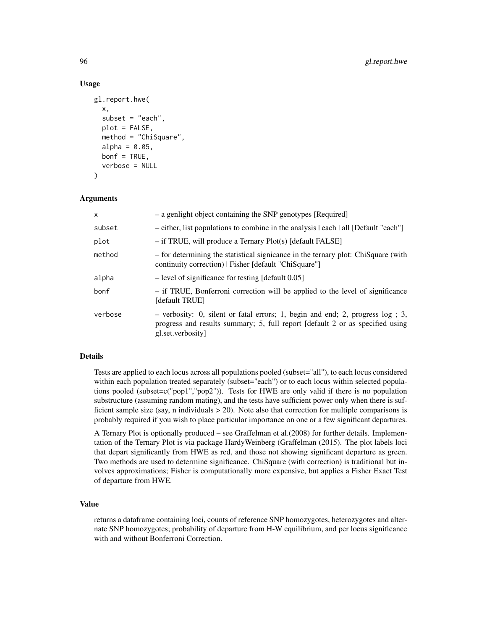## Usage

```
gl.report.hwe(
  x,
  subset = "each",
  plot = FALSE,
  method = "ChiSquare",
  alpha = 0.05,
  bonf = TRUE,
  verbose = NULL
\mathcal{L}
```
#### Arguments

| X       | - a genlight object containing the SNP genotypes [Required]                                                                                                                             |
|---------|-----------------------------------------------------------------------------------------------------------------------------------------------------------------------------------------|
| subset  | - either, list populations to combine in the analysis leach   all [Default "each"]                                                                                                      |
| plot    | $-$ if TRUE, will produce a Ternary Plot(s) [default FALSE]                                                                                                                             |
| method  | - for determining the statistical signicance in the ternary plot: ChiSquare (with<br>continuity correction)   Fisher [default "ChiSquare"]                                              |
| alpha   | - level of significance for testing [default 0.05]                                                                                                                                      |
| bonf    | - if TRUE, Bonferroni correction will be applied to the level of significance<br>[default TRUE]                                                                                         |
| verbose | $-$ verbosity: 0, silent or fatal errors; 1, begin and end; 2, progress $log$ ; 3,<br>progress and results summary; 5, full report [default 2 or as specified using<br>gl.set.verbosity |

#### Details

Tests are applied to each locus across all populations pooled (subset="all"), to each locus considered within each population treated separately (subset="each") or to each locus within selected populations pooled (subset=c("pop1","pop2")). Tests for HWE are only valid if there is no population substructure (assuming random mating), and the tests have sufficient power only when there is sufficient sample size (say, n individuals  $> 20$ ). Note also that correction for multiple comparisons is probably required if you wish to place particular importance on one or a few significant departures.

A Ternary Plot is optionally produced – see Graffelman et al.(2008) for further details. Implementation of the Ternary Plot is via package HardyWeinberg (Graffelman (2015). The plot labels loci that depart significantly from HWE as red, and those not showing significant departure as green. Two methods are used to determine significance. ChiSquare (with correction) is traditional but involves approximations; Fisher is computationally more expensive, but applies a Fisher Exact Test of departure from HWE.

## Value

returns a dataframe containing loci, counts of reference SNP homozygotes, heterozygotes and alternate SNP homozygotes; probability of departure from H-W equilibrium, and per locus significance with and without Bonferroni Correction.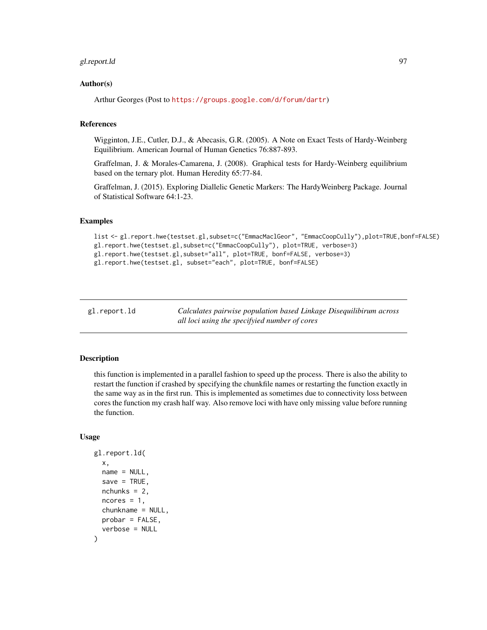# gl.report.ld 97

## Author(s)

Arthur Georges (Post to <https://groups.google.com/d/forum/dartr>)

## References

Wigginton, J.E., Cutler, D.J., & Abecasis, G.R. (2005). A Note on Exact Tests of Hardy-Weinberg Equilibrium. American Journal of Human Genetics 76:887-893.

Graffelman, J. & Morales-Camarena, J. (2008). Graphical tests for Hardy-Weinberg equilibrium based on the ternary plot. Human Heredity 65:77-84.

Graffelman, J. (2015). Exploring Diallelic Genetic Markers: The HardyWeinberg Package. Journal of Statistical Software 64:1-23.

#### Examples

```
list <- gl.report.hwe(testset.gl,subset=c("EmmacMaclGeor", "EmmacCoopCully"),plot=TRUE,bonf=FALSE)
gl.report.hwe(testset.gl,subset=c("EmmacCoopCully"), plot=TRUE, verbose=3)
gl.report.hwe(testset.gl,subset="all", plot=TRUE, bonf=FALSE, verbose=3)
gl.report.hwe(testset.gl, subset="each", plot=TRUE, bonf=FALSE)
```
gl.report.ld *Calculates pairwise population based Linkage Disequilibirum across all loci using the specifyied number of cores*

# Description

this function is implemented in a parallel fashion to speed up the process. There is also the ability to restart the function if crashed by specifying the chunkfile names or restarting the function exactly in the same way as in the first run. This is implemented as sometimes due to connectivity loss between cores the function my crash half way. Also remove loci with have only missing value before running the function.

# Usage

```
gl.report.ld(
  x,
  name = NULL,save = TRUE,nchunks = 2,
  ncores = 1,
  chunkname = NULL,
 probar = FALSE,
  verbose = NULL
)
```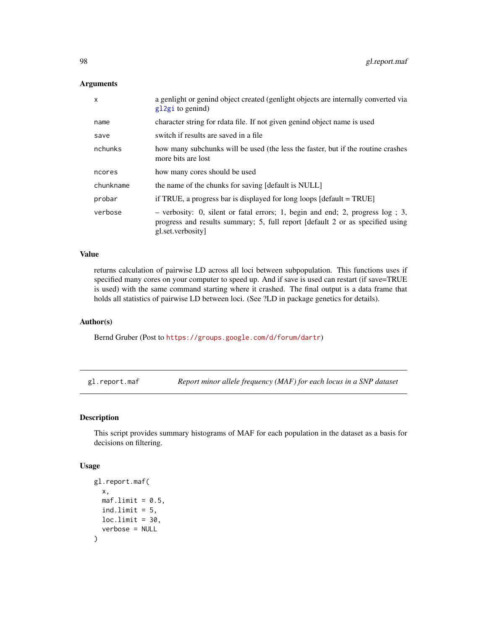## Arguments

| $\mathsf{x}$ | a genlight or genind object created (genlight objects are internally converted via<br>$g12gi$ to genind)                                                                                |
|--------------|-----------------------------------------------------------------------------------------------------------------------------------------------------------------------------------------|
| name         | character string for rdata file. If not given genind object name is used                                                                                                                |
| save         | switch if results are saved in a file                                                                                                                                                   |
| nchunks      | how many subchunks will be used (the less the faster, but if the routine crashes<br>more bits are lost                                                                                  |
| ncores       | how many cores should be used                                                                                                                                                           |
| chunkname    | the name of the chunks for saving [default is NULL]                                                                                                                                     |
| probar       | if TRUE, a progress bar is displayed for long loops $[default = TRUE]$                                                                                                                  |
| verbose      | $-$ verbosity: 0, silent or fatal errors; 1, begin and end; 2, progress $log$ ; 3,<br>progress and results summary; 5, full report [default 2 or as specified using<br>gl.set.verbosity |

## Value

returns calculation of pairwise LD across all loci between subpopulation. This functions uses if specified many cores on your computer to speed up. And if save is used can restart (if save=TRUE is used) with the same command starting where it crashed. The final output is a data frame that holds all statistics of pairwise LD between loci. (See ?LD in package genetics for details).

#### Author(s)

Bernd Gruber (Post to <https://groups.google.com/d/forum/dartr>)

gl.report.maf *Report minor allele frequency (MAF) for each locus in a SNP dataset*

## Description

This script provides summary histograms of MAF for each population in the dataset as a basis for decisions on filtering.

#### Usage

```
gl.report.maf(
  x,
 \text{maf.limit} = 0.5,ind.limit = 5,
 loc.limit = 30,verbose = NULL
)
```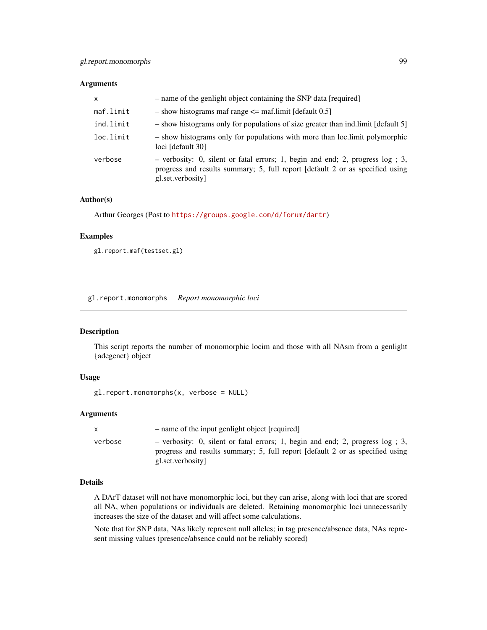## Arguments

| $\mathsf{x}$ | - name of the genlight object containing the SNP data [required]                                                                                                                    |
|--------------|-------------------------------------------------------------------------------------------------------------------------------------------------------------------------------------|
| maf.limit    | $-$ show histograms maf range $\leq$ maf.limit [default 0.5]                                                                                                                        |
| ind.limit    | - show histograms only for populations of size greater than ind. limit [default 5]                                                                                                  |
| loc.limit    | - show histograms only for populations with more than loc. limit polymorphic<br>loci [default 30]                                                                                   |
| verbose      | - verbosity: 0, silent or fatal errors; 1, begin and end; 2, progress log ; 3,<br>progress and results summary; 5, full report [default 2 or as specified using<br>gl.set.verbosity |

## Author(s)

Arthur Georges (Post to <https://groups.google.com/d/forum/dartr>)

# Examples

gl.report.maf(testset.gl)

gl.report.monomorphs *Report monomorphic loci*

#### Description

This script reports the number of monomorphic locim and those with all NAsm from a genlight {adegenet} object

## Usage

```
gl.report.monomorphs(x, verbose = NULL)
```
## Arguments

|         | - name of the input genlight object [required]                                                                                                                                        |
|---------|---------------------------------------------------------------------------------------------------------------------------------------------------------------------------------------|
| verbose | - verbosity: 0, silent or fatal errors; 1, begin and end; 2, progress $log$ ; 3,<br>progress and results summary; 5, full report [default 2 or as specified using<br>gl.set.verbosity |

#### Details

A DArT dataset will not have monomorphic loci, but they can arise, along with loci that are scored all NA, when populations or individuals are deleted. Retaining monomorphic loci unnecessarily increases the size of the dataset and will affect some calculations.

Note that for SNP data, NAs likely represent null alleles; in tag presence/absence data, NAs represent missing values (presence/absence could not be reliably scored)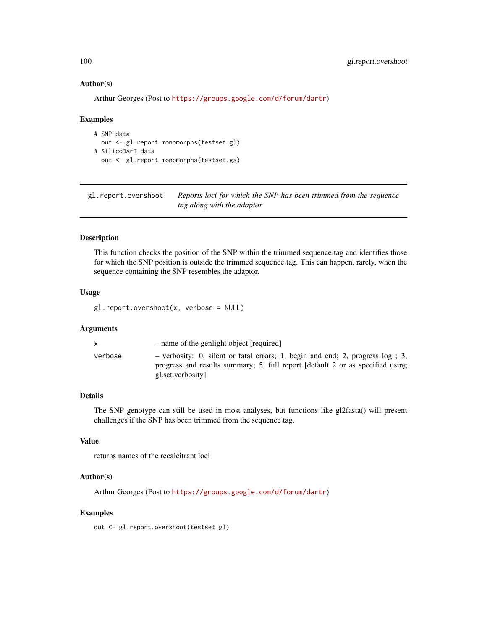## Author(s)

Arthur Georges (Post to <https://groups.google.com/d/forum/dartr>)

#### Examples

```
# SNP data
  out <- gl.report.monomorphs(testset.gl)
# SilicoDArT data
  out <- gl.report.monomorphs(testset.gs)
```
gl.report.overshoot *Reports loci for which the SNP has been trimmed from the sequence tag along with the adaptor*

## Description

This function checks the position of the SNP within the trimmed sequence tag and identifies those for which the SNP position is outside the trimmed sequence tag. This can happen, rarely, when the sequence containing the SNP resembles the adaptor.

# Usage

gl.report.overshoot(x, verbose = NULL)

# Arguments

|         | - name of the genlight object [required]                                                                                                                                              |
|---------|---------------------------------------------------------------------------------------------------------------------------------------------------------------------------------------|
| verbose | - verbosity: 0, silent or fatal errors; 1, begin and end; 2, progress $log$ ; 3,<br>progress and results summary; 5, full report [default 2 or as specified using<br>gl.set.verbosity |

# Details

The SNP genotype can still be used in most analyses, but functions like gl2fasta() will present challenges if the SNP has been trimmed from the sequence tag.

# Value

returns names of the recalcitrant loci

# Author(s)

Arthur Georges (Post to <https://groups.google.com/d/forum/dartr>)

## Examples

out <- gl.report.overshoot(testset.gl)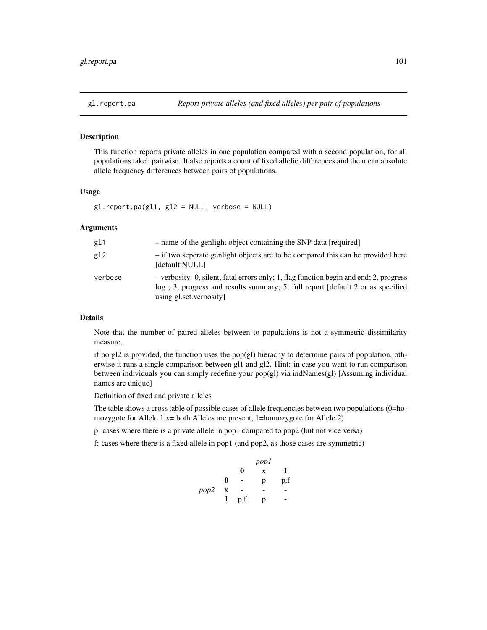#### Description

This function reports private alleles in one population compared with a second population, for all populations taken pairwise. It also reports a count of fixed allelic differences and the mean absolute allele frequency differences between pairs of populations.

# Usage

 $gl.$ report.pa(gl1, gl2 = NULL, verbose = NULL)

# Arguments

| g11     | - name of the genlight object containing the SNP data [required]                                                                                                                                      |
|---------|-------------------------------------------------------------------------------------------------------------------------------------------------------------------------------------------------------|
| g12     | - if two seperate genlight objects are to be compared this can be provided here<br>[default NULL]                                                                                                     |
| verbose | - verbosity: 0, silent, fatal errors only; 1, flag function begin and end; 2, progress<br>log : 3, progress and results summary; 5, full report [default 2 or as specified<br>using gl.set.verbosity] |

# Details

Note that the number of paired alleles between to populations is not a symmetric dissimilarity measure.

if no gl2 is provided, the function uses the pop(gl) hierachy to determine pairs of population, otherwise it runs a single comparison between gl1 and gl2. Hint: in case you want to run comparison between individuals you can simply redefine your pop(gl) via indNames(gl) [Assuming individual names are unique]

Definition of fixed and private alleles

The table shows a cross table of possible cases of allele frequencies between two populations (0=homozygote for Allele 1,x= both Alleles are present, 1=homozygote for Allele 2)

p: cases where there is a private allele in pop1 compared to pop2 (but not vice versa)

f: cases where there is a fixed allele in pop1 (and pop2, as those cases are symmetric)

|      |             | pop1 |   |     |
|------|-------------|------|---|-----|
|      |             | 0    | X | 1   |
|      | 0           | -    | p | p,f |
| pop2 | $\mathbf X$ |      |   |     |
|      | 1           | p,f  | p |     |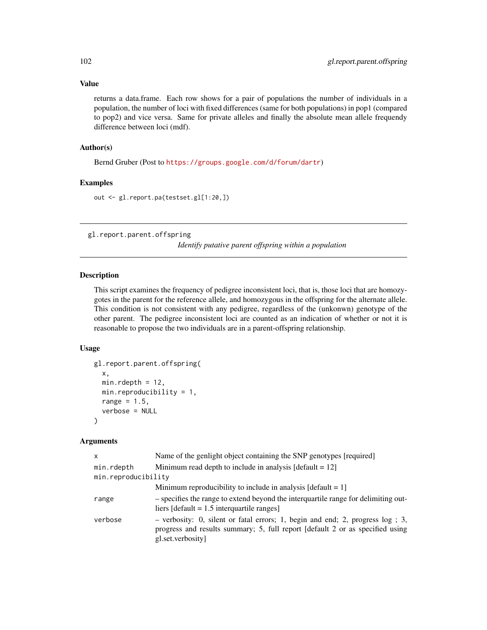# Value

returns a data.frame. Each row shows for a pair of populations the number of individuals in a population, the number of loci with fixed differences (same for both populations) in pop1 (compared to pop2) and vice versa. Same for private alleles and finally the absolute mean allele frequendy difference between loci (mdf).

## Author(s)

Bernd Gruber (Post to <https://groups.google.com/d/forum/dartr>)

# Examples

out <- gl.report.pa(testset.gl[1:20,])

gl.report.parent.offspring

*Identify putative parent offspring within a population*

## Description

This script examines the frequency of pedigree inconsistent loci, that is, those loci that are homozygotes in the parent for the reference allele, and homozygous in the offspring for the alternate allele. This condition is not consistent with any pedigree, regardless of the (unkonwn) genotype of the other parent. The pedigree inconsistent loci are counted as an indication of whether or not it is reasonable to propose the two individuals are in a parent-offspring relationship.

## Usage

```
gl.report.parent.offspring(
 x,
 min.rdepth = 12,
 min.reproducibility = 1,
 range = 1.5,
  verbose = NULL
)
```

| x                   | Name of the genlight object containing the SNP genotypes [required]                                                                                                                   |
|---------------------|---------------------------------------------------------------------------------------------------------------------------------------------------------------------------------------|
| min.rdepth          | Minimum read depth to include in analysis $\lceil \text{default} = 12 \rceil$                                                                                                         |
| min.reproducibility |                                                                                                                                                                                       |
|                     | Minimum reproducibility to include in analysis $\lceil \text{default} = 1 \rceil$                                                                                                     |
| range               | - specifies the range to extend beyond the interguartile range for delimiting out-<br>liers [default = $1.5$ interquartile ranges]                                                    |
| verbose             | - verbosity: 0, silent or fatal errors; 1, begin and end; 2, progress $log$ ; 3,<br>progress and results summary; 5, full report [default 2 or as specified using<br>gl.set.verbosity |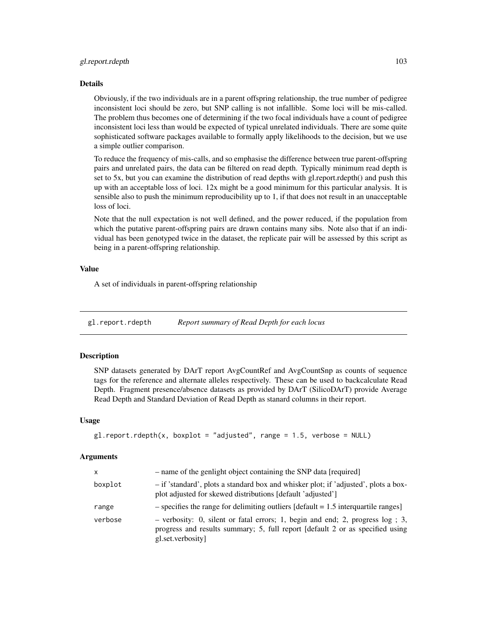## gl.report.rdepth 103

#### Details

Obviously, if the two individuals are in a parent offspring relationship, the true number of pedigree inconsistent loci should be zero, but SNP calling is not infallible. Some loci will be mis-called. The problem thus becomes one of determining if the two focal individuals have a count of pedigree inconsistent loci less than would be expected of typical unrelated individuals. There are some quite sophisticated software packages available to formally apply likelihoods to the decision, but we use a simple outlier comparison.

To reduce the frequency of mis-calls, and so emphasise the difference between true parent-offspring pairs and unrelated pairs, the data can be filtered on read depth. Typically minimum read depth is set to 5x, but you can examine the distribution of read depths with gl.report.rdepth() and push this up with an acceptable loss of loci. 12x might be a good minimum for this particular analysis. It is sensible also to push the minimum reproducibility up to 1, if that does not result in an unacceptable loss of loci.

Note that the null expectation is not well defined, and the power reduced, if the population from which the putative parent-offspring pairs are drawn contains many sibs. Note also that if an individual has been genotyped twice in the dataset, the replicate pair will be assessed by this script as being in a parent-offspring relationship.

#### Value

A set of individuals in parent-offspring relationship

gl.report.rdepth *Report summary of Read Depth for each locus*

#### **Description**

SNP datasets generated by DArT report AvgCountRef and AvgCountSnp as counts of sequence tags for the reference and alternate alleles respectively. These can be used to backcalculate Read Depth. Fragment presence/absence datasets as provided by DArT (SilicoDArT) provide Average Read Depth and Standard Deviation of Read Depth as stanard columns in their report.

#### Usage

```
gl.report.rdepth(x, boxplot = "adjusted", range = 1.5, verbose = NULL)
```

| x       | - name of the genlight object containing the SNP data [required]                                                                                                                        |
|---------|-----------------------------------------------------------------------------------------------------------------------------------------------------------------------------------------|
| boxplot | - if 'standard', plots a standard box and whisker plot; if 'adjusted', plots a box-<br>plot adjusted for skewed distributions [default 'adjusted']                                      |
| range   | $-$ specifies the range for delimiting outliers [default = 1.5 interquartile ranges]                                                                                                    |
| verbose | $-$ verbosity: 0, silent or fatal errors; 1, begin and end; 2, progress $log$ ; 3,<br>progress and results summary; 5, full report [default 2 or as specified using<br>gl.set.verbosity |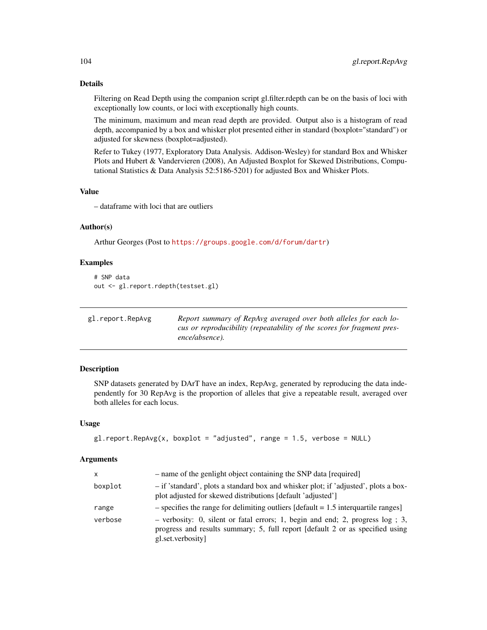Filtering on Read Depth using the companion script gl.filter.rdepth can be on the basis of loci with exceptionally low counts, or loci with exceptionally high counts.

The minimum, maximum and mean read depth are provided. Output also is a histogram of read depth, accompanied by a box and whisker plot presented either in standard (boxplot="standard") or adjusted for skewness (boxplot=adjusted).

Refer to Tukey (1977, Exploratory Data Analysis. Addison-Wesley) for standard Box and Whisker Plots and Hubert & Vandervieren (2008), An Adjusted Boxplot for Skewed Distributions, Computational Statistics & Data Analysis 52:5186-5201) for adjusted Box and Whisker Plots.

#### Value

– dataframe with loci that are outliers

# Author(s)

Arthur Georges (Post to <https://groups.google.com/d/forum/dartr>)

## Examples

```
# SNP data
out <- gl.report.rdepth(testset.gl)
```

| gl.report.RepAvg | Report summary of RepAvg averaged over both alleles for each lo-       |
|------------------|------------------------------------------------------------------------|
|                  | cus or reproducibility (repeatability of the scores for fragment pres- |
|                  | ence/absence).                                                         |

## Description

SNP datasets generated by DArT have an index, RepAvg, generated by reproducing the data independently for 30 RepAvg is the proportion of alleles that give a repeatable result, averaged over both alleles for each locus.

## Usage

```
gl.report.RepAvg(x, boxplot = "adjusted", range = 1.5, verbose = NULL)
```

| x       | - name of the genlight object containing the SNP data [required]                                                                                                                     |
|---------|--------------------------------------------------------------------------------------------------------------------------------------------------------------------------------------|
| boxplot | - if 'standard', plots a standard box and whisker plot; if 'adjusted', plots a box-<br>plot adjusted for skewed distributions [default 'adjusted']                                   |
| range   | $-$ specifies the range for delimiting outliers [default = 1.5 interquartile ranges]                                                                                                 |
| verbose | $-$ verbosity: 0, silent or fatal errors; 1, begin and end; 2, progress log; 3,<br>progress and results summary; 5, full report [default 2 or as specified using<br>gl.set.verbosity |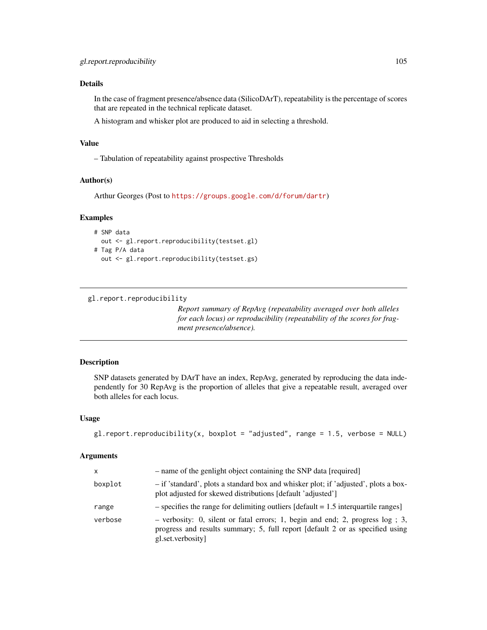In the case of fragment presence/absence data (SilicoDArT), repeatability is the percentage of scores that are repeated in the technical replicate dataset.

A histogram and whisker plot are produced to aid in selecting a threshold.

## Value

– Tabulation of repeatability against prospective Thresholds

## Author(s)

Arthur Georges (Post to <https://groups.google.com/d/forum/dartr>)

#### Examples

```
# SNP data
 out <- gl.report.reproducibility(testset.gl)
# Tag P/A data
```
out <- gl.report.reproducibility(testset.gs)

```
gl.report.reproducibility
```
*Report summary of RepAvg (repeatability averaged over both alleles for each locus) or reproducibility (repeatability of the scores for fragment presence/absence).*

## Description

SNP datasets generated by DArT have an index, RepAvg, generated by reproducing the data independently for 30 RepAvg is the proportion of alleles that give a repeatable result, averaged over both alleles for each locus.

#### Usage

```
gl.report.reproducibility(x, boxplot = "adjusted", range = 1.5, verbose = NULL)
```

| x       | - name of the genlight object containing the SNP data [required]                                                                                                                        |
|---------|-----------------------------------------------------------------------------------------------------------------------------------------------------------------------------------------|
| boxplot | - if 'standard', plots a standard box and whisker plot; if 'adjusted', plots a box-<br>plot adjusted for skewed distributions [default 'adjusted']                                      |
| range   | $-$ specifies the range for delimiting outliers [default = 1.5 interquartile ranges]                                                                                                    |
| verbose | $-$ verbosity: 0, silent or fatal errors; 1, begin and end; 2, progress $log$ ; 3,<br>progress and results summary; 5, full report [default 2 or as specified using<br>gl.set.verbosity |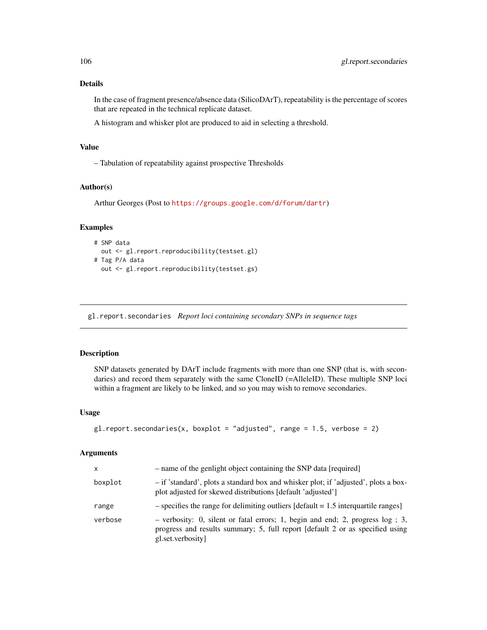In the case of fragment presence/absence data (SilicoDArT), repeatability is the percentage of scores that are repeated in the technical replicate dataset.

A histogram and whisker plot are produced to aid in selecting a threshold.

## Value

– Tabulation of repeatability against prospective Thresholds

## Author(s)

Arthur Georges (Post to <https://groups.google.com/d/forum/dartr>)

# Examples

```
# SNP data
 out <- gl.report.reproducibility(testset.gl)
# Tag P/A data
 out <- gl.report.reproducibility(testset.gs)
```
gl.report.secondaries *Report loci containing secondary SNPs in sequence tags*

# Description

SNP datasets generated by DArT include fragments with more than one SNP (that is, with secondaries) and record them separately with the same CloneID (=AlleleID). These multiple SNP loci within a fragment are likely to be linked, and so you may wish to remove secondaries.

## Usage

```
gl.report.secondaries(x, boxplot = "adjusted", range = 1.5, verbose = 2)
```

| x       | - name of the genlight object containing the SNP data [required]                                                                                                                     |
|---------|--------------------------------------------------------------------------------------------------------------------------------------------------------------------------------------|
| boxplot | - if 'standard', plots a standard box and whisker plot; if 'adjusted', plots a box-<br>plot adjusted for skewed distributions [default 'adjusted']                                   |
| range   | $-$ specifies the range for delimiting outliers [default = 1.5 interquartile ranges]                                                                                                 |
| verbose | $-$ verbosity: 0, silent or fatal errors; 1, begin and end; 2, progress log; 3,<br>progress and results summary; 5, full report [default 2 or as specified using<br>gl.set.verbosity |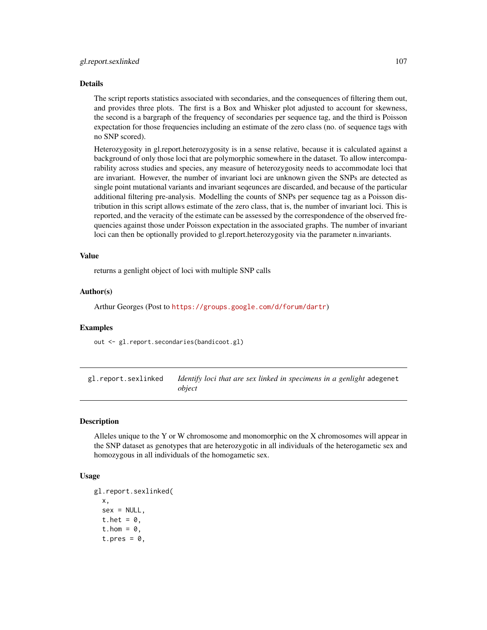The script reports statistics associated with secondaries, and the consequences of filtering them out, and provides three plots. The first is a Box and Whisker plot adjusted to account for skewness, the second is a bargraph of the frequency of secondaries per sequence tag, and the third is Poisson expectation for those frequencies including an estimate of the zero class (no. of sequence tags with no SNP scored).

Heterozygosity in gl.report.heterozygosity is in a sense relative, because it is calculated against a background of only those loci that are polymorphic somewhere in the dataset. To allow intercomparability across studies and species, any measure of heterozygosity needs to accommodate loci that are invariant. However, the number of invariant loci are unknown given the SNPs are detected as single point mutational variants and invariant seqeunces are discarded, and because of the particular additional filtering pre-analysis. Modelling the counts of SNPs per sequence tag as a Poisson distribution in this script allows estimate of the zero class, that is, the number of invariant loci. This is reported, and the veracity of the estimate can be assessed by the correspondence of the observed frequencies against those under Poisson expectation in the associated graphs. The number of invariant loci can then be optionally provided to gl.report.heterozygosity via the parameter n.invariants.

#### Value

returns a genlight object of loci with multiple SNP calls

#### Author(s)

Arthur Georges (Post to <https://groups.google.com/d/forum/dartr>)

## Examples

out <- gl.report.secondaries(bandicoot.gl)

gl.report.sexlinked *Identify loci that are sex linked in specimens in a genlight* adegenet *object*

#### Description

Alleles unique to the Y or W chromosome and monomorphic on the X chromosomes will appear in the SNP dataset as genotypes that are heterozygotic in all individuals of the heterogametic sex and homozygous in all individuals of the homogametic sex.

## Usage

```
gl.report.sexlinked(
 x,
  sex = NULL,t.het = 0,
  t.hom = 0,
  t.pres = 0,
```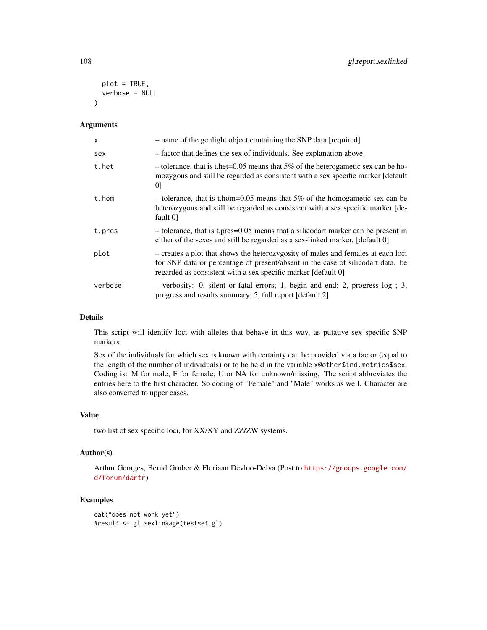```
plot = TRUE,
  verbose = NULL
\lambda
```
## Arguments

| $\mathsf{x}$ | - name of the genlight object containing the SNP data [required]                                                                                                                                                                     |
|--------------|--------------------------------------------------------------------------------------------------------------------------------------------------------------------------------------------------------------------------------------|
| sex          | - factor that defines the sex of individuals. See explanation above.                                                                                                                                                                 |
| t.het        | - tolerance, that is t.het=0.05 means that 5% of the heterogametic sex can be ho-<br>mozygous and still be regarded as consistent with a sex specific marker [default]<br>01                                                         |
| t.hom        | - tolerance, that is t.hom= $0.05$ means that 5% of the homogametic sex can be<br>heterozygous and still be regarded as consistent with a sex specific marker [de-<br>fault 0                                                        |
| t.pres       | - tolerance, that is t.pres=0.05 means that a silicodart marker can be present in<br>either of the sexes and still be regarded as a sex-linked marker. [default 0]                                                                   |
| plot         | - creates a plot that shows the heterozygosity of males and females at each loci<br>for SNP data or percentage of present/absent in the case of silicodart data. be<br>regarded as consistent with a sex specific marker [default 0] |
| verbose      | $-$ verbosity: 0, silent or fatal errors; 1, begin and end; 2, progress $log$ ; 3,<br>progress and results summary; 5, full report [default 2]                                                                                       |

## Details

This script will identify loci with alleles that behave in this way, as putative sex specific SNP markers.

Sex of the individuals for which sex is known with certainty can be provided via a factor (equal to the length of the number of individuals) or to be held in the variable x@other\$ind.metrics\$sex. Coding is: M for male, F for female, U or NA for unknown/missing. The script abbreviates the entries here to the first character. So coding of "Female" and "Male" works as well. Character are also converted to upper cases.

## Value

two list of sex specific loci, for XX/XY and ZZ/ZW systems.

## Author(s)

Arthur Georges, Bernd Gruber & Floriaan Devloo-Delva (Post to [https://groups.google.com/](https://groups.google.com/d/forum/dartr) [d/forum/dartr](https://groups.google.com/d/forum/dartr))

```
cat("does not work yet")
#result <- gl.sexlinkage(testset.gl)
```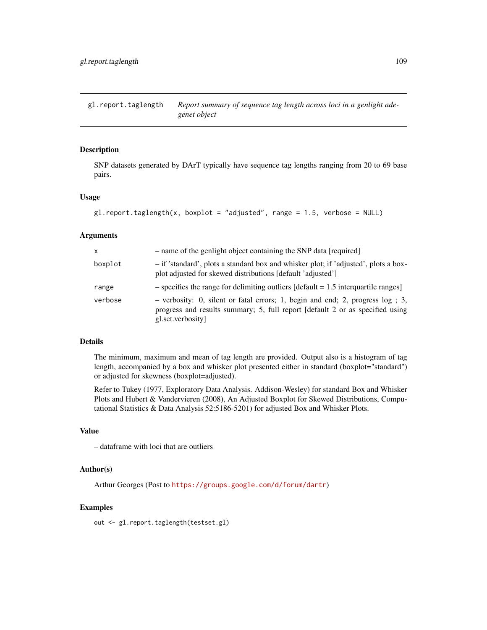gl.report.taglength *Report summary of sequence tag length across loci in a genlight adegenet object*

# Description

SNP datasets generated by DArT typically have sequence tag lengths ranging from 20 to 69 base pairs.

#### Usage

```
gl.report.taglength(x, boxplot = "adjusted", range = 1.5, verbose = NULL)
```
## Arguments

| x       | - name of the genlight object containing the SNP data [required]                                                                                                                     |
|---------|--------------------------------------------------------------------------------------------------------------------------------------------------------------------------------------|
| boxplot | - if 'standard', plots a standard box and whisker plot; if 'adjusted', plots a box-<br>plot adjusted for skewed distributions [default 'adjusted']                                   |
| range   | $-$ specifies the range for delimiting outliers [default = 1.5 interquartile ranges]                                                                                                 |
| verbose | $-$ verbosity: 0, silent or fatal errors; 1, begin and end; 2, progress log; 3,<br>progress and results summary; 5, full report [default 2 or as specified using<br>gl.set.verbosity |

# Details

The minimum, maximum and mean of tag length are provided. Output also is a histogram of tag length, accompanied by a box and whisker plot presented either in standard (boxplot="standard") or adjusted for skewness (boxplot=adjusted).

Refer to Tukey (1977, Exploratory Data Analysis. Addison-Wesley) for standard Box and Whisker Plots and Hubert & Vandervieren (2008), An Adjusted Boxplot for Skewed Distributions, Computational Statistics & Data Analysis 52:5186-5201) for adjusted Box and Whisker Plots.

## Value

– dataframe with loci that are outliers

## Author(s)

Arthur Georges (Post to <https://groups.google.com/d/forum/dartr>)

# Examples

out <- gl.report.taglength(testset.gl)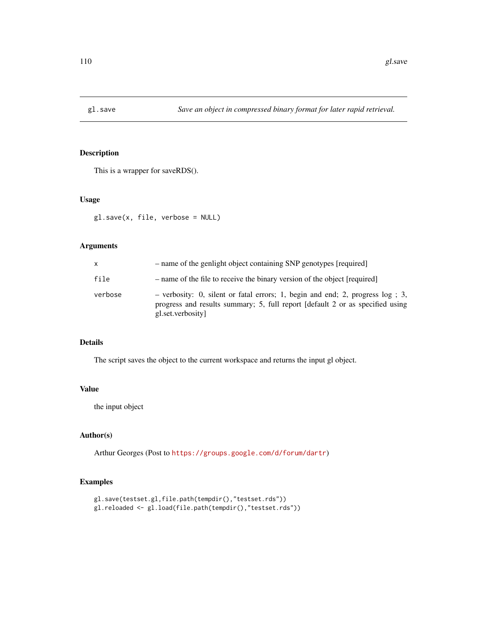This is a wrapper for saveRDS().

### Usage

gl.save(x, file, verbose = NULL)

## Arguments

| x       | - name of the genlight object containing SNP genotypes [required]                                                                                                                     |
|---------|---------------------------------------------------------------------------------------------------------------------------------------------------------------------------------------|
| file    | - name of the file to receive the binary version of the object [required]                                                                                                             |
| verbose | - verbosity: 0, silent or fatal errors; 1, begin and end; 2, progress $log$ ; 3,<br>progress and results summary; 5, full report [default 2 or as specified using<br>gl.set.verbosity |

# Details

The script saves the object to the current workspace and returns the input gl object.

# Value

the input object

## Author(s)

Arthur Georges (Post to <https://groups.google.com/d/forum/dartr>)

# Examples

```
gl.save(testset.gl,file.path(tempdir(),"testset.rds"))
gl.reloaded <- gl.load(file.path(tempdir(),"testset.rds"))
```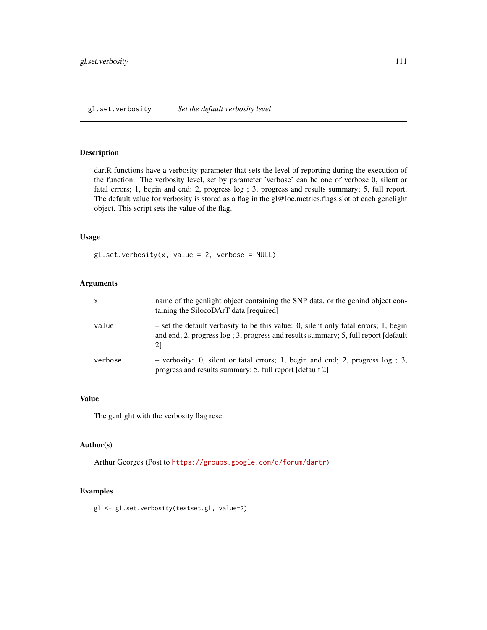dartR functions have a verbosity parameter that sets the level of reporting during the execution of the function. The verbosity level, set by parameter 'verbose' can be one of verbose 0, silent or fatal errors; 1, begin and end; 2, progress log ; 3, progress and results summary; 5, full report. The default value for verbosity is stored as a flag in the gl@loc.metrics.flags slot of each genelight object. This script sets the value of the flag.

#### Usage

 $gl.set.verbosity(x, value = 2, verbose = NULL)$ 

## Arguments

| x       | name of the genlight object containing the SNP data, or the genind object con-<br>taining the SilocoDArT data [required]                                                         |
|---------|----------------------------------------------------------------------------------------------------------------------------------------------------------------------------------|
| value   | - set the default verbosity to be this value: 0, silent only fatal errors; 1, begin<br>and end; 2, progress log; 3, progress and results summary; 5, full report [default]<br>21 |
| verbose | - verbosity: 0, silent or fatal errors; 1, begin and end; 2, progress $log$ ; 3,<br>progress and results summary; 5, full report [default 2]                                     |

## Value

The genlight with the verbosity flag reset

#### Author(s)

Arthur Georges (Post to <https://groups.google.com/d/forum/dartr>)

## Examples

gl <- gl.set.verbosity(testset.gl, value=2)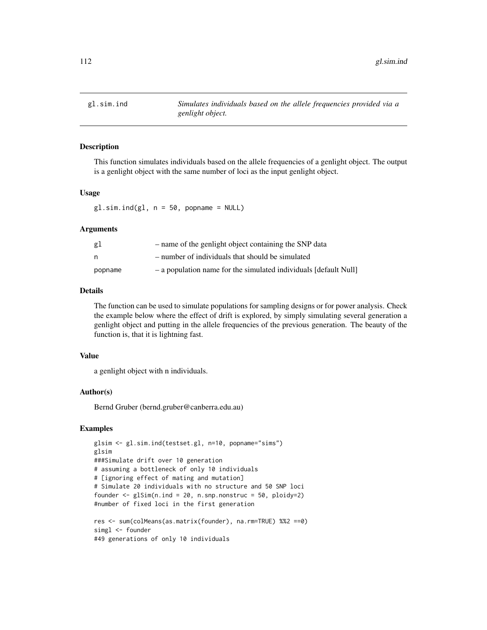This function simulates individuals based on the allele frequencies of a genlight object. The output is a genlight object with the same number of loci as the input genlight object.

## Usage

 $gl.sim.ind(g1, n = 50, popname = NULL)$ 

#### Arguments

| g1      | - name of the genlight object containing the SNP data            |
|---------|------------------------------------------------------------------|
| n       | - number of individuals that should be simulated                 |
| popname | - a population name for the simulated individuals [default Null] |

## Details

The function can be used to simulate populations for sampling designs or for power analysis. Check the example below where the effect of drift is explored, by simply simulating several generation a genlight object and putting in the allele frequencies of the previous generation. The beauty of the function is, that it is lightning fast.

## Value

a genlight object with n individuals.

#### Author(s)

Bernd Gruber (bernd.gruber@canberra.edu.au)

# Examples

```
glsim <- gl.sim.ind(testset.gl, n=10, popname="sims")
glsim
###Simulate drift over 10 generation
# assuming a bottleneck of only 10 individuals
# [ignoring effect of mating and mutation]
# Simulate 20 individuals with no structure and 50 SNP loci
founder \leq glSim(n.ind = 20, n.snp.nonstruc = 50, ploidy=2)
#number of fixed loci in the first generation
res <- sum(colMeans(as.matrix(founder), na.rm=TRUE) %%2 ==0)
simgl <- founder
#49 generations of only 10 individuals
```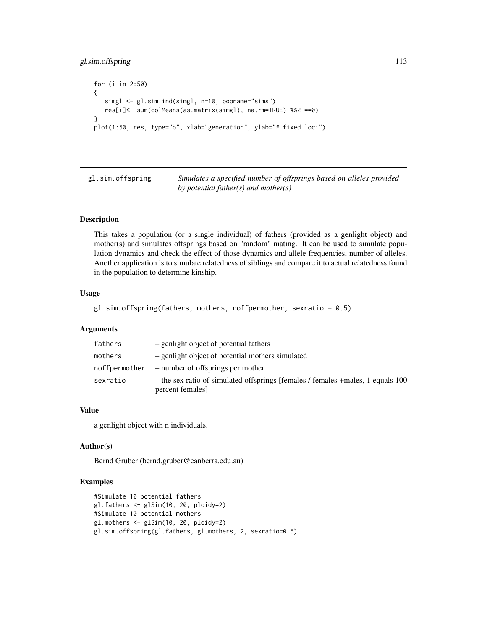# gl.sim.offspring 113

```
for (i in 2:50)
{
   simgl <- gl.sim.ind(simgl, n=10, popname="sims")
  res[i]<- sum(colMeans(as.matrix(simgl), na.rm=TRUE) %%2 ==0)
}
plot(1:50, res, type="b", xlab="generation", ylab="# fixed loci")
```
gl.sim.offspring *Simulates a specified number of offsprings based on alleles provided by potential father(s) and mother(s)*

# Description

This takes a population (or a single individual) of fathers (provided as a genlight object) and mother(s) and simulates offsprings based on "random" mating. It can be used to simulate population dynamics and check the effect of those dynamics and allele frequencies, number of alleles. Another application is to simulate relatedness of siblings and compare it to actual relatedness found in the population to determine kinship.

# Usage

```
gl.sim.offspring(fathers, mothers, noffpermother, sexratio = 0.5)
```
#### Arguments

| fathers       | - genlight object of potential fathers                                                              |
|---------------|-----------------------------------------------------------------------------------------------------|
| mothers       | - genlight object of potential mothers simulated                                                    |
| noffpermother | - number of offsprings per mother                                                                   |
| sexratio      | - the sex ratio of simulated offsprings [females / females + males, 1 equals 100<br>percent females |

# Value

a genlight object with n individuals.

#### Author(s)

Bernd Gruber (bernd.gruber@canberra.edu.au)

## Examples

```
#Simulate 10 potential fathers
gl.fathers <- glSim(10, 20, ploidy=2)
#Simulate 10 potential mothers
gl.mothers <- glSim(10, 20, ploidy=2)
gl.sim.offspring(gl.fathers, gl.mothers, 2, sexratio=0.5)
```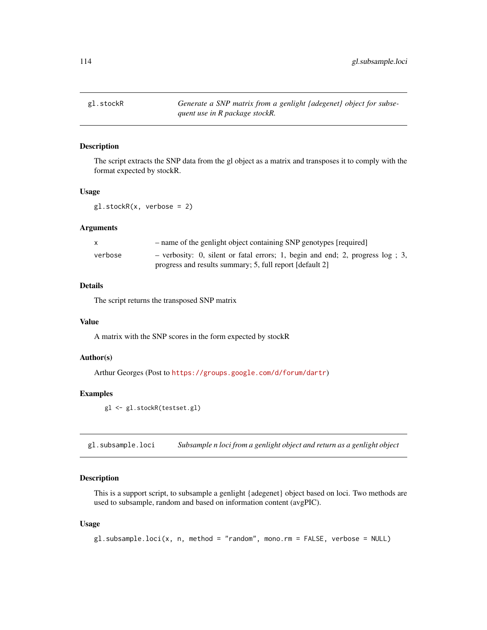gl.stockR *Generate a SNP matrix from a genlight {adegenet} object for subsequent use in R package stockR.*

## Description

The script extracts the SNP data from the gl object as a matrix and transposes it to comply with the format expected by stockR.

## Usage

gl.stockR(x, verbose = 2)

## Arguments

|         | - name of the genlight object containing SNP genotypes [required]                |
|---------|----------------------------------------------------------------------------------|
| verbose | - verbosity: 0, silent or fatal errors; 1, begin and end; 2, progress $log$ ; 3, |
|         | progress and results summary; 5, full report [default 2]                         |

#### Details

The script returns the transposed SNP matrix

### Value

A matrix with the SNP scores in the form expected by stockR

## Author(s)

Arthur Georges (Post to <https://groups.google.com/d/forum/dartr>)

# Examples

gl <- gl.stockR(testset.gl)

gl.subsample.loci *Subsample n loci from a genlight object and return as a genlight object*

#### Description

This is a support script, to subsample a genlight {adegenet} object based on loci. Two methods are used to subsample, random and based on information content (avgPIC).

#### Usage

 $gl.subsample.loci(x, n, method = "random", mono.rm = FALSE, verbose = NULL)$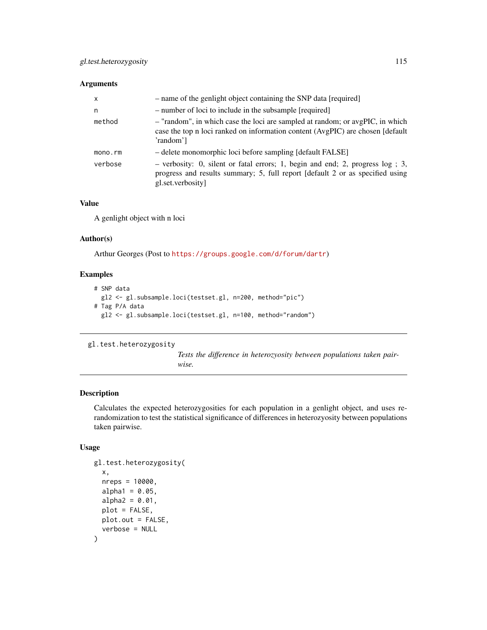## Arguments

| $\mathsf{x}$ | - name of the genlight object containing the SNP data [required]                                                                                                                     |
|--------------|--------------------------------------------------------------------------------------------------------------------------------------------------------------------------------------|
| n            | - number of loci to include in the subsample [required]                                                                                                                              |
| method       | - "random", in which case the loci are sampled at random; or avgPIC, in which<br>case the top n loci ranked on information content (AvgPIC) are chosen [default<br>'random']         |
| mono.rm      | - delete monomorphic loci before sampling [default FALSE]                                                                                                                            |
| verbose      | $-$ verbosity: 0, silent or fatal errors; 1, begin and end; 2, progress log; 3,<br>progress and results summary; 5, full report [default 2 or as specified using<br>gl.set.verbosity |

#### Value

A genlight object with n loci

## Author(s)

Arthur Georges (Post to <https://groups.google.com/d/forum/dartr>)

# Examples

```
# SNP data
 gl2 <- gl.subsample.loci(testset.gl, n=200, method="pic")
# Tag P/A data
 gl2 <- gl.subsample.loci(testset.gl, n=100, method="random")
```
gl.test.heterozygosity

*Tests the difference in heterozyosity between populations taken pairwise.*

# Description

Calculates the expected heterozygosities for each population in a genlight object, and uses rerandomization to test the statistical significance of differences in heterozyosity between populations taken pairwise.

## Usage

```
gl.test.heterozygosity(
  x,
  nreps = 10000,
  alpha1 = 0.05,
  alpha2 = 0.01,
 plot = FALSE,
 plot.out = FALSE,
  verbose = NULL
)
```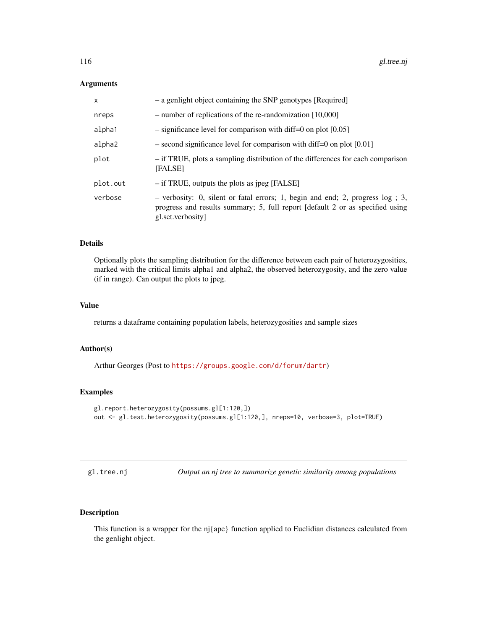#### Arguments

| X        | - a genlight object containing the SNP genotypes [Required]                                                                                                                             |
|----------|-----------------------------------------------------------------------------------------------------------------------------------------------------------------------------------------|
| nreps    | $-$ number of replications of the re-randomization [10,000]                                                                                                                             |
| alpha1   | $-$ significance level for comparison with diff=0 on plot [0.05]                                                                                                                        |
| alpha2   | $-$ second significance level for comparison with diff=0 on plot [0.01]                                                                                                                 |
| plot     | - if TRUE, plots a sampling distribution of the differences for each comparison<br>[FALSE]                                                                                              |
| plot.out | $-$ if TRUE, outputs the plots as jpeg [FALSE]                                                                                                                                          |
| verbose  | $-$ verbosity: 0, silent or fatal errors; 1, begin and end; 2, progress $log$ ; 3,<br>progress and results summary; 5, full report [default 2 or as specified using<br>gl.set.verbosity |

## Details

Optionally plots the sampling distribution for the difference between each pair of heterozygosities, marked with the critical limits alpha1 and alpha2, the observed heterozygosity, and the zero value (if in range). Can output the plots to jpeg.

## Value

returns a dataframe containing population labels, heterozygosities and sample sizes

#### Author(s)

Arthur Georges (Post to <https://groups.google.com/d/forum/dartr>)

## Examples

```
gl.report.heterozygosity(possums.gl[1:120,])
out <- gl.test.heterozygosity(possums.gl[1:120,], nreps=10, verbose=3, plot=TRUE)
```
gl.tree.nj *Output an nj tree to summarize genetic similarity among populations*

## Description

This function is a wrapper for the nj{ape} function applied to Euclidian distances calculated from the genlight object.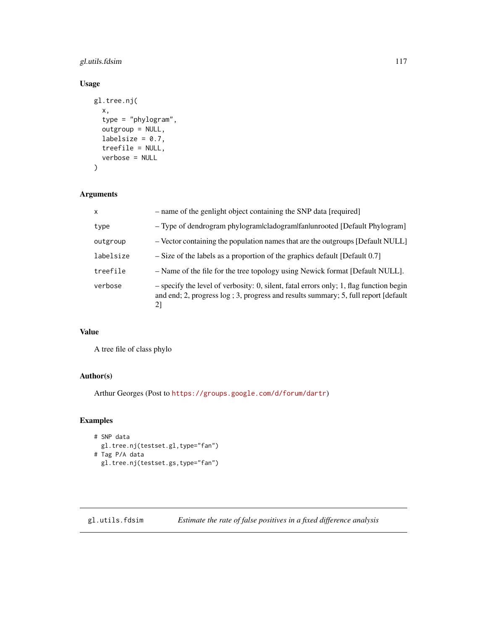# gl.utils.fdsim 117

# Usage

```
gl.tree.nj(
  x,
  type = "phylogram",
  outgroup = NULL,
  labelsize = 0.7,
  treefile = NULL,
  verbose = NULL
\mathcal{L}
```
## Arguments

| $\mathsf{x}$ | - name of the genlight object containing the SNP data [required]                                                                                                                |
|--------------|---------------------------------------------------------------------------------------------------------------------------------------------------------------------------------|
| type         | - Type of dendrogram phylogram cladogram fan unrooted [Default Phylogram]                                                                                                       |
| outgroup     | - Vector containing the population names that are the outgroups [Default NULL]                                                                                                  |
| labelsize    | $-$ Size of the labels as a proportion of the graphics default [Default 0.7]                                                                                                    |
| treefile     | - Name of the file for the tree topology using Newick format [Default NULL].                                                                                                    |
| verbose      | $-$ specify the level of verbosity: 0, silent, fatal errors only; 1, flag function begin<br>and end; 2, progress log; 3, progress and results summary; 5, full report [default] |

# Value

A tree file of class phylo

# Author(s)

Arthur Georges (Post to <https://groups.google.com/d/forum/dartr>)

# Examples

```
# SNP data
  gl.tree.nj(testset.gl,type="fan")
# Tag P/A data
 gl.tree.nj(testset.gs,type="fan")
```
gl.utils.fdsim *Estimate the rate of false positives in a fixed difference analysis*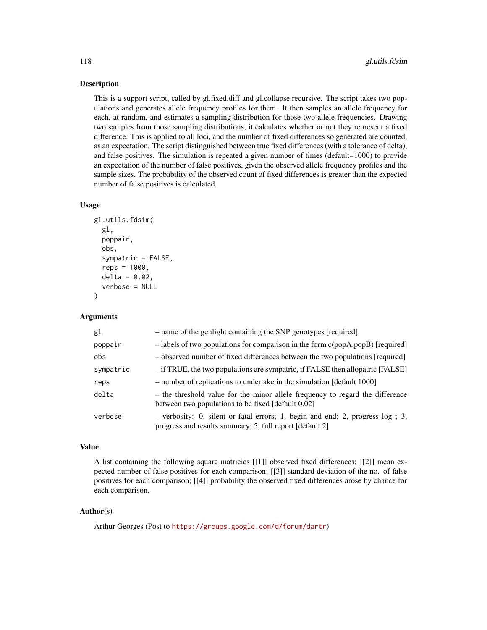This is a support script, called by gl.fixed.diff and gl.collapse.recursive. The script takes two populations and generates allele frequency profiles for them. It then samples an allele frequency for each, at random, and estimates a sampling distribution for those two allele frequencies. Drawing two samples from those sampling distributions, it calculates whether or not they represent a fixed difference. This is applied to all loci, and the number of fixed differences so generated are counted, as an expectation. The script distinguished between true fixed differences (with a tolerance of delta), and false positives. The simulation is repeated a given number of times (default=1000) to provide an expectation of the number of false positives, given the observed allele frequency profiles and the sample sizes. The probability of the observed count of fixed differences is greater than the expected number of false positives is calculated.

#### Usage

```
gl.utils.fdsim(
 gl,
 poppair,
  obs,
  sympatric = FALSE,
  reps = 1000,delta = 0.02,
  verbose = NULL
)
```
## Arguments

| g1        | - name of the genlight containing the SNP genotypes [required]                                                                                 |
|-----------|------------------------------------------------------------------------------------------------------------------------------------------------|
| poppair   | $-$ labels of two populations for comparison in the form $c$ (popA,popB) [required]                                                            |
| obs       | - observed number of fixed differences between the two populations [required]                                                                  |
| sympatric | - if TRUE, the two populations are sympatric, if FALSE then allopatric [FALSE]                                                                 |
| reps      | - number of replications to undertake in the simulation [default 1000]                                                                         |
| delta     | - the threshold value for the minor allele frequency to regard the difference<br>between two populations to be fixed [default 0.02]            |
| verbose   | $-$ verbosity: 0, silent or fatal errors; 1, begin and end; 2, progress $log$ ; 3,<br>progress and results summary; 5, full report [default 2] |

#### Value

A list containing the following square matricies [[1]] observed fixed differences; [[2]] mean expected number of false positives for each comparison; [[3]] standard deviation of the no. of false positives for each comparison; [[4]] probability the observed fixed differences arose by chance for each comparison.

# Author(s)

Arthur Georges (Post to <https://groups.google.com/d/forum/dartr>)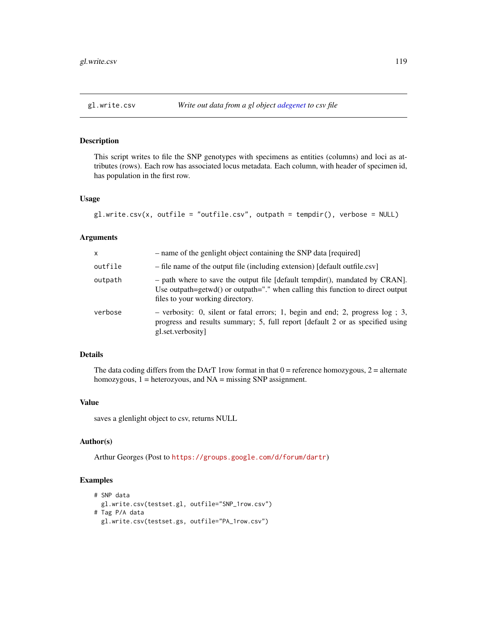This script writes to file the SNP genotypes with specimens as entities (columns) and loci as attributes (rows). Each row has associated locus metadata. Each column, with header of specimen id, has population in the first row.

#### Usage

```
gl.write.csv(x, outfile = "outfile.csv", outpath = tempdir(), verbose = NULL)
```
### Arguments

| X       | - name of the genlight object containing the SNP data [required]                                                                                                                                    |
|---------|-----------------------------------------------------------------------------------------------------------------------------------------------------------------------------------------------------|
| outfile | - file name of the output file (including extension) [default outfile.csv]                                                                                                                          |
| outpath | $-$ path where to save the output file [default tempdir(), mandated by CRAN].<br>Use outpath=getwd() or outpath="." when calling this function to direct output<br>files to your working directory. |
| verbose | $-$ verbosity: 0, silent or fatal errors; 1, begin and end; 2, progress log; 3,<br>progress and results summary; 5, full report [default 2 or as specified using<br>gl.set.verbosity                |

## Details

The data coding differs from the DArT 1row format in that  $0 =$  reference homozygous,  $2 =$  alternate homozygous, 1 = heterozyous, and NA = missing SNP assignment.

## Value

saves a glenlight object to csv, returns NULL

# Author(s)

Arthur Georges (Post to <https://groups.google.com/d/forum/dartr>)

#### Examples

```
# SNP data
 gl.write.csv(testset.gl, outfile="SNP_1row.csv")
# Tag P/A data
 gl.write.csv(testset.gs, outfile="PA_1row.csv")
```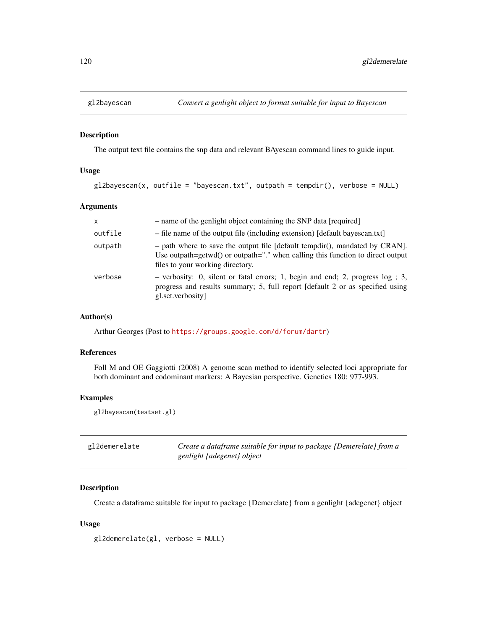The output text file contains the snp data and relevant BAyescan command lines to guide input.

## Usage

```
gl2bayescan(x, outfile = "bayescan.txt", outpath = tempdir(), verbose = NULL)
```
## Arguments

| $\mathsf{x}$ | - name of the genlight object containing the SNP data [required]                                                                                                                                            |
|--------------|-------------------------------------------------------------------------------------------------------------------------------------------------------------------------------------------------------------|
| outfile      | - file name of the output file (including extension) [default bayescan.txt]                                                                                                                                 |
| outpath      | $-$ path where to save the output file [default tempdir(), mandated by CRAN].<br>Use outpath=getwd() or outpath=" $\cdot$ " when calling this function to direct output<br>files to your working directory. |
| verbose      | $-$ verbosity: 0, silent or fatal errors; 1, begin and end; 2, progress log; 3,<br>progress and results summary; 5, full report [default 2 or as specified using<br>gl.set.verbosity                        |

#### Author(s)

Arthur Georges (Post to <https://groups.google.com/d/forum/dartr>)

#### References

Foll M and OE Gaggiotti (2008) A genome scan method to identify selected loci appropriate for both dominant and codominant markers: A Bayesian perspective. Genetics 180: 977-993.

# Examples

gl2bayescan(testset.gl)

| gl2demerelate | Create a dataframe suitable for input to package {Demerelate} from a |
|---------------|----------------------------------------------------------------------|
|               | genlight {adegenet} object                                           |

# Description

Create a dataframe suitable for input to package {Demerelate} from a genlight {adegenet} object

#### Usage

```
gl2demerelate(gl, verbose = NULL)
```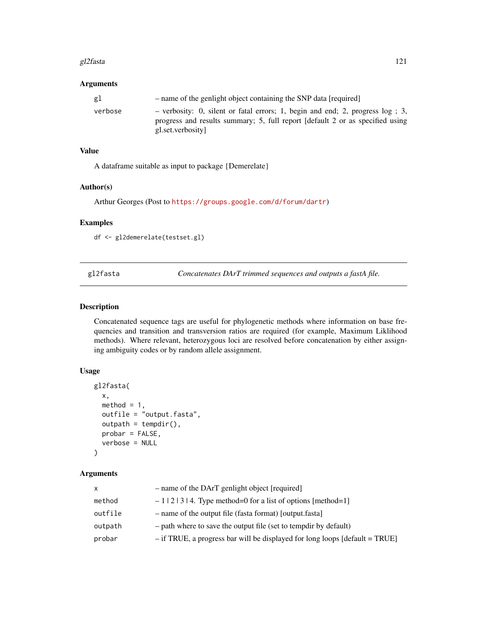#### gl2fasta 121

# Arguments

| gl      | - name of the genlight object containing the SNP data [required]                                                                                                                      |
|---------|---------------------------------------------------------------------------------------------------------------------------------------------------------------------------------------|
| verbose | - verbosity: 0, silent or fatal errors; 1, begin and end; 2, progress $log$ ; 3,<br>progress and results summary; 5, full report [default 2 or as specified using<br>gl.set.verbosity |

### Value

A dataframe suitable as input to package {Demerelate}

### Author(s)

Arthur Georges (Post to <https://groups.google.com/d/forum/dartr>)

# Examples

df <- gl2demerelate(testset.gl)

gl2fasta *Concatenates DArT trimmed sequences and outputs a fastA file.*

## Description

Concatenated sequence tags are useful for phylogenetic methods where information on base frequencies and transition and transversion ratios are required (for example, Maximum Liklihood methods). Where relevant, heterozygous loci are resolved before concatenation by either assigning ambiguity codes or by random allele assignment.

## Usage

```
gl2fasta(
 x,
 method = 1,
 outfile = "output.fasta",
 outputh = tempdir(),probar = FALSE,
  verbose = NULL
)
```
## Arguments

| x       | - name of the DArT genlight object [required]                                 |
|---------|-------------------------------------------------------------------------------|
| method  | $-1$   2   3   4. Type method=0 for a list of options [method=1]              |
| outfile | - name of the output file (fasta format) [output.fasta]                       |
| outpath | - path where to save the output file (set to tempdir by default)              |
| probar  | $-$ if TRUE, a progress bar will be displayed for long loops [default = TRUE] |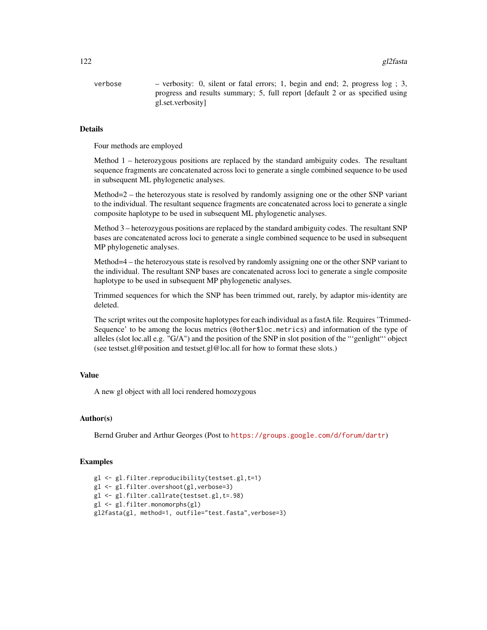#### 122 gl2fasta

verbose – verbosity: 0, silent or fatal errors; 1, begin and end; 2, progress log ; 3, progress and results summary; 5, full report [default 2 or as specified using gl.set.verbosity]

### Details

Four methods are employed

Method 1 – heterozygous positions are replaced by the standard ambiguity codes. The resultant sequence fragments are concatenated across loci to generate a single combined sequence to be used in subsequent ML phylogenetic analyses.

Method=2 – the heterozyous state is resolved by randomly assigning one or the other SNP variant to the individual. The resultant sequence fragments are concatenated across loci to generate a single composite haplotype to be used in subsequent ML phylogenetic analyses.

Method 3 – heterozygous positions are replaced by the standard ambiguity codes. The resultant SNP bases are concatenated across loci to generate a single combined sequence to be used in subsequent MP phylogenetic analyses.

Method=4 – the heterozyous state is resolved by randomly assigning one or the other SNP variant to the individual. The resultant SNP bases are concatenated across loci to generate a single composite haplotype to be used in subsequent MP phylogenetic analyses.

Trimmed sequences for which the SNP has been trimmed out, rarely, by adaptor mis-identity are deleted.

The script writes out the composite haplotypes for each individual as a fastA file. Requires 'Trimmed-Sequence' to be among the locus metrics (@other\$loc.metrics) and information of the type of alleles (slot loc.all e.g. "G/A") and the position of the SNP in slot position of the "'genlight"' object (see testset.gl@position and testset.gl@loc.all for how to format these slots.)

## Value

A new gl object with all loci rendered homozygous

### Author(s)

Bernd Gruber and Arthur Georges (Post to <https://groups.google.com/d/forum/dartr>)

## Examples

```
gl <- gl.filter.reproducibility(testset.gl,t=1)
gl <- gl.filter.overshoot(gl,verbose=3)
gl <- gl.filter.callrate(testset.gl,t=.98)
gl <- gl.filter.monomorphs(gl)
gl2fasta(gl, method=1, outfile="test.fasta",verbose=3)
```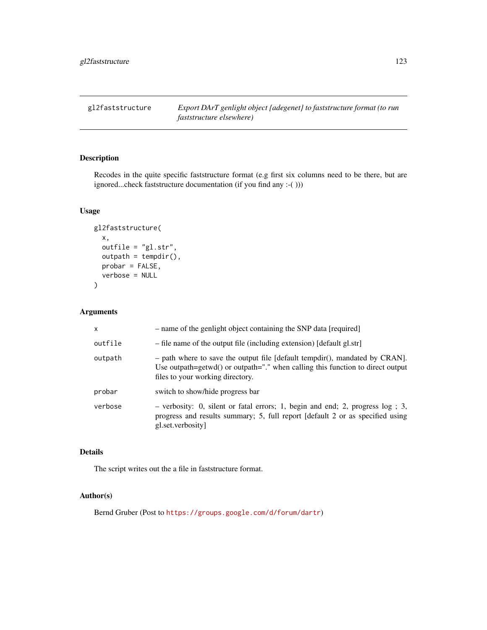gl2faststructure *Export DArT genlight object {adegenet} to faststructure format (to run faststructure elsewhere)*

# Description

Recodes in the quite specific faststructure format (e.g first six columns need to be there, but are ignored...check faststructure documentation (if you find any :-( )))

# Usage

```
gl2faststructure(
  x,
  outfile = "gl.str",
  output = tempdir(),probar = FALSE,
  verbose = NULL
\mathcal{E}
```
# Arguments

| $\mathsf{x}$ | - name of the genlight object containing the SNP data [required]                                                                                                                                    |
|--------------|-----------------------------------------------------------------------------------------------------------------------------------------------------------------------------------------------------|
| outfile      | - file name of the output file (including extension) [default gl.str]                                                                                                                               |
| outpath      | $-$ path where to save the output file [default tempdir(), mandated by CRAN].<br>Use outpath=getwd() or outpath="." when calling this function to direct output<br>files to your working directory. |
| probar       | switch to show/hide progress bar                                                                                                                                                                    |
| verbose      | $-$ verbosity: 0, silent or fatal errors; 1, begin and end; 2, progress log; 3,<br>progress and results summary; 5, full report [default 2 or as specified using<br>gl.set.verbosity                |

## Details

The script writes out the a file in faststructure format.

# Author(s)

Bernd Gruber (Post to <https://groups.google.com/d/forum/dartr>)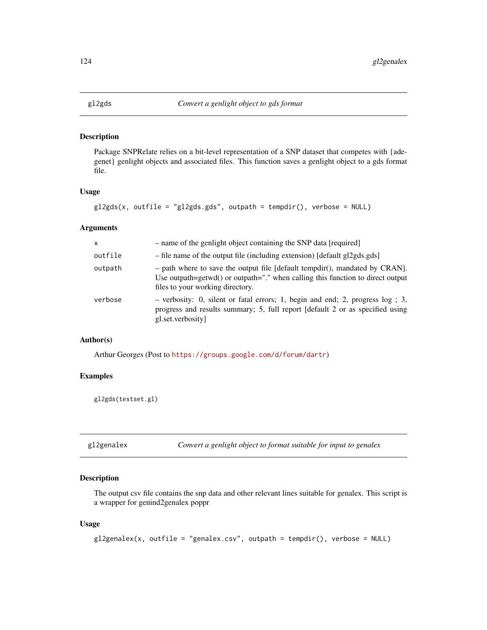Package SNPRelate relies on a bit-level representation of a SNP dataset that competes with {adegenet} genlight objects and associated files. This function saves a genlight object to a gds format file.

## Usage

```
gl2gds(x, outfile = "gl2gds.gds", outpath = tempdir(), verbose = NULL)
```
## Arguments

| $\mathsf{x}$ | - name of the genlight object containing the SNP data [required]                                                                                                                                    |
|--------------|-----------------------------------------------------------------------------------------------------------------------------------------------------------------------------------------------------|
| outfile      | - file name of the output file (including extension) [default gl2gds.gds]                                                                                                                           |
| outpath      | $-$ path where to save the output file [default tempdir(), mandated by CRAN].<br>Use outpath=getwd() or outpath="." when calling this function to direct output<br>files to your working directory. |
| verbose      | $-$ verbosity: 0, silent or fatal errors; 1, begin and end; 2, progress log; 3,<br>progress and results summary; 5, full report [default 2 or as specified using<br>gl.set.verbosity                |

### Author(s)

Arthur Georges (Post to <https://groups.google.com/d/forum/dartr>)

## Examples

gl2gds(testset.gl)

gl2genalex *Convert a genlight object to format suitable for input to genalex*

# Description

The output csv file contains the snp data and other relevant lines suitable for genalex. This script is a wrapper for genind2genalex poppr

## Usage

```
gl2genalex(x, outfile = "genalex.csv", outpath = tempdir(), verbose = NULL)
```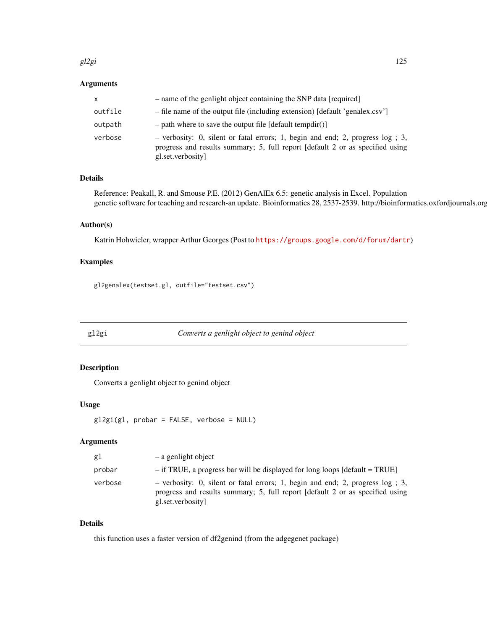#### gl2gi  $\frac{125}{2}$

## Arguments

| x       | - name of the genlight object containing the SNP data [required]                                                                                                                        |
|---------|-----------------------------------------------------------------------------------------------------------------------------------------------------------------------------------------|
| outfile | - file name of the output file (including extension) [default 'genalex.csv']                                                                                                            |
| outpath | $-$ path where to save the output file [default tempdir()]                                                                                                                              |
| verbose | $-$ verbosity: 0, silent or fatal errors; 1, begin and end; 2, progress $log$ ; 3,<br>progress and results summary; 5, full report [default 2 or as specified using<br>gl.set.verbosity |

# Details

Reference: Peakall, R. and Smouse P.E. (2012) GenAlEx 6.5: genetic analysis in Excel. Population genetic software for teaching and research-an update. Bioinformatics 28, 2537-2539. http://bioinformatics.oxfordjournals.org

## Author(s)

Katrin Hohwieler, wrapper Arthur Georges (Post to <https://groups.google.com/d/forum/dartr>)

# Examples

gl2genalex(testset.gl, outfile="testset.csv")

gl2gi *Converts a genlight object to genind object*

# Description

Converts a genlight object to genind object

## Usage

```
gl2gi(gl, probar = FALSE, verbose = NULL)
```
# Arguments

| gl      | - a genlight object                                                                                                                                                                   |
|---------|---------------------------------------------------------------------------------------------------------------------------------------------------------------------------------------|
| probar  | $-$ if TRUE, a progress bar will be displayed for long loops [default = TRUE]                                                                                                         |
| verbose | - verbosity: 0, silent or fatal errors; 1, begin and end; 2, progress $log$ ; 3,<br>progress and results summary; 5, full report [default 2 or as specified using<br>gl.set.verbosity |

# Details

this function uses a faster version of df2genind (from the adgegenet package)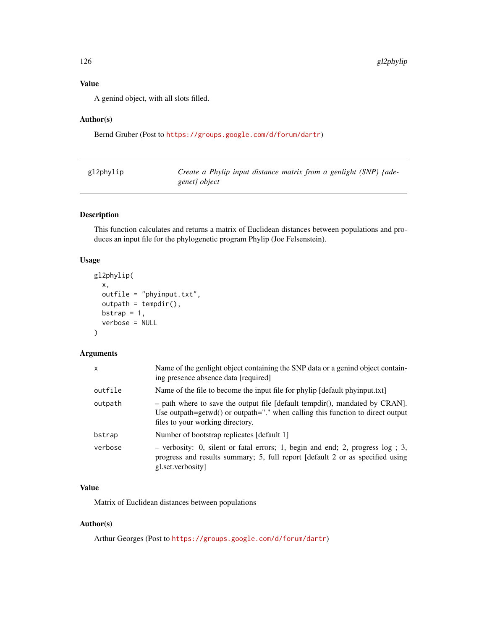# Value

A genind object, with all slots filled.

# Author(s)

Bernd Gruber (Post to <https://groups.google.com/d/forum/dartr>)

| gl2phylip | Create a Phylip input distance matrix from a genlight (SNP) {ade- |
|-----------|-------------------------------------------------------------------|
|           | genet} object                                                     |

# Description

This function calculates and returns a matrix of Euclidean distances between populations and produces an input file for the phylogenetic program Phylip (Joe Felsenstein).

## Usage

```
gl2phylip(
  x,
  outfile = "phyinput.txt",
  output = tempdir(),bstrap = 1,
  verbose = NULL
\mathcal{E}
```
# Arguments

| x       | Name of the genlight object containing the SNP data or a genind object contain-<br>ing presence absence data [required]                                                                           |
|---------|---------------------------------------------------------------------------------------------------------------------------------------------------------------------------------------------------|
| outfile | Name of the file to become the input file for phylip [default phyinput.txt]                                                                                                                       |
| outpath | - path where to save the output file [default tempdir(), mandated by CRAN].<br>Use outpath=getwd() or outpath="." when calling this function to direct output<br>files to your working directory. |
| bstrap  | Number of bootstrap replicates [default 1]                                                                                                                                                        |
| verbose | $-$ verbosity: 0, silent or fatal errors; 1, begin and end; 2, progress $log$ ; 3,<br>progress and results summary; 5, full report [default 2 or as specified using<br>gl.set.verbosity           |

# Value

Matrix of Euclidean distances between populations

# Author(s)

Arthur Georges (Post to <https://groups.google.com/d/forum/dartr>)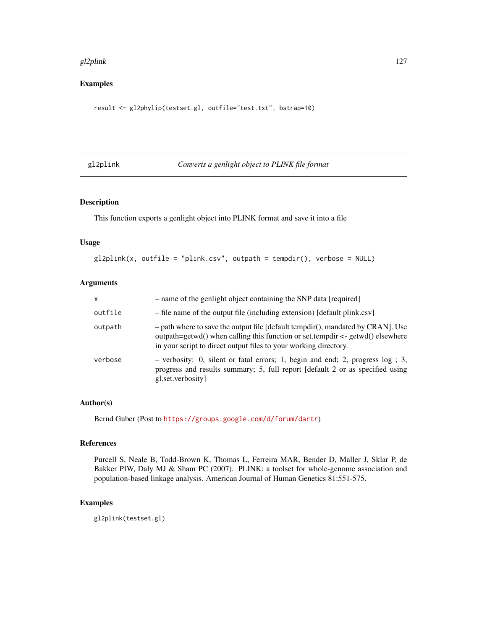#### gl2plink the contract of the contract of the contract of the contract of the contract of the contract of the contract of the contract of the contract of the contract of the contract of the contract of the contract of the c

# Examples

result <- gl2phylip(testset.gl, outfile="test.txt", bstrap=10)

gl2plink *Converts a genlight object to PLINK file format*

|  |  |  | Converts a genlight object to PLINK file format |  |
|--|--|--|-------------------------------------------------|--|
|--|--|--|-------------------------------------------------|--|

## Description

This function exports a genlight object into PLINK format and save it into a file

## Usage

```
gl2plink(x, outfile = "plink.csv", outpath = tempdir(), verbose = NULL)
```
#### Arguments

| X       | - name of the genlight object containing the SNP data [required]                                                                                                                                                                           |
|---------|--------------------------------------------------------------------------------------------------------------------------------------------------------------------------------------------------------------------------------------------|
| outfile | - file name of the output file (including extension) [default plink.csv]                                                                                                                                                                   |
| outpath | - path where to save the output file [default tempdir(), mandated by CRAN]. Use<br>outpath=getwd() when calling this function or set.tempdir $\leq$ -getwd() elsewhere<br>in your script to direct output files to your working directory. |
| verbose | - verbosity: 0, silent or fatal errors; 1, begin and end; 2, progress $log$ ; 3,<br>progress and results summary; 5, full report [default 2 or as specified using<br>gl.set.verbosity                                                      |

# Author(s)

Bernd Guber (Post to <https://groups.google.com/d/forum/dartr>)

## References

Purcell S, Neale B, Todd-Brown K, Thomas L, Ferreira MAR, Bender D, Maller J, Sklar P, de Bakker PIW, Daly MJ & Sham PC (2007). PLINK: a toolset for whole-genome association and population-based linkage analysis. American Journal of Human Genetics 81:551-575.

# Examples

gl2plink(testset.gl)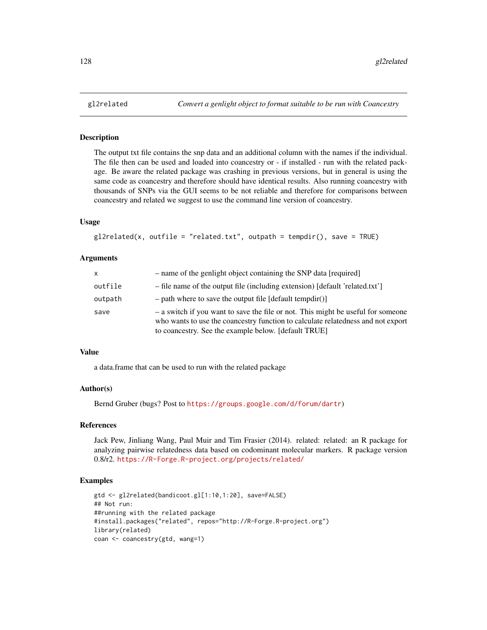The output txt file contains the snp data and an additional column with the names if the individual. The file then can be used and loaded into coancestry or - if installed - run with the related package. Be aware the related package was crashing in previous versions, but in general is using the same code as coancestry and therefore should have identical results. Also running coancestry with thousands of SNPs via the GUI seems to be not reliable and therefore for comparisons between coancestry and related we suggest to use the command line version of coancestry.

#### Usage

```
gl2related(x, outfile = "related.txt", outpath = tempdir(), save = TRUE)
```
#### Arguments

| <b>X</b> | - name of the genlight object containing the SNP data [required]                                                                                                                                                             |
|----------|------------------------------------------------------------------------------------------------------------------------------------------------------------------------------------------------------------------------------|
| outfile  | - file name of the output file (including extension) [default 'related.txt']                                                                                                                                                 |
| outpath  | $-$ path where to save the output file [default tempdir()]                                                                                                                                                                   |
| save     | - a switch if you want to save the file or not. This might be useful for someone<br>who wants to use the coancestry function to calculate relatedness and not export<br>to coancestry. See the example below. [default TRUE] |

#### Value

a data.frame that can be used to run with the related package

# Author(s)

Bernd Gruber (bugs? Post to <https://groups.google.com/d/forum/dartr>)

## References

Jack Pew, Jinliang Wang, Paul Muir and Tim Frasier (2014). related: related: an R package for analyzing pairwise relatedness data based on codominant molecular markers. R package version 0.8/r2. <https://R-Forge.R-project.org/projects/related/>

#### Examples

```
gtd <- gl2related(bandicoot.gl[1:10,1:20], save=FALSE)
## Not run:
##running with the related package
#install.packages("related", repos="http://R-Forge.R-project.org")
library(related)
coan <- coancestry(gtd, wang=1)
```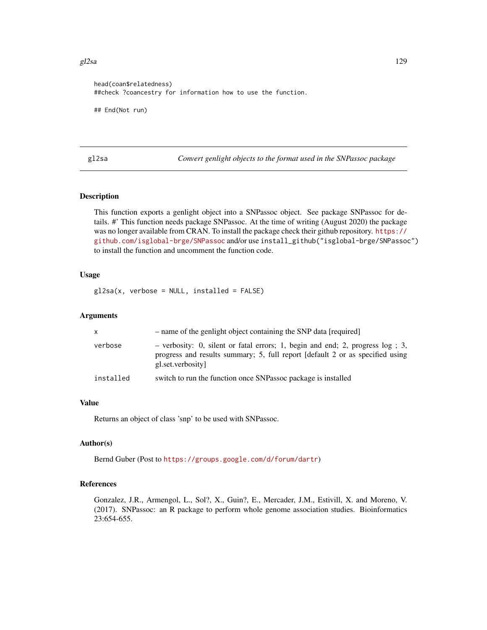#### $g2s$ a 129

```
head(coan$relatedness)
##check ?coancestry for information how to use the function.
## End(Not run)
```
gl2sa *Convert genlight objects to the format used in the SNPassoc package*

# Description

This function exports a genlight object into a SNPassoc object. See package SNPassoc for details. #' This function needs package SNPassoc. At the time of writing (August 2020) the package was no longer available from CRAN. To install the package check their github repository. [https://](https://github.com/isglobal-brge/SNPassoc) [github.com/isglobal-brge/SNPassoc](https://github.com/isglobal-brge/SNPassoc) and/or use install\_github("isglobal-brge/SNPassoc") to install the function and uncomment the function code.

## Usage

 $g$ 12sa(x, verbose = NULL, installed = FALSE)

# Arguments

| x.        | - name of the genlight object containing the SNP data [required]                                                                                                                      |
|-----------|---------------------------------------------------------------------------------------------------------------------------------------------------------------------------------------|
| verbose   | - verbosity: 0, silent or fatal errors; 1, begin and end; 2, progress $log$ ; 3,<br>progress and results summary; 5, full report (default 2 or as specified using<br>gl.set.verbosity |
| installed | switch to run the function once SNP assoc package is installed                                                                                                                        |

## Value

Returns an object of class 'snp' to be used with SNPassoc.

## Author(s)

Bernd Guber (Post to <https://groups.google.com/d/forum/dartr>)

## References

Gonzalez, J.R., Armengol, L., Sol?, X., Guin?, E., Mercader, J.M., Estivill, X. and Moreno, V. (2017). SNPassoc: an R package to perform whole genome association studies. Bioinformatics 23:654-655.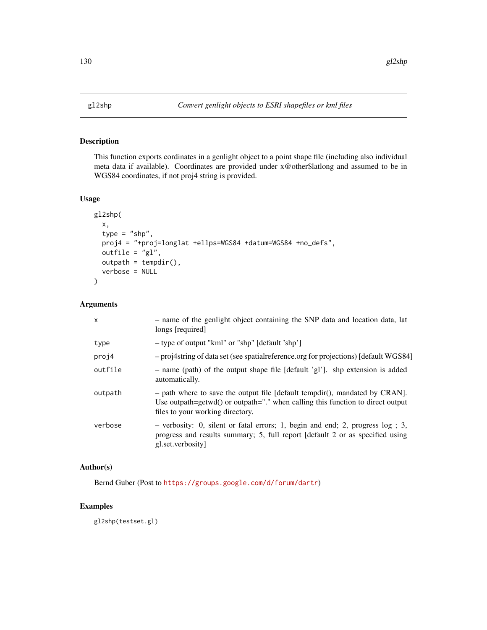This function exports cordinates in a genlight object to a point shape file (including also individual meta data if available). Coordinates are provided under x@other\$latlong and assumed to be in WGS84 coordinates, if not proj4 string is provided.

## Usage

```
gl2shp(
 x,
  type = "shp",
 proj4 = "+proj=longlat +ellps=WGS84 +datum=WGS84 +no_defs",
 outfile = "gl",
 output = tempdir(),verbose = NULL
)
```
## Arguments

| $\mathsf{x}$ | - name of the genlight object containing the SNP data and location data, lat<br>longs [required]                                                                                                    |
|--------------|-----------------------------------------------------------------------------------------------------------------------------------------------------------------------------------------------------|
| type         | - type of output "kml" or "shp" [default 'shp']                                                                                                                                                     |
| proj4        | - proj4string of data set (see spatial reference.org for projections) [default WGS84]                                                                                                               |
| outfile      | - name (path) of the output shape file [default 'gl']. shp extension is added<br>automatically.                                                                                                     |
| outpath      | $-$ path where to save the output file [default tempdir(), mandated by CRAN].<br>Use outpath=getwd() or outpath="." when calling this function to direct output<br>files to your working directory. |
| verbose      | $-$ verbosity: 0, silent or fatal errors; 1, begin and end; 2, progress log; 3,<br>progress and results summary; 5, full report [default 2 or as specified using<br>gl.set.verbosity                |

# Author(s)

Bernd Guber (Post to <https://groups.google.com/d/forum/dartr>)

# Examples

gl2shp(testset.gl)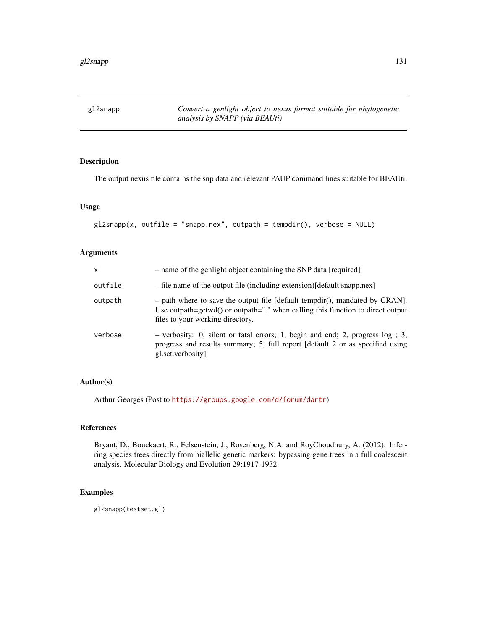The output nexus file contains the snp data and relevant PAUP command lines suitable for BEAUti.

## Usage

```
gl2snapp(x, outfile = "snapp.nex", outpath = tempdir(), verbose = NULL)
```
### Arguments

| x       | - name of the genlight object containing the SNP data [required]                                                                                                                                          |
|---------|-----------------------------------------------------------------------------------------------------------------------------------------------------------------------------------------------------------|
| outfile | - file name of the output file (including extension) [default snapp.nex]                                                                                                                                  |
| outpath | - path where to save the output file [default tempdir(), mandated by CRAN].<br>Use outpath=getwd() or outpath=" $\cdot$ " when calling this function to direct output<br>files to your working directory. |
| verbose | $-$ verbosity: 0, silent or fatal errors; 1, begin and end; 2, progress log; 3,<br>progress and results summary; 5, full report [default 2 or as specified using<br>gl.set.verbosity                      |

#### Author(s)

Arthur Georges (Post to <https://groups.google.com/d/forum/dartr>)

# References

Bryant, D., Bouckaert, R., Felsenstein, J., Rosenberg, N.A. and RoyChoudhury, A. (2012). Inferring species trees directly from biallelic genetic markers: bypassing gene trees in a full coalescent analysis. Molecular Biology and Evolution 29:1917-1932.

## Examples

gl2snapp(testset.gl)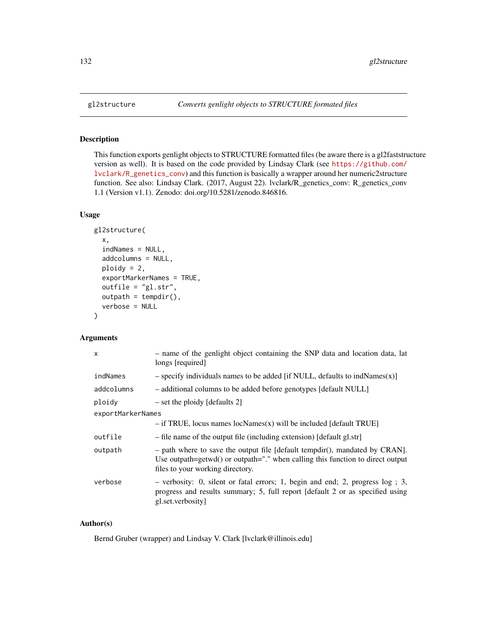This function exports genlight objects to STRUCTURE formatted files (be aware there is a gl2faststructure version as well). It is based on the code provided by Lindsay Clark (see [https://github.com/](https://github.com/lvclark/R_genetics_conv) [lvclark/R\\_genetics\\_conv](https://github.com/lvclark/R_genetics_conv)) and this function is basically a wrapper around her numeric2structure function. See also: Lindsay Clark. (2017, August 22). lvclark/R\_genetics\_conv: R\_genetics\_conv 1.1 (Version v1.1). Zenodo: doi.org/10.5281/zenodo.846816.

## Usage

```
gl2structure(
 x,
  indNames = NULL,
 addcolumns = NULL,
 ploidy = 2,
 exportMarkerNames = TRUE,
 outfile = "gl.str",
 outpath = tempdir(),
  verbose = NULL
)
```
#### Arguments

| X                 | - name of the genlight object containing the SNP data and location data, lat<br>longs [required]                                                                                                    |  |
|-------------------|-----------------------------------------------------------------------------------------------------------------------------------------------------------------------------------------------------|--|
| indNames          | $-$ specify individuals names to be added [if NULL, defaults to indNames $(x)$ ]                                                                                                                    |  |
| addcolumns        | - additional columns to be added before genotypes [default NULL]                                                                                                                                    |  |
| ploidy            | $-$ set the ploidy [defaults 2]                                                                                                                                                                     |  |
| exportMarkerNames |                                                                                                                                                                                                     |  |
|                   | $-$ if TRUE, locus names locNames(x) will be included [default TRUE]                                                                                                                                |  |
| outfile           | - file name of the output file (including extension) [default gl.str]                                                                                                                               |  |
| outpath           | $-$ path where to save the output file [default tempdir(), mandated by CRAN].<br>Use outpath=getwd() or outpath="." when calling this function to direct output<br>files to your working directory. |  |
| verbose           | $-$ verbosity: 0, silent or fatal errors; 1, begin and end; 2, progress log; 3,<br>progress and results summary; 5, full report [default 2 or as specified using<br>gl.set.verbosity                |  |

## Author(s)

Bernd Gruber (wrapper) and Lindsay V. Clark [lvclark@illinois.edu]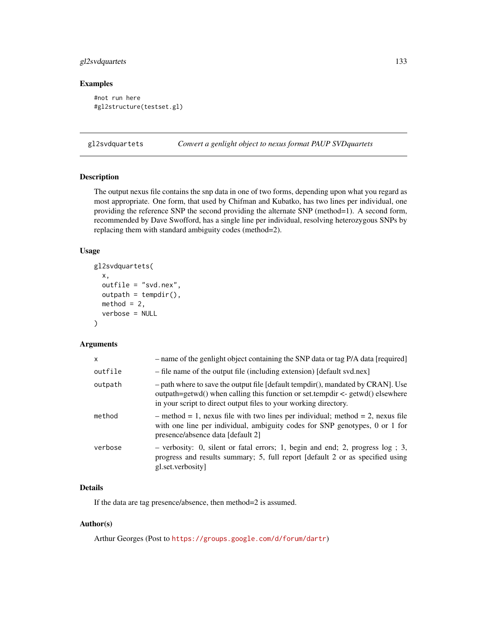# gl2svdquartets 133

# Examples

```
#not run here
#gl2structure(testset.gl)
```
gl2svdquartets *Convert a genlight object to nexus format PAUP SVDquartets*

# Description

The output nexus file contains the snp data in one of two forms, depending upon what you regard as most appropriate. One form, that used by Chifman and Kubatko, has two lines per individual, one providing the reference SNP the second providing the alternate SNP (method=1). A second form, recommended by Dave Swofford, has a single line per individual, resolving heterozygous SNPs by replacing them with standard ambiguity codes (method=2).

# Usage

```
gl2svdquartets(
 x,
 outfile = "svd.nex",
 output = tempdir(),method = 2,
  verbose = NULL
)
```
## Arguments

| - name of the genlight object containing the SNP data or tag P/A data [required]                                                                                                                                                          |
|-------------------------------------------------------------------------------------------------------------------------------------------------------------------------------------------------------------------------------------------|
| - file name of the output file (including extension) [default svd.nex]                                                                                                                                                                    |
| - path where to save the output file [default tempdir(), mandated by CRAN]. Use<br>outpath=getwd() when calling this function or set.tempdir $\lt$ -getwd() elsewhere<br>in your script to direct output files to your working directory. |
| $-$ method = 1, nexus file with two lines per individual; method = 2, nexus file<br>with one line per individual, ambiguity codes for SNP genotypes, 0 or 1 for<br>presence/absence data [default 2]                                      |
| $-$ verbosity: 0, silent or fatal errors; 1, begin and end; 2, progress $log$ ; 3,<br>progress and results summary; 5, full report [default 2 or as specified using<br>gl.set.verbosity                                                   |
|                                                                                                                                                                                                                                           |

# Details

If the data are tag presence/absence, then method=2 is assumed.

## Author(s)

Arthur Georges (Post to <https://groups.google.com/d/forum/dartr>)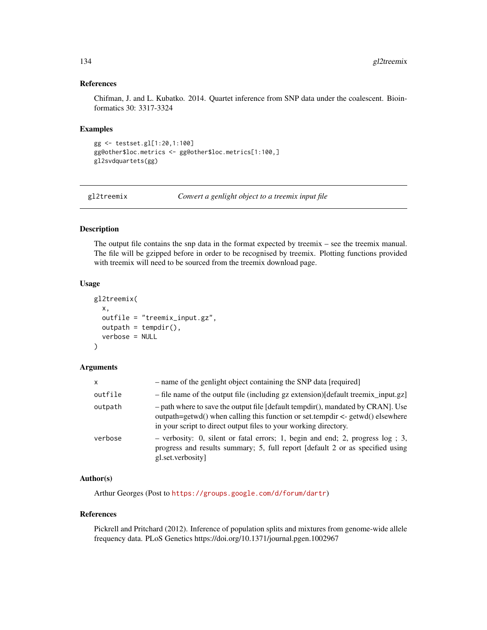# References

Chifman, J. and L. Kubatko. 2014. Quartet inference from SNP data under the coalescent. Bioinformatics 30: 3317-3324

#### Examples

```
gg <- testset.gl[1:20,1:100]
gg@other$loc.metrics <- gg@other$loc.metrics[1:100,]
gl2svdquartets(gg)
```
gl2treemix *Convert a genlight object to a treemix input file*

## Description

The output file contains the snp data in the format expected by treemix – see the treemix manual. The file will be gzipped before in order to be recognised by treemix. Plotting functions provided with treemix will need to be sourced from the treemix download page.

## Usage

```
gl2treemix(
 x,
 outfile = "treemix_input.gz",
 output = tempdir(),verbose = NULL
)
```
## Arguments

| X       | - name of the genlight object containing the SNP data [required]                                                                                                                                                                             |
|---------|----------------------------------------------------------------------------------------------------------------------------------------------------------------------------------------------------------------------------------------------|
| outfile | - file name of the output file (including gz extension) [default treemix_input.gz]                                                                                                                                                           |
| outpath | $-$ path where to save the output file [default tempdir(), mandated by CRAN]. Use<br>outpath=getwd() when calling this function or set.tempdir $\leq$ -getwd() elsewhere<br>in your script to direct output files to your working directory. |
| verbose | - verbosity: 0, silent or fatal errors; 1, begin and end; 2, progress $log$ ; 3,<br>progress and results summary; 5, full report [default 2 or as specified using<br>gl.set.verbosity                                                        |

### Author(s)

Arthur Georges (Post to <https://groups.google.com/d/forum/dartr>)

#### References

Pickrell and Pritchard (2012). Inference of population splits and mixtures from genome-wide allele frequency data. PLoS Genetics https://doi.org/10.1371/journal.pgen.1002967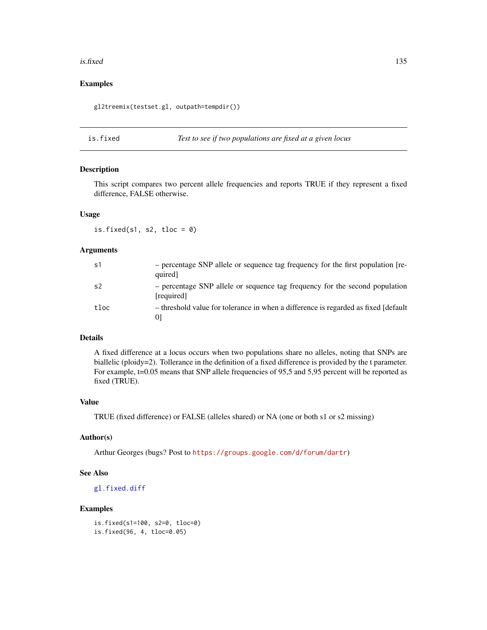#### is.fixed 135

# Examples

gl2treemix(testset.gl, outpath=tempdir())

is.fixed *Test to see if two populations are fixed at a given locus*

### Description

This script compares two percent allele frequencies and reports TRUE if they represent a fixed difference, FALSE otherwise.

# Usage

is.fixed(s1, s2, tloc =  $0$ )

# Arguments

| s1             | - percentage SNP allele or sequence tag frequency for the first population [re-<br>quired] |
|----------------|--------------------------------------------------------------------------------------------|
| s <sub>2</sub> | - percentage SNP allele or sequence tag frequency for the second population<br>[required]  |
| tloc           | - threshold value for tolerance in when a difference is regarded as fixed [default]        |

## Details

A fixed difference at a locus occurs when two populations share no alleles, noting that SNPs are biallelic (ploidy=2). Tollerance in the definition of a fixed difference is provided by the t parameter. For example, t=0.05 means that SNP allele frequencies of 95,5 and 5,95 percent will be reported as fixed (TRUE).

## Value

TRUE (fixed difference) or FALSE (alleles shared) or NA (one or both s1 or s2 missing)

# Author(s)

Arthur Georges (bugs? Post to <https://groups.google.com/d/forum/dartr>)

## See Also

[gl.fixed.diff](#page-41-0)

## Examples

```
is.fixed(s1=100, s2=0, tloc=0)
is.fixed(96, 4, tloc=0.05)
```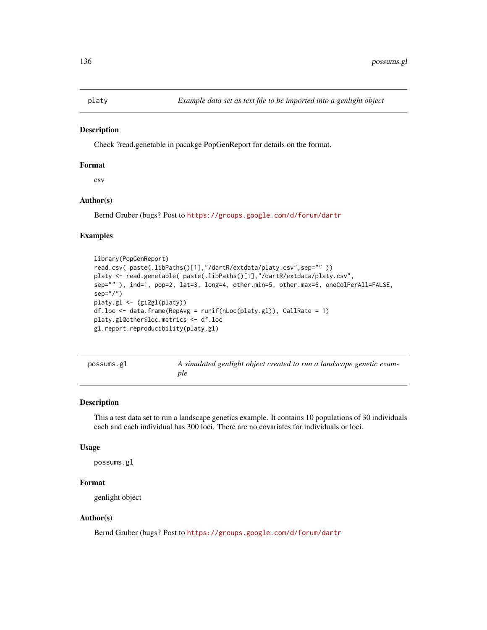Check ?read.genetable in pacakge PopGenReport for details on the format.

#### Format

csv

## Author(s)

Bernd Gruber (bugs? Post to <https://groups.google.com/d/forum/dartr>

## Examples

```
library(PopGenReport)
read.csv( paste(.libPaths()[1],"/dartR/extdata/platy.csv",sep="" ))
platy <- read.genetable( paste(.libPaths()[1],"/dartR/extdata/platy.csv",
sep="" ), ind=1, pop=2, lat=3, long=4, other.min=5, other.max=6, oneColPerAll=FALSE,
sep="/")
platy.gl <- (gi2gl(platy))
df.loc <- data.frame(RepAvg = runif(nLoc(platy.gl)), CallRate = 1)
platy.gl@other$loc.metrics <- df.loc
gl.report.reproducibility(platy.gl)
```

| possums.gl |  |  |
|------------|--|--|
|            |  |  |

A simulated genlight object created to run a landscape genetic exam*ple*

### Description

This a test data set to run a landscape genetics example. It contains 10 populations of 30 individuals each and each individual has 300 loci. There are no covariates for individuals or loci.

#### Usage

possums.gl

#### Format

genlight object

#### Author(s)

Bernd Gruber (bugs? Post to <https://groups.google.com/d/forum/dartr>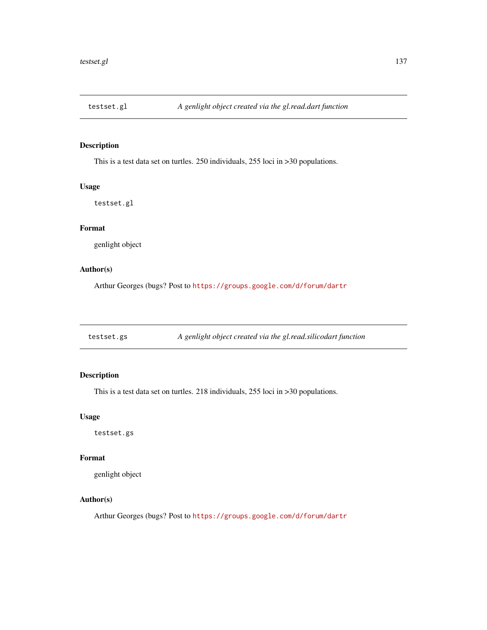This is a test data set on turtles. 250 individuals, 255 loci in >30 populations.

#### Usage

testset.gl

# Format

genlight object

# Author(s)

Arthur Georges (bugs? Post to <https://groups.google.com/d/forum/dartr>

testset.gs *A genlight object created via the gl.read.silicodart function*

# Description

This is a test data set on turtles. 218 individuals, 255 loci in >30 populations.

# Usage

testset.gs

## Format

genlight object

## Author(s)

Arthur Georges (bugs? Post to <https://groups.google.com/d/forum/dartr>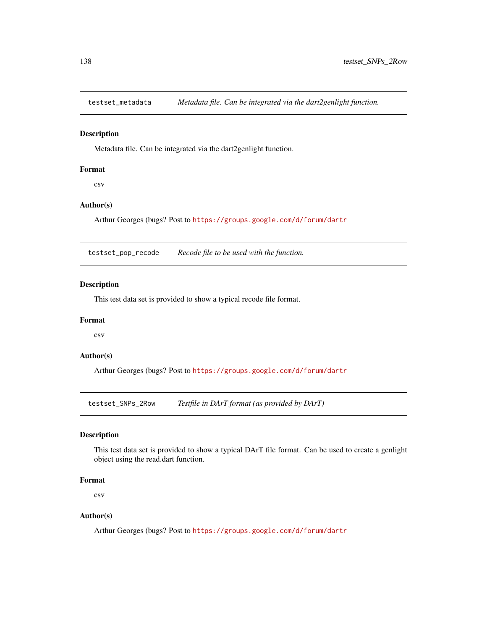Metadata file. Can be integrated via the dart2genlight function.

#### Format

csv

## Author(s)

Arthur Georges (bugs? Post to <https://groups.google.com/d/forum/dartr>

testset\_pop\_recode *Recode file to be used with the function.*

# Description

This test data set is provided to show a typical recode file format.

## Format

csv

#### Author(s)

Arthur Georges (bugs? Post to <https://groups.google.com/d/forum/dartr>

testset\_SNPs\_2Row *Testfile in DArT format (as provided by DArT)*

#### Description

This test data set is provided to show a typical DArT file format. Can be used to create a genlight object using the read.dart function.

#### Format

csv

## Author(s)

Arthur Georges (bugs? Post to <https://groups.google.com/d/forum/dartr>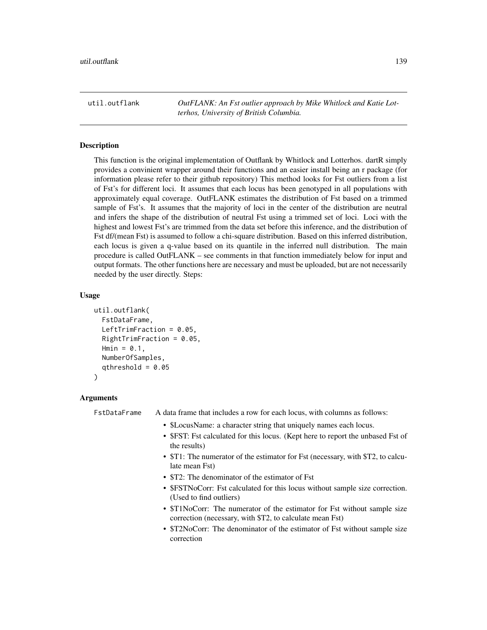util.outflank *OutFLANK: An Fst outlier approach by Mike Whitlock and Katie Lotterhos, University of British Columbia.*

## **Description**

This function is the original implementation of Outflank by Whitlock and Lotterhos. dartR simply provides a convinient wrapper around their functions and an easier install being an r package (for information please refer to their github repository) This method looks for Fst outliers from a list of Fst's for different loci. It assumes that each locus has been genotyped in all populations with approximately equal coverage. OutFLANK estimates the distribution of Fst based on a trimmed sample of Fst's. It assumes that the majority of loci in the center of the distribution are neutral and infers the shape of the distribution of neutral Fst using a trimmed set of loci. Loci with the highest and lowest Fst's are trimmed from the data set before this inference, and the distribution of Fst df/(mean Fst) is assumed to follow a chi-square distribution. Based on this inferred distribution, each locus is given a q-value based on its quantile in the inferred null distribution. The main procedure is called OutFLANK – see comments in that function immediately below for input and output formats. The other functions here are necessary and must be uploaded, but are not necessarily needed by the user directly. Steps:

#### Usage

```
util.outflank(
  FstDataFrame,
  LeftTrimFraction = 0.05,
  RightTrimFraction = 0.05,
  Hmin = 0.1,
  NumberOfSamples,
  qthreshold = 0.05
)
```
#### Arguments

FstDataFrame A data frame that includes a row for each locus, with columns as follows:

- \$LocusName: a character string that uniquely names each locus.
- \$FST: Fst calculated for this locus. (Kept here to report the unbased Fst of the results)
- \$T1: The numerator of the estimator for Fst (necessary, with \$T2, to calculate mean Fst)
- \$T2: The denominator of the estimator of Fst
- \$FSTNoCorr: Fst calculated for this locus without sample size correction. (Used to find outliers)
- \$T1NoCorr: The numerator of the estimator for Fst without sample size correction (necessary, with \$T2, to calculate mean Fst)
- \$T2NoCorr: The denominator of the estimator of Fst without sample size correction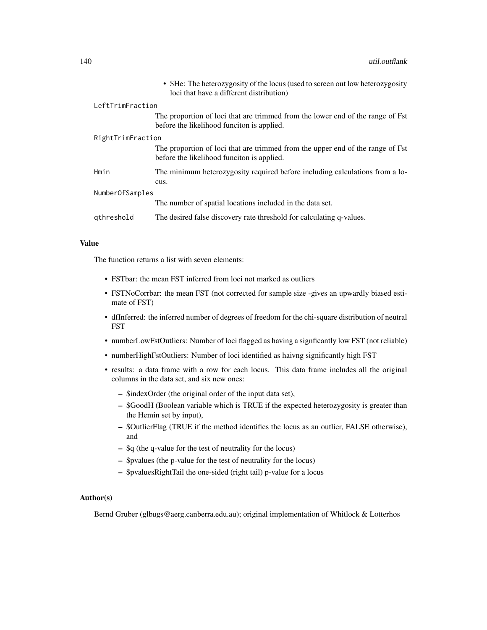|                   |            | • \$He: The heterozygosity of the locus (used to screen out low heterozygosity<br>loci that have a different distribution)   |  |
|-------------------|------------|------------------------------------------------------------------------------------------------------------------------------|--|
| LeftTrimFraction  |            |                                                                                                                              |  |
|                   |            | The proportion of loci that are trimmed from the lower end of the range of Fst<br>before the likelihood funciton is applied. |  |
| RightTrimFraction |            |                                                                                                                              |  |
|                   |            | The proportion of loci that are trimmed from the upper end of the range of Fst<br>before the likelihood funciton is applied. |  |
|                   | Hmin       | The minimum heterozygosity required before including calculations from a lo-<br>cus.                                         |  |
| NumberOfSamples   |            |                                                                                                                              |  |
|                   |            | The number of spatial locations included in the data set.                                                                    |  |
|                   | gthreshold | The desired false discovery rate threshold for calculating q-values.                                                         |  |

#### Value

The function returns a list with seven elements:

- FSTbar: the mean FST inferred from loci not marked as outliers
- FSTNoCorrbar: the mean FST (not corrected for sample size -gives an upwardly biased estimate of FST)
- dfInferred: the inferred number of degrees of freedom for the chi-square distribution of neutral FST
- numberLowFstOutliers: Number of loci flagged as having a signficantly low FST (not reliable)
- numberHighFstOutliers: Number of loci identified as haivng significantly high FST
- results: a data frame with a row for each locus. This data frame includes all the original columns in the data set, and six new ones:
	- \$indexOrder (the original order of the input data set),
	- \$GoodH (Boolean variable which is TRUE if the expected heterozygosity is greater than the Hemin set by input),
	- \$OutlierFlag (TRUE if the method identifies the locus as an outlier, FALSE otherwise), and
	- \$q (the q-value for the test of neutrality for the locus)
	- \$pvalues (the p-value for the test of neutrality for the locus)
	- \$pvaluesRightTail the one-sided (right tail) p-value for a locus

# Author(s)

Bernd Gruber (glbugs@aerg.canberra.edu.au); original implementation of Whitlock & Lotterhos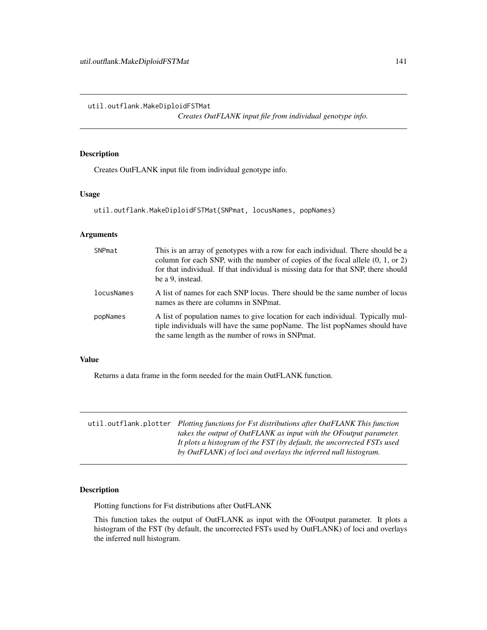util.outflank.MakeDiploidFSTMat

*Creates OutFLANK input file from individual genotype info.*

## Description

Creates OutFLANK input file from individual genotype info.

# Usage

util.outflank.MakeDiploidFSTMat(SNPmat, locusNames, popNames)

#### Arguments

| SNPmat     | This is an array of genotypes with a row for each individual. There should be a<br>column for each SNP, with the number of copies of the focal allele $(0, 1, 0r 2)$<br>for that individual. If that individual is missing data for that SNP, there should<br>be a 9, instead. |
|------------|--------------------------------------------------------------------------------------------------------------------------------------------------------------------------------------------------------------------------------------------------------------------------------|
| locusNames | A list of names for each SNP locus. There should be the same number of locus<br>names as there are columns in SNP mat.                                                                                                                                                         |
| popNames   | A list of population names to give location for each individual. Typically mul-<br>tiple individuals will have the same popName. The list popNames should have<br>the same length as the number of rows in SNPmat.                                                             |

## Value

Returns a data frame in the form needed for the main OutFLANK function.

| util.outflank.plotter Plotting functions for Fst distributions after OutFLANK This function |
|---------------------------------------------------------------------------------------------|
| takes the output of OutFLANK as input with the OF output parameter.                         |
| It plots a histogram of the FST (by default, the uncorrected FSTs used                      |
| by OutFLANK) of loci and overlays the inferred null histogram.                              |

# Description

Plotting functions for Fst distributions after OutFLANK

This function takes the output of OutFLANK as input with the OFoutput parameter. It plots a histogram of the FST (by default, the uncorrected FSTs used by OutFLANK) of loci and overlays the inferred null histogram.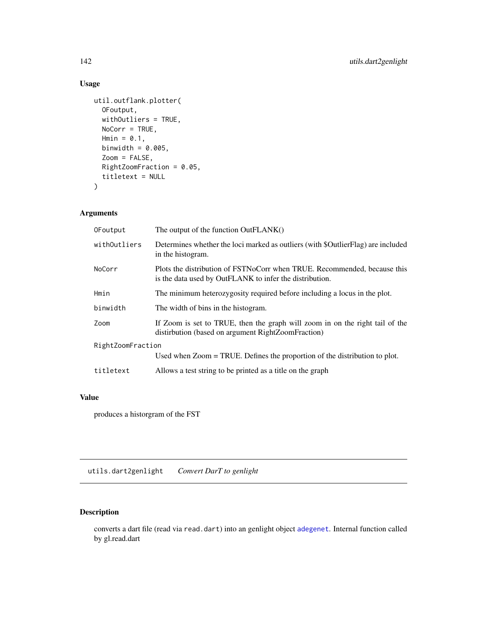# Usage

```
util.outflank.plotter(
 OFoutput,
 withOutliers = TRUE,
 NoCorr = TRUE,Hmin = 0.1,
 binwidth = 0.005,
  Zoom = FALSE,
 RightZoomFraction = 0.05,
  titletext = NULL
\mathcal{L}
```
# Arguments

| OFoutput          | The output of the function OutFLANK()                                                                                               |  |
|-------------------|-------------------------------------------------------------------------------------------------------------------------------------|--|
| withOutliers      | Determines whether the loci marked as outliers (with \$OutlierFlag) are included<br>in the histogram.                               |  |
| NoCorr            | Plots the distribution of FSTNoCorr when TRUE. Recommended, because this<br>is the data used by OutFLANK to infer the distribution. |  |
| Hmin              | The minimum heterozygosity required before including a locus in the plot.                                                           |  |
| binwidth          | The width of bins in the histogram.                                                                                                 |  |
| Zoom              | If Zoom is set to TRUE, then the graph will zoom in on the right tail of the<br>distirbution (based on argument RightZoomFraction)  |  |
| RightZoomFraction |                                                                                                                                     |  |
|                   | Used when Zoom = TRUE. Defines the proportion of the distribution to plot.                                                          |  |
| titletext         | Allows a test string to be printed as a title on the graph                                                                          |  |

# Value

produces a historgram of the FST

utils.dart2genlight *Convert DarT to genlight*

# Description

converts a dart file (read via read.dart) into an genlight object [adegenet](#page-0-0). Internal function called by gl.read.dart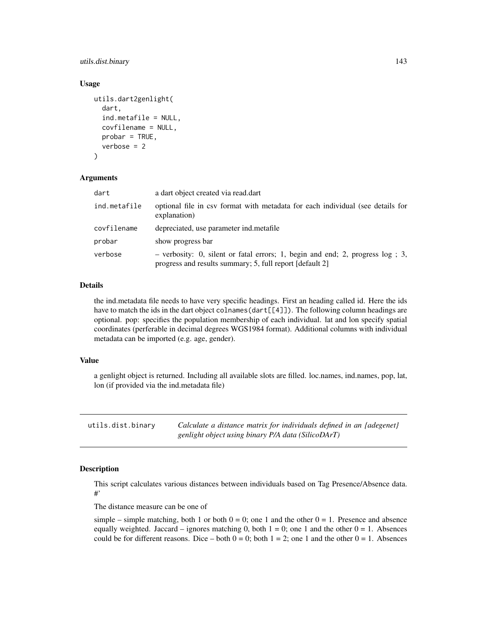utils.dist.binary 143

#### Usage

```
utils.dart2genlight(
  dart,
  ind.metafile = NULL,
  covfilename = NULL,
  probar = TRUE,
  verbose = 2\lambda
```
#### Arguments

| dart         | a dart object created via read.dart                                                                                                         |
|--------------|---------------------------------------------------------------------------------------------------------------------------------------------|
| ind.metafile | optional file in csv format with metadata for each individual (see details for<br>explanation)                                              |
| covfilename  | depreciated, use parameter ind metafile                                                                                                     |
| probar       | show progress bar                                                                                                                           |
| verbose      | $-$ verbosity: 0, silent or fatal errors; 1, begin and end; 2, progress log; 3,<br>progress and results summary; 5, full report [default 2] |

#### Details

the ind.metadata file needs to have very specific headings. First an heading called id. Here the ids have to match the ids in the dart object colnames (dart [[4]]). The following column headings are optional. pop: specifies the population membership of each individual. lat and lon specify spatial coordinates (perferable in decimal degrees WGS1984 format). Additional columns with individual metadata can be imported (e.g. age, gender).

#### Value

a genlight object is returned. Including all available slots are filled. loc.names, ind.names, pop, lat, lon (if provided via the ind.metadata file)

utils.dist.binary *Calculate a distance matrix for individuals defined in an {adegenet} genlight object using binary P/A data (SilicoDArT)*

## Description

This script calculates various distances between individuals based on Tag Presence/Absence data. #'

The distance measure can be one of

simple – simple matching, both 1 or both  $0 = 0$ ; one 1 and the other  $0 = 1$ . Presence and absence equally weighted. Jaccard – ignores matching 0, both  $1 = 0$ ; one 1 and the other  $0 = 1$ . Absences could be for different reasons. Dice – both  $0 = 0$ ; both  $1 = 2$ ; one 1 and the other  $0 = 1$ . Absences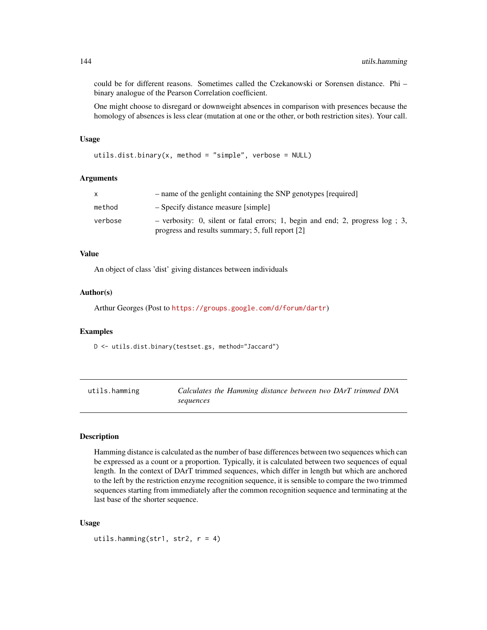could be for different reasons. Sometimes called the Czekanowski or Sorensen distance. Phi – binary analogue of the Pearson Correlation coefficient.

One might choose to disregard or downweight absences in comparison with presences because the homology of absences is less clear (mutation at one or the other, or both restriction sites). Your call.

## Usage

```
utils.dist.binary(x, method = "simple", verbose = NULL)
```
#### Arguments

| X       | - name of the genlight containing the SNP genotypes [required]                                                                       |  |  |  |  |  |  |  |
|---------|--------------------------------------------------------------------------------------------------------------------------------------|--|--|--|--|--|--|--|
| method  | - Specify distance measure [simple]                                                                                                  |  |  |  |  |  |  |  |
| verbose | - verbosity: 0, silent or fatal errors; 1, begin and end; 2, progress $log$ ; 3,<br>progress and results summary; 5, full report [2] |  |  |  |  |  |  |  |

## Value

An object of class 'dist' giving distances between individuals

## Author(s)

Arthur Georges (Post to <https://groups.google.com/d/forum/dartr>)

#### Examples

D <- utils.dist.binary(testset.gs, method="Jaccard")

| utils.hamming | Calculates the Hamming distance between two DArT trimmed DNA |  |  |  |  |
|---------------|--------------------------------------------------------------|--|--|--|--|
|               | sequences                                                    |  |  |  |  |

#### Description

Hamming distance is calculated as the number of base differences between two sequences which can be expressed as a count or a proportion. Typically, it is calculated between two sequences of equal length. In the context of DArT trimmed sequences, which differ in length but which are anchored to the left by the restriction enzyme recognition sequence, it is sensible to compare the two trimmed sequences starting from immediately after the common recognition sequence and terminating at the last base of the shorter sequence.

#### Usage

```
utils.hamming(str1, str2, r = 4)
```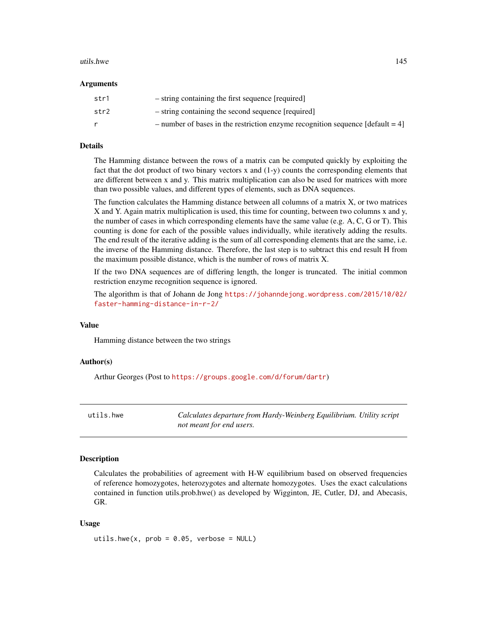#### <span id="page-144-0"></span>utils.hwe 145

#### Arguments

| str1 | - string containing the first sequence [required]                                |
|------|----------------------------------------------------------------------------------|
| str2 | - string containing the second sequence [required]                               |
|      | - number of bases in the restriction enzyme recognition sequence $[default = 4]$ |

#### Details

The Hamming distance between the rows of a matrix can be computed quickly by exploiting the fact that the dot product of two binary vectors x and (1-y) counts the corresponding elements that are different between x and y. This matrix multiplication can also be used for matrices with more than two possible values, and different types of elements, such as DNA sequences.

The function calculates the Hamming distance between all columns of a matrix X, or two matrices X and Y. Again matrix multiplication is used, this time for counting, between two columns x and y, the number of cases in which corresponding elements have the same value (e.g. A, C, G or T). This counting is done for each of the possible values individually, while iteratively adding the results. The end result of the iterative adding is the sum of all corresponding elements that are the same, i.e. the inverse of the Hamming distance. Therefore, the last step is to subtract this end result H from the maximum possible distance, which is the number of rows of matrix X.

If the two DNA sequences are of differing length, the longer is truncated. The initial common restriction enzyme recognition sequence is ignored.

The algorithm is that of Johann de Jong [https://johanndejong.wordpress.com/2015/10/02/](https://johanndejong.wordpress.com/2015/10/02/faster-hamming-distance-in-r-2/) [faster-hamming-distance-in-r-2/](https://johanndejong.wordpress.com/2015/10/02/faster-hamming-distance-in-r-2/)

#### Value

Hamming distance between the two strings

### Author(s)

Arthur Georges (Post to <https://groups.google.com/d/forum/dartr>)

utils.hwe *Calculates departure from Hardy-Weinberg Equilibrium. Utility script not meant for end users.*

# Description

Calculates the probabilities of agreement with H-W equilibrium based on observed frequencies of reference homozygotes, heterozygotes and alternate homozygotes. Uses the exact calculations contained in function utils.prob.hwe() as developed by Wigginton, JE, Cutler, DJ, and Abecasis, GR.

#### Usage

utils.hwe(x,  $prob = 0.05$ , verbose = NULL)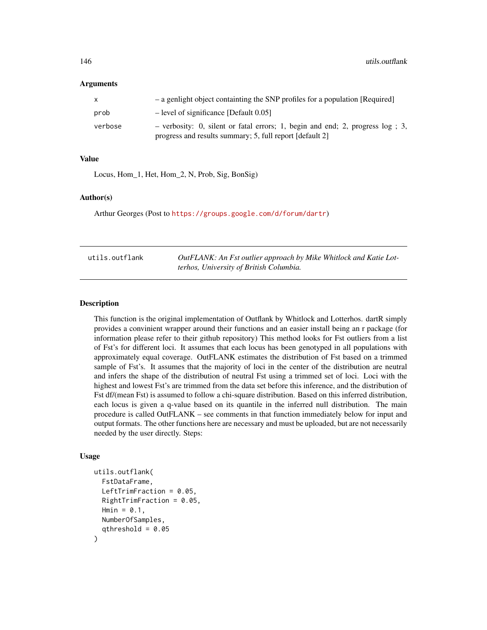#### <span id="page-145-0"></span>Arguments

| X       | - a genlight object containting the SNP profiles for a population [Required]                                                                 |
|---------|----------------------------------------------------------------------------------------------------------------------------------------------|
| prob    | $-$ level of significance [Default 0.05]                                                                                                     |
| verbose | - verbosity: 0, silent or fatal errors; 1, begin and end; 2, progress $log$ ; 3,<br>progress and results summary; 5, full report [default 2] |

#### Value

Locus, Hom\_1, Het, Hom\_2, N, Prob, Sig, BonSig)

#### Author(s)

Arthur Georges (Post to <https://groups.google.com/d/forum/dartr>)

| utils.outflank | OutFLANK: An Fst outlier approach by Mike Whitlock and Katie Lot- |
|----------------|-------------------------------------------------------------------|
|                | terhos, University of British Columbia.                           |

#### Description

This function is the original implementation of Outflank by Whitlock and Lotterhos. dartR simply provides a convinient wrapper around their functions and an easier install being an r package (for information please refer to their github repository) This method looks for Fst outliers from a list of Fst's for different loci. It assumes that each locus has been genotyped in all populations with approximately equal coverage. OutFLANK estimates the distribution of Fst based on a trimmed sample of Fst's. It assumes that the majority of loci in the center of the distribution are neutral and infers the shape of the distribution of neutral Fst using a trimmed set of loci. Loci with the highest and lowest Fst's are trimmed from the data set before this inference, and the distribution of Fst df/(mean Fst) is assumed to follow a chi-square distribution. Based on this inferred distribution, each locus is given a q-value based on its quantile in the inferred null distribution. The main procedure is called OutFLANK – see comments in that function immediately below for input and output formats. The other functions here are necessary and must be uploaded, but are not necessarily needed by the user directly. Steps:

#### Usage

```
utils.outflank(
  FstDataFrame,
  LeftTrimFraction = 0.05,
  RightTrimFraction = 0.05,
 Hmin = 0.1,
 NumberOfSamples,
  qthreshold = 0.05)
```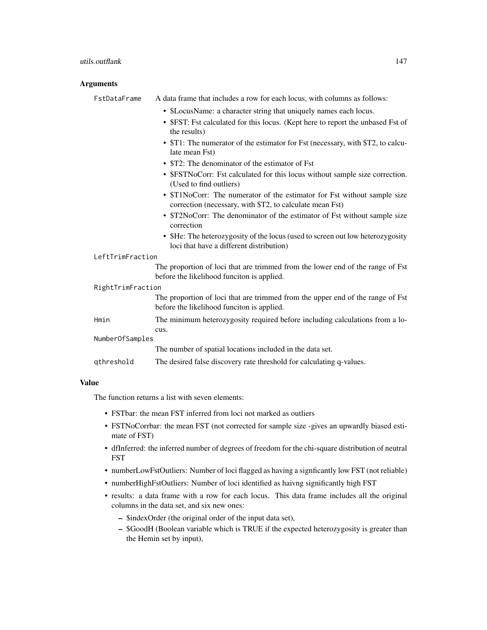#### utils.outflank 147

# Arguments

|                   | FstDataFrame     | A data frame that includes a row for each locus, with columns as follows:                                                            |
|-------------------|------------------|--------------------------------------------------------------------------------------------------------------------------------------|
|                   |                  | • \$LocusName: a character string that uniquely names each locus.                                                                    |
|                   |                  | • \$FST: Fst calculated for this locus. (Kept here to report the unbased Fst of<br>the results)                                      |
|                   |                  | • \$T1: The numerator of the estimator for Fst (necessary, with \$T2, to calcu-<br>late mean Fst)                                    |
|                   |                  | • \$T2: The denominator of the estimator of Fst                                                                                      |
|                   |                  | • \$FSTNoCorr: Fst calculated for this locus without sample size correction.<br>(Used to find outliers)                              |
|                   |                  | • \$T1NoCorr: The numerator of the estimator for Fst without sample size<br>correction (necessary, with \$T2, to calculate mean Fst) |
|                   |                  | • \$T2NoCorr: The denominator of the estimator of Fst without sample size<br>correction                                              |
|                   |                  | • \$He: The heterozygosity of the locus (used to screen out low heterozygosity<br>loci that have a different distribution)           |
|                   | LeftTrimFraction |                                                                                                                                      |
|                   |                  | The proportion of loci that are trimmed from the lower end of the range of Fst<br>before the likelihood funciton is applied.         |
| RightTrimFraction |                  |                                                                                                                                      |
|                   |                  | The proportion of loci that are trimmed from the upper end of the range of Fst<br>before the likelihood funciton is applied.         |
|                   | Hmin             | The minimum heterozygosity required before including calculations from a lo-<br>cus.                                                 |
|                   | NumberOfSamples  |                                                                                                                                      |
|                   |                  | The number of spatial locations included in the data set.                                                                            |
|                   | qthreshold       | The desired false discovery rate threshold for calculating q-values.                                                                 |

# Value

The function returns a list with seven elements:

- FSTbar: the mean FST inferred from loci not marked as outliers
- FSTNoCorrbar: the mean FST (not corrected for sample size -gives an upwardly biased estimate of FST)
- dfInferred: the inferred number of degrees of freedom for the chi-square distribution of neutral FST
- numberLowFstOutliers: Number of loci flagged as having a signficantly low FST (not reliable)
- numberHighFstOutliers: Number of loci identified as haivng significantly high FST
- results: a data frame with a row for each locus. This data frame includes all the original columns in the data set, and six new ones:
	- \$indexOrder (the original order of the input data set),
	- \$GoodH (Boolean variable which is TRUE if the expected heterozygosity is greater than the Hemin set by input),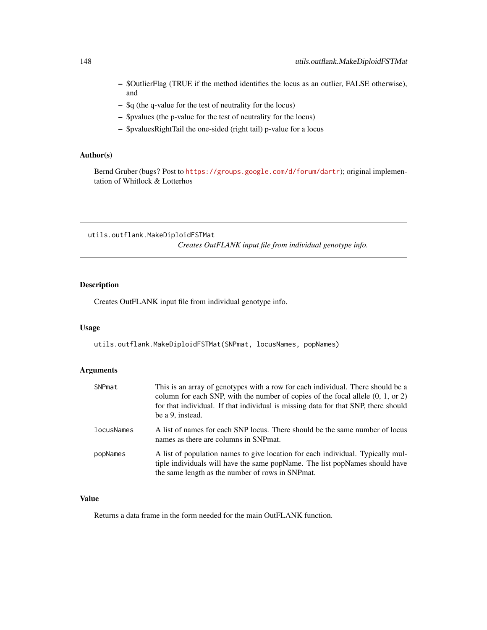- \$OutlierFlag (TRUE if the method identifies the locus as an outlier, FALSE otherwise), and
- \$q (the q-value for the test of neutrality for the locus)
- \$pvalues (the p-value for the test of neutrality for the locus)
- \$pvaluesRightTail the one-sided (right tail) p-value for a locus

# Author(s)

Bernd Gruber (bugs? Post to <https://groups.google.com/d/forum/dartr>); original implementation of Whitlock & Lotterhos

utils.outflank.MakeDiploidFSTMat *Creates OutFLANK input file from individual genotype info.*

# Description

Creates OutFLANK input file from individual genotype info.

#### Usage

utils.outflank.MakeDiploidFSTMat(SNPmat, locusNames, popNames)

# Arguments

| SNPmat     | This is an array of genotypes with a row for each individual. There should be a<br>column for each SNP, with the number of copies of the focal allele $(0, 1, 0r 2)$<br>for that individual. If that individual is missing data for that SNP, there should<br>be a 9, instead. |
|------------|--------------------------------------------------------------------------------------------------------------------------------------------------------------------------------------------------------------------------------------------------------------------------------|
| locusNames | A list of names for each SNP locus. There should be the same number of locus<br>names as there are columns in SNP mat.                                                                                                                                                         |
| popNames   | A list of population names to give location for each individual. Typically mul-<br>tiple individuals will have the same popName. The list popNames should have<br>the same length as the number of rows in SNP mat.                                                            |

# Value

Returns a data frame in the form needed for the main OutFLANK function.

<span id="page-147-0"></span>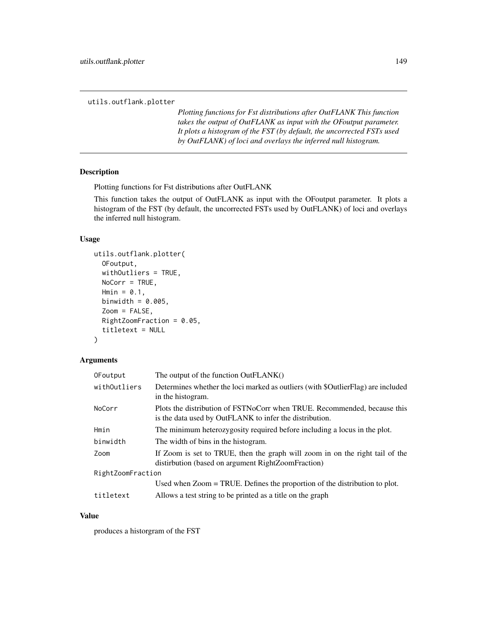<span id="page-148-0"></span>utils.outflank.plotter

*Plotting functions for Fst distributions after OutFLANK This function takes the output of OutFLANK as input with the OFoutput parameter. It plots a histogram of the FST (by default, the uncorrected FSTs used by OutFLANK) of loci and overlays the inferred null histogram.*

#### Description

Plotting functions for Fst distributions after OutFLANK

This function takes the output of OutFLANK as input with the OFoutput parameter. It plots a histogram of the FST (by default, the uncorrected FSTs used by OutFLANK) of loci and overlays the inferred null histogram.

#### Usage

```
utils.outflank.plotter(
  OFoutput,
  withOutliers = TRUE,
  NoCorr = TRUE,Hmin = 0.1,
  binwidth = 0.005,
  Zoom = FALSE,
 RightZoomFraction = 0.05,
  titletext = NULL
)
```
# Arguments OFoutput The output of the function OutFLANK() withOutliers Determines whether the loci marked as outliers (with \$OutlierFlag) are included in the histogram. NoCorr Plots the distribution of FSTNoCorr when TRUE. Recommended, because this is the data used by OutFLANK to infer the distribution. Hmin The minimum heterozygosity required before including a locus in the plot. binwidth The width of bins in the histogram. Zoom If Zoom is set to TRUE, then the graph will zoom in on the right tail of the distirbution (based on argument RightZoomFraction) RightZoomFraction Used when Zoom = TRUE. Defines the proportion of the distribution to plot. titletext Allows a test string to be printed as a title on the graph

#### Value

produces a historgram of the FST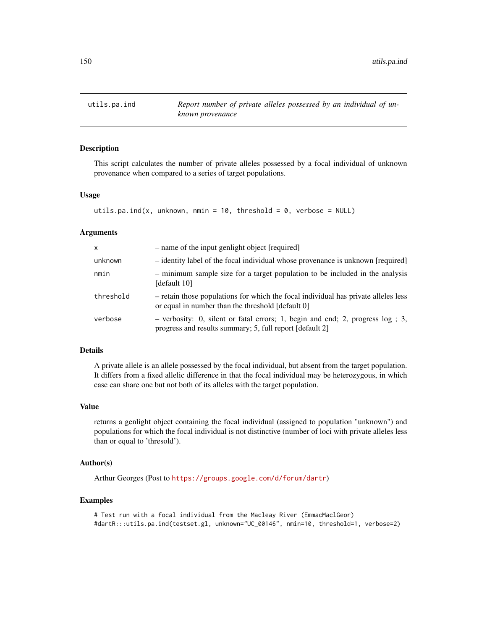<span id="page-149-0"></span>

# Description

This script calculates the number of private alleles possessed by a focal individual of unknown provenance when compared to a series of target populations.

#### Usage

```
utils.pa.ind(x, unknown, nmin = 10, threshold = 0, verbose = NULL)
```
#### Arguments

| X         | - name of the input genlight object [required]                                                                                               |
|-----------|----------------------------------------------------------------------------------------------------------------------------------------------|
| unknown   | - identity label of the focal individual whose provenance is unknown [required]                                                              |
| nmin      | - minimum sample size for a target population to be included in the analysis<br>[default 10]                                                 |
| threshold | - retain those populations for which the focal individual has private alleles less<br>or equal in number than the threshold [default 0]      |
| verbose   | - verbosity: 0, silent or fatal errors; 1, begin and end; 2, progress $log$ ; 3,<br>progress and results summary; 5, full report [default 2] |

#### Details

A private allele is an allele possessed by the focal individual, but absent from the target population. It differs from a fixed allelic difference in that the focal individual may be heterozygous, in which case can share one but not both of its alleles with the target population.

#### Value

returns a genlight object containing the focal individual (assigned to population "unknown") and populations for which the focal individual is not distinctive (number of loci with private alleles less than or equal to 'thresold').

# Author(s)

Arthur Georges (Post to <https://groups.google.com/d/forum/dartr>)

#### Examples

```
# Test run with a focal individual from the Macleay River (EmmacMaclGeor)
#dartR:::utils.pa.ind(testset.gl, unknown="UC_00146", nmin=10, threshold=1, verbose=2)
```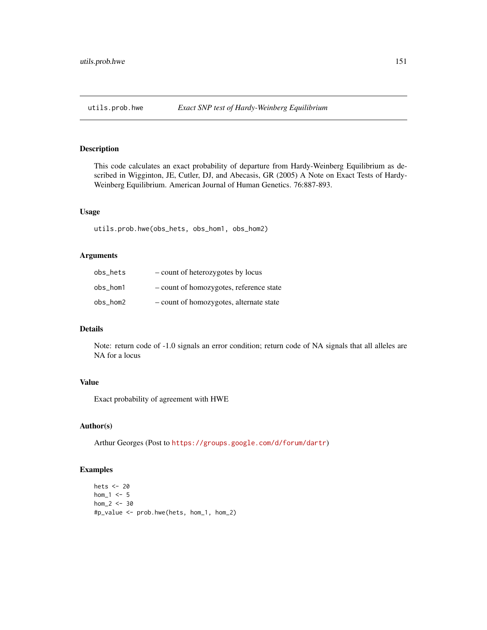<span id="page-150-0"></span>

# Description

This code calculates an exact probability of departure from Hardy-Weinberg Equilibrium as described in Wigginton, JE, Cutler, DJ, and Abecasis, GR (2005) A Note on Exact Tests of Hardy-Weinberg Equilibrium. American Journal of Human Genetics. 76:887-893.

#### Usage

utils.prob.hwe(obs\_hets, obs\_hom1, obs\_hom2)

# Arguments

| obs hets | - count of heterozygotes by locus       |
|----------|-----------------------------------------|
| obs hom1 | - count of homozygotes, reference state |
| obs hom2 | - count of homozygotes, alternate state |

# Details

Note: return code of -1.0 signals an error condition; return code of NA signals that all alleles are NA for a locus

#### Value

Exact probability of agreement with HWE

# Author(s)

Arthur Georges (Post to <https://groups.google.com/d/forum/dartr>)

### Examples

```
hets <- 20
hom_1 < -5hom_2 < - 30#p_value <- prob.hwe(hets, hom_1, hom_2)
```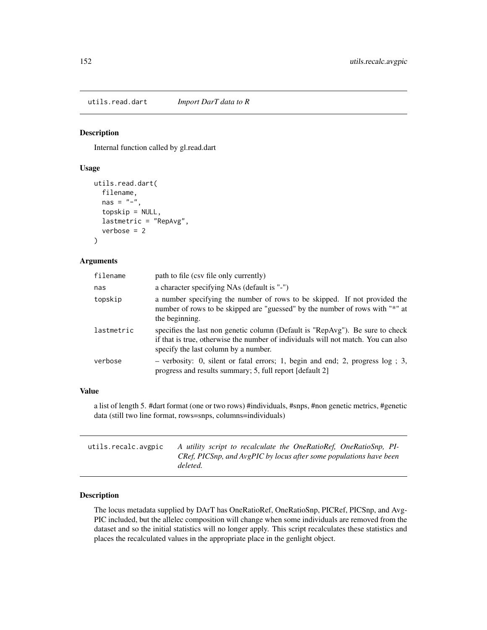<span id="page-151-0"></span>utils.read.dart *Import DarT data to R*

# Description

Internal function called by gl.read.dart

#### Usage

```
utils.read.dart(
  filename,
  nas = "-"topskip = NULL,
  lastmetric = "RepAvg",
  verbose = 2\mathcal{E}
```
# Arguments

| filename   | path to file (csv file only currently)                                                                                                                                                                     |
|------------|------------------------------------------------------------------------------------------------------------------------------------------------------------------------------------------------------------|
| nas        | a character specifying NAs (default is "-")                                                                                                                                                                |
| topskip    | a number specifying the number of rows to be skipped. If not provided the<br>number of rows to be skipped are "guessed" by the number of rows with "*" at<br>the beginning.                                |
| lastmetric | specifies the last non genetic column (Default is "RepAvg"). Be sure to check<br>if that is true, otherwise the number of individuals will not match. You can also<br>specify the last column by a number. |
| verbose    | - verbosity: 0, silent or fatal errors; 1, begin and end; 2, progress $log$ ; 3,<br>progress and results summary; 5, full report [default 2]                                                               |

#### Value

a list of length 5. #dart format (one or two rows) #individuals, #snps, #non genetic metrics, #genetic data (still two line format, rows=snps, columns=individuals)

| utils.recalc.avgpic | A utility script to recalculate the OneRatioRef, OneRatioSnp, PI-  |
|---------------------|--------------------------------------------------------------------|
|                     | CRef. PICSnp, and AvgPIC by locus after some populations have been |
|                     | deleted.                                                           |

# Description

The locus metadata supplied by DArT has OneRatioRef, OneRatioSnp, PICRef, PICSnp, and Avg-PIC included, but the allelec composition will change when some individuals are removed from the dataset and so the initial statistics will no longer apply. This script recalculates these statistics and places the recalculated values in the appropriate place in the genlight object.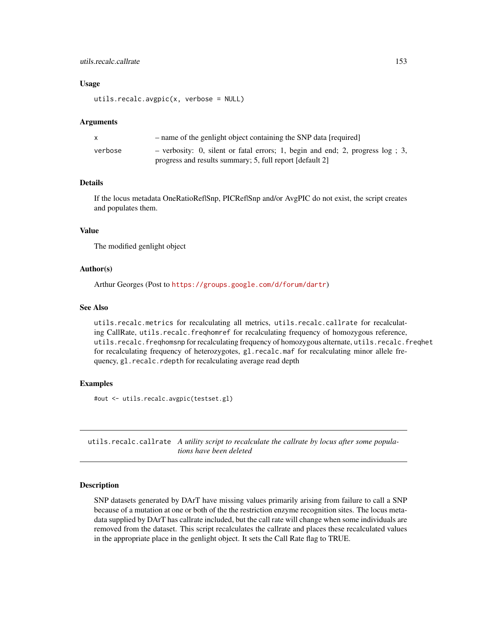# <span id="page-152-0"></span>utils.recalc.callrate 153

#### Usage

utils.recalc.avgpic(x, verbose = NULL)

### Arguments

|         | - name of the genlight object containing the SNP data [required]                 |
|---------|----------------------------------------------------------------------------------|
| verbose | - verbosity: 0, silent or fatal errors; 1, begin and end; 2, progress $log$ ; 3, |
|         | progress and results summary; 5, full report [default 2]                         |

# Details

If the locus metadata OneRatioRef|Snp, PICRef|Snp and/or AvgPIC do not exist, the script creates and populates them.

#### Value

The modified genlight object

#### Author(s)

Arthur Georges (Post to <https://groups.google.com/d/forum/dartr>)

# See Also

utils.recalc.metrics for recalculating all metrics, utils.recalc.callrate for recalculating CallRate, utils.recalc.freqhomref for recalculating frequency of homozygous reference, utils.recalc.freqhomsnp for recalculating frequency of homozygous alternate, utils.recalc.freqhet for recalculating frequency of heterozygotes, gl.recalc.maf for recalculating minor allele frequency, gl.recalc.rdepth for recalculating average read depth

#### Examples

#out <- utils.recalc.avgpic(testset.gl)

utils.recalc.callrate *A utility script to recalculate the callrate by locus after some populations have been deleted*

#### Description

SNP datasets generated by DArT have missing values primarily arising from failure to call a SNP because of a mutation at one or both of the the restriction enzyme recognition sites. The locus metadata supplied by DArT has callrate included, but the call rate will change when some individuals are removed from the dataset. This script recalculates the callrate and places these recalculated values in the appropriate place in the genlight object. It sets the Call Rate flag to TRUE.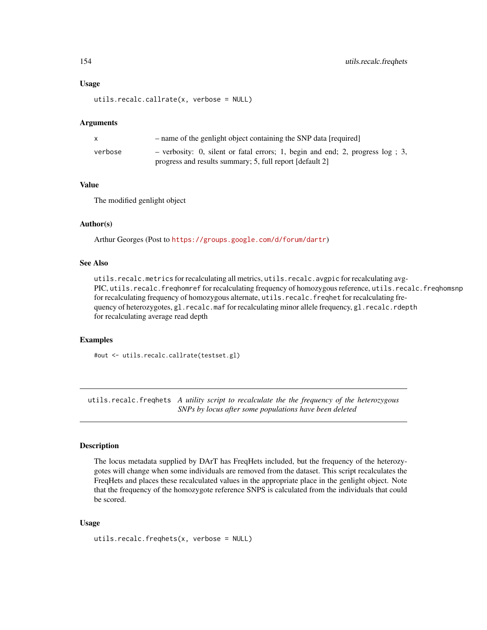#### <span id="page-153-0"></span>Usage

utils.recalc.callrate(x, verbose = NULL)

#### Arguments

|         | - name of the genlight object containing the SNP data [required]                                                                             |
|---------|----------------------------------------------------------------------------------------------------------------------------------------------|
| verbose | - verbosity: 0, silent or fatal errors; 1, begin and end; 2, progress $log$ ; 3,<br>progress and results summary; 5, full report [default 2] |

#### Value

The modified genlight object

#### Author(s)

Arthur Georges (Post to <https://groups.google.com/d/forum/dartr>)

# See Also

utils.recalc.metrics for recalculating all metrics, utils.recalc.avgpic for recalculating avg-PIC, utils.recalc.freqhomref for recalculating frequency of homozygous reference, utils.recalc.freqhomsnp for recalculating frequency of homozygous alternate, utils.recalc.freqhet for recalculating frequency of heterozygotes, gl.recalc.maf for recalculating minor allele frequency, gl.recalc.rdepth for recalculating average read depth

#### Examples

#out <- utils.recalc.callrate(testset.gl)

utils.recalc.freqhets *A utility script to recalculate the the frequency of the heterozygous SNPs by locus after some populations have been deleted*

# Description

The locus metadata supplied by DArT has FreqHets included, but the frequency of the heterozygotes will change when some individuals are removed from the dataset. This script recalculates the FreqHets and places these recalculated values in the appropriate place in the genlight object. Note that the frequency of the homozygote reference SNPS is calculated from the individuals that could be scored.

#### Usage

utils.recalc.freqhets(x, verbose = NULL)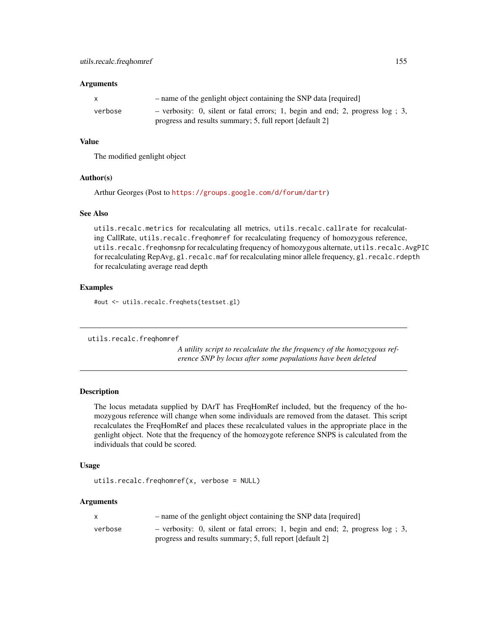#### <span id="page-154-0"></span>**Arguments**

|         | - name of the genlight object containing the SNP data [required]                 |
|---------|----------------------------------------------------------------------------------|
| verbose | - verbosity: 0, silent or fatal errors; 1, begin and end; 2, progress $log$ ; 3, |
|         | progress and results summary; 5, full report [default 2]                         |

# Value

The modified genlight object

#### Author(s)

Arthur Georges (Post to <https://groups.google.com/d/forum/dartr>)

# See Also

utils.recalc.metrics for recalculating all metrics, utils.recalc.callrate for recalculating CallRate, utils.recalc.freqhomref for recalculating frequency of homozygous reference, utils.recalc.freqhomsnp for recalculating frequency of homozygous alternate, utils.recalc.AvgPIC for recalculating RepAvg, gl.recalc.maf for recalculating minor allele frequency, gl.recalc.rdepth for recalculating average read depth

#### Examples

#out <- utils.recalc.freqhets(testset.gl)

utils.recalc.freqhomref

*A utility script to recalculate the the frequency of the homozygous reference SNP by locus after some populations have been deleted*

# Description

The locus metadata supplied by DArT has FreqHomRef included, but the frequency of the homozygous reference will change when some individuals are removed from the dataset. This script recalculates the FreqHomRef and places these recalculated values in the appropriate place in the genlight object. Note that the frequency of the homozygote reference SNPS is calculated from the individuals that could be scored.

#### Usage

```
utils.recalc.freqhomref(x, verbose = NULL)
```
#### Arguments

|         | - name of the genlight object containing the SNP data [required]                 |  |
|---------|----------------------------------------------------------------------------------|--|
| verbose | - verbosity: 0, silent or fatal errors; 1, begin and end; 2, progress $log$ ; 3, |  |
|         | progress and results summary; 5, full report [default 2]                         |  |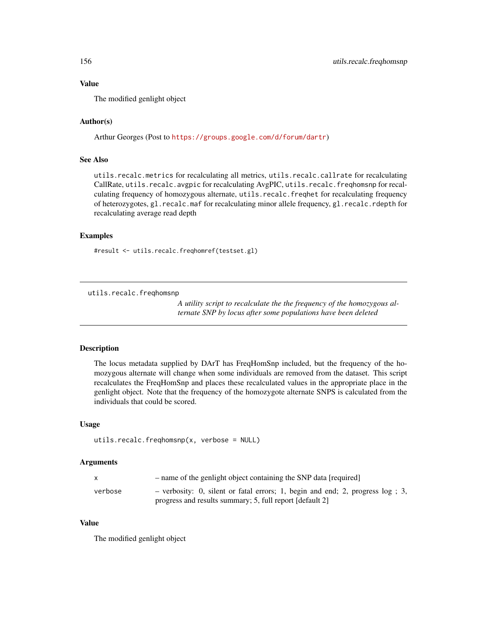# <span id="page-155-0"></span>Value

The modified genlight object

# Author(s)

Arthur Georges (Post to <https://groups.google.com/d/forum/dartr>)

#### See Also

utils.recalc.metrics for recalculating all metrics, utils.recalc.callrate for recalculating CallRate, utils.recalc.avgpic for recalculating AvgPIC, utils.recalc.freqhomsnp for recalculating frequency of homozygous alternate, utils.recalc.freqhet for recalculating frequency of heterozygotes, gl.recalc.maf for recalculating minor allele frequency, gl.recalc.rdepth for recalculating average read depth

# Examples

#result <- utils.recalc.freqhomref(testset.gl)

utils.recalc.freqhomsnp

*A utility script to recalculate the the frequency of the homozygous alternate SNP by locus after some populations have been deleted*

#### Description

The locus metadata supplied by DArT has FreqHomSnp included, but the frequency of the homozygous alternate will change when some individuals are removed from the dataset. This script recalculates the FreqHomSnp and places these recalculated values in the appropriate place in the genlight object. Note that the frequency of the homozygote alternate SNPS is calculated from the individuals that could be scored.

#### Usage

```
utils.recalc.freqhomsnp(x, verbose = NULL)
```
#### Arguments

|         | - name of the genlight object containing the SNP data [required]                 |  |
|---------|----------------------------------------------------------------------------------|--|
| verbose | - verbosity: 0, silent or fatal errors; 1, begin and end; 2, progress $log$ ; 3, |  |
|         | progress and results summary; 5, full report [default 2]                         |  |

#### Value

The modified genlight object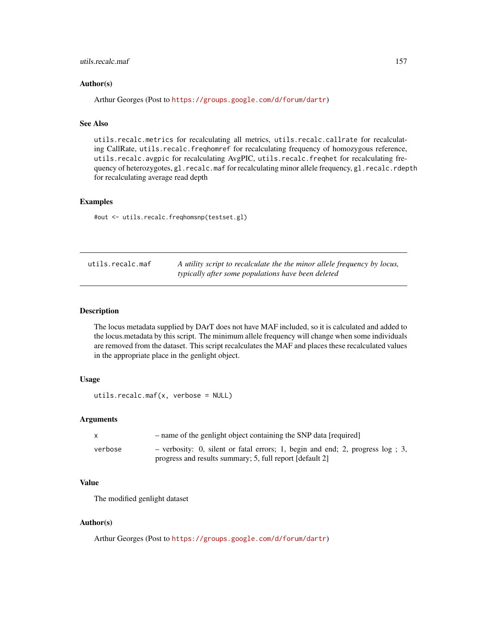# <span id="page-156-0"></span>utils.recalc.maf 157

#### Author(s)

Arthur Georges (Post to <https://groups.google.com/d/forum/dartr>)

# See Also

utils.recalc.metrics for recalculating all metrics, utils.recalc.callrate for recalculating CallRate, utils.recalc.freqhomref for recalculating frequency of homozygous reference, utils.recalc.avgpic for recalculating AvgPIC, utils.recalc.freqhet for recalculating frequency of heterozygotes, gl.recalc.maf for recalculating minor allele frequency, gl.recalc.rdepth for recalculating average read depth

# Examples

#out <- utils.recalc.freqhomsnp(testset.gl)

| utils.recalc.maf | A utility script to recalculate the the minor allele frequency by locus, |
|------------------|--------------------------------------------------------------------------|
|                  | typically after some populations have been deleted                       |

# **Description**

The locus metadata supplied by DArT does not have MAF included, so it is calculated and added to the locus.metadata by this script. The minimum allele frequency will change when some individuals are removed from the dataset. This script recalculates the MAF and places these recalculated values in the appropriate place in the genlight object.

#### Usage

```
utils.recalc.maf(x, verbose = NULL)
```
# Arguments

| X       | - name of the genlight object containing the SNP data [required]                 |  |
|---------|----------------------------------------------------------------------------------|--|
| verbose | - verbosity: 0, silent or fatal errors; 1, begin and end; 2, progress $log$ ; 3, |  |
|         | progress and results summary; 5, full report [default 2]                         |  |

# Value

The modified genlight dataset

#### Author(s)

Arthur Georges (Post to <https://groups.google.com/d/forum/dartr>)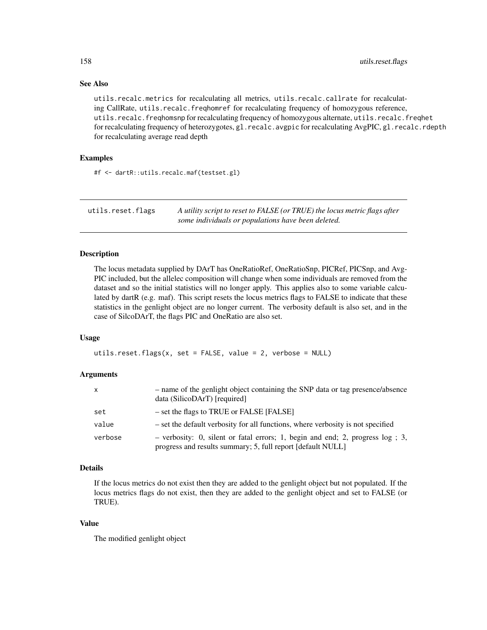#### <span id="page-157-0"></span>See Also

utils.recalc.metrics for recalculating all metrics, utils.recalc.callrate for recalculating CallRate, utils.recalc.freqhomref for recalculating frequency of homozygous reference, utils.recalc.freqhomsnp for recalculating frequency of homozygous alternate, utils.recalc.freqhet for recalculating frequency of heterozygotes, gl.recalc.avgpic for recalculating AvgPIC, gl.recalc.rdepth for recalculating average read depth

# Examples

#f <- dartR::utils.recalc.maf(testset.gl)

utils.reset.flags *A utility script to reset to FALSE (or TRUE) the locus metric flags after some individuals or populations have been deleted.*

### Description

The locus metadata supplied by DArT has OneRatioRef, OneRatioSnp, PICRef, PICSnp, and Avg-PIC included, but the allelec composition will change when some individuals are removed from the dataset and so the initial statistics will no longer apply. This applies also to some variable calculated by dartR (e.g. maf). This script resets the locus metrics flags to FALSE to indicate that these statistics in the genlight object are no longer current. The verbosity default is also set, and in the case of SilcoDArT, the flags PIC and OneRatio are also set.

#### Usage

utils.reset.flags(x, set = FALSE, value = 2, verbose = NULL)

#### Arguments

| $\mathsf{x}$ | - name of the genlight object containing the SNP data or tag presence/absence<br>data (SilicoDArT) [required]                                  |
|--------------|------------------------------------------------------------------------------------------------------------------------------------------------|
| set          | $-$ set the flags to TRUE or FALSE [FALSE]                                                                                                     |
| value        | - set the default verbosity for all functions, where verbosity is not specified                                                                |
| verbose      | $-$ verbosity: 0, silent or fatal errors; 1, begin and end; 2, progress log; 3,<br>progress and results summary; 5, full report [default NULL] |

#### Details

If the locus metrics do not exist then they are added to the genlight object but not populated. If the locus metrics flags do not exist, then they are added to the genlight object and set to FALSE (or TRUE).

#### Value

The modified genlight object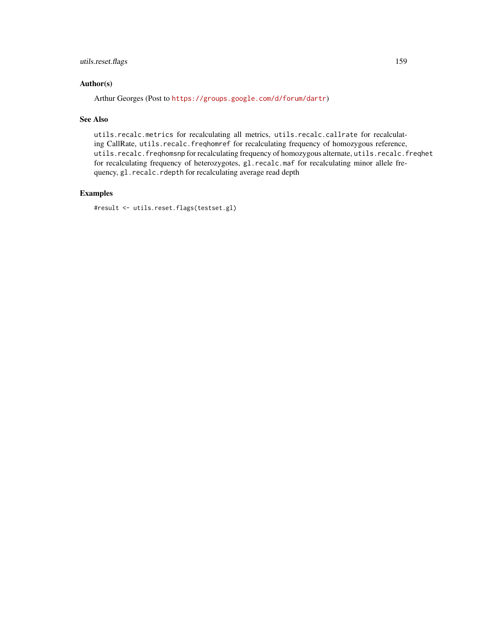# utils.reset.flags 159

# Author(s)

Arthur Georges (Post to <https://groups.google.com/d/forum/dartr>)

# See Also

utils.recalc.metrics for recalculating all metrics, utils.recalc.callrate for recalculating CallRate, utils.recalc.freqhomref for recalculating frequency of homozygous reference, utils.recalc.freqhomsnp for recalculating frequency of homozygous alternate, utils.recalc.freqhet for recalculating frequency of heterozygotes, gl.recalc.maf for recalculating minor allele frequency, gl.recalc.rdepth for recalculating average read depth

# Examples

#result <- utils.reset.flags(testset.gl)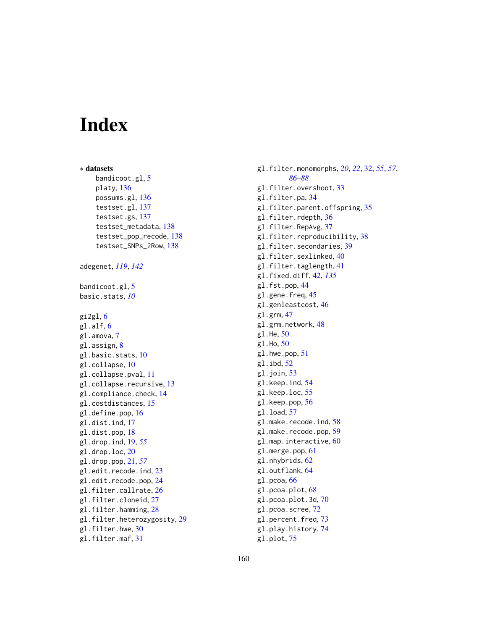# **Index**

∗ datasets bandicoot.gl, [5](#page-4-0) platy, [136](#page-135-0) possums.gl, [136](#page-135-0) testset.gl, [137](#page-136-0) testset.gs, [137](#page-136-0) testset\_metadata, [138](#page-137-0) testset\_pop\_recode, [138](#page-137-0) testset\_SNPs\_2Row, [138](#page-137-0) adegenet, *[119](#page-118-0)*, *[142](#page-141-0)* bandicoot.gl, [5](#page-4-0) basic.stats, *[10](#page-9-0)*  $g$ i2gl,  $6$ gl.alf, [6](#page-5-0) gl.amova, [7](#page-6-0) gl.assign, [8](#page-7-0) gl.basic.stats, [10](#page-9-0) gl.collapse, [10](#page-9-0) gl.collapse.pval, [11](#page-10-0) gl.collapse.recursive, [13](#page-12-0) gl.compliance.check, [14](#page-13-0) gl.costdistances, [15](#page-14-0) gl.define.pop, [16](#page-15-0) gl.dist.ind, [17](#page-16-0) gl.dist.pop, [18](#page-17-0) gl.drop.ind, [19,](#page-18-0) *[55](#page-54-0)* gl.drop.loc, [20](#page-19-0) gl.drop.pop, [21,](#page-20-0) *[57](#page-56-0)* gl.edit.recode.ind, [23](#page-22-0) gl.edit.recode.pop, [24](#page-23-0) gl.filter.callrate, [26](#page-25-0) gl.filter.cloneid, [27](#page-26-0) gl.filter.hamming, [28](#page-27-0) gl.filter.heterozygosity, [29](#page-28-0) gl.filter.hwe, [30](#page-29-0) gl.filter.maf, [31](#page-30-0)

gl.filter.monomorphs, *[20](#page-19-0)*, *[22](#page-21-0)*, [32,](#page-31-0) *[55](#page-54-0)*, *[57](#page-56-0)*, *[86](#page-85-0)[–88](#page-87-0)* gl.filter.overshoot, [33](#page-32-0) gl.filter.pa, [34](#page-33-0) gl.filter.parent.offspring, [35](#page-34-0) gl.filter.rdepth, [36](#page-35-0) gl.filter.RepAvg, [37](#page-36-0) gl.filter.reproducibility, [38](#page-37-0) gl.filter.secondaries, [39](#page-38-0) gl.filter.sexlinked, [40](#page-39-0) gl.filter.taglength, [41](#page-40-0) gl.fixed.diff, [42,](#page-41-0) *[135](#page-134-0)* gl.fst.pop, [44](#page-43-0) gl.gene.freq, [45](#page-44-0) gl.genleastcost, [46](#page-45-0) gl.grm, [47](#page-46-0) gl.grm.network, [48](#page-47-0) gl.He, [50](#page-49-0) gl.Ho, [50](#page-49-0) gl.hwe.pop, [51](#page-50-0) gl.ibd, [52](#page-51-0) gl.join, [53](#page-52-0) gl.keep.ind, [54](#page-53-0) gl.keep.loc, [55](#page-54-0) gl.keep.pop, [56](#page-55-0) gl.load, [57](#page-56-0) gl.make.recode.ind, [58](#page-57-0) gl.make.recode.pop, [59](#page-58-0) gl.map.interactive, [60](#page-59-0) gl.merge.pop, [61](#page-60-0) gl.nhybrids, [62](#page-61-0) gl.outflank, [64](#page-63-0) gl.pcoa, [66](#page-65-0) gl.pcoa.plot, [68](#page-67-0) gl.pcoa.plot.3d, [70](#page-69-0) gl.pcoa.scree, [72](#page-71-0) gl.percent.freq, [73](#page-72-0) gl.play.history, [74](#page-73-0)

gl.plot, [75](#page-74-0)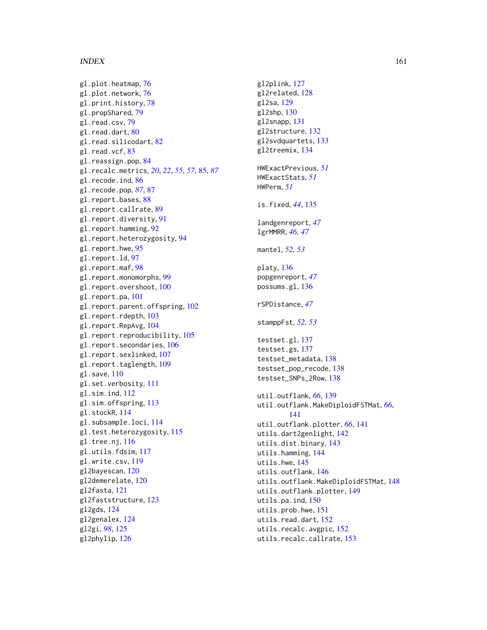#### $I$ NDEX  $161$

gl.plot.heatmap, [76](#page-75-0) gl.plot.network, [76](#page-75-0) gl.print.history, [78](#page-77-0) gl.propShared, [79](#page-78-0) gl.read.csv, [79](#page-78-0) gl.read.dart, [80](#page-79-0) gl.read.silicodart, [82](#page-81-0) gl.read.vcf, [83](#page-82-0) gl.reassign.pop, [84](#page-83-0) gl.recalc.metrics, *[20](#page-19-0)*, *[22](#page-21-0)*, *[55](#page-54-0)*, *[57](#page-56-0)*, [85,](#page-84-0) *[87](#page-86-0)* gl.recode.ind, [86](#page-85-0) gl.recode.pop, *[87](#page-86-0)*, [87](#page-86-0) gl.report.bases, [88](#page-87-0) gl.report.callrate, [89](#page-88-0) gl.report.diversity, [91](#page-90-0) gl.report.hamming, [92](#page-91-0) gl.report.heterozygosity, [94](#page-93-0) gl.report.hwe, [95](#page-94-0) gl.report.ld, [97](#page-96-0) gl.report.maf, [98](#page-97-0) gl.report.monomorphs, [99](#page-98-0) gl.report.overshoot, [100](#page-99-0) gl.report.pa, [101](#page-100-0) gl.report.parent.offspring, [102](#page-101-0) gl.report.rdepth, [103](#page-102-0) gl.report.RepAvg, [104](#page-103-0) gl.report.reproducibility, [105](#page-104-0) gl.report.secondaries, [106](#page-105-0) gl.report.sexlinked, [107](#page-106-0) gl.report.taglength, [109](#page-108-0) gl.save, [110](#page-109-0) gl.set.verbosity, [111](#page-110-0) gl.sim.ind, [112](#page-111-0) gl.sim.offspring, [113](#page-112-0) gl.stockR, [114](#page-113-0) gl.subsample.loci, [114](#page-113-0) gl.test.heterozygosity, [115](#page-114-0) gl.tree.nj, [116](#page-115-0) gl.utils.fdsim, [117](#page-116-0) gl.write.csv, [119](#page-118-0) gl2bayescan, [120](#page-119-0) gl2demerelate, [120](#page-119-0) gl2fasta, [121](#page-120-0) gl2faststructure, [123](#page-122-0) gl2gds, [124](#page-123-0) gl2genalex, [124](#page-123-0) gl2gi, *[98](#page-97-0)*, [125](#page-124-0) gl2phylip, [126](#page-125-0)

gl2plink, [127](#page-126-0) gl2related, [128](#page-127-0) gl2sa, [129](#page-128-0) gl2shp, [130](#page-129-0) gl2snapp, [131](#page-130-0) gl2structure, [132](#page-131-0) gl2svdquartets, [133](#page-132-0) gl2treemix, [134](#page-133-0) HWExactPrevious, *[51](#page-50-0)* HWExactStats, *[51](#page-50-0)* HWPerm, *[51](#page-50-0)* is.fixed, *[44](#page-43-0)*, [135](#page-134-0) landgenreport, *[47](#page-46-0)* lgrMMRR, *[46,](#page-45-0) [47](#page-46-0)* mantel, *[52,](#page-51-0) [53](#page-52-0)* platy, [136](#page-135-0) popgenreport, *[47](#page-46-0)* possums.gl, [136](#page-135-0) rSPDistance, *[47](#page-46-0)* stamppFst, *[52,](#page-51-0) [53](#page-52-0)* testset.gl, [137](#page-136-0) testset.gs, [137](#page-136-0) testset\_metadata, [138](#page-137-0) testset\_pop\_recode, [138](#page-137-0) testset\_SNPs\_2Row, [138](#page-137-0) util.outflank, *[66](#page-65-0)*, [139](#page-138-0) util.outflank.MakeDiploidFSTMat, *[66](#page-65-0)*, [141](#page-140-0) util.outflank.plotter, *[66](#page-65-0)*, [141](#page-140-0) utils.dart2genlight, [142](#page-141-0) utils.dist.binary, [143](#page-142-0) utils.hamming, [144](#page-143-0) utils.hwe, [145](#page-144-0) utils.outflank, [146](#page-145-0) utils.outflank.MakeDiploidFSTMat, [148](#page-147-0) utils.outflank.plotter, [149](#page-148-0) utils.pa.ind, [150](#page-149-0) utils.prob.hwe, [151](#page-150-0) utils.read.dart, [152](#page-151-0) utils.recalc.avgpic, [152](#page-151-0) utils.recalc.callrate, [153](#page-152-0)